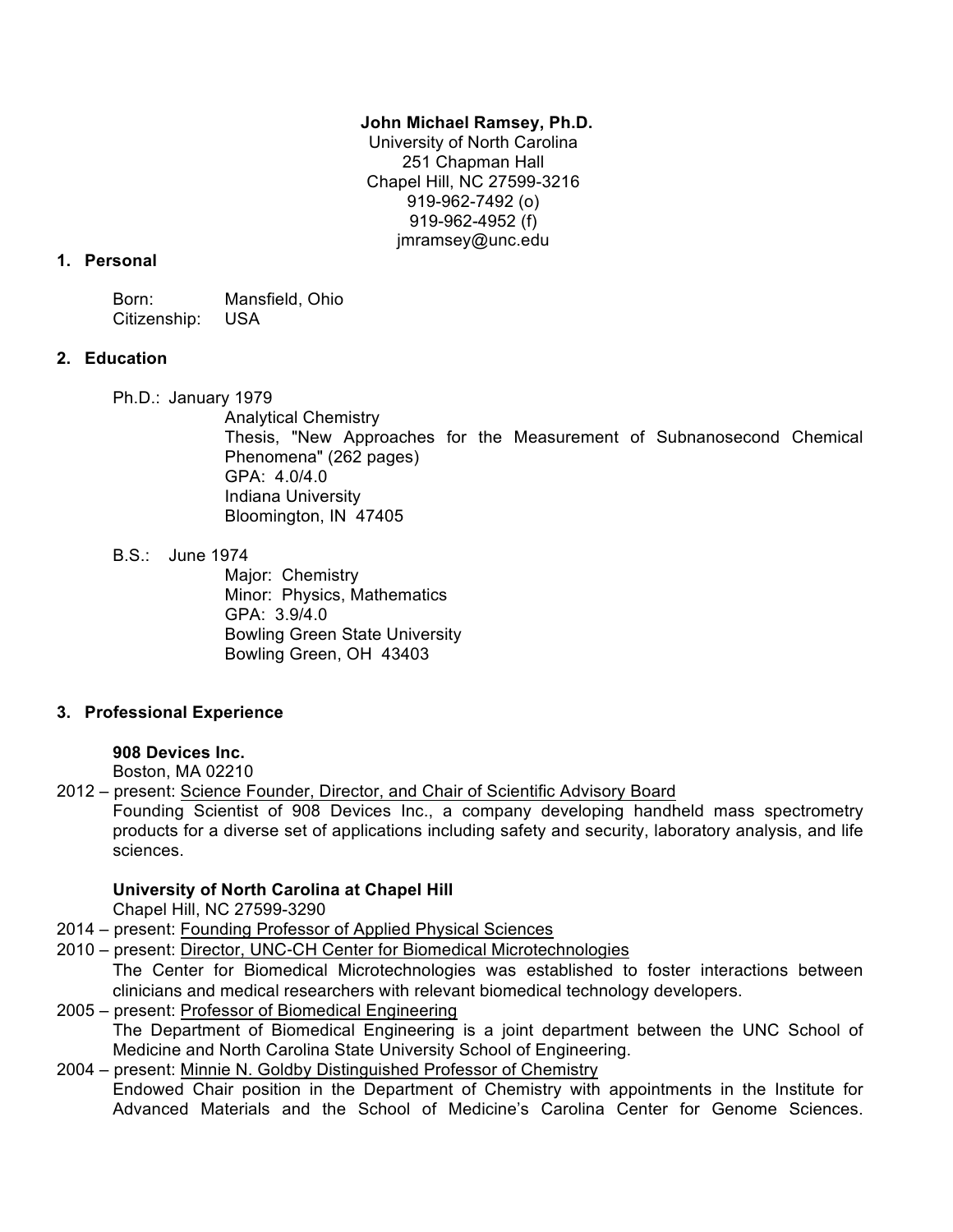### **John Michael Ramsey, Ph.D.**

University of North Carolina 251 Chapman Hall Chapel Hill, NC 27599-3216 919-962-7492 (o) 919-962-4952 (f) jmramsey@unc.edu

### **1. Personal**

Born: Mansfield, Ohio Citizenship: USA

# **2. Education**

Ph.D.: January 1979

Analytical Chemistry Thesis, "New Approaches for the Measurement of Subnanosecond Chemical Phenomena" (262 pages) GPA: 4.0/4.0 Indiana University Bloomington, IN 47405

B.S.: June 1974

Major: Chemistry Minor: Physics, Mathematics GPA: 3.9/4.0 Bowling Green State University Bowling Green, OH 43403

# **3. Professional Experience**

# **908 Devices Inc.**

Boston, MA 02210

2012 – present: Science Founder, Director, and Chair of Scientific Advisory Board

Founding Scientist of 908 Devices Inc., a company developing handheld mass spectrometry products for a diverse set of applications including safety and security, laboratory analysis, and life sciences.

# **University of North Carolina at Chapel Hill**

Chapel Hill, NC 27599-3290

- 2014 present: Founding Professor of Applied Physical Sciences
- 2010 present: Director, UNC-CH Center for Biomedical Microtechnologies

The Center for Biomedical Microtechnologies was established to foster interactions between clinicians and medical researchers with relevant biomedical technology developers.

2005 – present: Professor of Biomedical Engineering The Department of Biomedical Engineering is a joint department between the UNC School of Medicine and North Carolina State University School of Engineering.

2004 – present: Minnie N. Goldby Distinguished Professor of Chemistry Endowed Chair position in the Department of Chemistry with appointments in the Institute for Advanced Materials and the School of Medicine's Carolina Center for Genome Sciences.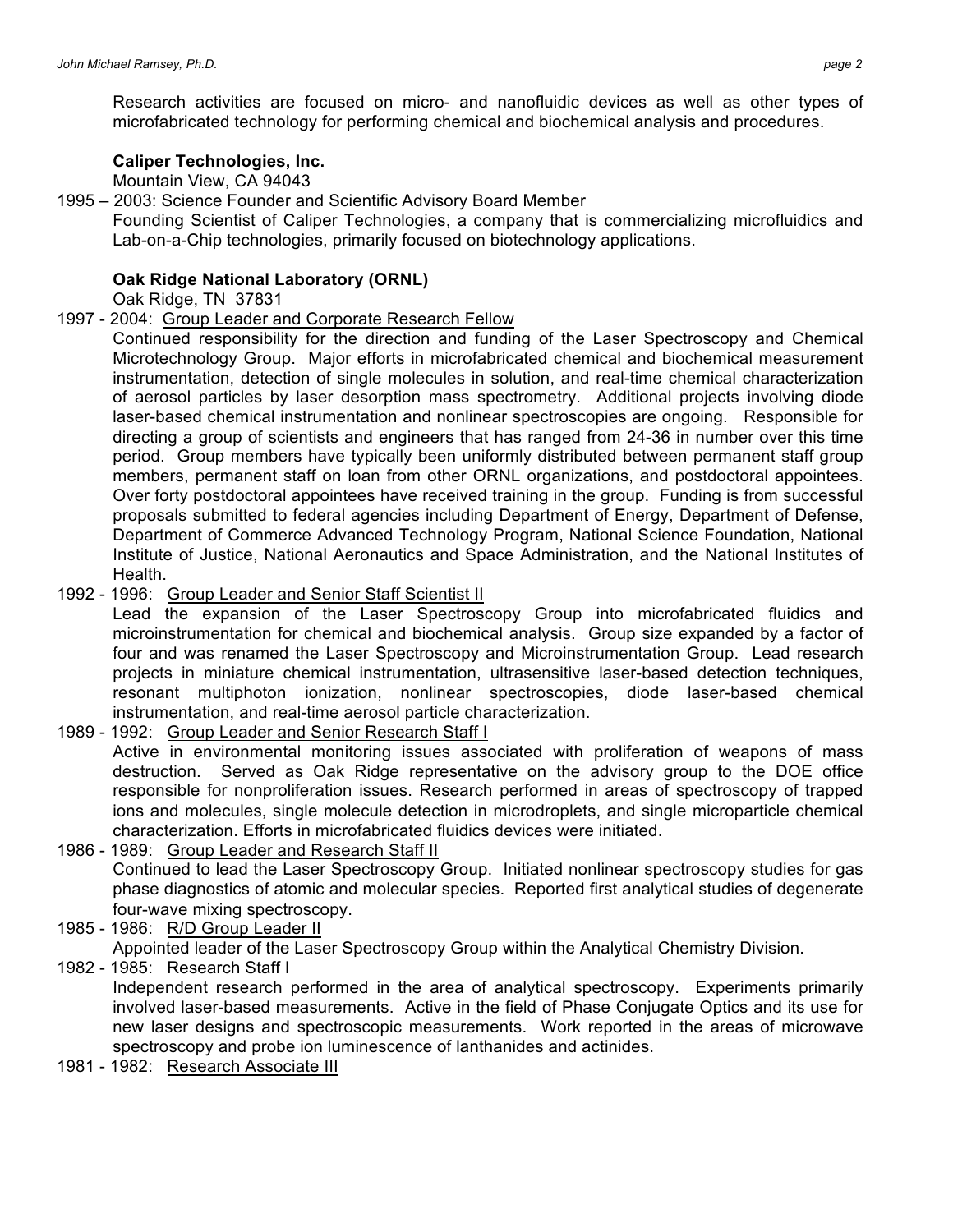Research activities are focused on micro- and nanofluidic devices as well as other types of microfabricated technology for performing chemical and biochemical analysis and procedures.

#### **Caliper Technologies, Inc.**

Mountain View, CA 94043

#### 1995 – 2003: Science Founder and Scientific Advisory Board Member

Founding Scientist of Caliper Technologies, a company that is commercializing microfluidics and Lab-on-a-Chip technologies, primarily focused on biotechnology applications.

#### **Oak Ridge National Laboratory (ORNL)**

Oak Ridge, TN 37831

#### 1997 - 2004: Group Leader and Corporate Research Fellow

Continued responsibility for the direction and funding of the Laser Spectroscopy and Chemical Microtechnology Group. Major efforts in microfabricated chemical and biochemical measurement instrumentation, detection of single molecules in solution, and real-time chemical characterization of aerosol particles by laser desorption mass spectrometry. Additional projects involving diode laser-based chemical instrumentation and nonlinear spectroscopies are ongoing. Responsible for directing a group of scientists and engineers that has ranged from 24-36 in number over this time period. Group members have typically been uniformly distributed between permanent staff group members, permanent staff on loan from other ORNL organizations, and postdoctoral appointees. Over forty postdoctoral appointees have received training in the group. Funding is from successful proposals submitted to federal agencies including Department of Energy, Department of Defense, Department of Commerce Advanced Technology Program, National Science Foundation, National Institute of Justice, National Aeronautics and Space Administration, and the National Institutes of Health.

1992 - 1996: Group Leader and Senior Staff Scientist II

Lead the expansion of the Laser Spectroscopy Group into microfabricated fluidics and microinstrumentation for chemical and biochemical analysis. Group size expanded by a factor of four and was renamed the Laser Spectroscopy and Microinstrumentation Group. Lead research projects in miniature chemical instrumentation, ultrasensitive laser-based detection techniques, resonant multiphoton ionization, nonlinear spectroscopies, diode laser-based chemical instrumentation, and real-time aerosol particle characterization.

- 1989 1992: Group Leader and Senior Research Staff I Active in environmental monitoring issues associated with proliferation of weapons of mass destruction. Served as Oak Ridge representative on the advisory group to the DOE office responsible for nonproliferation issues. Research performed in areas of spectroscopy of trapped ions and molecules, single molecule detection in microdroplets, and single microparticle chemical characterization. Efforts in microfabricated fluidics devices were initiated.
- 1986 1989: Group Leader and Research Staff II Continued to lead the Laser Spectroscopy Group. Initiated nonlinear spectroscopy studies for gas phase diagnostics of atomic and molecular species. Reported first analytical studies of degenerate four-wave mixing spectroscopy.
- 1985 1986: R/D Group Leader II Appointed leader of the Laser Spectroscopy Group within the Analytical Chemistry Division. 1982 - 1985: Research Staff I

Independent research performed in the area of analytical spectroscopy. Experiments primarily involved laser-based measurements. Active in the field of Phase Conjugate Optics and its use for new laser designs and spectroscopic measurements. Work reported in the areas of microwave spectroscopy and probe ion luminescence of lanthanides and actinides.

1981 - 1982: Research Associate III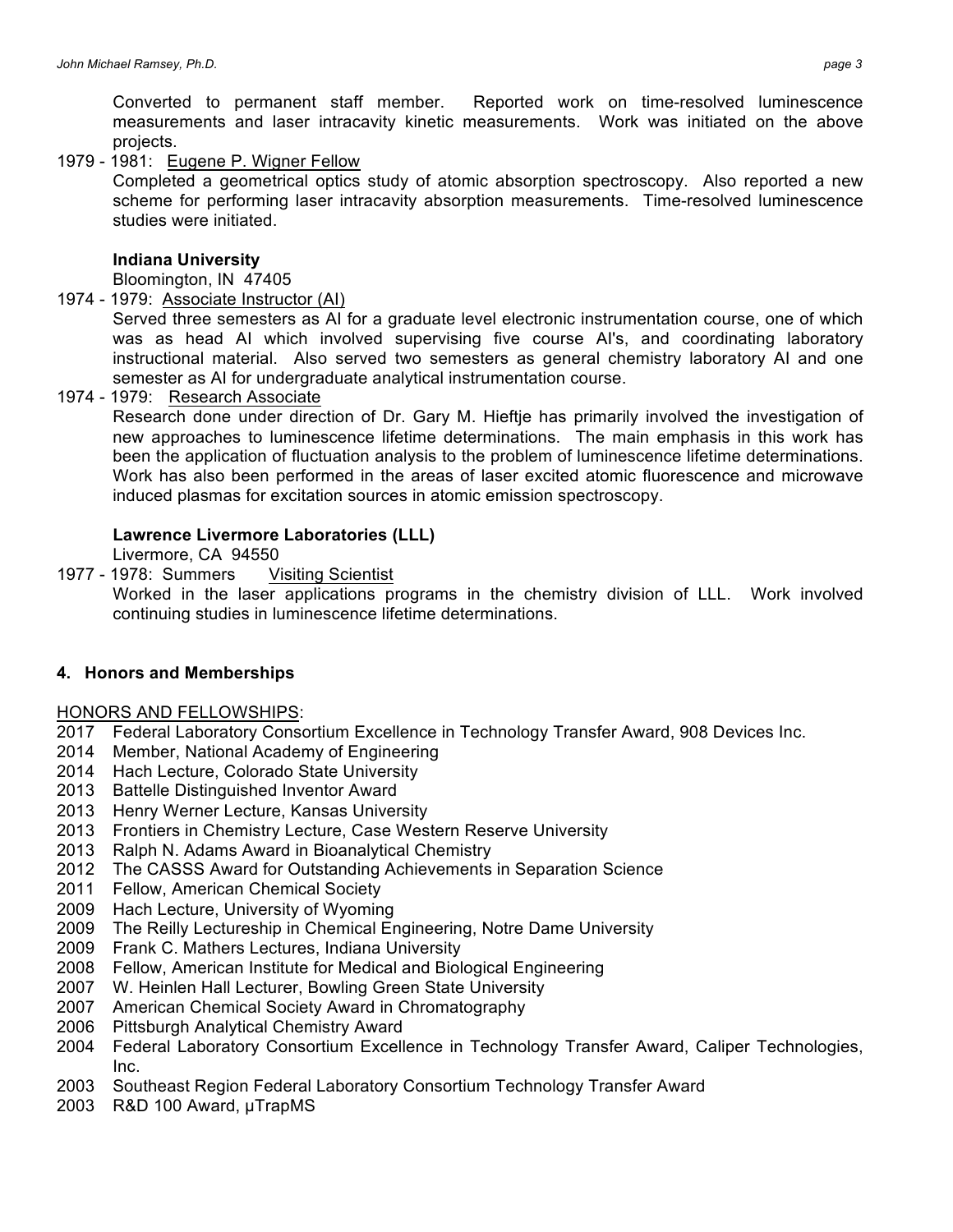Converted to permanent staff member. Reported work on time-resolved luminescence measurements and laser intracavity kinetic measurements. Work was initiated on the above projects.

1979 - 1981: Eugene P. Wigner Fellow

Completed a geometrical optics study of atomic absorption spectroscopy. Also reported a new scheme for performing laser intracavity absorption measurements. Time-resolved luminescence studies were initiated.

## **Indiana University**

Bloomington, IN 47405

1974 - 1979: Associate Instructor (AI)

Served three semesters as AI for a graduate level electronic instrumentation course, one of which was as head AI which involved supervising five course AI's, and coordinating laboratory instructional material. Also served two semesters as general chemistry laboratory AI and one semester as AI for undergraduate analytical instrumentation course.

1974 - 1979: Research Associate

Research done under direction of Dr. Gary M. Hieftje has primarily involved the investigation of new approaches to luminescence lifetime determinations. The main emphasis in this work has been the application of fluctuation analysis to the problem of luminescence lifetime determinations. Work has also been performed in the areas of laser excited atomic fluorescence and microwave induced plasmas for excitation sources in atomic emission spectroscopy.

### **Lawrence Livermore Laboratories (LLL)**

Livermore, CA 94550

1977 - 1978: Summers Visiting Scientist Worked in the laser applications programs in the chemistry division of LLL. Work involved continuing studies in luminescence lifetime determinations.

# **4. Honors and Memberships**

### HONORS AND FELLOWSHIPS:

- 2017 Federal Laboratory Consortium Excellence in Technology Transfer Award, 908 Devices Inc.
- 2014 Member, National Academy of Engineering
- 2014 Hach Lecture, Colorado State University
- 2013 Battelle Distinguished Inventor Award
- 2013 Henry Werner Lecture, Kansas University
- 2013 Frontiers in Chemistry Lecture, Case Western Reserve University
- 2013 Ralph N. Adams Award in Bioanalytical Chemistry
- 2012 The CASSS Award for Outstanding Achievements in Separation Science
- 2011 Fellow, American Chemical Society
- 2009 Hach Lecture, University of Wyoming
- 2009 The Reilly Lectureship in Chemical Engineering, Notre Dame University
- 2009 Frank C. Mathers Lectures, Indiana University
- 2008 Fellow, American Institute for Medical and Biological Engineering
- 2007 W. Heinlen Hall Lecturer, Bowling Green State University
- 2007 American Chemical Society Award in Chromatography
- 2006 Pittsburgh Analytical Chemistry Award
- 2004 Federal Laboratory Consortium Excellence in Technology Transfer Award, Caliper Technologies, Inc.
- 2003 Southeast Region Federal Laboratory Consortium Technology Transfer Award
- 2003 R&D 100 Award, µTrapMS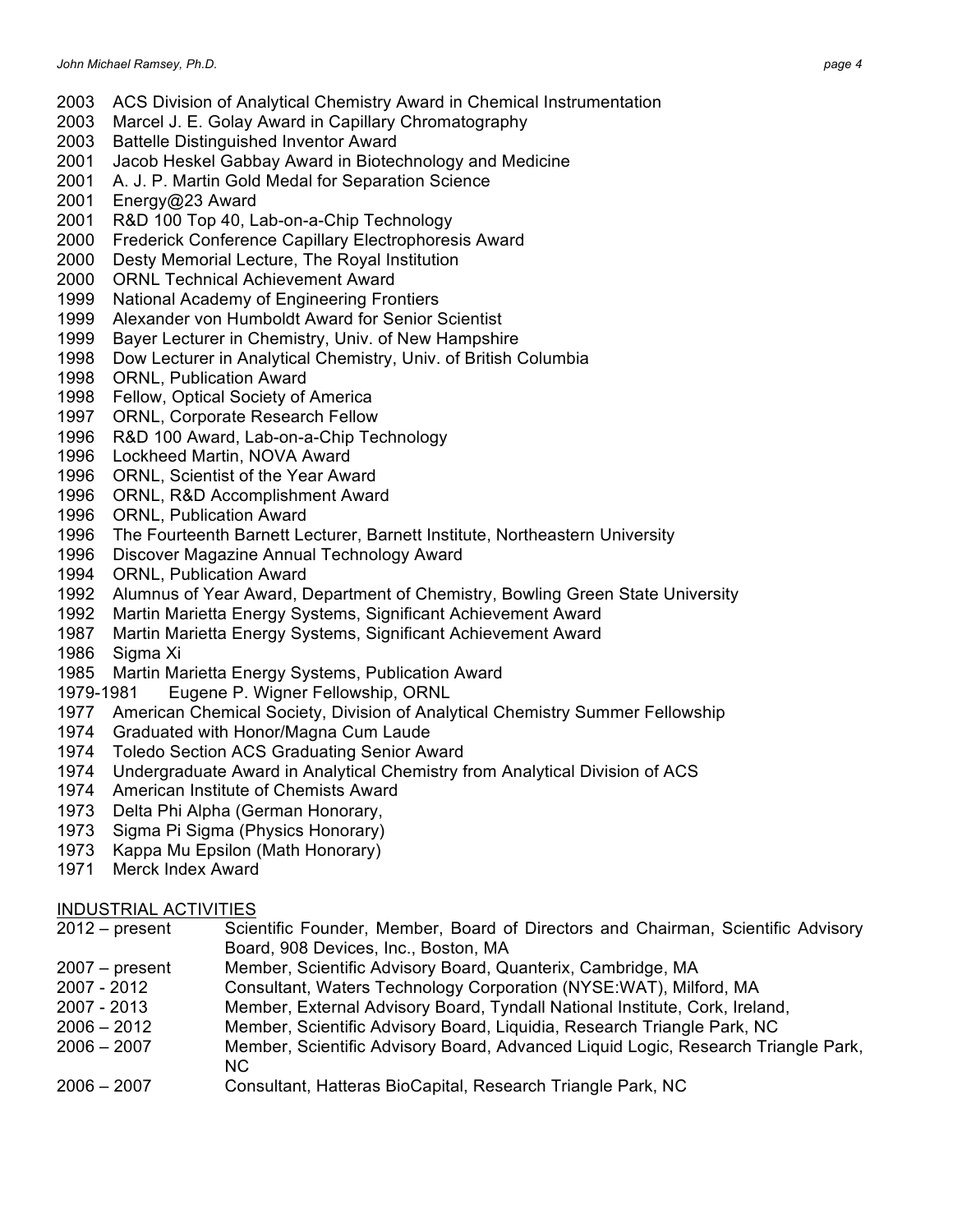- ACS Division of Analytical Chemistry Award in Chemical Instrumentation
- Marcel J. E. Golay Award in Capillary Chromatography
- Battelle Distinguished Inventor Award
- Jacob Heskel Gabbay Award in Biotechnology and Medicine
- A. J. P. Martin Gold Medal for Separation Science
- Energy@23 Award
- R&D 100 Top 40, Lab-on-a-Chip Technology
- Frederick Conference Capillary Electrophoresis Award
- Desty Memorial Lecture, The Royal Institution
- ORNL Technical Achievement Award
- National Academy of Engineering Frontiers
- Alexander von Humboldt Award for Senior Scientist
- Bayer Lecturer in Chemistry, Univ. of New Hampshire
- Dow Lecturer in Analytical Chemistry, Univ. of British Columbia
- ORNL, Publication Award
- Fellow, Optical Society of America
- ORNL, Corporate Research Fellow
- R&D 100 Award, Lab-on-a-Chip Technology
- Lockheed Martin, NOVA Award
- ORNL, Scientist of the Year Award
- ORNL, R&D Accomplishment Award
- ORNL, Publication Award
- The Fourteenth Barnett Lecturer, Barnett Institute, Northeastern University
- Discover Magazine Annual Technology Award
- ORNL, Publication Award
- Alumnus of Year Award, Department of Chemistry, Bowling Green State University
- Martin Marietta Energy Systems, Significant Achievement Award
- Martin Marietta Energy Systems, Significant Achievement Award
- Sigma Xi
- Martin Marietta Energy Systems, Publication Award
- 1979-1981 Eugene P. Wigner Fellowship, ORNL
- American Chemical Society, Division of Analytical Chemistry Summer Fellowship
- Graduated with Honor/Magna Cum Laude
- Toledo Section ACS Graduating Senior Award
- Undergraduate Award in Analytical Chemistry from Analytical Division of ACS
- American Institute of Chemists Award
- Delta Phi Alpha (German Honorary,
- Sigma Pi Sigma (Physics Honorary)
- Kappa Mu Epsilon (Math Honorary)
- Merck Index Award

### INDUSTRIAL ACTIVITIES

- 2012 present Scientific Founder, Member, Board of Directors and Chairman, Scientific Advisory Board, 908 Devices, Inc., Boston, MA
- 2007 present Member, Scientific Advisory Board, Quanterix, Cambridge, MA
- 2007 2012 Consultant, Waters Technology Corporation (NYSE:WAT), Milford, MA
- 2007 2013 Member, External Advisory Board, Tyndall National Institute, Cork, Ireland,
- 2006 2012 Member, Scientific Advisory Board, Liquidia, Research Triangle Park, NC
- 2006 2007 Member, Scientific Advisory Board, Advanced Liquid Logic, Research Triangle Park, NC
- 2006 2007 Consultant, Hatteras BioCapital, Research Triangle Park, NC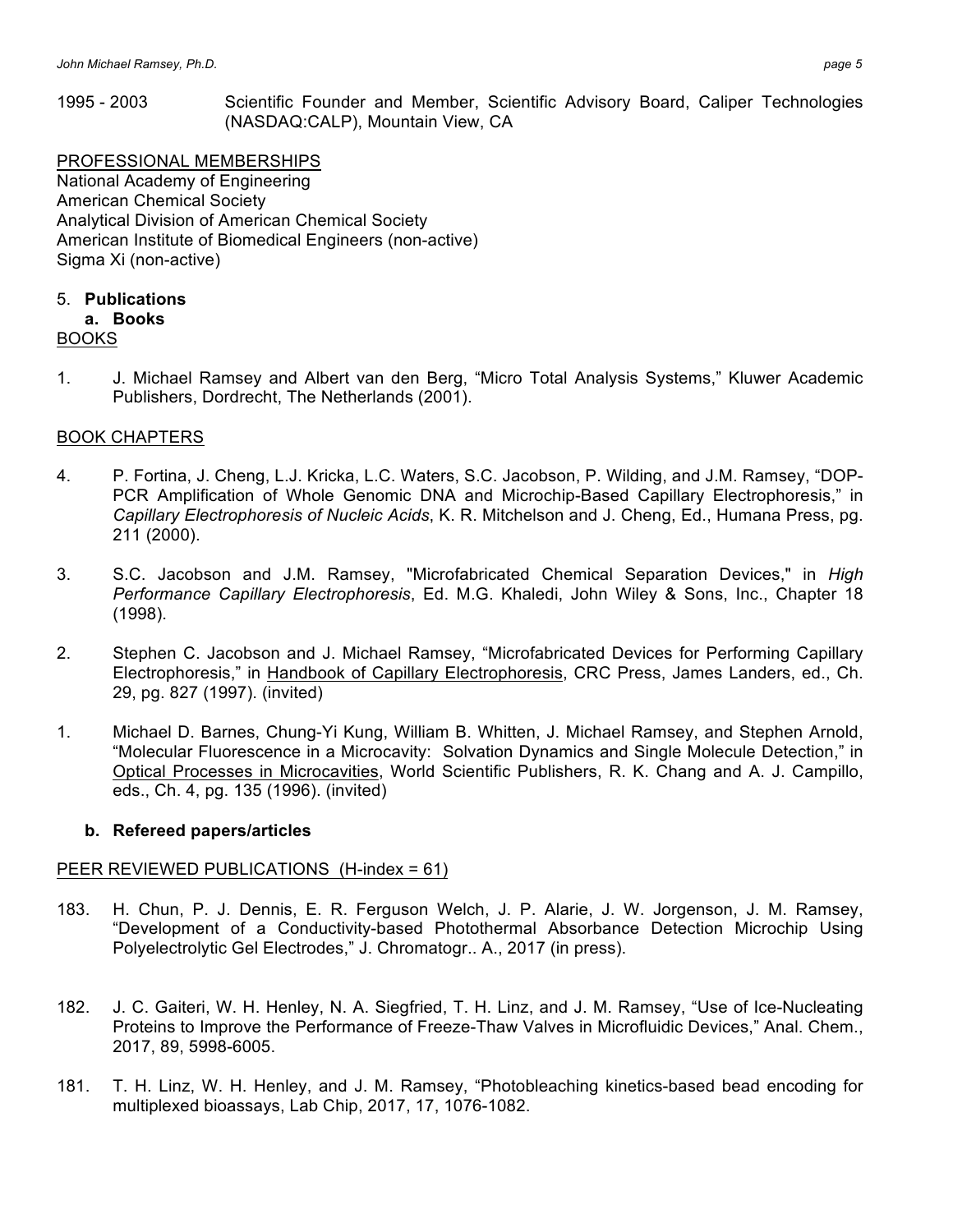1995 - 2003 Scientific Founder and Member, Scientific Advisory Board, Caliper Technologies (NASDAQ:CALP), Mountain View, CA

PROFESSIONAL MEMBERSHIPS National Academy of Engineering American Chemical Society Analytical Division of American Chemical Society American Institute of Biomedical Engineers (non-active) Sigma Xi (non-active)

# 5. **Publications**

# **a. Books**

### BOOKS

1. J. Michael Ramsey and Albert van den Berg, "Micro Total Analysis Systems," Kluwer Academic Publishers, Dordrecht, The Netherlands (2001).

### BOOK CHAPTERS

- 4. P. Fortina, J. Cheng, L.J. Kricka, L.C. Waters, S.C. Jacobson, P. Wilding, and J.M. Ramsey, "DOP-PCR Amplification of Whole Genomic DNA and Microchip-Based Capillary Electrophoresis," in *Capillary Electrophoresis of Nucleic Acids*, K. R. Mitchelson and J. Cheng, Ed., Humana Press, pg. 211 (2000).
- 3. S.C. Jacobson and J.M. Ramsey, "Microfabricated Chemical Separation Devices," in *High Performance Capillary Electrophoresis*, Ed. M.G. Khaledi, John Wiley & Sons, Inc., Chapter 18 (1998).
- 2. Stephen C. Jacobson and J. Michael Ramsey, "Microfabricated Devices for Performing Capillary Electrophoresis," in Handbook of Capillary Electrophoresis, CRC Press, James Landers, ed., Ch. 29, pg. 827 (1997). (invited)
- 1. Michael D. Barnes, Chung-Yi Kung, William B. Whitten, J. Michael Ramsey, and Stephen Arnold, "Molecular Fluorescence in a Microcavity: Solvation Dynamics and Single Molecule Detection," in Optical Processes in Microcavities, World Scientific Publishers, R. K. Chang and A. J. Campillo, eds., Ch. 4, pg. 135 (1996). (invited)

### **b. Refereed papers/articles**

# PEER REVIEWED PUBLICATIONS (H-index = 61)

- 183. H. Chun, P. J. Dennis, E. R. Ferguson Welch, J. P. Alarie, J. W. Jorgenson, J. M. Ramsey, "Development of a Conductivity-based Photothermal Absorbance Detection Microchip Using Polyelectrolytic Gel Electrodes," J. Chromatogr.. A., 2017 (in press).
- 182. J. C. Gaiteri, W. H. Henley, N. A. Siegfried, T. H. Linz, and J. M. Ramsey, "Use of Ice-Nucleating Proteins to Improve the Performance of Freeze-Thaw Valves in Microfluidic Devices," Anal. Chem., 2017, 89, 5998-6005.
- 181. T. H. Linz, W. H. Henley, and J. M. Ramsey, "Photobleaching kinetics-based bead encoding for multiplexed bioassays, Lab Chip, 2017, 17, 1076-1082.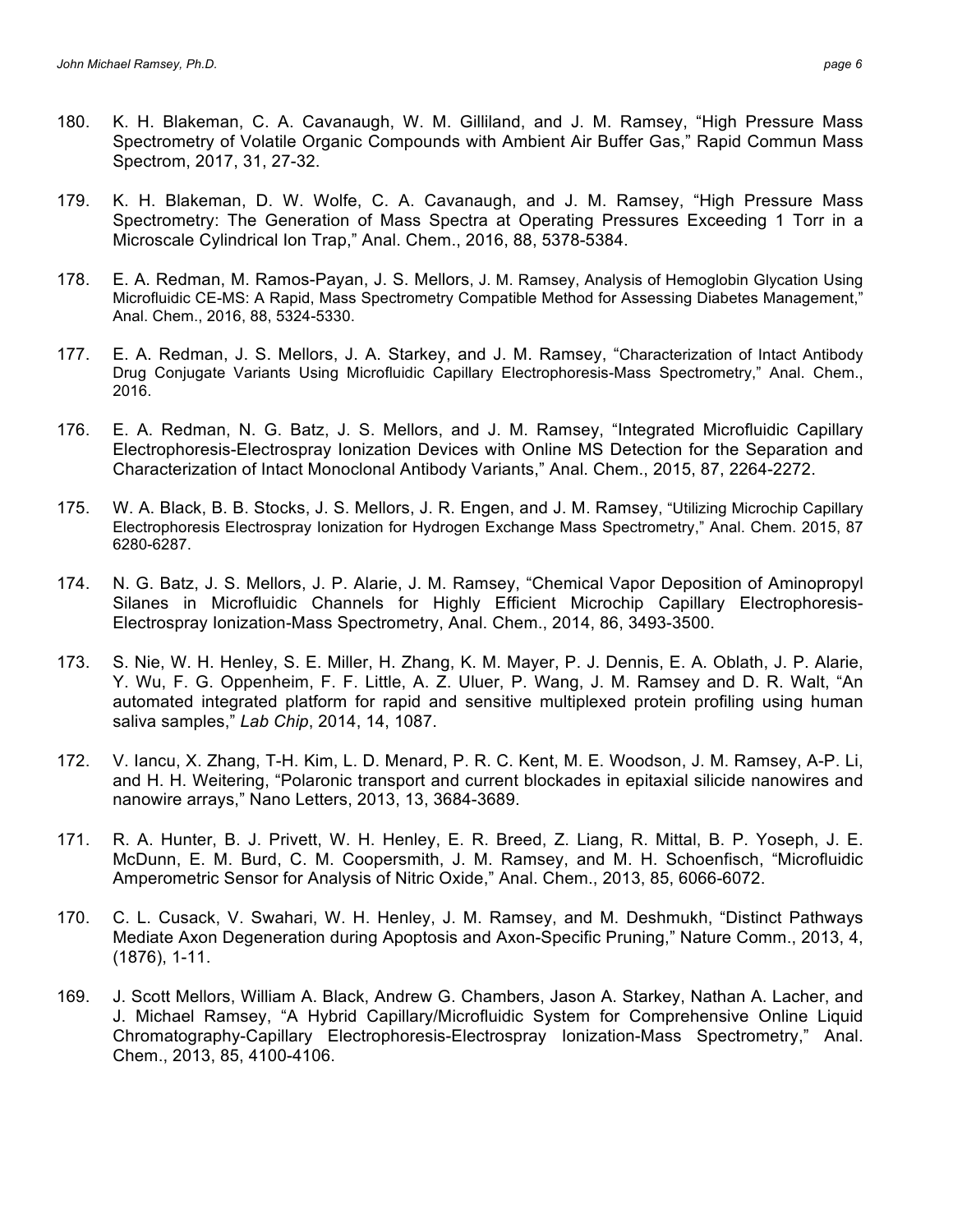- 179. K. H. Blakeman, D. W. Wolfe, C. A. Cavanaugh, and J. M. Ramsey, "High Pressure Mass Spectrometry: The Generation of Mass Spectra at Operating Pressures Exceeding 1 Torr in a Microscale Cylindrical Ion Trap," Anal. Chem., 2016, 88, 5378-5384.
- 178. E. A. Redman, M. Ramos-Payan, J. S. Mellors, J. M. Ramsey, Analysis of Hemoglobin Glycation Using Microfluidic CE-MS: A Rapid, Mass Spectrometry Compatible Method for Assessing Diabetes Management," Anal. Chem., 2016, 88, 5324-5330.
- 177. E. A. Redman, J. S. Mellors, J. A. Starkey, and J. M. Ramsey, "Characterization of Intact Antibody Drug Conjugate Variants Using Microfluidic Capillary Electrophoresis-Mass Spectrometry," Anal. Chem., 2016.
- 176. E. A. Redman, N. G. Batz, J. S. Mellors, and J. M. Ramsey, "Integrated Microfluidic Capillary Electrophoresis-Electrospray Ionization Devices with Online MS Detection for the Separation and Characterization of Intact Monoclonal Antibody Variants," Anal. Chem., 2015, 87, 2264-2272.
- 175. W. A. Black, B. B. Stocks, J. S. Mellors, J. R. Engen, and J. M. Ramsey, "Utilizing Microchip Capillary Electrophoresis Electrospray Ionization for Hydrogen Exchange Mass Spectrometry," Anal. Chem. 2015, 87 6280-6287.
- 174. N. G. Batz, J. S. Mellors, J. P. Alarie, J. M. Ramsey, "Chemical Vapor Deposition of Aminopropyl Silanes in Microfluidic Channels for Highly Efficient Microchip Capillary Electrophoresis-Electrospray Ionization-Mass Spectrometry, Anal. Chem., 2014, 86, 3493-3500.
- 173. S. Nie, W. H. Henley, S. E. Miller, H. Zhang, K. M. Mayer, P. J. Dennis, E. A. Oblath, J. P. Alarie, Y. Wu, F. G. Oppenheim, F. F. Little, A. Z. Uluer, P. Wang, J. M. Ramsey and D. R. Walt, "An automated integrated platform for rapid and sensitive multiplexed protein profiling using human saliva samples," *Lab Chip*, 2014, 14, 1087.
- 172. V. Iancu, X. Zhang, T-H. Kim, L. D. Menard, P. R. C. Kent, M. E. Woodson, J. M. Ramsey, A-P. Li, and H. H. Weitering, "Polaronic transport and current blockades in epitaxial silicide nanowires and nanowire arrays," Nano Letters, 2013, 13, 3684-3689.
- 171. R. A. Hunter, B. J. Privett, W. H. Henley, E. R. Breed, Z. Liang, R. Mittal, B. P. Yoseph, J. E. McDunn, E. M. Burd, C. M. Coopersmith, J. M. Ramsey, and M. H. Schoenfisch, "Microfluidic Amperometric Sensor for Analysis of Nitric Oxide," Anal. Chem., 2013, 85, 6066-6072.
- 170. C. L. Cusack, V. Swahari, W. H. Henley, J. M. Ramsey, and M. Deshmukh, "Distinct Pathways Mediate Axon Degeneration during Apoptosis and Axon-Specific Pruning," Nature Comm., 2013, 4, (1876), 1-11.
- 169. J. Scott Mellors, William A. Black, Andrew G. Chambers, Jason A. Starkey, Nathan A. Lacher, and J. Michael Ramsey, "A Hybrid Capillary/Microfluidic System for Comprehensive Online Liquid Chromatography-Capillary Electrophoresis-Electrospray Ionization-Mass Spectrometry," Anal. Chem., 2013, 85, 4100-4106.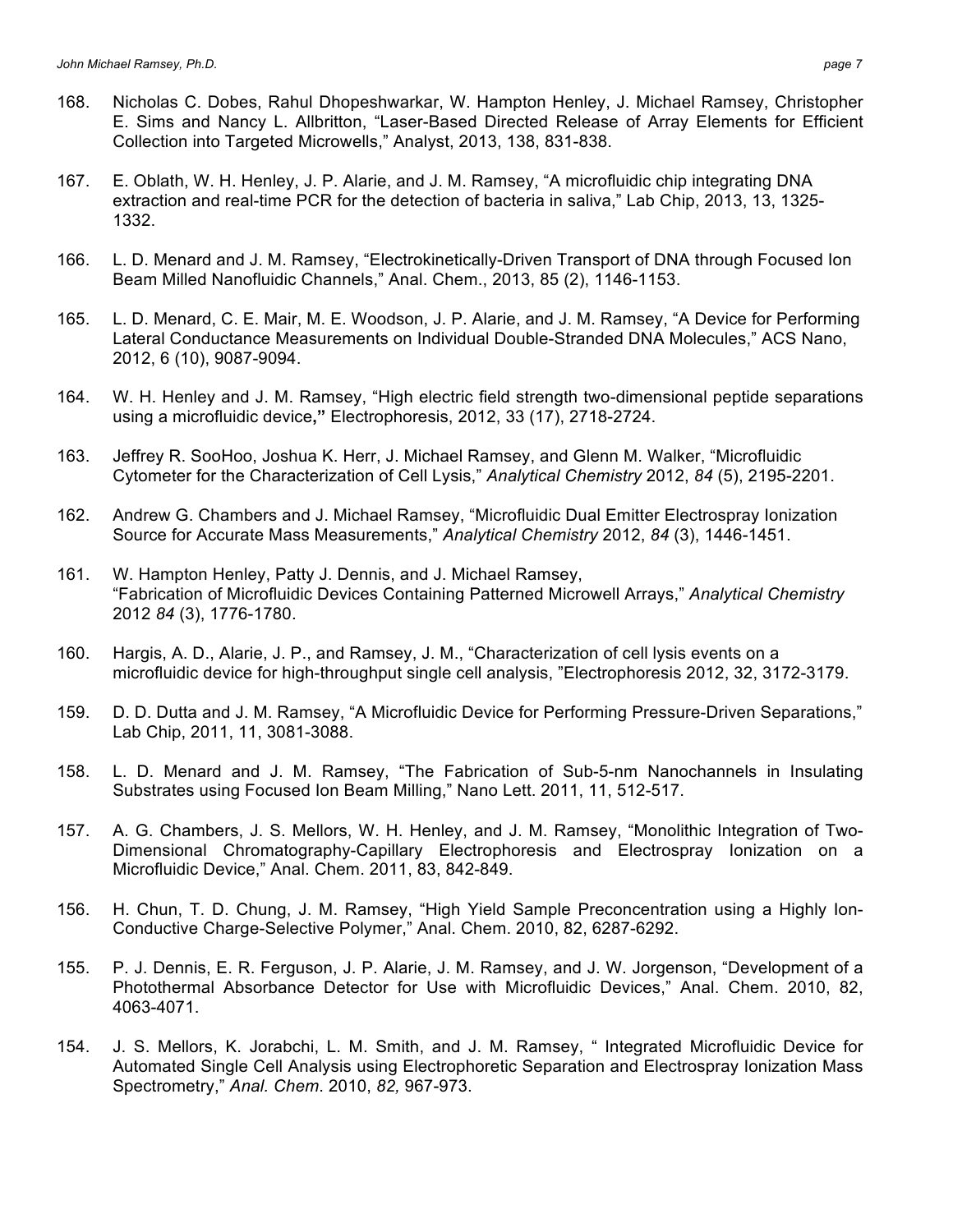- 168. Nicholas C. Dobes, Rahul Dhopeshwarkar, W. Hampton Henley, J. Michael Ramsey, Christopher E. Sims and Nancy L. Allbritton, "Laser-Based Directed Release of Array Elements for Efficient Collection into Targeted Microwells," Analyst, 2013, 138, 831-838.
- 167. E. Oblath, W. H. Henley, J. P. Alarie, and J. M. Ramsey, "A microfluidic chip integrating DNA extraction and real-time PCR for the detection of bacteria in saliva," Lab Chip, 2013, 13, 1325- 1332.
- 166. L. D. Menard and J. M. Ramsey, "Electrokinetically-Driven Transport of DNA through Focused Ion Beam Milled Nanofluidic Channels," Anal. Chem., 2013, 85 (2), 1146-1153.
- 165. L. D. Menard, C. E. Mair, M. E. Woodson, J. P. Alarie, and J. M. Ramsey, "A Device for Performing Lateral Conductance Measurements on Individual Double-Stranded DNA Molecules," ACS Nano, 2012, 6 (10), 9087-9094.
- 164. W. H. Henley and J. M. Ramsey, "High electric field strength two-dimensional peptide separations using a microfluidic device**,"** Electrophoresis, 2012, 33 (17), 2718-2724.
- 163. Jeffrey R. SooHoo, Joshua K. Herr, J. Michael Ramsey, and Glenn M. Walker, "Microfluidic Cytometer for the Characterization of Cell Lysis," *Analytical Chemistry* 2012, *84* (5), 2195-2201.
- 162. Andrew G. Chambers and J. Michael Ramsey, "Microfluidic Dual Emitter Electrospray Ionization Source for Accurate Mass Measurements," *Analytical Chemistry* 2012, *84* (3), 1446-1451.
- 161. W. Hampton Henley, Patty J. Dennis, and J. Michael Ramsey, "Fabrication of Microfluidic Devices Containing Patterned Microwell Arrays," *Analytical Chemistry* 2012 *84* (3), 1776-1780.
- 160. Hargis, A. D., Alarie, J. P., and Ramsey, J. M., "Characterization of cell lysis events on a microfluidic device for high-throughput single cell analysis, "Electrophoresis 2012, 32, 3172-3179.
- 159. D. D. Dutta and J. M. Ramsey, "A Microfluidic Device for Performing Pressure-Driven Separations," Lab Chip, 2011, 11, 3081-3088.
- 158. L. D. Menard and J. M. Ramsey, "The Fabrication of Sub-5-nm Nanochannels in Insulating Substrates using Focused Ion Beam Milling," Nano Lett. 2011, 11, 512-517.
- 157. A. G. Chambers, J. S. Mellors, W. H. Henley, and J. M. Ramsey, "Monolithic Integration of Two-Dimensional Chromatography-Capillary Electrophoresis and Electrospray Ionization on a Microfluidic Device," Anal. Chem. 2011, 83, 842-849.
- 156. H. Chun, T. D. Chung, J. M. Ramsey, "High Yield Sample Preconcentration using a Highly Ion-Conductive Charge-Selective Polymer," Anal. Chem. 2010, 82, 6287-6292.
- 155. P. J. Dennis, E. R. Ferguson, J. P. Alarie, J. M. Ramsey, and J. W. Jorgenson, "Development of a Photothermal Absorbance Detector for Use with Microfluidic Devices," Anal. Chem. 2010, 82, 4063-4071.
- 154. J. S. Mellors, K. Jorabchi, L. M. Smith, and J. M. Ramsey, " Integrated Microfluidic Device for Automated Single Cell Analysis using Electrophoretic Separation and Electrospray Ionization Mass Spectrometry," *Anal. Chem*. 2010, *82,* 967-973.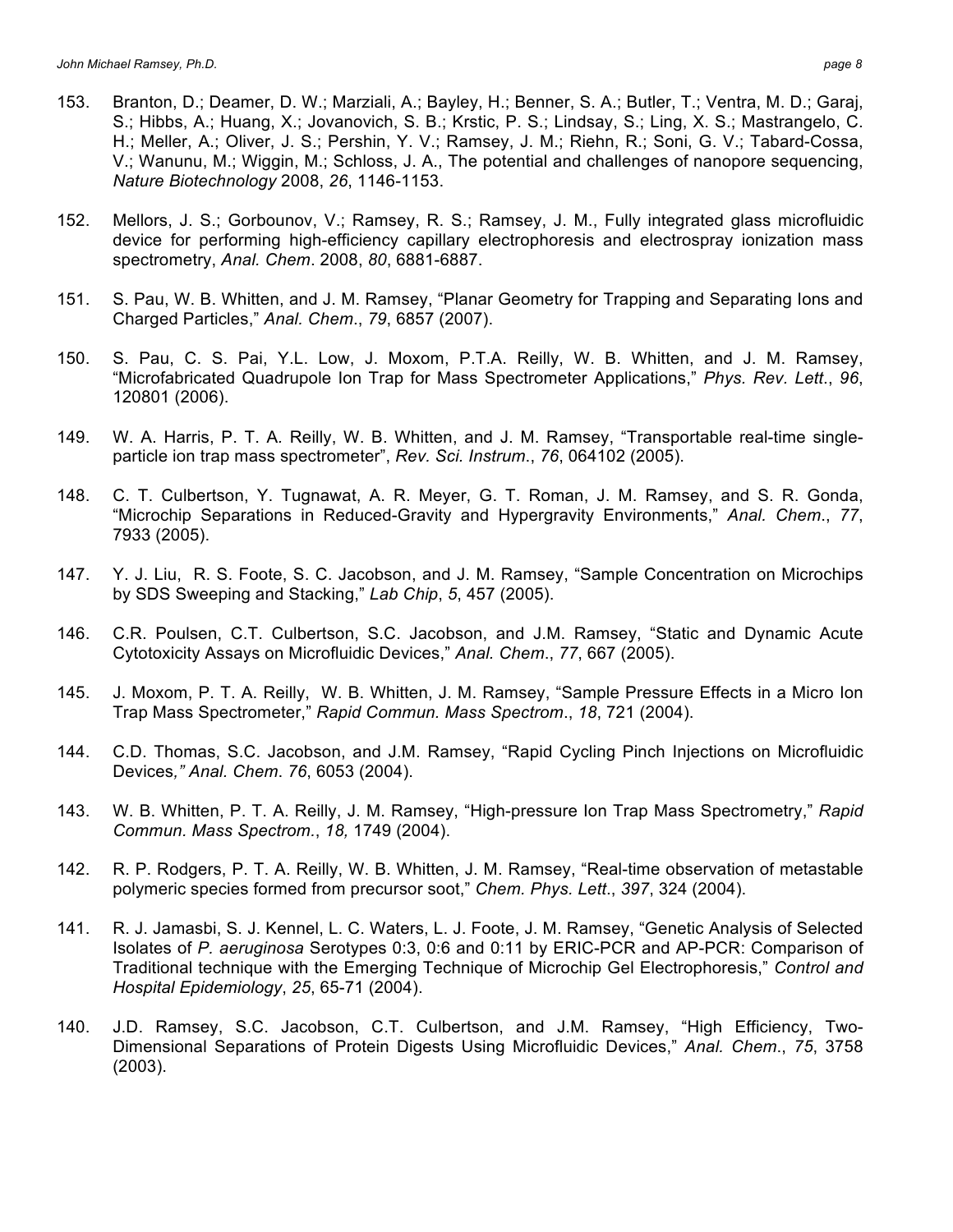- H.; Meller, A.; Oliver, J. S.; Pershin, Y. V.; Ramsey, J. M.; Riehn, R.; Soni, G. V.; Tabard-Cossa, V.; Wanunu, M.; Wiggin, M.; Schloss, J. A., The potential and challenges of nanopore sequencing, *Nature Biotechnology* 2008, *26*, 1146-1153.
- 152. Mellors, J. S.; Gorbounov, V.; Ramsey, R. S.; Ramsey, J. M., Fully integrated glass microfluidic device for performing high-efficiency capillary electrophoresis and electrospray ionization mass spectrometry, *Anal. Chem*. 2008, *80*, 6881-6887.
- 151. S. Pau, W. B. Whitten, and J. M. Ramsey, "Planar Geometry for Trapping and Separating Ions and Charged Particles," *Anal. Chem*., *79*, 6857 (2007).
- 150. S. Pau, C. S. Pai, Y.L. Low, J. Moxom, P.T.A. Reilly, W. B. Whitten, and J. M. Ramsey, "Microfabricated Quadrupole Ion Trap for Mass Spectrometer Applications," *Phys. Rev. Lett*., *96*, 120801 (2006).
- 149. W. A. Harris, P. T. A*.* Reilly, W. B. Whitten, and J. M. Ramsey, "Transportable real-time singleparticle ion trap mass spectrometer", *Rev. Sci. Instrum*., *76*, 064102 (2005).
- 148. C. T. Culbertson, Y. Tugnawat, A. R. Meyer, G. T. Roman, J. M. Ramsey, and S. R. Gonda, "Microchip Separations in Reduced-Gravity and Hypergravity Environments," *Anal. Chem*., *77*, 7933 (2005).
- 147. Y. J. Liu, R. S. Foote, S. C. Jacobson, and J. M. Ramsey, "Sample Concentration on Microchips by SDS Sweeping and Stacking," *Lab Chip*, *5*, 457 (2005).
- 146. C.R. Poulsen, C.T. Culbertson, S.C. Jacobson, and J.M. Ramsey, "Static and Dynamic Acute Cytotoxicity Assays on Microfluidic Devices," *Anal. Chem*., *77*, 667 (2005).
- 145. J. Moxom, P. T. A. Reilly, W. B. Whitten, J. M. Ramsey, "Sample Pressure Effects in a Micro Ion Trap Mass Spectrometer," *Rapid Commun. Mass Spectrom*., *18*, 721 (2004).
- 144. C.D. Thomas, S.C. Jacobson, and J.M. Ramsey, "Rapid Cycling Pinch Injections on Microfluidic Devices*," Anal. Chem*. *76*, 6053 (2004).
- 143. W. B. Whitten, P. T. A. Reilly, J. M. Ramsey, "High-pressure Ion Trap Mass Spectrometry," *Rapid Commun. Mass Spectrom.*, *18,* 1749 (2004).
- 142. R. P. Rodgers, P. T. A. Reilly, W. B. Whitten, J. M. Ramsey, "Real-time observation of metastable polymeric species formed from precursor soot," *Chem. Phys. Lett*., *397*, 324 (2004).
- 141. R. J. Jamasbi, S. J. Kennel, L. C. Waters, L. J. Foote, J. M. Ramsey, "Genetic Analysis of Selected Isolates of *P. aeruginosa* Serotypes 0:3, 0:6 and 0:11 by ERIC-PCR and AP-PCR: Comparison of Traditional technique with the Emerging Technique of Microchip Gel Electrophoresis," *Control and Hospital Epidemiology*, *25*, 65-71 (2004).
- 140. J.D. Ramsey, S.C. Jacobson, C.T. Culbertson, and J.M. Ramsey, "High Efficiency, Two-Dimensional Separations of Protein Digests Using Microfluidic Devices," *Anal. Chem*., *75*, 3758 (2003).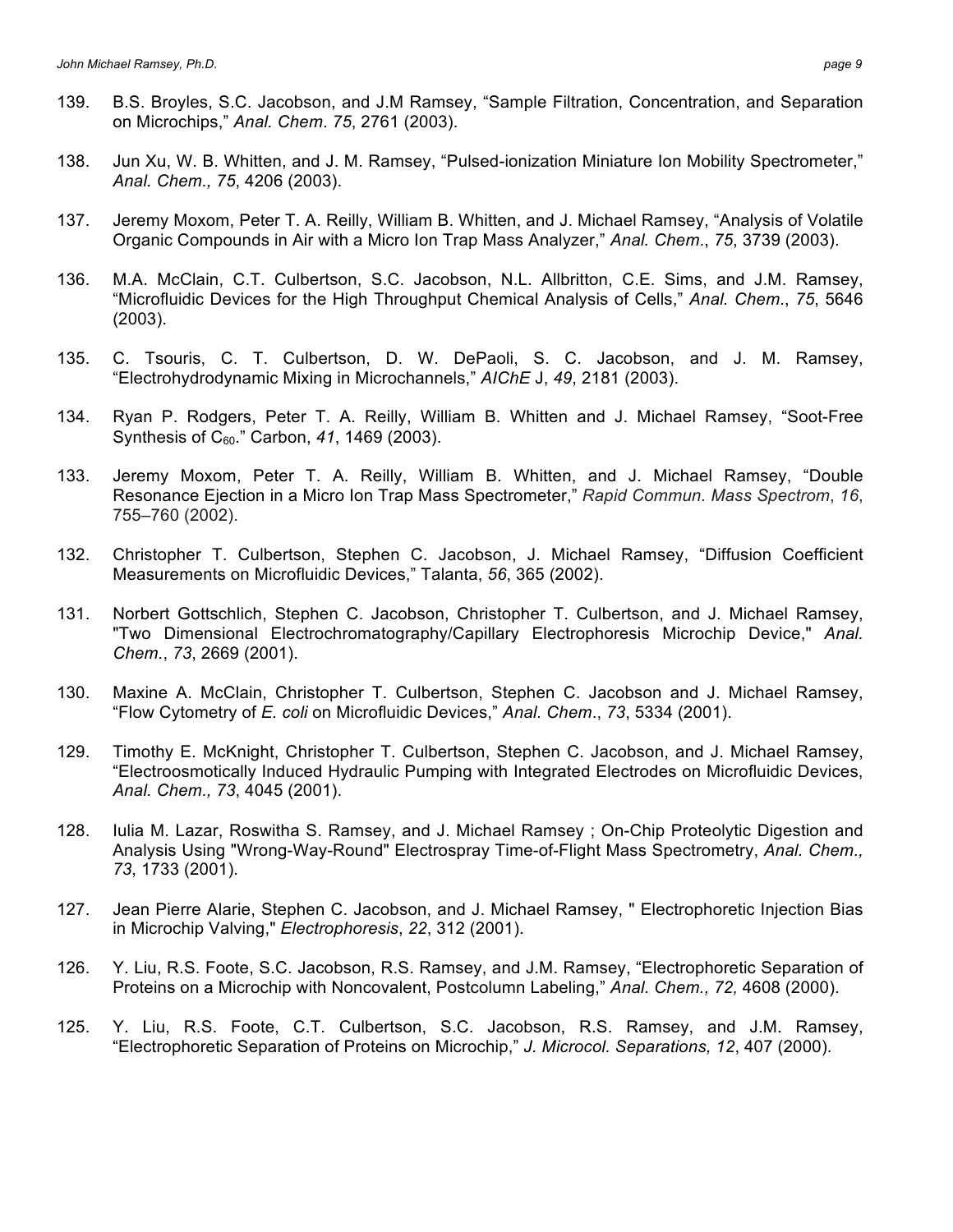- 138. Jun Xu, W. B. Whitten, and J. M. Ramsey, "Pulsed-ionization Miniature Ion Mobility Spectrometer," *Anal. Chem., 75*, 4206 (2003).
- 137. Jeremy Moxom, Peter T. A. Reilly, William B. Whitten, and J. Michael Ramsey, "Analysis of Volatile Organic Compounds in Air with a Micro Ion Trap Mass Analyzer," *Anal. Chem*., *75*, 3739 (2003).
- 136. M.A. McClain, C.T. Culbertson, S.C. Jacobson, N.L. Allbritton, C.E. Sims, and J.M. Ramsey, "Microfluidic Devices for the High Throughput Chemical Analysis of Cells," *Anal. Chem*., *75*, 5646 (2003).
- 135. C. Tsouris, C. T. Culbertson, D. W. DePaoli, S. C. Jacobson, and J. M. Ramsey, "Electrohydrodynamic Mixing in Microchannels," *AIChE* J, *49*, 2181 (2003).
- 134. Ryan P. Rodgers, Peter T. A. Reilly, William B. Whitten and J. Michael Ramsey, "Soot-Free Synthesis of C60." Carbon, *41*, 1469 (2003).
- 133. Jeremy Moxom, Peter T. A. Reilly, William B. Whitten, and J. Michael Ramsey, "Double Resonance Ejection in a Micro Ion Trap Mass Spectrometer," *Rapid Commun. Mass Spectrom*, *16*, 755–760 (2002).
- 132. Christopher T. Culbertson, Stephen C. Jacobson, J. Michael Ramsey, "Diffusion Coefficient Measurements on Microfluidic Devices," Talanta, *56*, 365 (2002).
- 131. Norbert Gottschlich, Stephen C. Jacobson, Christopher T. Culbertson, and J. Michael Ramsey, "Two Dimensional Electrochromatography/Capillary Electrophoresis Microchip Device," *Anal. Chem.*, *73*, 2669 (2001).
- 130. Maxine A. McClain, Christopher T. Culbertson, Stephen C. Jacobson and J. Michael Ramsey, "Flow Cytometry of *E. coli* on Microfluidic Devices," *Anal. Chem*., *73*, 5334 (2001).
- 129. Timothy E. McKnight, Christopher T. Culbertson, Stephen C. Jacobson, and J. Michael Ramsey, "Electroosmotically Induced Hydraulic Pumping with Integrated Electrodes on Microfluidic Devices, *Anal. Chem., 73*, 4045 (2001).
- 128. Iulia M. Lazar, Roswitha S. Ramsey, and J. Michael Ramsey ; On-Chip Proteolytic Digestion and Analysis Using "Wrong-Way-Round" Electrospray Time-of-Flight Mass Spectrometry, *Anal. Chem., 73*, 1733 (2001).
- 127. Jean Pierre Alarie, Stephen C. Jacobson, and J. Michael Ramsey, " Electrophoretic Injection Bias in Microchip Valving," *Electrophoresis*, *22*, 312 (2001).
- 126. Y. Liu, R.S. Foote, S.C. Jacobson, R.S. Ramsey, and J.M. Ramsey, "Electrophoretic Separation of Proteins on a Microchip with Noncovalent, Postcolumn Labeling," *Anal. Chem., 72,* 4608 (2000).
- 125. Y. Liu, R.S. Foote, C.T. Culbertson, S.C. Jacobson, R.S. Ramsey, and J.M. Ramsey, "Electrophoretic Separation of Proteins on Microchip," *J. Microcol. Separations, 12*, 407 (2000).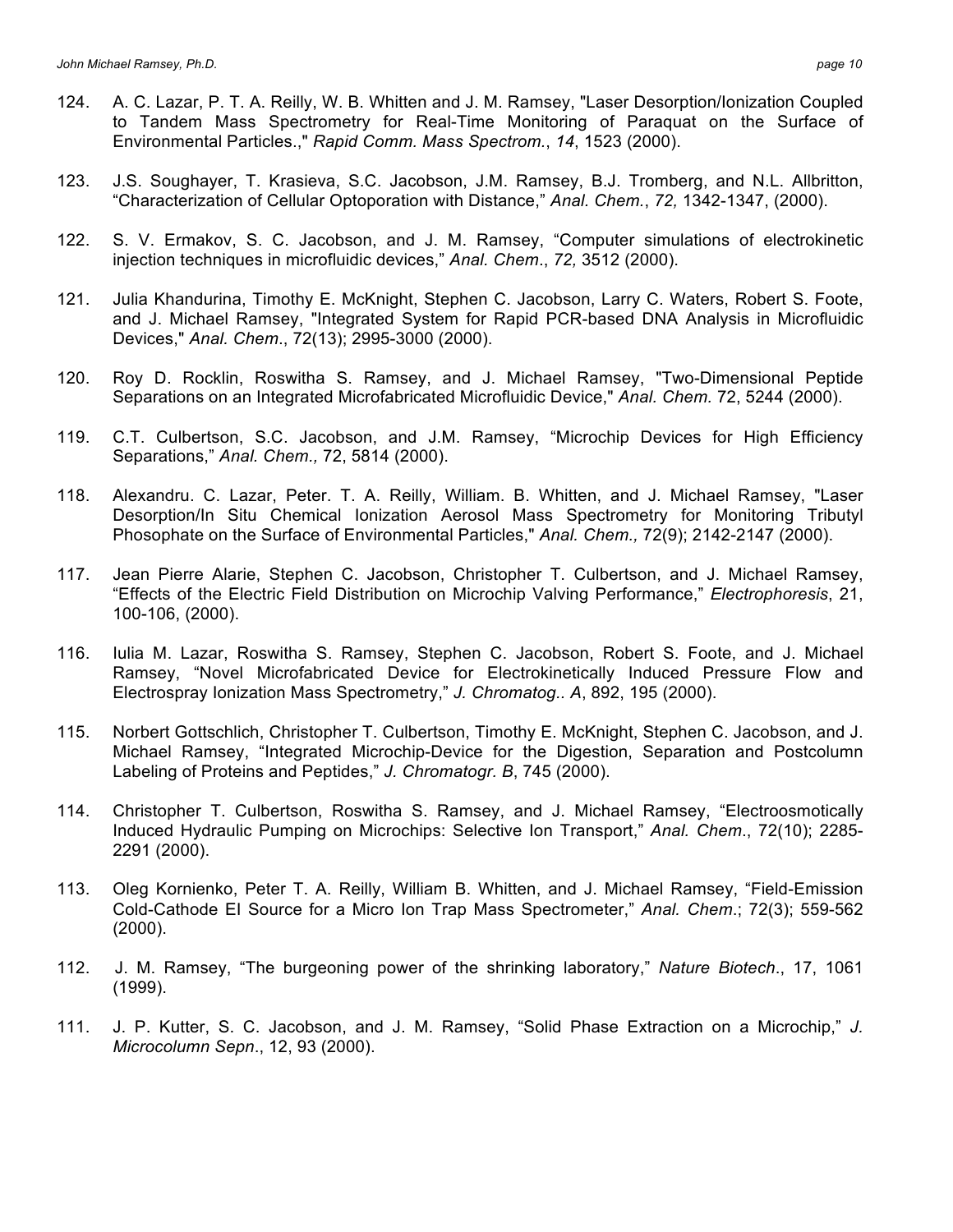- 124. A. C. Lazar, P. T. A. Reilly, W. B. Whitten and J. M. Ramsey, "Laser Desorption/Ionization Coupled to Tandem Mass Spectrometry for Real-Time Monitoring of Paraquat on the Surface of Environmental Particles.," *Rapid Comm. Mass Spectrom.*, *14*, 1523 (2000).
- 123. J.S. Soughayer, T. Krasieva, S.C. Jacobson, J.M. Ramsey, B.J. Tromberg, and N.L. Allbritton, "Characterization of Cellular Optoporation with Distance," *Anal. Chem.*, *72,* 1342-1347, (2000).
- 122. S. V. Ermakov, S. C. Jacobson, and J. M. Ramsey, "Computer simulations of electrokinetic injection techniques in microfluidic devices," *Anal. Chem*., *72,* 3512 (2000).
- 121. Julia Khandurina, Timothy E. McKnight, Stephen C. Jacobson, Larry C. Waters, Robert S. Foote, and J. Michael Ramsey, "Integrated System for Rapid PCR-based DNA Analysis in Microfluidic Devices," *Anal. Chem*., 72(13); 2995-3000 (2000).
- 120. Roy D. Rocklin, Roswitha S. Ramsey, and J. Michael Ramsey, "Two-Dimensional Peptide Separations on an Integrated Microfabricated Microfluidic Device," *Anal. Chem.* 72, 5244 (2000).
- 119. C.T. Culbertson, S.C. Jacobson, and J.M. Ramsey, "Microchip Devices for High Efficiency Separations," *Anal. Chem.,* 72, 5814 (2000).
- 118. Alexandru. C. Lazar, Peter. T. A. Reilly, William. B. Whitten, and J. Michael Ramsey, "Laser Desorption/In Situ Chemical Ionization Aerosol Mass Spectrometry for Monitoring Tributyl Phosophate on the Surface of Environmental Particles," *Anal. Chem.,* 72(9); 2142-2147 (2000).
- 117. Jean Pierre Alarie, Stephen C. Jacobson, Christopher T. Culbertson, and J. Michael Ramsey, "Effects of the Electric Field Distribution on Microchip Valving Performance," *Electrophoresis*, 21, 100-106, (2000).
- 116. Iulia M. Lazar, Roswitha S. Ramsey, Stephen C. Jacobson, Robert S. Foote, and J. Michael Ramsey, "Novel Microfabricated Device for Electrokinetically Induced Pressure Flow and Electrospray Ionization Mass Spectrometry," *J. Chromatog.. A*, 892, 195 (2000).
- 115. Norbert Gottschlich, Christopher T. Culbertson, Timothy E. McKnight, Stephen C. Jacobson, and J. Michael Ramsey, "Integrated Microchip-Device for the Digestion, Separation and Postcolumn Labeling of Proteins and Peptides," *J. Chromatogr. B*, 745 (2000).
- 114. Christopher T. Culbertson, Roswitha S. Ramsey, and J. Michael Ramsey, "Electroosmotically Induced Hydraulic Pumping on Microchips: Selective Ion Transport," *Anal. Chem*., 72(10); 2285- 2291 (2000).
- 113. Oleg Kornienko, Peter T. A. Reilly, William B. Whitten, and J. Michael Ramsey, "Field-Emission Cold-Cathode EI Source for a Micro Ion Trap Mass Spectrometer," *Anal. Chem*.; 72(3); 559-562 (2000).
- 112. J. M. Ramsey, "The burgeoning power of the shrinking laboratory," *Nature Biotech*., 17, 1061 (1999).
- 111. J. P. Kutter, S. C. Jacobson, and J. M. Ramsey, "Solid Phase Extraction on a Microchip," *J. Microcolumn Sepn*., 12, 93 (2000).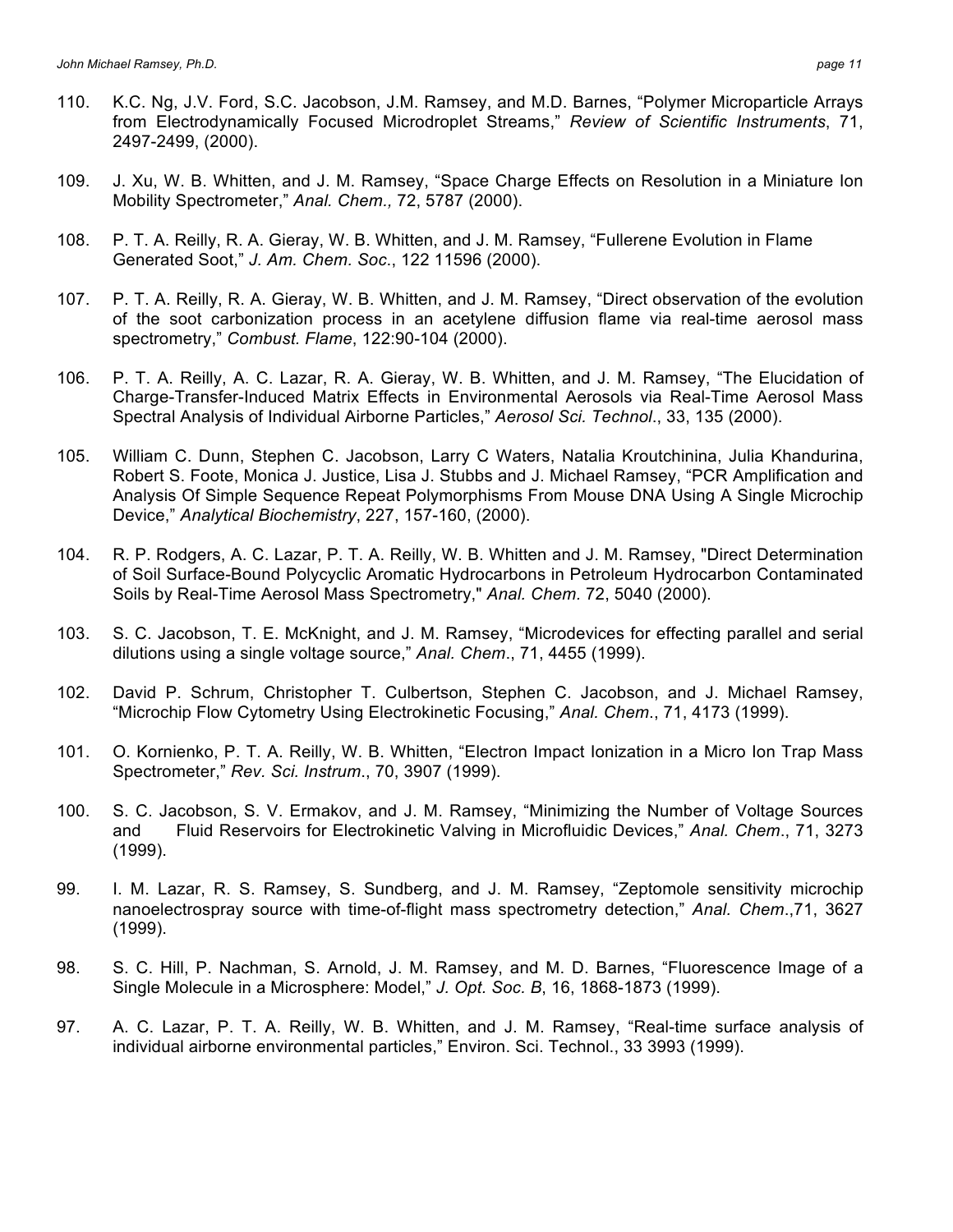- 110. K.C. Ng, J.V. Ford, S.C. Jacobson, J.M. Ramsey, and M.D. Barnes, "Polymer Microparticle Arrays from Electrodynamically Focused Microdroplet Streams," *Review of Scientific Instruments*, 71, 2497-2499, (2000).
- 109. J. Xu, W. B. Whitten, and J. M. Ramsey, "Space Charge Effects on Resolution in a Miniature Ion Mobility Spectrometer," *Anal. Chem.,* 72, 5787 (2000).
- 108. P. T. A. Reilly, R. A. Gieray, W. B. Whitten, and J. M. Ramsey, "Fullerene Evolution in Flame Generated Soot," *J. Am. Chem. Soc*., 122 11596 (2000).
- 107. P. T. A. Reilly, R. A. Gieray, W. B. Whitten, and J. M. Ramsey, "Direct observation of the evolution of the soot carbonization process in an acetylene diffusion flame via real-time aerosol mass spectrometry," *Combust. Flame*, 122:90-104 (2000).
- 106. P. T. A. Reilly, A. C. Lazar, R. A. Gieray, W. B. Whitten, and J. M. Ramsey, "The Elucidation of Charge-Transfer-Induced Matrix Effects in Environmental Aerosols via Real-Time Aerosol Mass Spectral Analysis of Individual Airborne Particles," *Aerosol Sci. Technol*., 33, 135 (2000).
- 105. William C. Dunn, Stephen C. Jacobson, Larry C Waters, Natalia Kroutchinina, Julia Khandurina, Robert S. Foote, Monica J. Justice, Lisa J. Stubbs and J. Michael Ramsey, "PCR Amplification and Analysis Of Simple Sequence Repeat Polymorphisms From Mouse DNA Using A Single Microchip Device," *Analytical Biochemistry*, 227, 157-160, (2000).
- 104. R. P. Rodgers, A. C. Lazar, P. T. A. Reilly, W. B. Whitten and J. M. Ramsey, "Direct Determination of Soil Surface-Bound Polycyclic Aromatic Hydrocarbons in Petroleum Hydrocarbon Contaminated Soils by Real-Time Aerosol Mass Spectrometry," *Anal. Chem.* 72, 5040 (2000).
- 103. S. C. Jacobson, T. E. McKnight, and J. M. Ramsey, "Microdevices for effecting parallel and serial dilutions using a single voltage source," *Anal. Chem*., 71, 4455 (1999).
- 102. David P. Schrum, Christopher T. Culbertson, Stephen C. Jacobson, and J. Michael Ramsey, "Microchip Flow Cytometry Using Electrokinetic Focusing," *Anal. Chem*., 71, 4173 (1999).
- 101. O. Kornienko, P. T. A. Reilly, W. B. Whitten, "Electron Impact Ionization in a Micro Ion Trap Mass Spectrometer," *Rev. Sci. Instrum*., 70, 3907 (1999).
- 100. S. C. Jacobson, S. V. Ermakov, and J. M. Ramsey, "Minimizing the Number of Voltage Sources and Fluid Reservoirs for Electrokinetic Valving in Microfluidic Devices," *Anal. Chem*., 71, 3273 (1999).
- 99. I. M. Lazar, R. S. Ramsey, S. Sundberg, and J. M. Ramsey, "Zeptomole sensitivity microchip nanoelectrospray source with time-of-flight mass spectrometry detection," *Anal. Chem*.,71, 3627 (1999).
- 98. S. C. Hill, P. Nachman, S. Arnold, J. M. Ramsey, and M. D. Barnes, "Fluorescence Image of a Single Molecule in a Microsphere: Model," *J. Opt. Soc. B*, 16, 1868-1873 (1999).
- 97. A. C. Lazar, P. T. A. Reilly, W. B. Whitten, and J. M. Ramsey, "Real-time surface analysis of individual airborne environmental particles," Environ. Sci. Technol., 33 3993 (1999).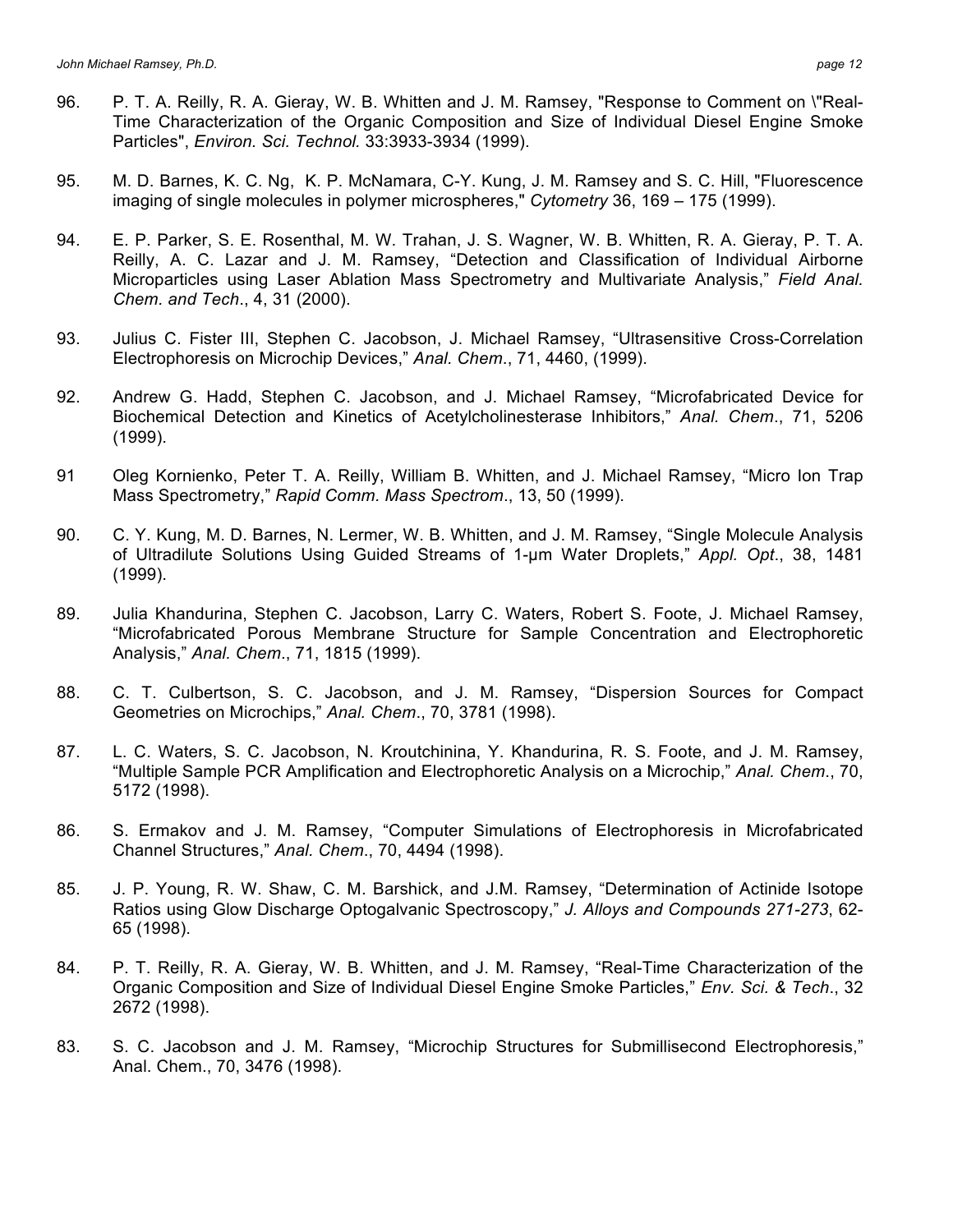- 96. P. T. A. Reilly, R. A. Gieray, W. B. Whitten and J. M. Ramsey, "Response to Comment on \"Real-Time Characterization of the Organic Composition and Size of Individual Diesel Engine Smoke Particles", *Environ. Sci. Technol.* 33:3933-3934 (1999).
- 95. M. D. Barnes, K. C. Ng, K. P. McNamara, C-Y. Kung, J. M. Ramsey and S. C. Hill, "Fluorescence imaging of single molecules in polymer microspheres," *Cytometry* 36, 169 – 175 (1999).
- 94. E. P. Parker, S. E. Rosenthal, M. W. Trahan, J. S. Wagner, W. B. Whitten, R. A. Gieray, P. T. A. Reilly, A. C. Lazar and J. M. Ramsey, "Detection and Classification of Individual Airborne Microparticles using Laser Ablation Mass Spectrometry and Multivariate Analysis," *Field Anal. Chem. and Tech*., 4, 31 (2000).
- 93. Julius C. Fister III, Stephen C. Jacobson, J. Michael Ramsey, "Ultrasensitive Cross-Correlation Electrophoresis on Microchip Devices," *Anal. Chem*., 71, 4460, (1999).
- 92. Andrew G. Hadd, Stephen C. Jacobson, and J. Michael Ramsey, "Microfabricated Device for Biochemical Detection and Kinetics of Acetylcholinesterase Inhibitors," *Anal. Chem*., 71, 5206 (1999).
- 91 Oleg Kornienko, Peter T. A. Reilly, William B. Whitten, and J. Michael Ramsey, "Micro Ion Trap Mass Spectrometry," *Rapid Comm. Mass Spectrom*., 13, 50 (1999).
- 90. C. Y. Kung, M. D. Barnes, N. Lermer, W. B. Whitten, and J. M. Ramsey, "Single Molecule Analysis of Ultradilute Solutions Using Guided Streams of 1-µm Water Droplets," *Appl. Opt*., 38, 1481 (1999).
- 89. Julia Khandurina, Stephen C. Jacobson, Larry C. Waters, Robert S. Foote, J. Michael Ramsey, "Microfabricated Porous Membrane Structure for Sample Concentration and Electrophoretic Analysis," *Anal. Chem*., 71, 1815 (1999).
- 88. C. T. Culbertson, S. C. Jacobson, and J. M. Ramsey, "Dispersion Sources for Compact Geometries on Microchips," *Anal. Chem*., 70, 3781 (1998).
- 87. L. C. Waters, S. C. Jacobson, N. Kroutchinina, Y. Khandurina, R. S. Foote, and J. M. Ramsey, "Multiple Sample PCR Amplification and Electrophoretic Analysis on a Microchip," *Anal. Chem*., 70, 5172 (1998).
- 86. S. Ermakov and J. M. Ramsey, "Computer Simulations of Electrophoresis in Microfabricated Channel Structures," *Anal. Chem*., 70, 4494 (1998).
- 85. J. P. Young, R. W. Shaw, C. M. Barshick, and J.M. Ramsey, "Determination of Actinide Isotope Ratios using Glow Discharge Optogalvanic Spectroscopy," *J. Alloys and Compounds 271-273*, 62- 65 (1998).
- 84. P. T. Reilly, R. A. Gieray, W. B. Whitten, and J. M. Ramsey, "Real-Time Characterization of the Organic Composition and Size of Individual Diesel Engine Smoke Particles," *Env. Sci. & Tech*., 32 2672 (1998).
- 83. S. C. Jacobson and J. M. Ramsey, "Microchip Structures for Submillisecond Electrophoresis," Anal. Chem., 70, 3476 (1998).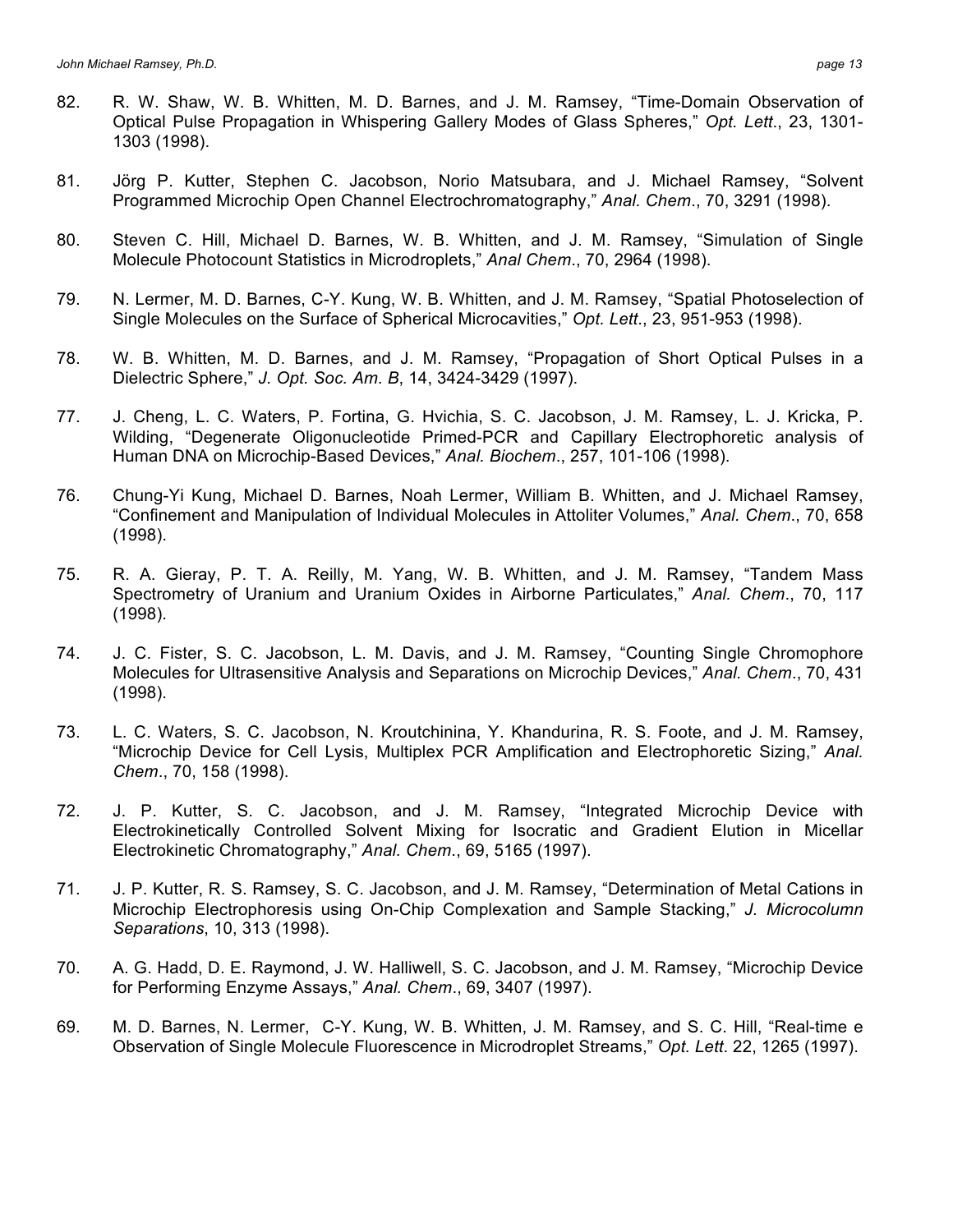- 82. R. W. Shaw, W. B. Whitten, M. D. Barnes, and J. M. Ramsey, "Time-Domain Observation of Optical Pulse Propagation in Whispering Gallery Modes of Glass Spheres," *Opt. Lett*., 23, 1301- 1303 (1998).
- 81. Jörg P. Kutter, Stephen C. Jacobson, Norio Matsubara, and J. Michael Ramsey, "Solvent Programmed Microchip Open Channel Electrochromatography," *Anal. Chem*., 70, 3291 (1998).
- 80. Steven C. Hill, Michael D. Barnes, W. B. Whitten, and J. M. Ramsey, "Simulation of Single Molecule Photocount Statistics in Microdroplets," *Anal Chem*., 70, 2964 (1998).
- 79. N. Lermer, M. D. Barnes, C-Y. Kung, W. B. Whitten, and J. M. Ramsey, "Spatial Photoselection of Single Molecules on the Surface of Spherical Microcavities," *Opt. Lett*., 23, 951-953 (1998).
- 78. W. B. Whitten, M. D. Barnes, and J. M. Ramsey, "Propagation of Short Optical Pulses in a Dielectric Sphere," *J. Opt. Soc. Am. B*, 14, 3424-3429 (1997).
- 77. J. Cheng, L. C. Waters, P. Fortina, G. Hvichia, S. C. Jacobson, J. M. Ramsey, L. J. Kricka, P. Wilding, "Degenerate Oligonucleotide Primed-PCR and Capillary Electrophoretic analysis of Human DNA on Microchip-Based Devices," *Anal. Biochem*., 257, 101-106 (1998).
- 76. Chung-Yi Kung, Michael D. Barnes, Noah Lermer, William B. Whitten, and J. Michael Ramsey, "Confinement and Manipulation of Individual Molecules in Attoliter Volumes," *Anal. Chem*., 70, 658 (1998).
- 75. R. A. Gieray, P. T. A. Reilly, M. Yang, W. B. Whitten, and J. M. Ramsey, "Tandem Mass Spectrometry of Uranium and Uranium Oxides in Airborne Particulates," *Anal. Chem*., 70, 117 (1998).
- 74. J. C. Fister, S. C. Jacobson, L. M. Davis, and J. M. Ramsey, "Counting Single Chromophore Molecules for Ultrasensitive Analysis and Separations on Microchip Devices," *Anal. Chem*., 70, 431 (1998).
- 73. L. C. Waters, S. C. Jacobson, N. Kroutchinina, Y. Khandurina, R. S. Foote, and J. M. Ramsey, "Microchip Device for Cell Lysis, Multiplex PCR Amplification and Electrophoretic Sizing," *Anal. Chem*., 70, 158 (1998).
- 72. J. P. Kutter, S. C. Jacobson, and J. M. Ramsey, "Integrated Microchip Device with Electrokinetically Controlled Solvent Mixing for Isocratic and Gradient Elution in Micellar Electrokinetic Chromatography," *Anal. Chem*., 69, 5165 (1997).
- 71. J. P. Kutter, R. S. Ramsey, S. C. Jacobson, and J. M. Ramsey, "Determination of Metal Cations in Microchip Electrophoresis using On-Chip Complexation and Sample Stacking," *J. Microcolumn Separations*, 10, 313 (1998).
- 70. A. G. Hadd, D. E. Raymond, J. W. Halliwell, S. C. Jacobson, and J. M. Ramsey, "Microchip Device for Performing Enzyme Assays," *Anal. Chem*., 69, 3407 (1997).
- 69. M. D. Barnes, N. Lermer, C-Y. Kung, W. B. Whitten, J. M. Ramsey, and S. C. Hill, "Real-time e Observation of Single Molecule Fluorescence in Microdroplet Streams," *Opt. Lett*. 22, 1265 (1997).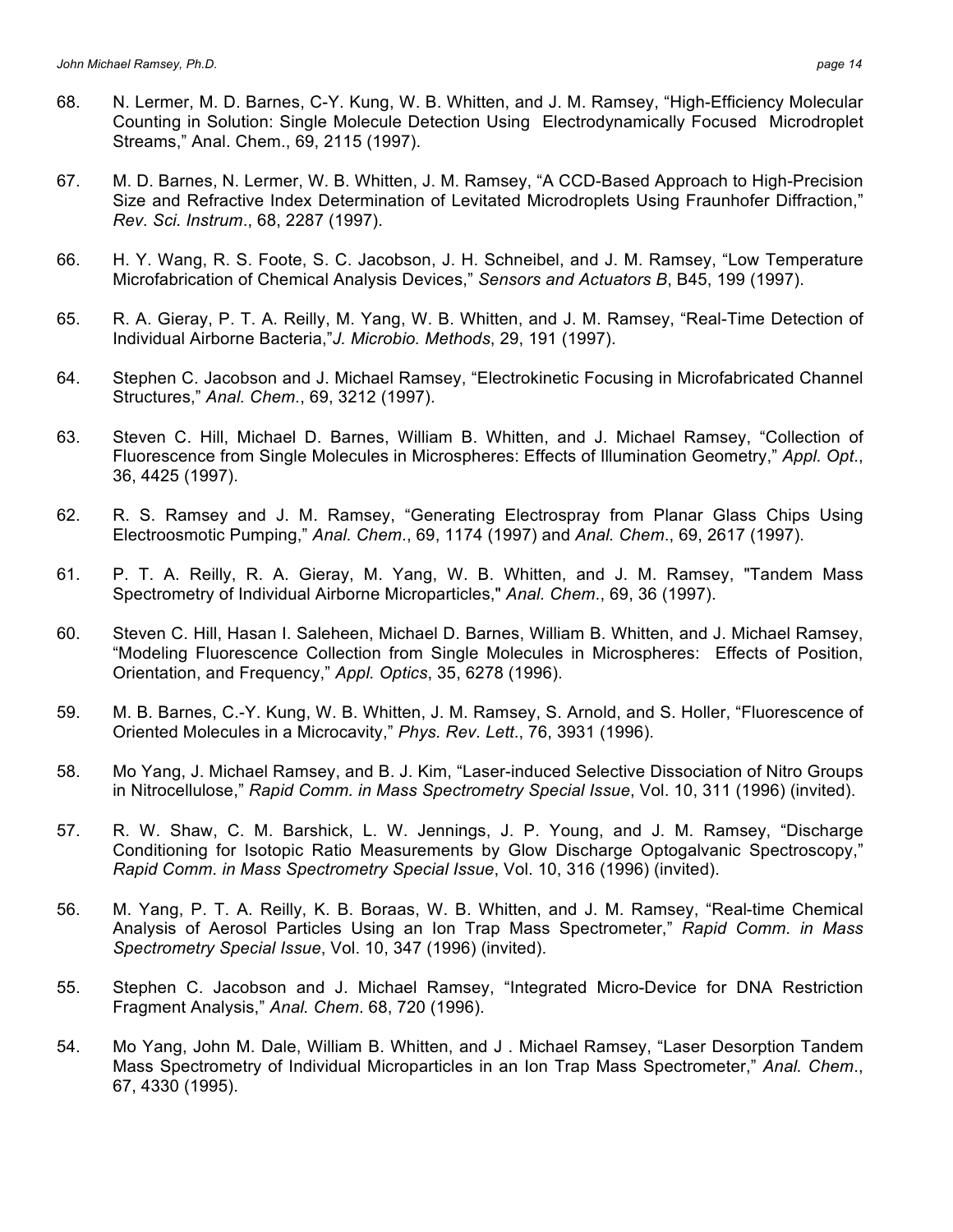- 68. N. Lermer, M. D. Barnes, C-Y. Kung, W. B. Whitten, and J. M. Ramsey, "High-Efficiency Molecular Counting in Solution: Single Molecule Detection Using Electrodynamically Focused Microdroplet Streams," Anal. Chem., 69, 2115 (1997).
- 67. M. D. Barnes, N. Lermer, W. B. Whitten, J. M. Ramsey, "A CCD-Based Approach to High-Precision Size and Refractive Index Determination of Levitated Microdroplets Using Fraunhofer Diffraction," *Rev. Sci. Instrum*., 68, 2287 (1997).
- 66. H. Y. Wang, R. S. Foote, S. C. Jacobson, J. H. Schneibel, and J. M. Ramsey, "Low Temperature Microfabrication of Chemical Analysis Devices," *Sensors and Actuators B*, B45, 199 (1997).
- 65. R. A. Gieray, P. T. A. Reilly, M. Yang, W. B. Whitten, and J. M. Ramsey, "Real-Time Detection of Individual Airborne Bacteria,"*J. Microbio. Methods*, 29, 191 (1997).
- 64. Stephen C. Jacobson and J. Michael Ramsey, "Electrokinetic Focusing in Microfabricated Channel Structures," *Anal. Chem.*, 69, 3212 (1997).
- 63. Steven C. Hill, Michael D. Barnes, William B. Whitten, and J. Michael Ramsey, "Collection of Fluorescence from Single Molecules in Microspheres: Effects of Illumination Geometry," *Appl. Opt*., 36, 4425 (1997).
- 62. R. S. Ramsey and J. M. Ramsey, "Generating Electrospray from Planar Glass Chips Using Electroosmotic Pumping," *Anal. Chem*., 69, 1174 (1997) and *Anal. Chem*., 69, 2617 (1997).
- 61. P. T. A. Reilly, R. A. Gieray, M. Yang, W. B. Whitten, and J. M. Ramsey, "Tandem Mass Spectrometry of Individual Airborne Microparticles," *Anal. Chem*., 69, 36 (1997).
- 60. Steven C. Hill, Hasan I. Saleheen, Michael D. Barnes, William B. Whitten, and J. Michael Ramsey, "Modeling Fluorescence Collection from Single Molecules in Microspheres: Effects of Position, Orientation, and Frequency," *Appl. Optics*, 35, 6278 (1996).
- 59. M. B. Barnes, C.-Y. Kung, W. B. Whitten, J. M. Ramsey, S. Arnold, and S. Holler, "Fluorescence of Oriented Molecules in a Microcavity," *Phys. Rev. Lett*., 76, 3931 (1996).
- 58. Mo Yang, J. Michael Ramsey, and B. J. Kim, "Laser-induced Selective Dissociation of Nitro Groups in Nitrocellulose," *Rapid Comm. in Mass Spectrometry Special Issue*, Vol. 10, 311 (1996) (invited).
- 57. R. W. Shaw, C. M. Barshick, L. W. Jennings, J. P. Young, and J. M. Ramsey, "Discharge Conditioning for Isotopic Ratio Measurements by Glow Discharge Optogalvanic Spectroscopy," *Rapid Comm. in Mass Spectrometry Special Issue*, Vol. 10, 316 (1996) (invited).
- 56. M. Yang, P. T. A. Reilly, K. B. Boraas, W. B. Whitten, and J. M. Ramsey, "Real-time Chemical Analysis of Aerosol Particles Using an Ion Trap Mass Spectrometer," *Rapid Comm. in Mass Spectrometry Special Issue*, Vol. 10, 347 (1996) (invited).
- 55. Stephen C. Jacobson and J. Michael Ramsey, "Integrated Micro-Device for DNA Restriction Fragment Analysis," *Anal. Chem*. 68, 720 (1996).
- 54. Mo Yang, John M. Dale, William B. Whitten, and J . Michael Ramsey, "Laser Desorption Tandem Mass Spectrometry of Individual Microparticles in an Ion Trap Mass Spectrometer," *Anal. Chem*., 67, 4330 (1995).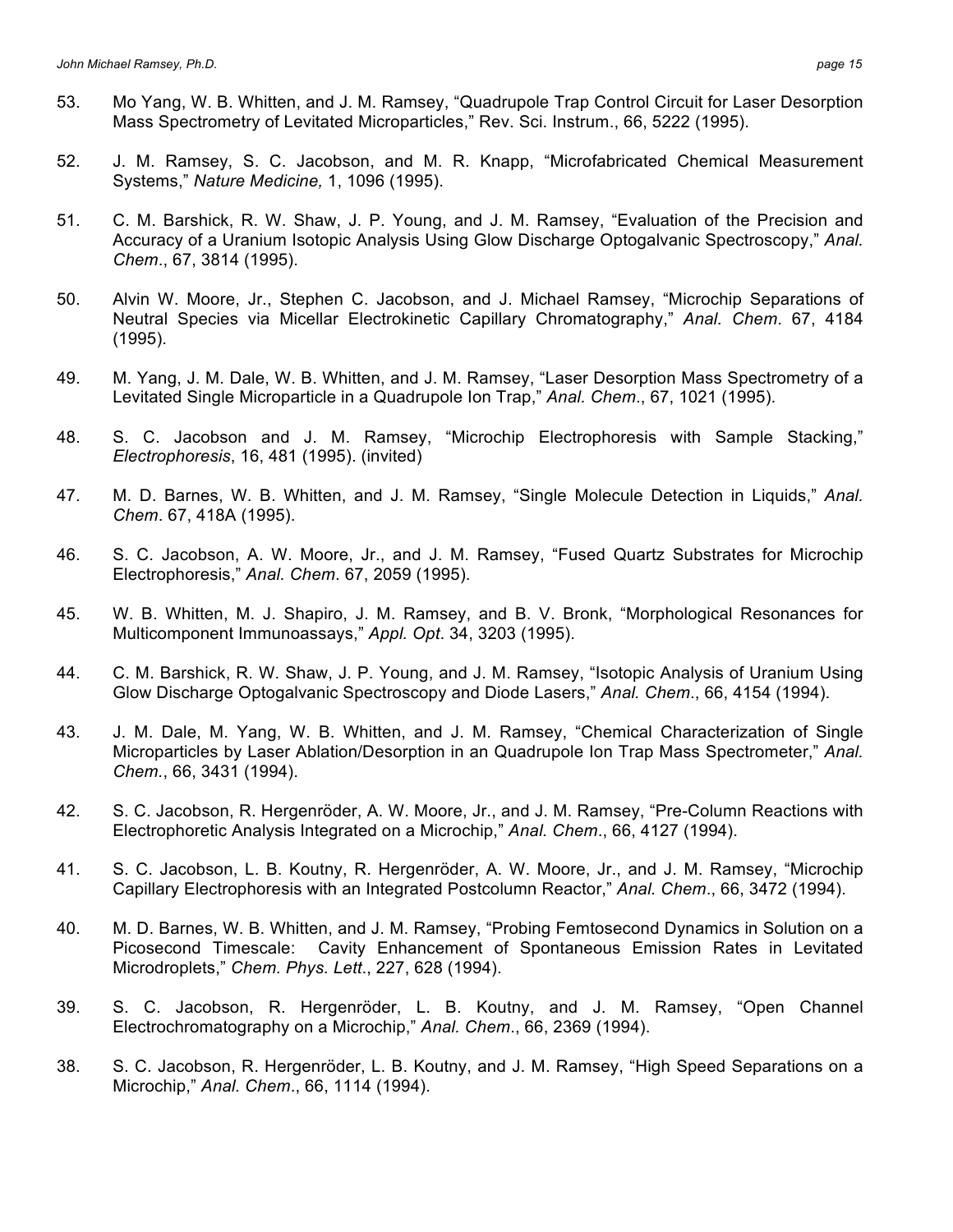- 53. Mo Yang, W. B. Whitten, and J. M. Ramsey, "Quadrupole Trap Control Circuit for Laser Desorption Mass Spectrometry of Levitated Microparticles," Rev. Sci. Instrum., 66, 5222 (1995).
- 52. J. M. Ramsey, S. C. Jacobson, and M. R. Knapp, "Microfabricated Chemical Measurement Systems," *Nature Medicine,* 1, 1096 (1995).
- 51. C. M. Barshick, R. W. Shaw, J. P. Young, and J. M. Ramsey, "Evaluation of the Precision and Accuracy of a Uranium Isotopic Analysis Using Glow Discharge Optogalvanic Spectroscopy," *Anal. Chem*., 67, 3814 (1995).
- 50. Alvin W. Moore, Jr., Stephen C. Jacobson, and J. Michael Ramsey, "Microchip Separations of Neutral Species via Micellar Electrokinetic Capillary Chromatography," *Anal. Chem*. 67, 4184 (1995).
- 49. M. Yang, J. M. Dale, W. B. Whitten, and J. M. Ramsey, "Laser Desorption Mass Spectrometry of a Levitated Single Microparticle in a Quadrupole Ion Trap," *Anal. Chem*., 67, 1021 (1995).
- 48. S. C. Jacobson and J. M. Ramsey, "Microchip Electrophoresis with Sample Stacking," *Electrophoresis*, 16, 481 (1995). (invited)
- 47. M. D. Barnes, W. B. Whitten, and J. M. Ramsey, "Single Molecule Detection in Liquids," *Anal. Chem*. 67, 418A (1995).
- 46. S. C. Jacobson, A. W. Moore, Jr., and J. M. Ramsey, "Fused Quartz Substrates for Microchip Electrophoresis," *Anal. Chem*. 67, 2059 (1995).
- 45. W. B. Whitten, M. J. Shapiro, J. M. Ramsey, and B. V. Bronk, "Morphological Resonances for Multicomponent Immunoassays," *Appl. Opt*. 34, 3203 (1995).
- 44. C. M. Barshick, R. W. Shaw, J. P. Young, and J. M. Ramsey, "Isotopic Analysis of Uranium Using Glow Discharge Optogalvanic Spectroscopy and Diode Lasers," *Anal. Chem*., 66, 4154 (1994).
- 43. J. M. Dale, M. Yang, W. B. Whitten, and J. M. Ramsey, "Chemical Characterization of Single Microparticles by Laser Ablation/Desorption in an Quadrupole Ion Trap Mass Spectrometer," *Anal. Chem.*, 66, 3431 (1994).
- 42. S. C. Jacobson, R. Hergenröder, A. W. Moore, Jr., and J. M. Ramsey, "Pre-Column Reactions with Electrophoretic Analysis Integrated on a Microchip," *Anal. Chem*., 66, 4127 (1994).
- 41. S. C. Jacobson, L. B. Koutny, R. Hergenröder, A. W. Moore, Jr., and J. M. Ramsey, "Microchip Capillary Electrophoresis with an Integrated Postcolumn Reactor," *Anal. Chem*., 66, 3472 (1994).
- 40. M. D. Barnes, W. B. Whitten, and J. M. Ramsey, "Probing Femtosecond Dynamics in Solution on a Picosecond Timescale: Cavity Enhancement of Spontaneous Emission Rates in Levitated Microdroplets," *Chem. Phys. Lett*., 227, 628 (1994).
- 39. S. C. Jacobson, R. Hergenröder, L. B. Koutny, and J. M. Ramsey, "Open Channel Electrochromatography on a Microchip," *Anal. Chem*., 66, 2369 (1994).
- 38. S. C. Jacobson, R. Hergenröder, L. B. Koutny, and J. M. Ramsey, "High Speed Separations on a Microchip," *Anal. Chem*., 66, 1114 (1994).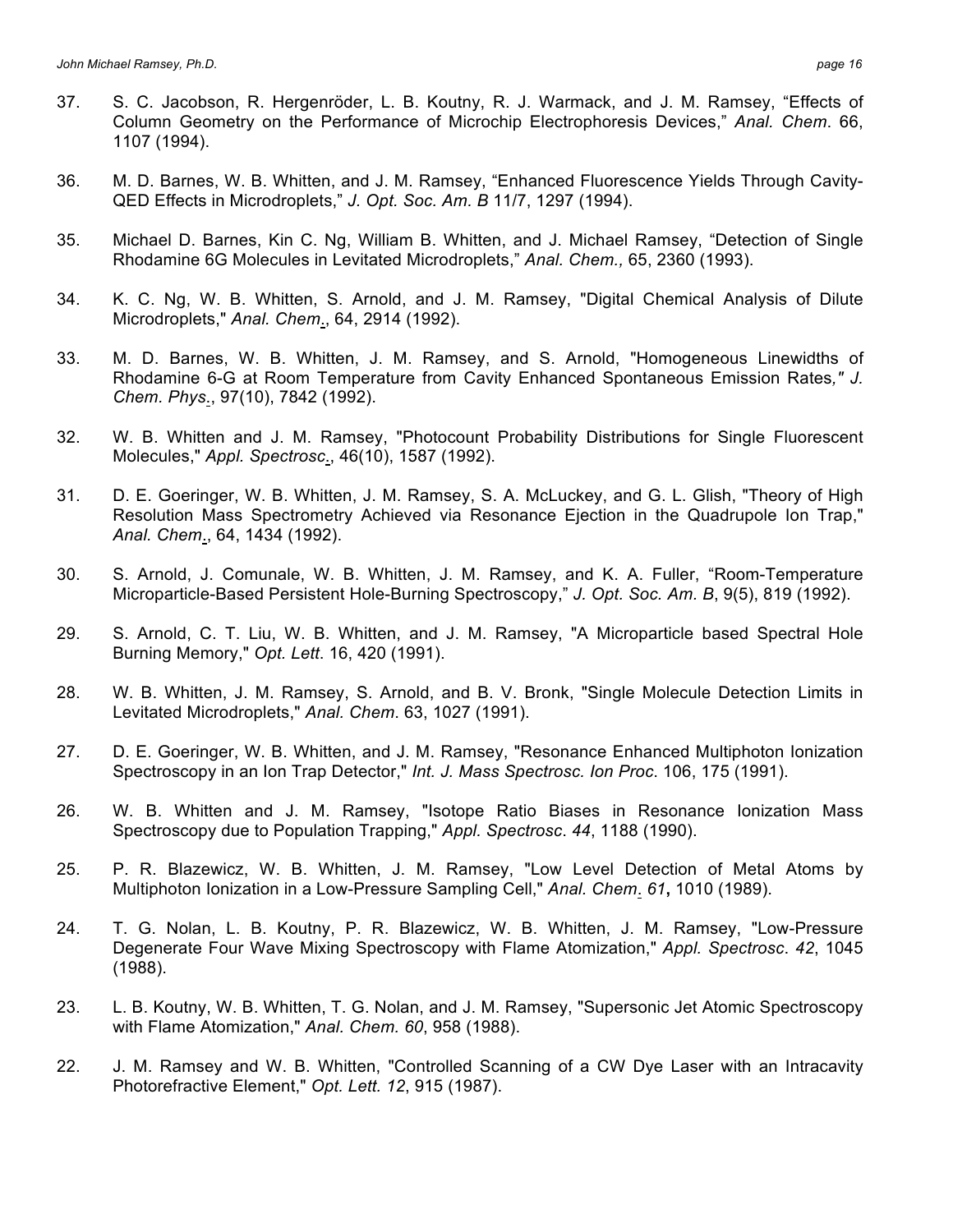- 37. S. C. Jacobson, R. Hergenröder, L. B. Koutny, R. J. Warmack, and J. M. Ramsey, "Effects of Column Geometry on the Performance of Microchip Electrophoresis Devices," *Anal. Chem*. 66, 1107 (1994).
- 36. M. D. Barnes, W. B. Whitten, and J. M. Ramsey, "Enhanced Fluorescence Yields Through Cavity-QED Effects in Microdroplets," *J. Opt. Soc. Am. B* 11/7, 1297 (1994).
- 35. Michael D. Barnes, Kin C. Ng, William B. Whitten, and J. Michael Ramsey, "Detection of Single Rhodamine 6G Molecules in Levitated Microdroplets," *Anal. Chem.,* 65, 2360 (1993).
- 34. K. C. Ng, W. B. Whitten, S. Arnold, and J. M. Ramsey, "Digital Chemical Analysis of Dilute Microdroplets," *Anal. Chem*., 64, 2914 (1992).
- 33. M. D. Barnes, W. B. Whitten, J. M. Ramsey, and S. Arnold, "Homogeneous Linewidths of Rhodamine 6-G at Room Temperature from Cavity Enhanced Spontaneous Emission Rates*," J. Chem. Phys*., 97(10), 7842 (1992).
- 32. W. B. Whitten and J. M. Ramsey, "Photocount Probability Distributions for Single Fluorescent Molecules," *Appl. Spectrosc*., 46(10), 1587 (1992).
- 31. D. E. Goeringer, W. B. Whitten, J. M. Ramsey, S. A. McLuckey, and G. L. Glish, "Theory of High Resolution Mass Spectrometry Achieved via Resonance Ejection in the Quadrupole Ion Trap," *Anal. Chem*., 64, 1434 (1992).
- 30. S. Arnold, J. Comunale, W. B. Whitten, J. M. Ramsey, and K. A. Fuller, "Room-Temperature Microparticle-Based Persistent Hole-Burning Spectroscopy," *J. Opt. Soc. Am. B*, 9(5), 819 (1992).
- 29. S. Arnold, C. T. Liu, W. B. Whitten, and J. M. Ramsey, "A Microparticle based Spectral Hole Burning Memory," *Opt. Lett*. 16, 420 (1991).
- 28. W. B. Whitten, J. M. Ramsey, S. Arnold, and B. V. Bronk, "Single Molecule Detection Limits in Levitated Microdroplets," *Anal. Chem*. 63, 1027 (1991).
- 27. D. E. Goeringer, W. B. Whitten, and J. M. Ramsey, "Resonance Enhanced Multiphoton Ionization Spectroscopy in an Ion Trap Detector," *Int. J. Mass Spectrosc. Ion Proc*. 106, 175 (1991).
- 26. W. B. Whitten and J. M. Ramsey, "Isotope Ratio Biases in Resonance Ionization Mass Spectroscopy due to Population Trapping," *Appl. Spectrosc*. *44*, 1188 (1990).
- 25. P. R. Blazewicz, W. B. Whitten, J. M. Ramsey, "Low Level Detection of Metal Atoms by Multiphoton Ionization in a Low-Pressure Sampling Cell," *Anal. Chem*. *61***,** 1010 (1989).
- 24. T. G. Nolan, L. B. Koutny, P. R. Blazewicz, W. B. Whitten, J. M. Ramsey, "Low-Pressure Degenerate Four Wave Mixing Spectroscopy with Flame Atomization," *Appl. Spectrosc*. *42*, 1045 (1988).
- 23. L. B. Koutny, W. B. Whitten, T. G. Nolan, and J. M. Ramsey, "Supersonic Jet Atomic Spectroscopy with Flame Atomization," *Anal. Chem. 60*, 958 (1988).
- 22. J. M. Ramsey and W. B. Whitten, "Controlled Scanning of a CW Dye Laser with an Intracavity Photorefractive Element," *Opt. Lett. 12*, 915 (1987).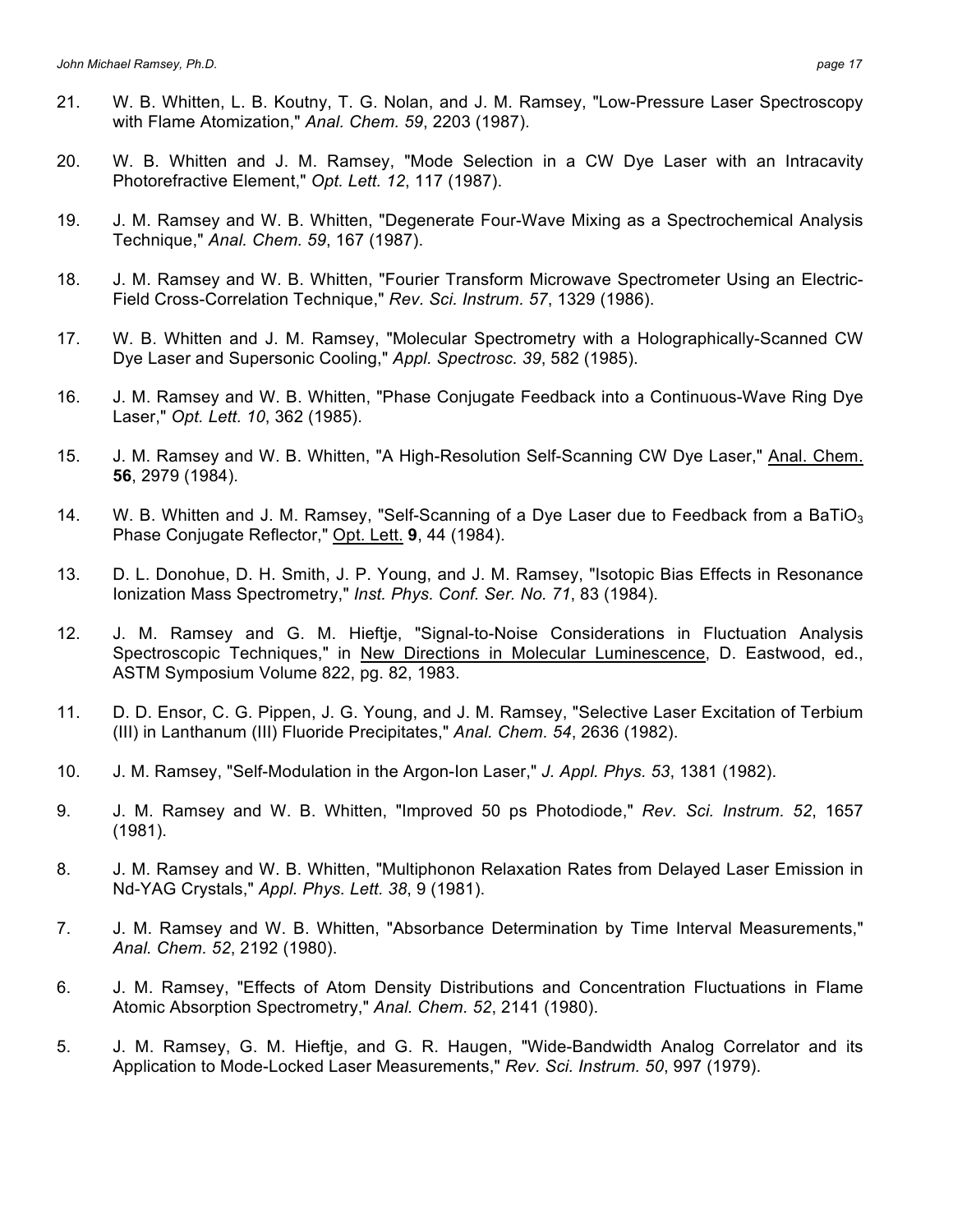- 21. W. B. Whitten, L. B. Koutny, T. G. Nolan, and J. M. Ramsey, "Low-Pressure Laser Spectroscopy with Flame Atomization," *Anal. Chem. 59*, 2203 (1987).
- 20. W. B. Whitten and J. M. Ramsey, "Mode Selection in a CW Dye Laser with an Intracavity Photorefractive Element," *Opt. Lett. 12*, 117 (1987).
- 19. J. M. Ramsey and W. B. Whitten, "Degenerate Four-Wave Mixing as a Spectrochemical Analysis Technique," *Anal. Chem. 59*, 167 (1987).
- 18. J. M. Ramsey and W. B. Whitten, "Fourier Transform Microwave Spectrometer Using an Electric-Field Cross-Correlation Technique," *Rev. Sci. Instrum. 57*, 1329 (1986).
- 17. W. B. Whitten and J. M. Ramsey, "Molecular Spectrometry with a Holographically-Scanned CW Dye Laser and Supersonic Cooling," *Appl. Spectrosc. 39*, 582 (1985).
- 16. J. M. Ramsey and W. B. Whitten, "Phase Conjugate Feedback into a Continuous-Wave Ring Dye Laser," *Opt. Lett. 10*, 362 (1985).
- 15. J. M. Ramsey and W. B. Whitten, "A High-Resolution Self-Scanning CW Dye Laser," Anal. Chem. **56**, 2979 (1984).
- 14. W. B. Whitten and J. M. Ramsey, "Self-Scanning of a Dye Laser due to Feedback from a BaTiO<sub>3</sub> Phase Conjugate Reflector," Opt. Lett. **9**, 44 (1984).
- 13. D. L. Donohue, D. H. Smith, J. P. Young, and J. M. Ramsey, "Isotopic Bias Effects in Resonance Ionization Mass Spectrometry," *Inst. Phys. Conf. Ser. No. 71*, 83 (1984).
- 12. J. M. Ramsey and G. M. Hieftje, "Signal-to-Noise Considerations in Fluctuation Analysis Spectroscopic Techniques," in New Directions in Molecular Luminescence, D. Eastwood, ed., ASTM Symposium Volume 822, pg. 82, 1983.
- 11. D. D. Ensor, C. G. Pippen, J. G. Young, and J. M. Ramsey, "Selective Laser Excitation of Terbium (III) in Lanthanum (III) Fluoride Precipitates," *Anal. Chem. 54*, 2636 (1982).
- 10. J. M. Ramsey, "Self-Modulation in the Argon-Ion Laser," *J. Appl. Phys. 53*, 1381 (1982).
- 9. J. M. Ramsey and W. B. Whitten, "Improved 50 ps Photodiode," *Rev. Sci. Instrum. 52*, 1657 (1981).
- 8. J. M. Ramsey and W. B. Whitten, "Multiphonon Relaxation Rates from Delayed Laser Emission in Nd-YAG Crystals," *Appl. Phys. Lett. 38*, 9 (1981).
- 7. J. M. Ramsey and W. B. Whitten, "Absorbance Determination by Time Interval Measurements," *Anal. Chem. 52*, 2192 (1980).
- 6. J. M. Ramsey, "Effects of Atom Density Distributions and Concentration Fluctuations in Flame Atomic Absorption Spectrometry," *Anal. Chem. 52*, 2141 (1980).
- 5. J. M. Ramsey, G. M. Hieftje, and G. R. Haugen, "Wide-Bandwidth Analog Correlator and its Application to Mode-Locked Laser Measurements," *Rev. Sci. Instrum. 50*, 997 (1979).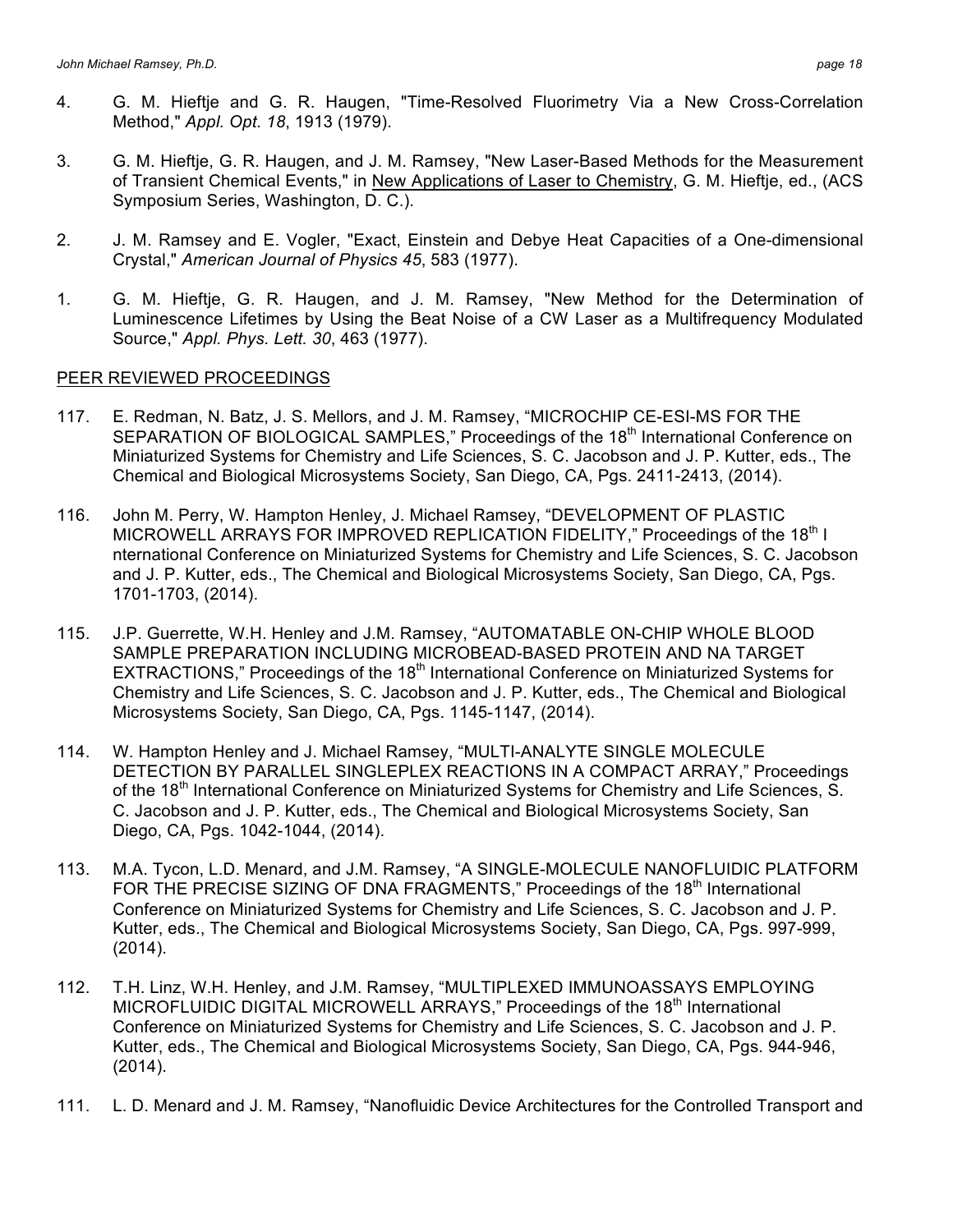- 4. G. M. Hieftje and G. R. Haugen, "Time-Resolved Fluorimetry Via a New Cross-Correlation Method," *Appl. Opt. 18*, 1913 (1979).
- 3. G. M. Hieftje, G. R. Haugen, and J. M. Ramsey, "New Laser-Based Methods for the Measurement of Transient Chemical Events," in New Applications of Laser to Chemistry, G. M. Hieftje, ed., (ACS Symposium Series, Washington, D. C.).
- 2. J. M. Ramsey and E. Vogler, "Exact, Einstein and Debye Heat Capacities of a One-dimensional Crystal," *American Journal of Physics 45*, 583 (1977).
- 1. G. M. Hieftje, G. R. Haugen, and J. M. Ramsey, "New Method for the Determination of Luminescence Lifetimes by Using the Beat Noise of a CW Laser as a Multifrequency Modulated Source," *Appl. Phys. Lett. 30*, 463 (1977).

### PEER REVIEWED PROCEEDINGS

- 117. E. Redman, N. Batz, J. S. Mellors, and J. M. Ramsey, "MICROCHIP CE-ESI-MS FOR THE SEPARATION OF BIOLOGICAL SAMPLES," Proceedings of the 18<sup>th</sup> International Conference on Miniaturized Systems for Chemistry and Life Sciences, S. C. Jacobson and J. P. Kutter, eds., The Chemical and Biological Microsystems Society, San Diego, CA, Pgs. 2411-2413, (2014).
- 116. John M. Perry, W. Hampton Henley, J. Michael Ramsey, "DEVELOPMENT OF PLASTIC MICROWELL ARRAYS FOR IMPROVED REPLICATION FIDELITY," Proceedings of the 18<sup>th</sup> I nternational Conference on Miniaturized Systems for Chemistry and Life Sciences, S. C. Jacobson and J. P. Kutter, eds., The Chemical and Biological Microsystems Society, San Diego, CA, Pgs. 1701-1703, (2014).
- 115. J.P. Guerrette, W.H. Henley and J.M. Ramsey, "AUTOMATABLE ON-CHIP WHOLE BLOOD SAMPLE PREPARATION INCLUDING MICROBEAD-BASED PROTEIN AND NA TARGET EXTRACTIONS," Proceedings of the 18<sup>th</sup> International Conference on Miniaturized Systems for Chemistry and Life Sciences, S. C. Jacobson and J. P. Kutter, eds., The Chemical and Biological Microsystems Society, San Diego, CA, Pgs. 1145-1147, (2014).
- 114. W. Hampton Henley and J. Michael Ramsey, "MULTI-ANALYTE SINGLE MOLECULE DETECTION BY PARALLEL SINGLEPLEX REACTIONS IN A COMPACT ARRAY," Proceedings of the 18<sup>th</sup> International Conference on Miniaturized Systems for Chemistry and Life Sciences, S. C. Jacobson and J. P. Kutter, eds., The Chemical and Biological Microsystems Society, San Diego, CA, Pgs. 1042-1044, (2014).
- 113. M.A. Tycon, L.D. Menard, and J.M. Ramsey, "A SINGLE-MOLECULE NANOFLUIDIC PLATFORM FOR THE PRECISE SIZING OF DNA FRAGMENTS," Proceedings of the 18<sup>th</sup> International Conference on Miniaturized Systems for Chemistry and Life Sciences, S. C. Jacobson and J. P. Kutter, eds., The Chemical and Biological Microsystems Society, San Diego, CA, Pgs. 997-999, (2014).
- 112. T.H. Linz, W.H. Henley, and J.M. Ramsey, "MULTIPLEXED IMMUNOASSAYS EMPLOYING MICROFLUIDIC DIGITAL MICROWELL ARRAYS," Proceedings of the 18th International Conference on Miniaturized Systems for Chemistry and Life Sciences, S. C. Jacobson and J. P. Kutter, eds., The Chemical and Biological Microsystems Society, San Diego, CA, Pgs. 944-946, (2014).
- 111. L. D. Menard and J. M. Ramsey, "Nanofluidic Device Architectures for the Controlled Transport and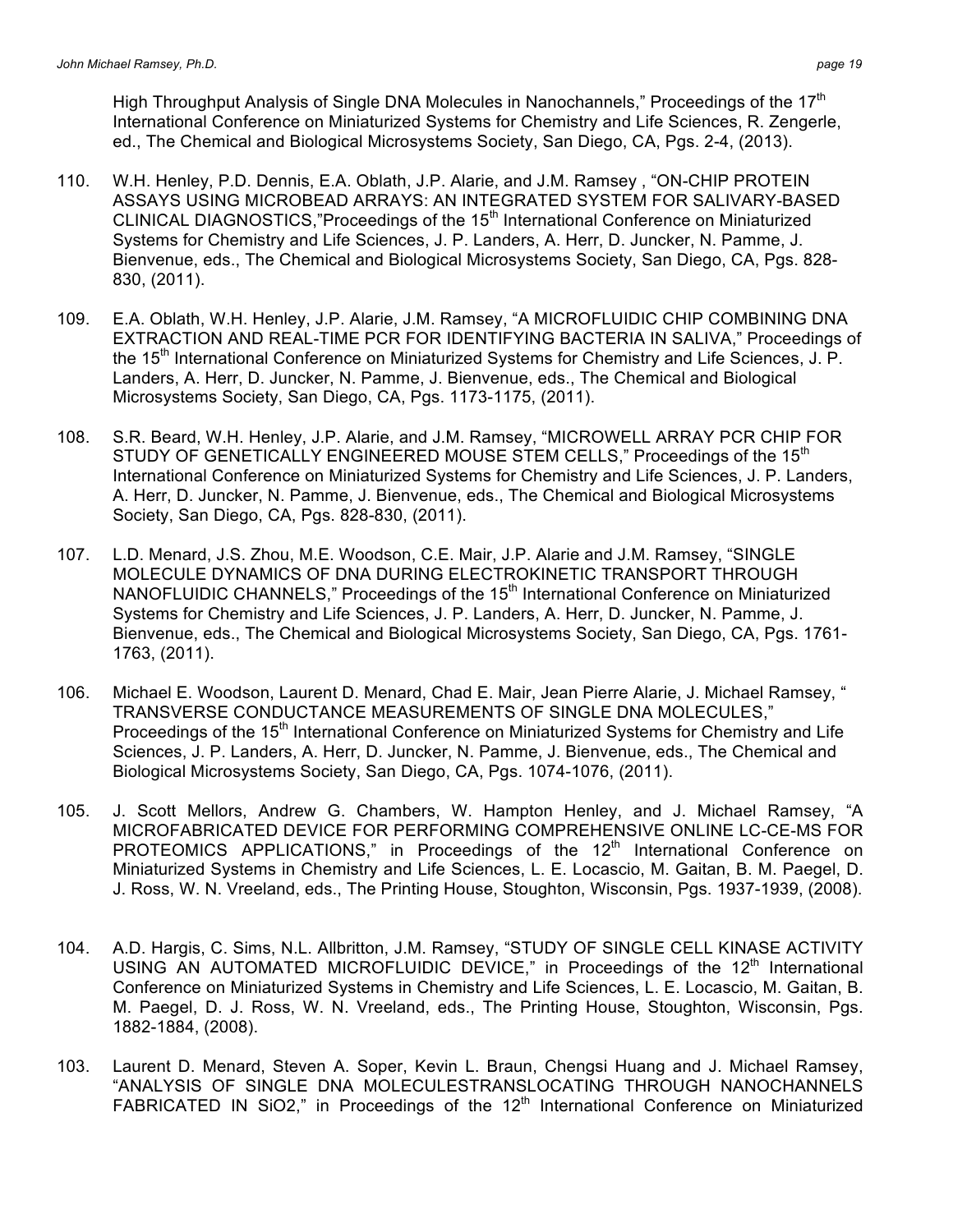High Throughput Analysis of Single DNA Molecules in Nanochannels," Proceedings of the 17<sup>th</sup> International Conference on Miniaturized Systems for Chemistry and Life Sciences, R. Zengerle, ed., The Chemical and Biological Microsystems Society, San Diego, CA, Pgs. 2-4, (2013).

- 110. W.H. Henley, P.D. Dennis, E.A. Oblath, J.P. Alarie, and J.M. Ramsey , "ON-CHIP PROTEIN ASSAYS USING MICROBEAD ARRAYS: AN INTEGRATED SYSTEM FOR SALIVARY-BASED CLINICAL DIAGNOSTICS,"Proceedings of the 15<sup>th</sup> International Conference on Miniaturized Systems for Chemistry and Life Sciences, J. P. Landers, A. Herr, D. Juncker, N. Pamme, J. Bienvenue, eds., The Chemical and Biological Microsystems Society, San Diego, CA, Pgs. 828- 830, (2011).
- 109. E.A. Oblath, W.H. Henley, J.P. Alarie, J.M. Ramsey, "A MICROFLUIDIC CHIP COMBINING DNA EXTRACTION AND REAL-TIME PCR FOR IDENTIFYING BACTERIA IN SALIVA," Proceedings of the 15<sup>th</sup> International Conference on Miniaturized Systems for Chemistry and Life Sciences, J. P. Landers, A. Herr, D. Juncker, N. Pamme, J. Bienvenue, eds., The Chemical and Biological Microsystems Society, San Diego, CA, Pgs. 1173-1175, (2011).
- 108. S.R. Beard, W.H. Henley, J.P. Alarie, and J.M. Ramsey, "MICROWELL ARRAY PCR CHIP FOR STUDY OF GENETICALLY ENGINEERED MOUSE STEM CELLS," Proceedings of the 15<sup>th</sup> International Conference on Miniaturized Systems for Chemistry and Life Sciences, J. P. Landers, A. Herr, D. Juncker, N. Pamme, J. Bienvenue, eds., The Chemical and Biological Microsystems Society, San Diego, CA, Pgs. 828-830, (2011).
- 107. L.D. Menard, J.S. Zhou, M.E. Woodson, C.E. Mair, J.P. Alarie and J.M. Ramsey, "SINGLE MOLECULE DYNAMICS OF DNA DURING ELECTROKINETIC TRANSPORT THROUGH NANOFLUIDIC CHANNELS," Proceedings of the  $15<sup>th</sup>$  International Conference on Miniaturized Systems for Chemistry and Life Sciences, J. P. Landers, A. Herr, D. Juncker, N. Pamme, J. Bienvenue, eds., The Chemical and Biological Microsystems Society, San Diego, CA, Pgs. 1761- 1763, (2011).
- 106. Michael E. Woodson, Laurent D. Menard, Chad E. Mair, Jean Pierre Alarie, J. Michael Ramsey, " TRANSVERSE CONDUCTANCE MEASUREMENTS OF SINGLE DNA MOLECULES," Proceedings of the 15<sup>th</sup> International Conference on Miniaturized Systems for Chemistry and Life Sciences, J. P. Landers, A. Herr, D. Juncker, N. Pamme, J. Bienvenue, eds., The Chemical and Biological Microsystems Society, San Diego, CA, Pgs. 1074-1076, (2011).
- 105. J. Scott Mellors, Andrew G. Chambers, W. Hampton Henley, and J. Michael Ramsey, "A MICROFABRICATED DEVICE FOR PERFORMING COMPREHENSIVE ONLINE LC-CE-MS FOR PROTEOMICS APPLICATIONS," in Proceedings of the 12<sup>th</sup> International Conference on Miniaturized Systems in Chemistry and Life Sciences, L. E. Locascio, M. Gaitan, B. M. Paegel, D. J. Ross, W. N. Vreeland, eds., The Printing House, Stoughton, Wisconsin, Pgs. 1937-1939, (2008).
- 104. A.D. Hargis, C. Sims, N.L. Allbritton, J.M. Ramsey, "STUDY OF SINGLE CELL KINASE ACTIVITY USING AN AUTOMATED MICROFLUIDIC DEVICE," in Proceedings of the  $12<sup>th</sup>$  International Conference on Miniaturized Systems in Chemistry and Life Sciences, L. E. Locascio, M. Gaitan, B. M. Paegel, D. J. Ross, W. N. Vreeland, eds., The Printing House, Stoughton, Wisconsin, Pgs. 1882-1884, (2008).
- 103. Laurent D. Menard, Steven A. Soper, Kevin L. Braun, Chengsi Huang and J. Michael Ramsey, "ANALYSIS OF SINGLE DNA MOLECULESTRANSLOCATING THROUGH NANOCHANNELS FABRICATED IN SiO2," in Proceedings of the  $12<sup>th</sup>$  International Conference on Miniaturized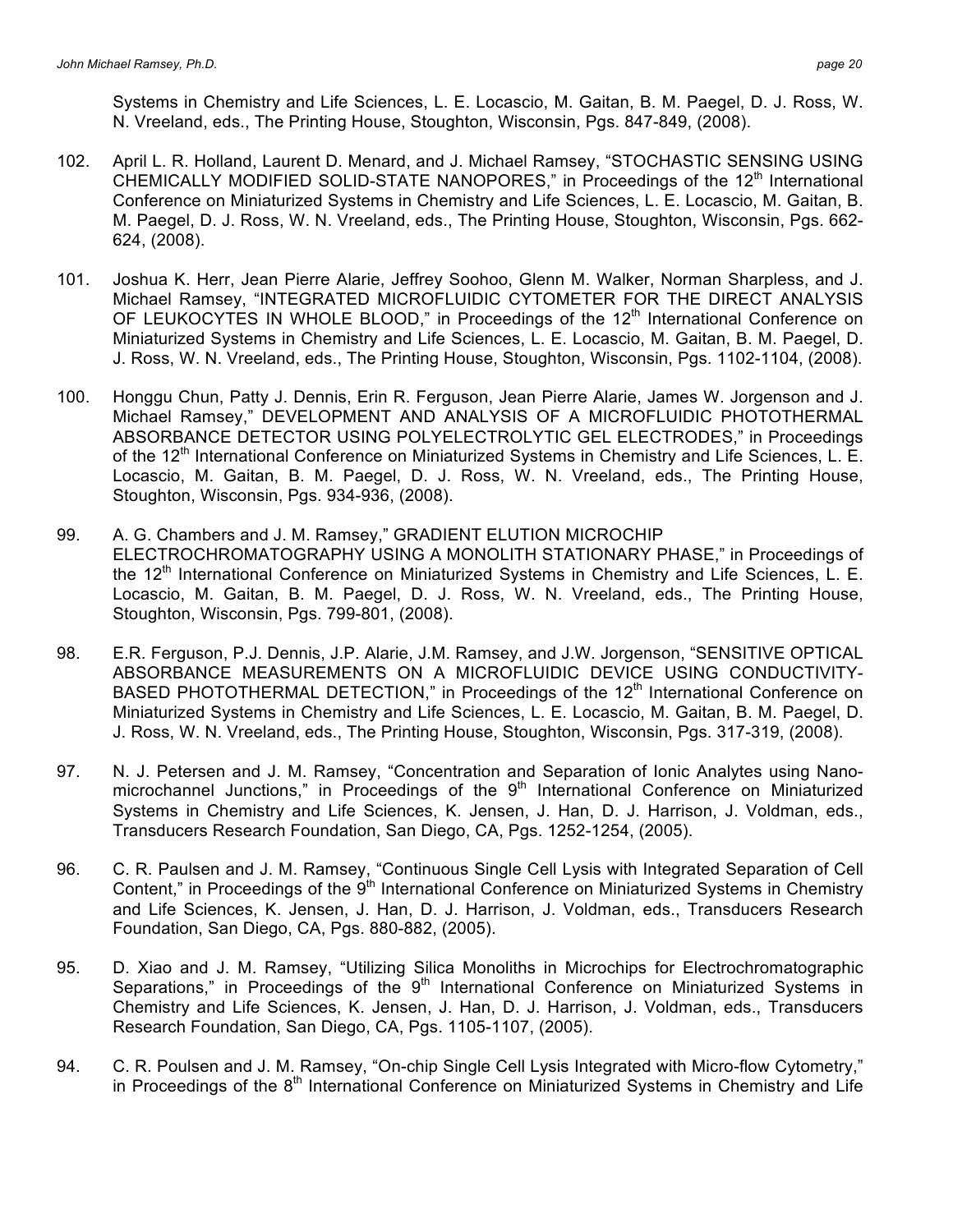Systems in Chemistry and Life Sciences, L. E. Locascio, M. Gaitan, B. M. Paegel, D. J. Ross, W. N. Vreeland, eds., The Printing House, Stoughton, Wisconsin, Pgs. 847-849, (2008).

- 102. April L. R. Holland, Laurent D. Menard, and J. Michael Ramsey, "STOCHASTIC SENSING USING CHEMICALLY MODIFIED SOLID-STATE NANOPORES," in Proceedings of the 12<sup>th</sup> International Conference on Miniaturized Systems in Chemistry and Life Sciences, L. E. Locascio, M. Gaitan, B. M. Paegel, D. J. Ross, W. N. Vreeland, eds., The Printing House, Stoughton, Wisconsin, Pgs. 662- 624, (2008).
- 101. Joshua K. Herr, Jean Pierre Alarie, Jeffrey Soohoo, Glenn M. Walker, Norman Sharpless, and J. Michael Ramsey, "INTEGRATED MICROFLUIDIC CYTOMETER FOR THE DIRECT ANALYSIS OF LEUKOCYTES IN WHOLE BLOOD," in Proceedings of the 12<sup>th</sup> International Conference on Miniaturized Systems in Chemistry and Life Sciences, L. E. Locascio, M. Gaitan, B. M. Paegel, D. J. Ross, W. N. Vreeland, eds., The Printing House, Stoughton, Wisconsin, Pgs. 1102-1104, (2008).
- 100. Honggu Chun, Patty J. Dennis, Erin R. Ferguson, Jean Pierre Alarie, James W. Jorgenson and J. Michael Ramsey," DEVELOPMENT AND ANALYSIS OF A MICROFLUIDIC PHOTOTHERMAL ABSORBANCE DETECTOR USING POLYELECTROLYTIC GEL ELECTRODES," in Proceedings of the 12<sup>th</sup> International Conference on Miniaturized Systems in Chemistry and Life Sciences, L. E. Locascio, M. Gaitan, B. M. Paegel, D. J. Ross, W. N. Vreeland, eds., The Printing House, Stoughton, Wisconsin, Pgs. 934-936, (2008).
- 99. A. G. Chambers and J. M. Ramsey," GRADIENT ELUTION MICROCHIP ELECTROCHROMATOGRAPHY USING A MONOLITH STATIONARY PHASE," in Proceedings of the 12<sup>th</sup> International Conference on Miniaturized Systems in Chemistry and Life Sciences, L. E. Locascio, M. Gaitan, B. M. Paegel, D. J. Ross, W. N. Vreeland, eds., The Printing House, Stoughton, Wisconsin, Pgs. 799-801, (2008).
- 98. E.R. Ferguson, P.J. Dennis, J.P. Alarie, J.M. Ramsey, and J.W. Jorgenson, "SENSITIVE OPTICAL ABSORBANCE MEASUREMENTS ON A MICROFLUIDIC DEVICE USING CONDUCTIVITY-BASED PHOTOTHERMAL DETECTION," in Proceedings of the 12<sup>th</sup> International Conference on Miniaturized Systems in Chemistry and Life Sciences, L. E. Locascio, M. Gaitan, B. M. Paegel, D. J. Ross, W. N. Vreeland, eds., The Printing House, Stoughton, Wisconsin, Pgs. 317-319, (2008).
- 97. N. J. Petersen and J. M. Ramsey, "Concentration and Separation of Ionic Analytes using Nanomicrochannel Junctions," in Proceedings of the  $9<sup>th</sup>$  International Conference on Miniaturized Systems in Chemistry and Life Sciences, K. Jensen, J. Han, D. J. Harrison, J. Voldman, eds., Transducers Research Foundation, San Diego, CA, Pgs. 1252-1254, (2005).
- 96. C. R. Paulsen and J. M. Ramsey, "Continuous Single Cell Lysis with Integrated Separation of Cell Content," in Proceedings of the  $9<sup>th</sup>$  International Conference on Miniaturized Systems in Chemistry and Life Sciences, K. Jensen, J. Han, D. J. Harrison, J. Voldman, eds., Transducers Research Foundation, San Diego, CA, Pgs. 880-882, (2005).
- 95. D. Xiao and J. M. Ramsey, "Utilizing Silica Monoliths in Microchips for Electrochromatographic Separations," in Proceedings of the  $9<sup>th</sup>$  International Conference on Miniaturized Systems in Chemistry and Life Sciences, K. Jensen, J. Han, D. J. Harrison, J. Voldman, eds., Transducers Research Foundation, San Diego, CA, Pgs. 1105-1107, (2005).
- 94. C. R. Poulsen and J. M. Ramsey, "On-chip Single Cell Lysis Integrated with Micro-flow Cytometry," in Proceedings of the 8<sup>th</sup> International Conference on Miniaturized Systems in Chemistry and Life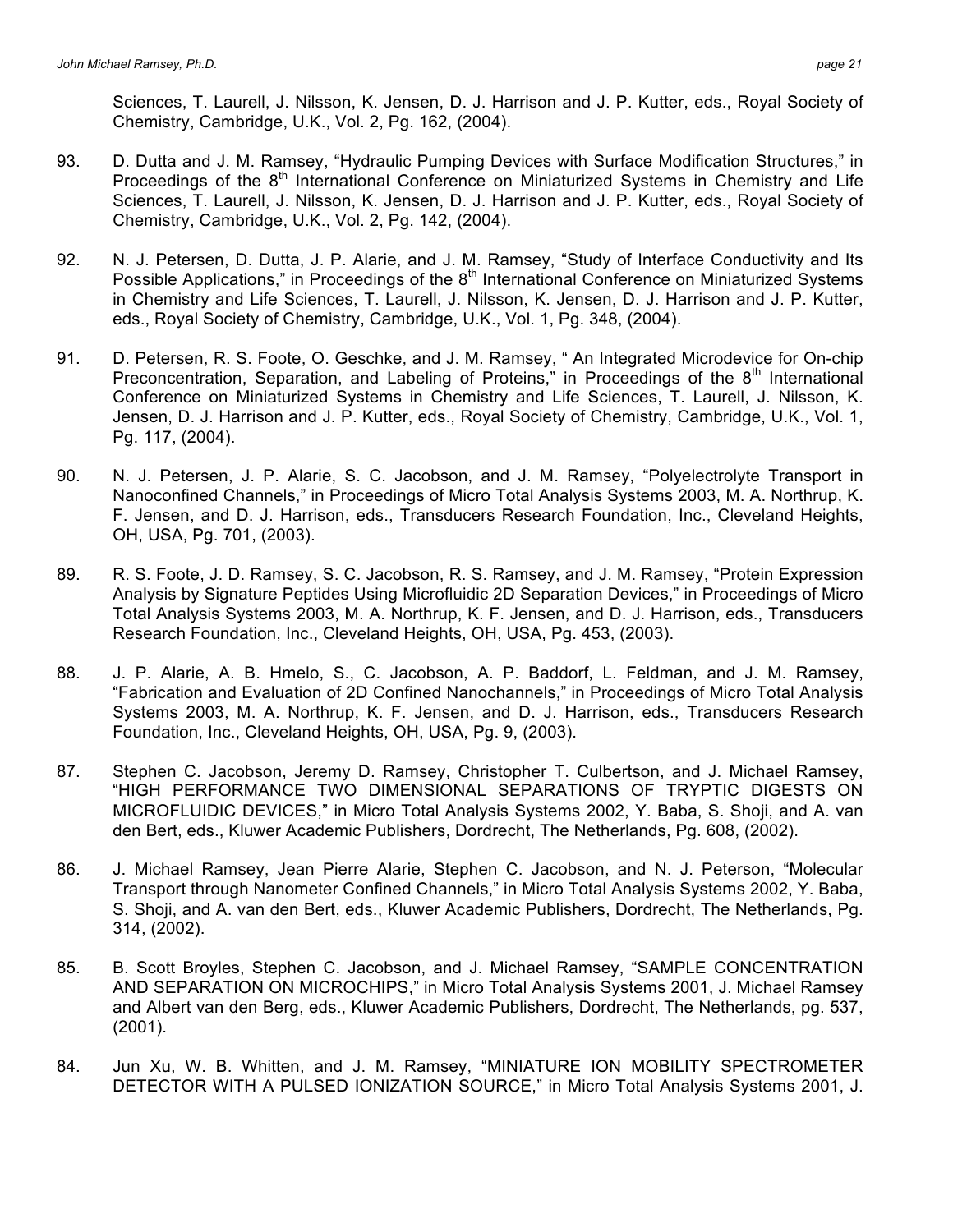Sciences, T. Laurell, J. Nilsson, K. Jensen, D. J. Harrison and J. P. Kutter, eds., Royal Society of Chemistry, Cambridge, U.K., Vol. 2, Pg. 162, (2004).

- 93. D. Dutta and J. M. Ramsey, "Hydraulic Pumping Devices with Surface Modification Structures," in Proceedings of the  $8<sup>th</sup>$  International Conference on Miniaturized Systems in Chemistry and Life Sciences, T. Laurell, J. Nilsson, K. Jensen, D. J. Harrison and J. P. Kutter, eds., Royal Society of Chemistry, Cambridge, U.K., Vol. 2, Pg. 142, (2004).
- 92. N. J. Petersen, D. Dutta, J. P. Alarie, and J. M. Ramsey, "Study of Interface Conductivity and Its Possible Applications," in Proceedings of the  $8<sup>th</sup>$  International Conference on Miniaturized Systems in Chemistry and Life Sciences, T. Laurell, J. Nilsson, K. Jensen, D. J. Harrison and J. P. Kutter, eds., Royal Society of Chemistry, Cambridge, U.K., Vol. 1, Pg. 348, (2004).
- 91. D. Petersen, R. S. Foote, O. Geschke, and J. M. Ramsey, " An Integrated Microdevice for On-chip Preconcentration, Separation, and Labeling of Proteins," in Proceedings of the  $8<sup>th</sup>$  International Conference on Miniaturized Systems in Chemistry and Life Sciences, T. Laurell, J. Nilsson, K. Jensen, D. J. Harrison and J. P. Kutter, eds., Royal Society of Chemistry, Cambridge, U.K., Vol. 1, Pg. 117, (2004).
- 90. N. J. Petersen, J. P. Alarie, S. C. Jacobson, and J. M. Ramsey, "Polyelectrolyte Transport in Nanoconfined Channels," in Proceedings of Micro Total Analysis Systems 2003, M. A. Northrup, K. F. Jensen, and D. J. Harrison, eds., Transducers Research Foundation, Inc., Cleveland Heights, OH, USA, Pg. 701, (2003).
- 89. R. S. Foote, J. D. Ramsey, S. C. Jacobson, R. S. Ramsey, and J. M. Ramsey, "Protein Expression Analysis by Signature Peptides Using Microfluidic 2D Separation Devices," in Proceedings of Micro Total Analysis Systems 2003, M. A. Northrup, K. F. Jensen, and D. J. Harrison, eds., Transducers Research Foundation, Inc., Cleveland Heights, OH, USA, Pg. 453, (2003).
- 88. J. P. Alarie, A. B. Hmelo, S., C. Jacobson, A. P. Baddorf, L. Feldman, and J. M. Ramsey, "Fabrication and Evaluation of 2D Confined Nanochannels," in Proceedings of Micro Total Analysis Systems 2003, M. A. Northrup, K. F. Jensen, and D. J. Harrison, eds., Transducers Research Foundation, Inc., Cleveland Heights, OH, USA, Pg. 9, (2003).
- 87. Stephen C. Jacobson, Jeremy D. Ramsey, Christopher T. Culbertson, and J. Michael Ramsey, "HIGH PERFORMANCE TWO DIMENSIONAL SEPARATIONS OF TRYPTIC DIGESTS ON MICROFLUIDIC DEVICES," in Micro Total Analysis Systems 2002, Y. Baba, S. Shoji, and A. van den Bert, eds., Kluwer Academic Publishers, Dordrecht, The Netherlands, Pg. 608, (2002).
- 86. J. Michael Ramsey, Jean Pierre Alarie, Stephen C. Jacobson, and N. J. Peterson, "Molecular Transport through Nanometer Confined Channels," in Micro Total Analysis Systems 2002, Y. Baba, S. Shoji, and A. van den Bert, eds., Kluwer Academic Publishers, Dordrecht, The Netherlands, Pg. 314, (2002).
- 85. B. Scott Broyles, Stephen C. Jacobson, and J. Michael Ramsey, "SAMPLE CONCENTRATION AND SEPARATION ON MICROCHIPS," in Micro Total Analysis Systems 2001, J. Michael Ramsey and Albert van den Berg, eds., Kluwer Academic Publishers, Dordrecht, The Netherlands, pg. 537, (2001).
- 84. Jun Xu, W. B. Whitten, and J. M. Ramsey, "MINIATURE ION MOBILITY SPECTROMETER DETECTOR WITH A PULSED IONIZATION SOURCE," in Micro Total Analysis Systems 2001, J.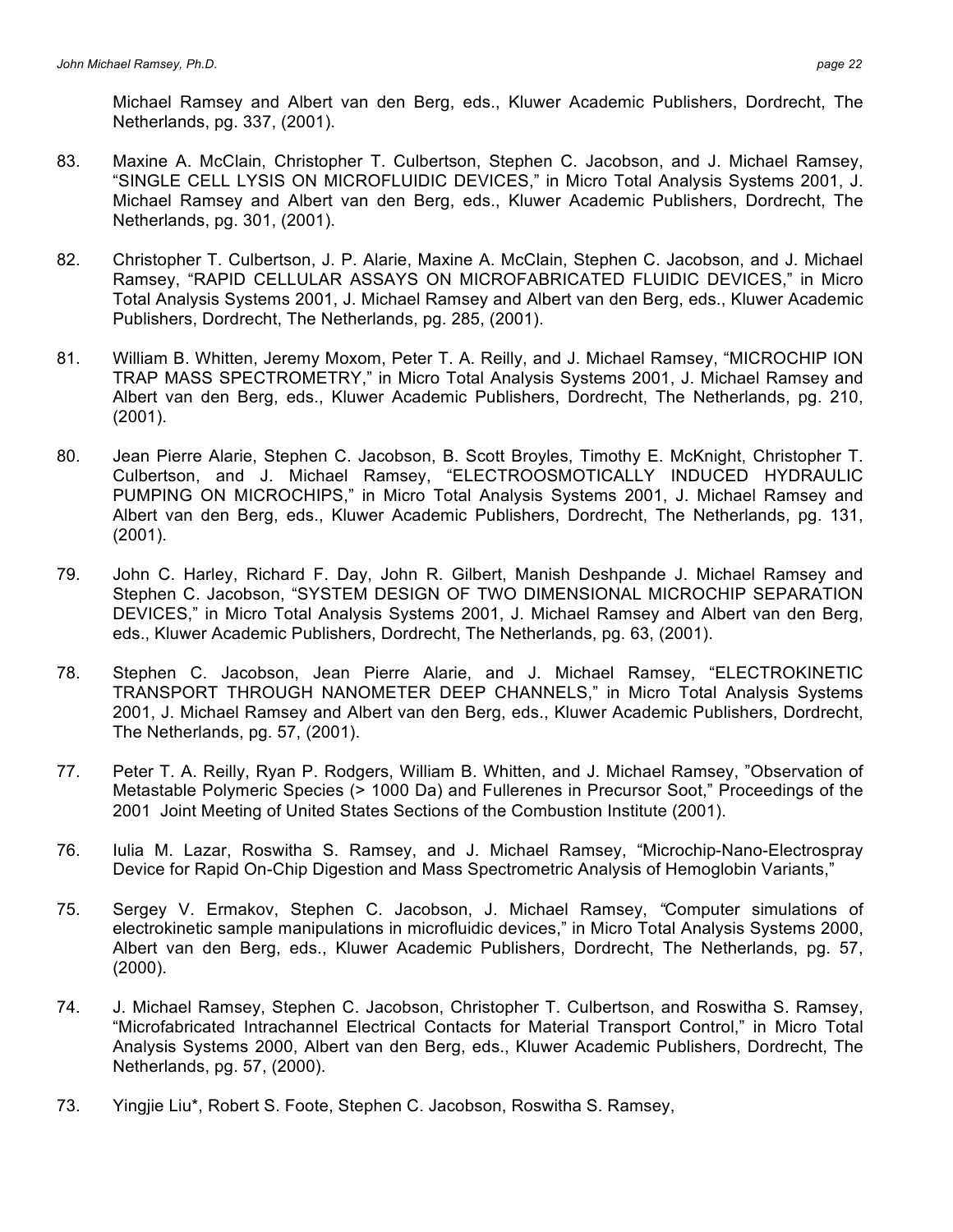Michael Ramsey and Albert van den Berg, eds., Kluwer Academic Publishers, Dordrecht, The Netherlands, pg. 337, (2001).

- 83. Maxine A. McClain, Christopher T. Culbertson, Stephen C. Jacobson, and J. Michael Ramsey, "SINGLE CELL LYSIS ON MICROFLUIDIC DEVICES," in Micro Total Analysis Systems 2001, J. Michael Ramsey and Albert van den Berg, eds., Kluwer Academic Publishers, Dordrecht, The Netherlands, pg. 301, (2001).
- 82. Christopher T. Culbertson, J. P. Alarie, Maxine A. McClain, Stephen C. Jacobson, and J. Michael Ramsey, "RAPID CELLULAR ASSAYS ON MICROFABRICATED FLUIDIC DEVICES," in Micro Total Analysis Systems 2001, J. Michael Ramsey and Albert van den Berg, eds., Kluwer Academic Publishers, Dordrecht, The Netherlands, pg. 285, (2001).
- 81. William B. Whitten, Jeremy Moxom, Peter T. A. Reilly, and J. Michael Ramsey, "MICROCHIP ION TRAP MASS SPECTROMETRY," in Micro Total Analysis Systems 2001, J. Michael Ramsey and Albert van den Berg, eds., Kluwer Academic Publishers, Dordrecht, The Netherlands, pg. 210, (2001).
- 80. Jean Pierre Alarie, Stephen C. Jacobson, B. Scott Broyles, Timothy E. McKnight, Christopher T. Culbertson, and J. Michael Ramsey, "ELECTROOSMOTICALLY INDUCED HYDRAULIC PUMPING ON MICROCHIPS," in Micro Total Analysis Systems 2001, J. Michael Ramsey and Albert van den Berg, eds., Kluwer Academic Publishers, Dordrecht, The Netherlands, pg. 131, (2001).
- 79. John C. Harley, Richard F. Day, John R. Gilbert, Manish Deshpande J. Michael Ramsey and Stephen C. Jacobson, "SYSTEM DESIGN OF TWO DIMENSIONAL MICROCHIP SEPARATION DEVICES," in Micro Total Analysis Systems 2001, J. Michael Ramsey and Albert van den Berg, eds., Kluwer Academic Publishers, Dordrecht, The Netherlands, pg. 63, (2001).
- 78. Stephen C. Jacobson, Jean Pierre Alarie, and J. Michael Ramsey, "ELECTROKINETIC TRANSPORT THROUGH NANOMETER DEEP CHANNELS," in Micro Total Analysis Systems 2001, J. Michael Ramsey and Albert van den Berg, eds., Kluwer Academic Publishers, Dordrecht, The Netherlands, pg. 57, (2001).
- 77. Peter T. A. Reilly, Ryan P. Rodgers, William B. Whitten, and J. Michael Ramsey, "Observation of Metastable Polymeric Species (> 1000 Da) and Fullerenes in Precursor Soot," Proceedings of the 2001 Joint Meeting of United States Sections of the Combustion Institute (2001).
- 76. Iulia M. Lazar, Roswitha S. Ramsey, and J. Michael Ramsey, "Microchip-Nano-Electrospray Device for Rapid On-Chip Digestion and Mass Spectrometric Analysis of Hemoglobin Variants,"
- 75. Sergey V. Ermakov, Stephen C. Jacobson, J. Michael Ramsey, *"*Computer simulations of electrokinetic sample manipulations in microfluidic devices," in Micro Total Analysis Systems 2000, Albert van den Berg, eds., Kluwer Academic Publishers, Dordrecht, The Netherlands, pg. 57, (2000).
- 74. J. Michael Ramsey, Stephen C. Jacobson, Christopher T. Culbertson, and Roswitha S. Ramsey, "Microfabricated Intrachannel Electrical Contacts for Material Transport Control," in Micro Total Analysis Systems 2000, Albert van den Berg, eds., Kluwer Academic Publishers, Dordrecht, The Netherlands, pg. 57, (2000).
- 73. Yingjie Liu\*, Robert S. Foote, Stephen C. Jacobson, Roswitha S. Ramsey,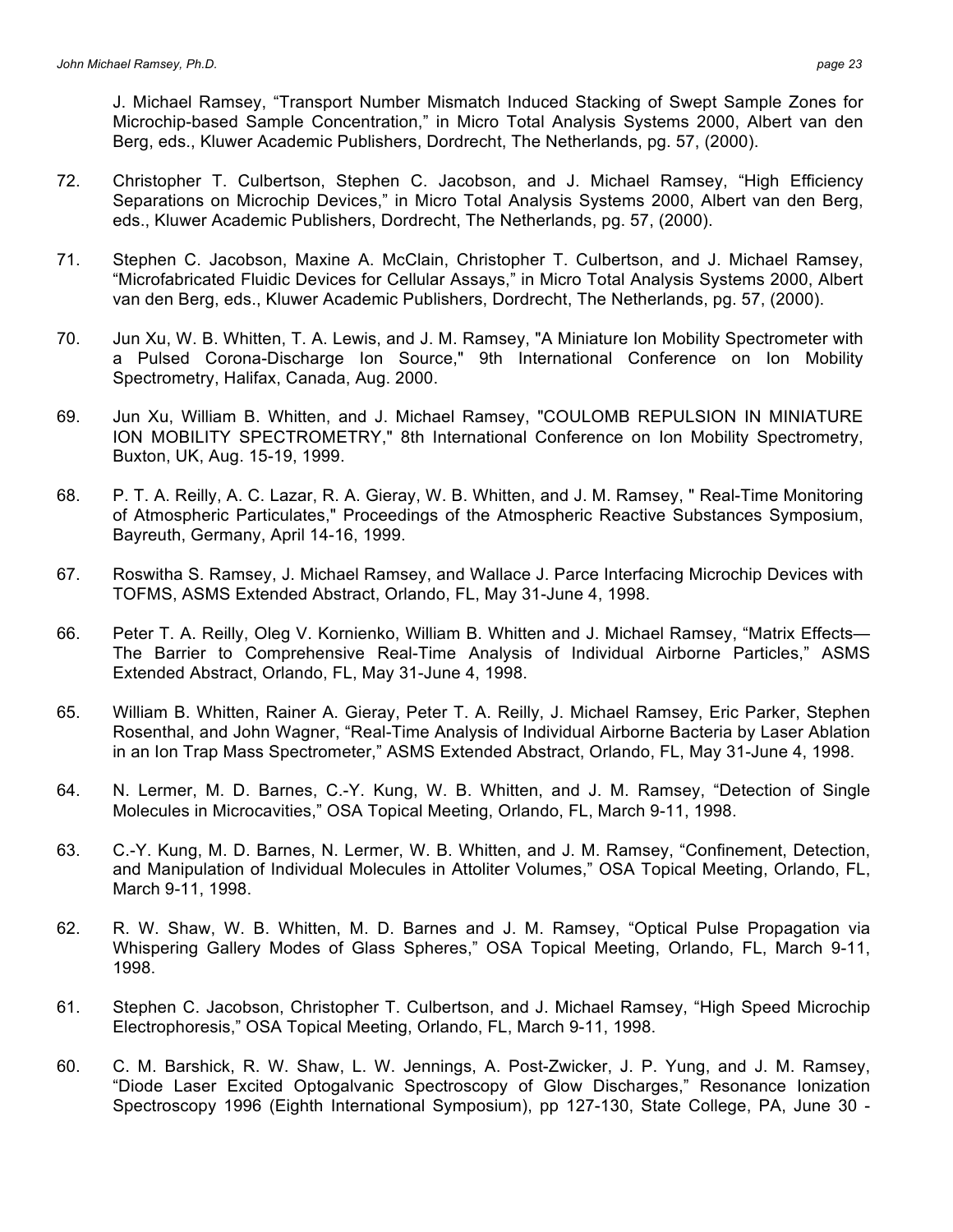J. Michael Ramsey, "Transport Number Mismatch Induced Stacking of Swept Sample Zones for Microchip-based Sample Concentration," in Micro Total Analysis Systems 2000, Albert van den Berg, eds., Kluwer Academic Publishers, Dordrecht, The Netherlands, pg. 57, (2000).

- 72. Christopher T. Culbertson, Stephen C. Jacobson, and J. Michael Ramsey, "High Efficiency Separations on Microchip Devices," in Micro Total Analysis Systems 2000, Albert van den Berg, eds., Kluwer Academic Publishers, Dordrecht, The Netherlands, pg. 57, (2000).
- 71. Stephen C. Jacobson, Maxine A. McClain, Christopher T. Culbertson, and J. Michael Ramsey, "Microfabricated Fluidic Devices for Cellular Assays," in Micro Total Analysis Systems 2000, Albert van den Berg, eds., Kluwer Academic Publishers, Dordrecht, The Netherlands, pg. 57, (2000).
- 70. Jun Xu, W. B. Whitten, T. A. Lewis, and J. M. Ramsey, "A Miniature Ion Mobility Spectrometer with a Pulsed Corona-Discharge Ion Source," 9th International Conference on Ion Mobility Spectrometry, Halifax, Canada, Aug. 2000.
- 69. Jun Xu, William B. Whitten, and J. Michael Ramsey, "COULOMB REPULSION IN MINIATURE ION MOBILITY SPECTROMETRY," 8th International Conference on Ion Mobility Spectrometry, Buxton, UK, Aug. 15-19, 1999.
- 68. P. T. A. Reilly, A. C. Lazar, R. A. Gieray, W. B. Whitten, and J. M. Ramsey, " Real-Time Monitoring of Atmospheric Particulates," Proceedings of the Atmospheric Reactive Substances Symposium, Bayreuth, Germany, April 14-16, 1999.
- 67. Roswitha S. Ramsey, J. Michael Ramsey, and Wallace J. Parce Interfacing Microchip Devices with TOFMS, ASMS Extended Abstract, Orlando, FL, May 31-June 4, 1998.
- 66. Peter T. A. Reilly, Oleg V. Kornienko, William B. Whitten and J. Michael Ramsey, "Matrix Effects— The Barrier to Comprehensive Real-Time Analysis of Individual Airborne Particles," ASMS Extended Abstract, Orlando, FL, May 31-June 4, 1998.
- 65. William B. Whitten, Rainer A. Gieray, Peter T. A. Reilly, J. Michael Ramsey, Eric Parker, Stephen Rosenthal, and John Wagner, "Real-Time Analysis of Individual Airborne Bacteria by Laser Ablation in an Ion Trap Mass Spectrometer," ASMS Extended Abstract, Orlando, FL, May 31-June 4, 1998.
- 64. N. Lermer, M. D. Barnes, C.-Y. Kung, W. B. Whitten, and J. M. Ramsey, "Detection of Single Molecules in Microcavities," OSA Topical Meeting, Orlando, FL, March 9-11, 1998.
- 63. C.-Y. Kung, M. D. Barnes, N. Lermer, W. B. Whitten, and J. M. Ramsey, "Confinement, Detection, and Manipulation of Individual Molecules in Attoliter Volumes," OSA Topical Meeting, Orlando, FL, March 9-11, 1998.
- 62. R. W. Shaw, W. B. Whitten, M. D. Barnes and J. M. Ramsey, "Optical Pulse Propagation via Whispering Gallery Modes of Glass Spheres," OSA Topical Meeting, Orlando, FL, March 9-11, 1998.
- 61. Stephen C. Jacobson, Christopher T. Culbertson, and J. Michael Ramsey, "High Speed Microchip Electrophoresis," OSA Topical Meeting, Orlando, FL, March 9-11, 1998.
- 60. C. M. Barshick, R. W. Shaw, L. W. Jennings, A. Post-Zwicker, J. P. Yung, and J. M. Ramsey, "Diode Laser Excited Optogalvanic Spectroscopy of Glow Discharges," Resonance Ionization Spectroscopy 1996 (Eighth International Symposium), pp 127-130, State College, PA, June 30 -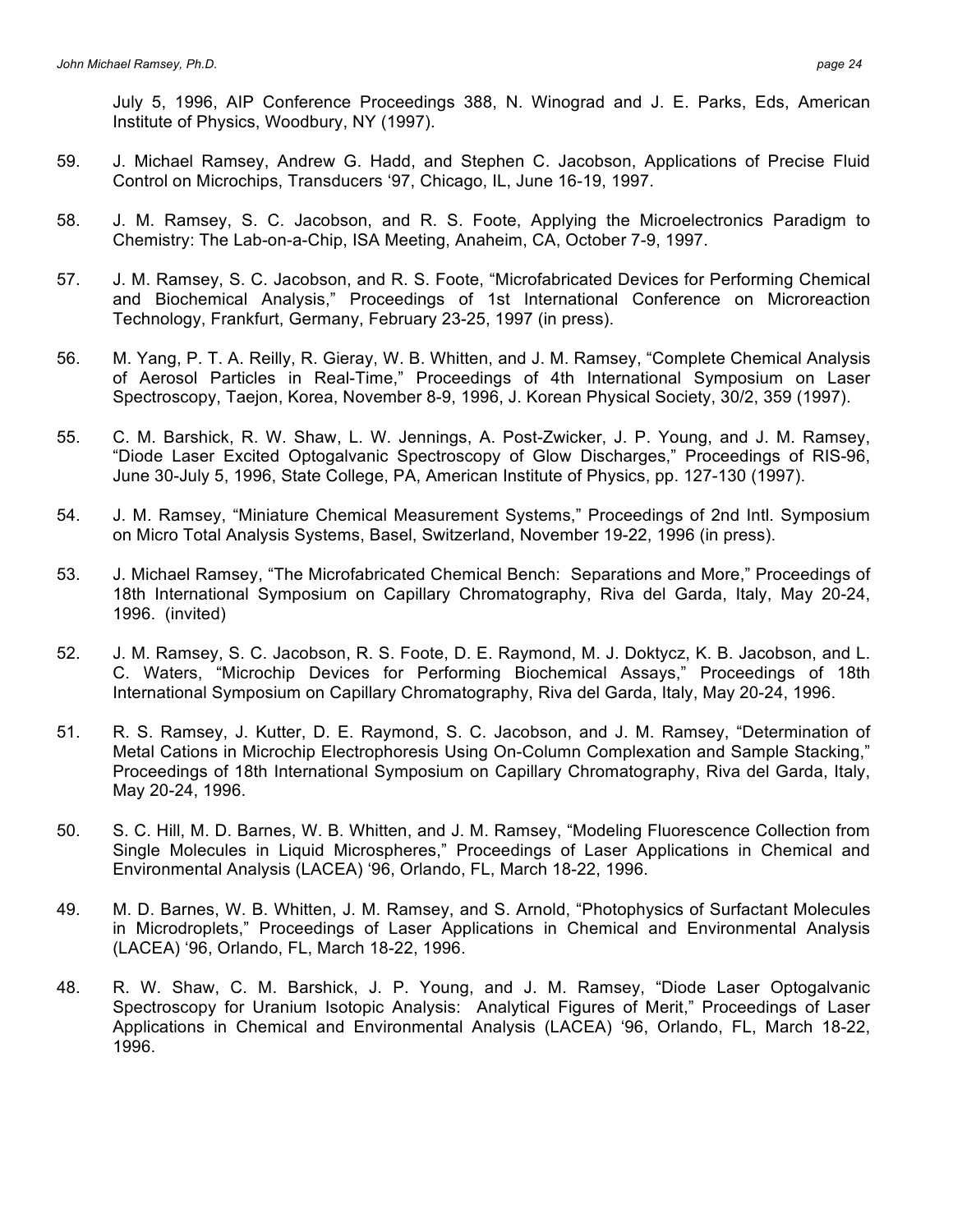July 5, 1996, AIP Conference Proceedings 388, N. Winograd and J. E. Parks, Eds, American Institute of Physics, Woodbury, NY (1997).

- 59. J. Michael Ramsey, Andrew G. Hadd, and Stephen C. Jacobson, Applications of Precise Fluid Control on Microchips, Transducers '97, Chicago, IL, June 16-19, 1997.
- 58. J. M. Ramsey, S. C. Jacobson, and R. S. Foote, Applying the Microelectronics Paradigm to Chemistry: The Lab-on-a-Chip, ISA Meeting, Anaheim, CA, October 7-9, 1997.
- 57. J. M. Ramsey, S. C. Jacobson, and R. S. Foote, "Microfabricated Devices for Performing Chemical and Biochemical Analysis," Proceedings of 1st International Conference on Microreaction Technology, Frankfurt, Germany, February 23-25, 1997 (in press).
- 56. M. Yang, P. T. A. Reilly, R. Gieray, W. B. Whitten, and J. M. Ramsey, "Complete Chemical Analysis of Aerosol Particles in Real-Time," Proceedings of 4th International Symposium on Laser Spectroscopy, Taejon, Korea, November 8-9, 1996, J. Korean Physical Society, 30/2, 359 (1997).
- 55. C. M. Barshick, R. W. Shaw, L. W. Jennings, A. Post-Zwicker, J. P. Young, and J. M. Ramsey, "Diode Laser Excited Optogalvanic Spectroscopy of Glow Discharges," Proceedings of RIS-96, June 30-July 5, 1996, State College, PA, American Institute of Physics, pp. 127-130 (1997).
- 54. J. M. Ramsey, "Miniature Chemical Measurement Systems," Proceedings of 2nd Intl. Symposium on Micro Total Analysis Systems, Basel, Switzerland, November 19-22, 1996 (in press).
- 53. J. Michael Ramsey, "The Microfabricated Chemical Bench: Separations and More," Proceedings of 18th International Symposium on Capillary Chromatography, Riva del Garda, Italy, May 20-24, 1996. (invited)
- 52. J. M. Ramsey, S. C. Jacobson, R. S. Foote, D. E. Raymond, M. J. Doktycz, K. B. Jacobson, and L. C. Waters, "Microchip Devices for Performing Biochemical Assays," Proceedings of 18th International Symposium on Capillary Chromatography, Riva del Garda, Italy, May 20-24, 1996.
- 51. R. S. Ramsey, J. Kutter, D. E. Raymond, S. C. Jacobson, and J. M. Ramsey, "Determination of Metal Cations in Microchip Electrophoresis Using On-Column Complexation and Sample Stacking," Proceedings of 18th International Symposium on Capillary Chromatography, Riva del Garda, Italy, May 20-24, 1996.
- 50. S. C. Hill, M. D. Barnes, W. B. Whitten, and J. M. Ramsey, "Modeling Fluorescence Collection from Single Molecules in Liquid Microspheres," Proceedings of Laser Applications in Chemical and Environmental Analysis (LACEA) '96, Orlando, FL, March 18-22, 1996.
- 49. M. D. Barnes, W. B. Whitten, J. M. Ramsey, and S. Arnold, "Photophysics of Surfactant Molecules in Microdroplets," Proceedings of Laser Applications in Chemical and Environmental Analysis (LACEA) '96, Orlando, FL, March 18-22, 1996.
- 48. R. W. Shaw, C. M. Barshick, J. P. Young, and J. M. Ramsey, "Diode Laser Optogalvanic Spectroscopy for Uranium Isotopic Analysis: Analytical Figures of Merit," Proceedings of Laser Applications in Chemical and Environmental Analysis (LACEA) '96, Orlando, FL, March 18-22, 1996.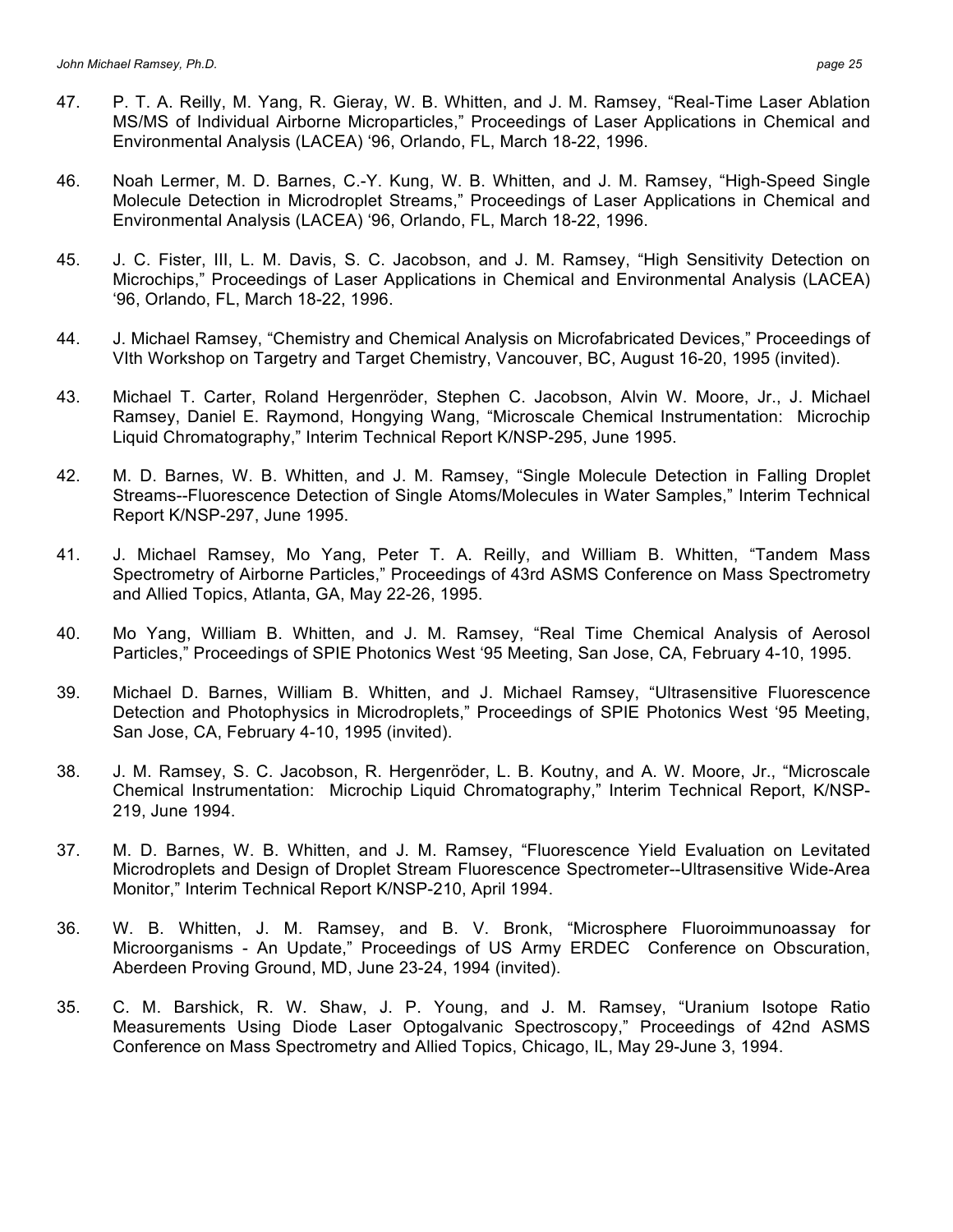- 47. P. T. A. Reilly, M. Yang, R. Gieray, W. B. Whitten, and J. M. Ramsey, "Real-Time Laser Ablation MS/MS of Individual Airborne Microparticles," Proceedings of Laser Applications in Chemical and Environmental Analysis (LACEA) '96, Orlando, FL, March 18-22, 1996.
- 46. Noah Lermer, M. D. Barnes, C.-Y. Kung, W. B. Whitten, and J. M. Ramsey, "High-Speed Single Molecule Detection in Microdroplet Streams," Proceedings of Laser Applications in Chemical and Environmental Analysis (LACEA) '96, Orlando, FL, March 18-22, 1996.
- 45. J. C. Fister, III, L. M. Davis, S. C. Jacobson, and J. M. Ramsey, "High Sensitivity Detection on Microchips," Proceedings of Laser Applications in Chemical and Environmental Analysis (LACEA) '96, Orlando, FL, March 18-22, 1996.
- 44. J. Michael Ramsey, "Chemistry and Chemical Analysis on Microfabricated Devices," Proceedings of VIth Workshop on Targetry and Target Chemistry, Vancouver, BC, August 16-20, 1995 (invited).
- 43. Michael T. Carter, Roland Hergenröder, Stephen C. Jacobson, Alvin W. Moore, Jr., J. Michael Ramsey, Daniel E. Raymond, Hongying Wang, "Microscale Chemical Instrumentation: Microchip Liquid Chromatography," Interim Technical Report K/NSP-295, June 1995.
- 42. M. D. Barnes, W. B. Whitten, and J. M. Ramsey, "Single Molecule Detection in Falling Droplet Streams--Fluorescence Detection of Single Atoms/Molecules in Water Samples," Interim Technical Report K/NSP-297, June 1995.
- 41. J. Michael Ramsey, Mo Yang, Peter T. A. Reilly, and William B. Whitten, "Tandem Mass Spectrometry of Airborne Particles," Proceedings of 43rd ASMS Conference on Mass Spectrometry and Allied Topics, Atlanta, GA, May 22-26, 1995.
- 40. Mo Yang, William B. Whitten, and J. M. Ramsey, "Real Time Chemical Analysis of Aerosol Particles," Proceedings of SPIE Photonics West '95 Meeting, San Jose, CA, February 4-10, 1995.
- 39. Michael D. Barnes, William B. Whitten, and J. Michael Ramsey, "Ultrasensitive Fluorescence Detection and Photophysics in Microdroplets," Proceedings of SPIE Photonics West '95 Meeting, San Jose, CA, February 4-10, 1995 (invited).
- 38. J. M. Ramsey, S. C. Jacobson, R. Hergenröder, L. B. Koutny, and A. W. Moore, Jr., "Microscale Chemical Instrumentation: Microchip Liquid Chromatography," Interim Technical Report, K/NSP-219, June 1994.
- 37. M. D. Barnes, W. B. Whitten, and J. M. Ramsey, "Fluorescence Yield Evaluation on Levitated Microdroplets and Design of Droplet Stream Fluorescence Spectrometer--Ultrasensitive Wide-Area Monitor," Interim Technical Report K/NSP-210, April 1994.
- 36. W. B. Whitten, J. M. Ramsey, and B. V. Bronk, "Microsphere Fluoroimmunoassay for Microorganisms - An Update," Proceedings of US Army ERDEC Conference on Obscuration, Aberdeen Proving Ground, MD, June 23-24, 1994 (invited).
- 35. C. M. Barshick, R. W. Shaw, J. P. Young, and J. M. Ramsey, "Uranium Isotope Ratio Measurements Using Diode Laser Optogalvanic Spectroscopy," Proceedings of 42nd ASMS Conference on Mass Spectrometry and Allied Topics, Chicago, IL, May 29-June 3, 1994.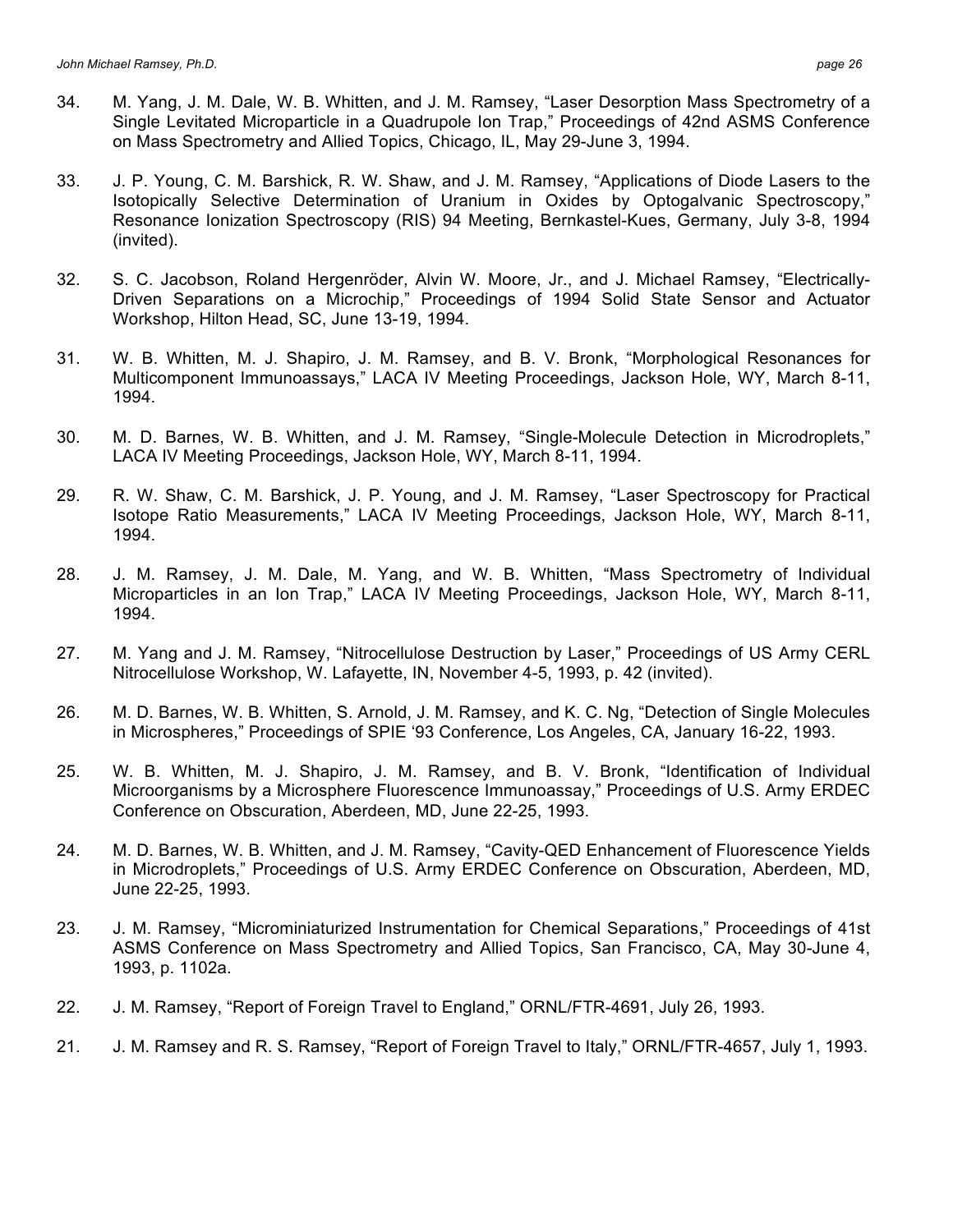- 34. M. Yang, J. M. Dale, W. B. Whitten, and J. M. Ramsey, "Laser Desorption Mass Spectrometry of a Single Levitated Microparticle in a Quadrupole Ion Trap," Proceedings of 42nd ASMS Conference on Mass Spectrometry and Allied Topics, Chicago, IL, May 29-June 3, 1994.
- 33. J. P. Young, C. M. Barshick, R. W. Shaw, and J. M. Ramsey, "Applications of Diode Lasers to the Isotopically Selective Determination of Uranium in Oxides by Optogalvanic Spectroscopy," Resonance Ionization Spectroscopy (RIS) 94 Meeting, Bernkastel-Kues, Germany, July 3-8, 1994 (invited).
- 32. S. C. Jacobson, Roland Hergenröder, Alvin W. Moore, Jr., and J. Michael Ramsey, "Electrically-Driven Separations on a Microchip," Proceedings of 1994 Solid State Sensor and Actuator Workshop, Hilton Head, SC, June 13-19, 1994.
- 31. W. B. Whitten, M. J. Shapiro, J. M. Ramsey, and B. V. Bronk, "Morphological Resonances for Multicomponent Immunoassays," LACA IV Meeting Proceedings, Jackson Hole, WY, March 8-11, 1994.
- 30. M. D. Barnes, W. B. Whitten, and J. M. Ramsey, "Single-Molecule Detection in Microdroplets," LACA IV Meeting Proceedings, Jackson Hole, WY, March 8-11, 1994.
- 29. R. W. Shaw, C. M. Barshick, J. P. Young, and J. M. Ramsey, "Laser Spectroscopy for Practical Isotope Ratio Measurements," LACA IV Meeting Proceedings, Jackson Hole, WY, March 8-11, 1994.
- 28. J. M. Ramsey, J. M. Dale, M. Yang, and W. B. Whitten, "Mass Spectrometry of Individual Microparticles in an Ion Trap," LACA IV Meeting Proceedings, Jackson Hole, WY, March 8-11, 1994.
- 27. M. Yang and J. M. Ramsey, "Nitrocellulose Destruction by Laser," Proceedings of US Army CERL Nitrocellulose Workshop, W. Lafayette, IN, November 4-5, 1993, p. 42 (invited).
- 26. M. D. Barnes, W. B. Whitten, S. Arnold, J. M. Ramsey, and K. C. Ng, "Detection of Single Molecules in Microspheres," Proceedings of SPIE '93 Conference, Los Angeles, CA, January 16-22, 1993.
- 25. W. B. Whitten, M. J. Shapiro, J. M. Ramsey, and B. V. Bronk, "Identification of Individual Microorganisms by a Microsphere Fluorescence Immunoassay," Proceedings of U.S. Army ERDEC Conference on Obscuration, Aberdeen, MD, June 22-25, 1993.
- 24. M. D. Barnes, W. B. Whitten, and J. M. Ramsey, "Cavity-QED Enhancement of Fluorescence Yields in Microdroplets," Proceedings of U.S. Army ERDEC Conference on Obscuration, Aberdeen, MD, June 22-25, 1993.
- 23. J. M. Ramsey, "Microminiaturized Instrumentation for Chemical Separations," Proceedings of 41st ASMS Conference on Mass Spectrometry and Allied Topics, San Francisco, CA, May 30-June 4, 1993, p. 1102a.
- 22. J. M. Ramsey, "Report of Foreign Travel to England," ORNL/FTR-4691, July 26, 1993.
- 21. J. M. Ramsey and R. S. Ramsey, "Report of Foreign Travel to Italy," ORNL/FTR-4657, July 1, 1993.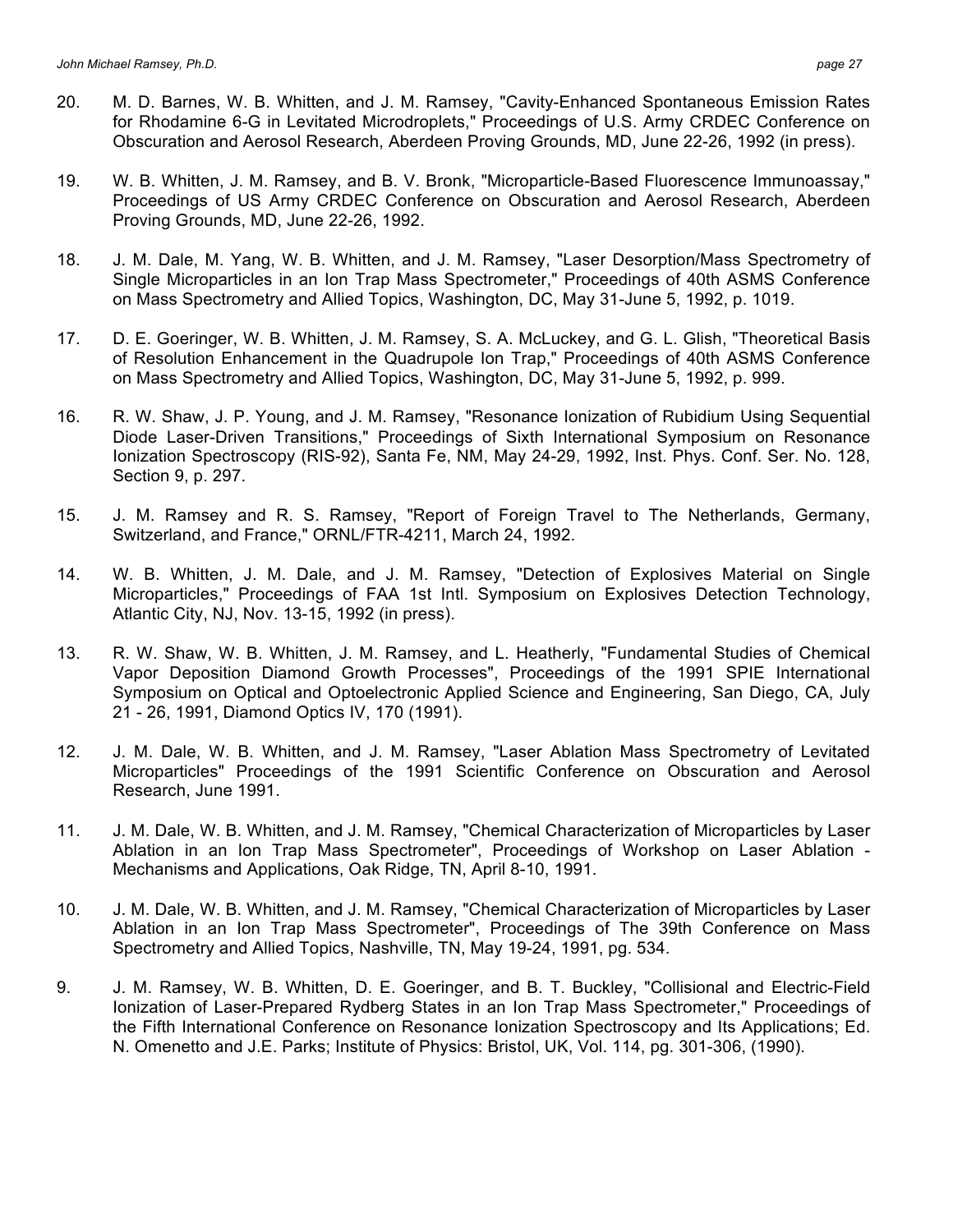- 20. M. D. Barnes, W. B. Whitten, and J. M. Ramsey, "Cavity-Enhanced Spontaneous Emission Rates for Rhodamine 6-G in Levitated Microdroplets," Proceedings of U.S. Army CRDEC Conference on Obscuration and Aerosol Research, Aberdeen Proving Grounds, MD, June 22-26, 1992 (in press).
- 19. W. B. Whitten, J. M. Ramsey, and B. V. Bronk, "Microparticle-Based Fluorescence Immunoassay," Proceedings of US Army CRDEC Conference on Obscuration and Aerosol Research, Aberdeen Proving Grounds, MD, June 22-26, 1992.
- 18. J. M. Dale, M. Yang, W. B. Whitten, and J. M. Ramsey, "Laser Desorption/Mass Spectrometry of Single Microparticles in an Ion Trap Mass Spectrometer," Proceedings of 40th ASMS Conference on Mass Spectrometry and Allied Topics, Washington, DC, May 31-June 5, 1992, p. 1019.
- 17. D. E. Goeringer, W. B. Whitten, J. M. Ramsey, S. A. McLuckey, and G. L. Glish, "Theoretical Basis of Resolution Enhancement in the Quadrupole Ion Trap," Proceedings of 40th ASMS Conference on Mass Spectrometry and Allied Topics, Washington, DC, May 31-June 5, 1992, p. 999.
- 16. R. W. Shaw, J. P. Young, and J. M. Ramsey, "Resonance Ionization of Rubidium Using Sequential Diode Laser-Driven Transitions," Proceedings of Sixth International Symposium on Resonance Ionization Spectroscopy (RIS-92), Santa Fe, NM, May 24-29, 1992, Inst. Phys. Conf. Ser. No. 128, Section 9, p. 297.
- 15. J. M. Ramsey and R. S. Ramsey, "Report of Foreign Travel to The Netherlands, Germany, Switzerland, and France," ORNL/FTR-4211, March 24, 1992.
- 14. W. B. Whitten, J. M. Dale, and J. M. Ramsey, "Detection of Explosives Material on Single Microparticles," Proceedings of FAA 1st Intl. Symposium on Explosives Detection Technology, Atlantic City, NJ, Nov. 13-15, 1992 (in press).
- 13. R. W. Shaw, W. B. Whitten, J. M. Ramsey, and L. Heatherly, "Fundamental Studies of Chemical Vapor Deposition Diamond Growth Processes", Proceedings of the 1991 SPIE International Symposium on Optical and Optoelectronic Applied Science and Engineering, San Diego, CA, July 21 - 26, 1991, Diamond Optics IV, 170 (1991).
- 12. J. M. Dale, W. B. Whitten, and J. M. Ramsey, "Laser Ablation Mass Spectrometry of Levitated Microparticles" Proceedings of the 1991 Scientific Conference on Obscuration and Aerosol Research, June 1991.
- 11. J. M. Dale, W. B. Whitten, and J. M. Ramsey, "Chemical Characterization of Microparticles by Laser Ablation in an Ion Trap Mass Spectrometer", Proceedings of Workshop on Laser Ablation - Mechanisms and Applications, Oak Ridge, TN, April 8-10, 1991.
- 10. J. M. Dale, W. B. Whitten, and J. M. Ramsey, "Chemical Characterization of Microparticles by Laser Ablation in an Ion Trap Mass Spectrometer", Proceedings of The 39th Conference on Mass Spectrometry and Allied Topics, Nashville, TN, May 19-24, 1991, pg. 534.
- 9. J. M. Ramsey, W. B. Whitten, D. E. Goeringer, and B. T. Buckley, "Collisional and Electric-Field Ionization of Laser-Prepared Rydberg States in an Ion Trap Mass Spectrometer," Proceedings of the Fifth International Conference on Resonance Ionization Spectroscopy and Its Applications; Ed. N. Omenetto and J.E. Parks; Institute of Physics: Bristol, UK, Vol. 114, pg. 301-306, (1990).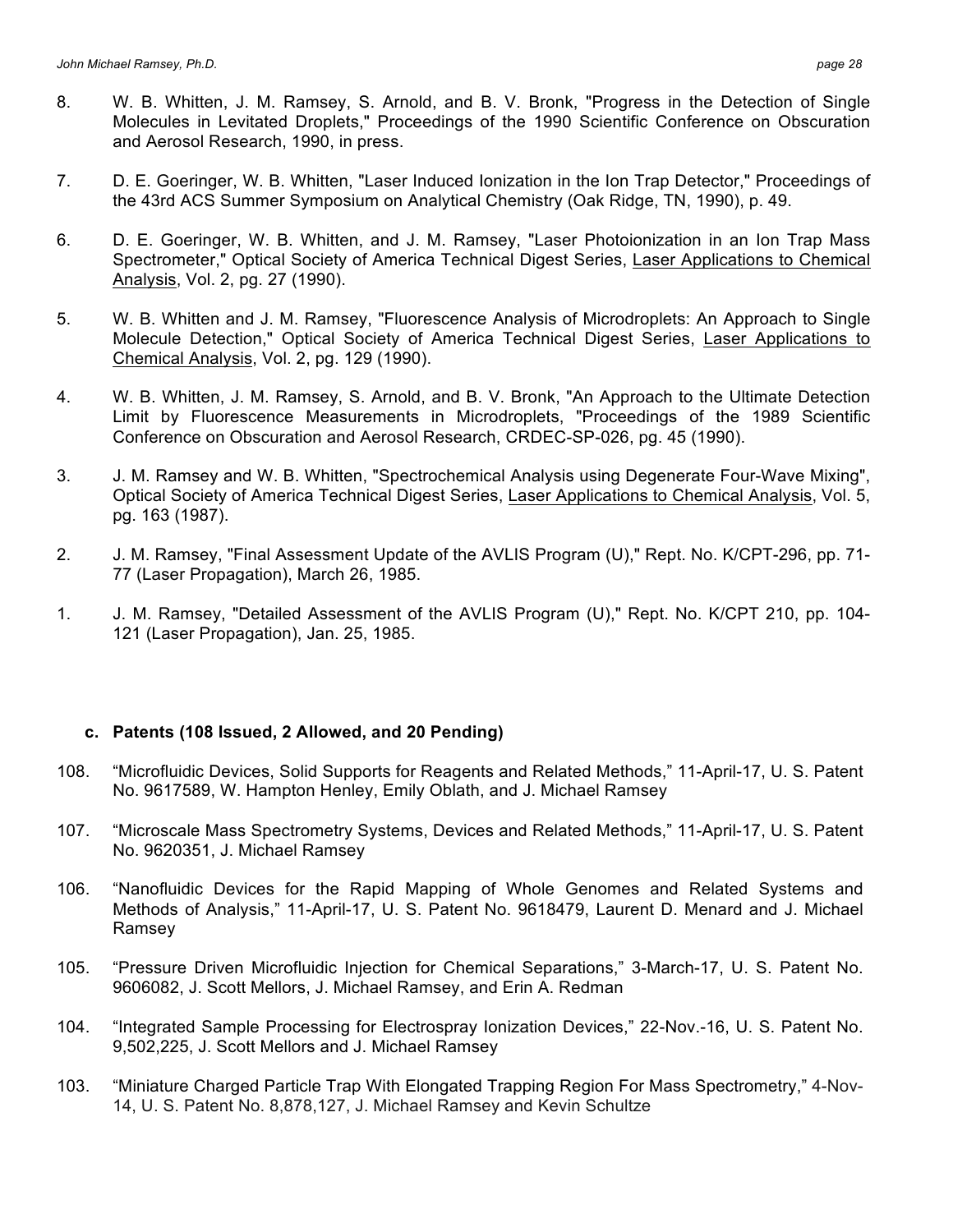- 8. W. B. Whitten, J. M. Ramsey, S. Arnold, and B. V. Bronk, "Progress in the Detection of Single Molecules in Levitated Droplets," Proceedings of the 1990 Scientific Conference on Obscuration and Aerosol Research, 1990, in press.
- 7. D. E. Goeringer, W. B. Whitten, "Laser Induced Ionization in the Ion Trap Detector," Proceedings of the 43rd ACS Summer Symposium on Analytical Chemistry (Oak Ridge, TN, 1990), p. 49.
- 6. D. E. Goeringer, W. B. Whitten, and J. M. Ramsey, "Laser Photoionization in an Ion Trap Mass Spectrometer," Optical Society of America Technical Digest Series, Laser Applications to Chemical Analysis, Vol. 2, pg. 27 (1990).
- 5. W. B. Whitten and J. M. Ramsey, "Fluorescence Analysis of Microdroplets: An Approach to Single Molecule Detection," Optical Society of America Technical Digest Series, Laser Applications to Chemical Analysis, Vol. 2, pg. 129 (1990).
- 4. W. B. Whitten, J. M. Ramsey, S. Arnold, and B. V. Bronk, "An Approach to the Ultimate Detection Limit by Fluorescence Measurements in Microdroplets, "Proceedings of the 1989 Scientific Conference on Obscuration and Aerosol Research, CRDEC-SP-026, pg. 45 (1990).
- 3. J. M. Ramsey and W. B. Whitten, "Spectrochemical Analysis using Degenerate Four-Wave Mixing", Optical Society of America Technical Digest Series, Laser Applications to Chemical Analysis, Vol. 5, pg. 163 (1987).
- 2. J. M. Ramsey, "Final Assessment Update of the AVLIS Program (U)," Rept. No. K/CPT-296, pp. 71- 77 (Laser Propagation), March 26, 1985.
- 1. J. M. Ramsey, "Detailed Assessment of the AVLIS Program (U)," Rept. No. K/CPT 210, pp. 104- 121 (Laser Propagation), Jan. 25, 1985.

#### **c. Patents (108 Issued, 2 Allowed, and 20 Pending)**

- 108. "Microfluidic Devices, Solid Supports for Reagents and Related Methods," 11-April-17, U. S. Patent No. 9617589, W. Hampton Henley, Emily Oblath, and J. Michael Ramsey
- 107. "Microscale Mass Spectrometry Systems, Devices and Related Methods," 11-April-17, U. S. Patent No. 9620351, J. Michael Ramsey
- 106. "Nanofluidic Devices for the Rapid Mapping of Whole Genomes and Related Systems and Methods of Analysis," 11-April-17, U. S. Patent No. 9618479, Laurent D. Menard and J. Michael Ramsey
- 105. "Pressure Driven Microfluidic Injection for Chemical Separations," 3-March-17, U. S. Patent No. 9606082, J. Scott Mellors, J. Michael Ramsey, and Erin A. Redman
- 104. "Integrated Sample Processing for Electrospray Ionization Devices," 22-Nov.-16, U. S. Patent No. 9,502,225, J. Scott Mellors and J. Michael Ramsey
- 103. "Miniature Charged Particle Trap With Elongated Trapping Region For Mass Spectrometry," 4-Nov-14, U. S. Patent No. 8,878,127, J. Michael Ramsey and Kevin Schultze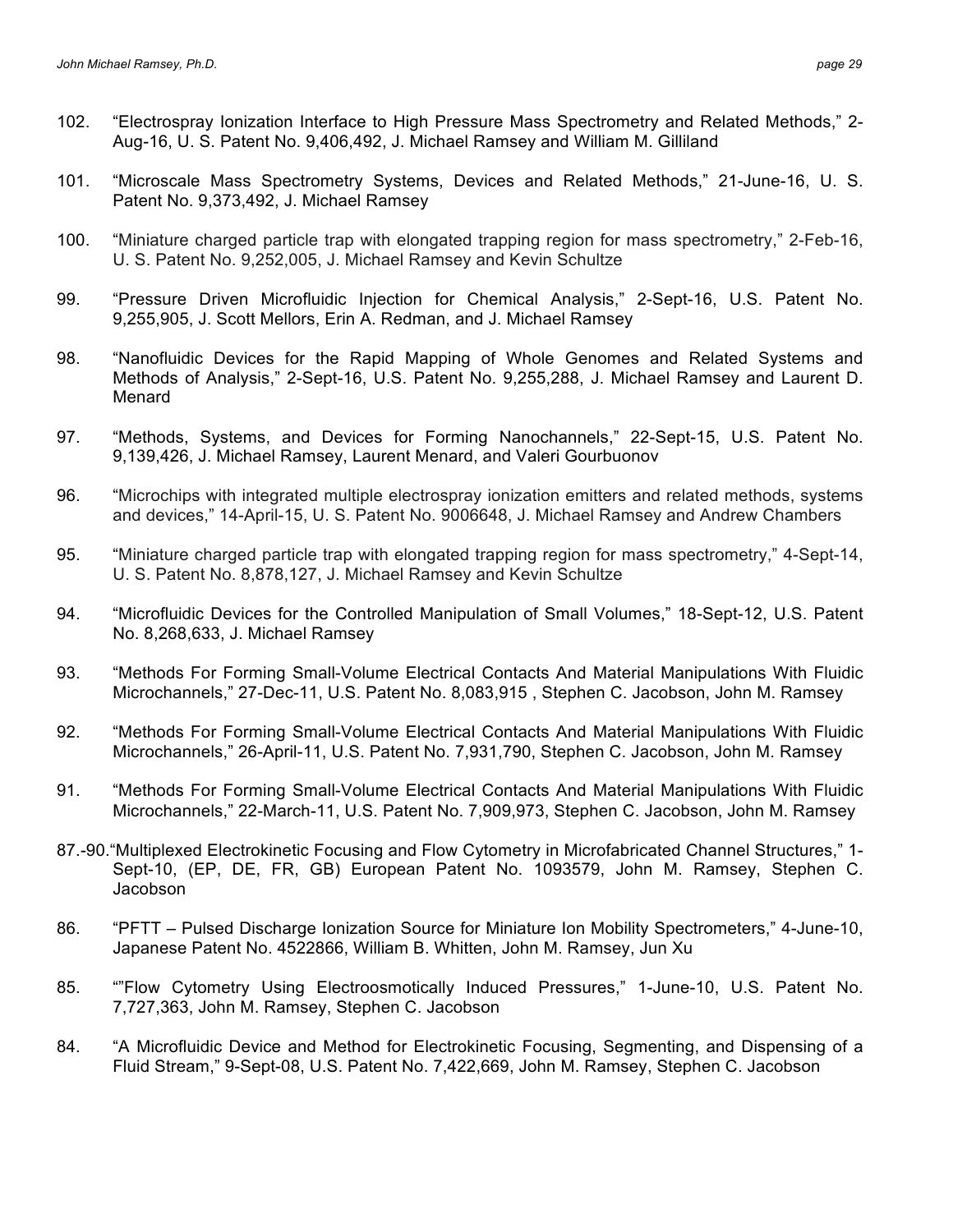- 102. "Electrospray Ionization Interface to High Pressure Mass Spectrometry and Related Methods," 2- Aug-16, U. S. Patent No. 9,406,492, J. Michael Ramsey and William M. Gilliland
- 101. "Microscale Mass Spectrometry Systems, Devices and Related Methods," 21-June-16, U. S. Patent No. 9,373,492, J. Michael Ramsey
- 100. "Miniature charged particle trap with elongated trapping region for mass spectrometry," 2-Feb-16, U. S. Patent No. 9,252,005, J. Michael Ramsey and Kevin Schultze
- 99. "Pressure Driven Microfluidic Injection for Chemical Analysis," 2-Sept-16, U.S. Patent No. 9,255,905, J. Scott Mellors, Erin A. Redman, and J. Michael Ramsey
- 98. "Nanofluidic Devices for the Rapid Mapping of Whole Genomes and Related Systems and Methods of Analysis," 2-Sept-16, U.S. Patent No. 9,255,288, J. Michael Ramsey and Laurent D. Menard
- 97. "Methods, Systems, and Devices for Forming Nanochannels," 22-Sept-15, U.S. Patent No. 9,139,426, J. Michael Ramsey, Laurent Menard, and Valeri Gourbuonov
- 96. "Microchips with integrated multiple electrospray ionization emitters and related methods, systems and devices," 14-April-15, U. S. Patent No. 9006648, J. Michael Ramsey and Andrew Chambers
- 95. "Miniature charged particle trap with elongated trapping region for mass spectrometry," 4-Sept-14, U. S. Patent No. 8,878,127, J. Michael Ramsey and Kevin Schultze
- 94. "Microfluidic Devices for the Controlled Manipulation of Small Volumes," 18-Sept-12, U.S. Patent No. 8,268,633, J. Michael Ramsey
- 93. "Methods For Forming Small-Volume Electrical Contacts And Material Manipulations With Fluidic Microchannels," 27-Dec-11, U.S. Patent No. 8,083,915 , Stephen C. Jacobson, John M. Ramsey
- 92. "Methods For Forming Small-Volume Electrical Contacts And Material Manipulations With Fluidic Microchannels," 26-April-11, U.S. Patent No. 7,931,790, Stephen C. Jacobson, John M. Ramsey
- 91. "Methods For Forming Small-Volume Electrical Contacts And Material Manipulations With Fluidic Microchannels," 22-March-11, U.S. Patent No. 7,909,973, Stephen C. Jacobson, John M. Ramsey
- 87.-90."Multiplexed Electrokinetic Focusing and Flow Cytometry in Microfabricated Channel Structures," 1- Sept-10, (EP, DE, FR, GB) European Patent No. 1093579, John M. Ramsey, Stephen C. Jacobson
- 86. "PFTT Pulsed Discharge Ionization Source for Miniature Ion Mobility Spectrometers," 4-June-10, Japanese Patent No. 4522866, William B. Whitten, John M. Ramsey, Jun Xu
- 85. ""Flow Cytometry Using Electroosmotically Induced Pressures," 1-June-10, U.S. Patent No. 7,727,363, John M. Ramsey, Stephen C. Jacobson
- 84. "A Microfluidic Device and Method for Electrokinetic Focusing, Segmenting, and Dispensing of a Fluid Stream," 9-Sept-08, U.S. Patent No. 7,422,669, John M. Ramsey, Stephen C. Jacobson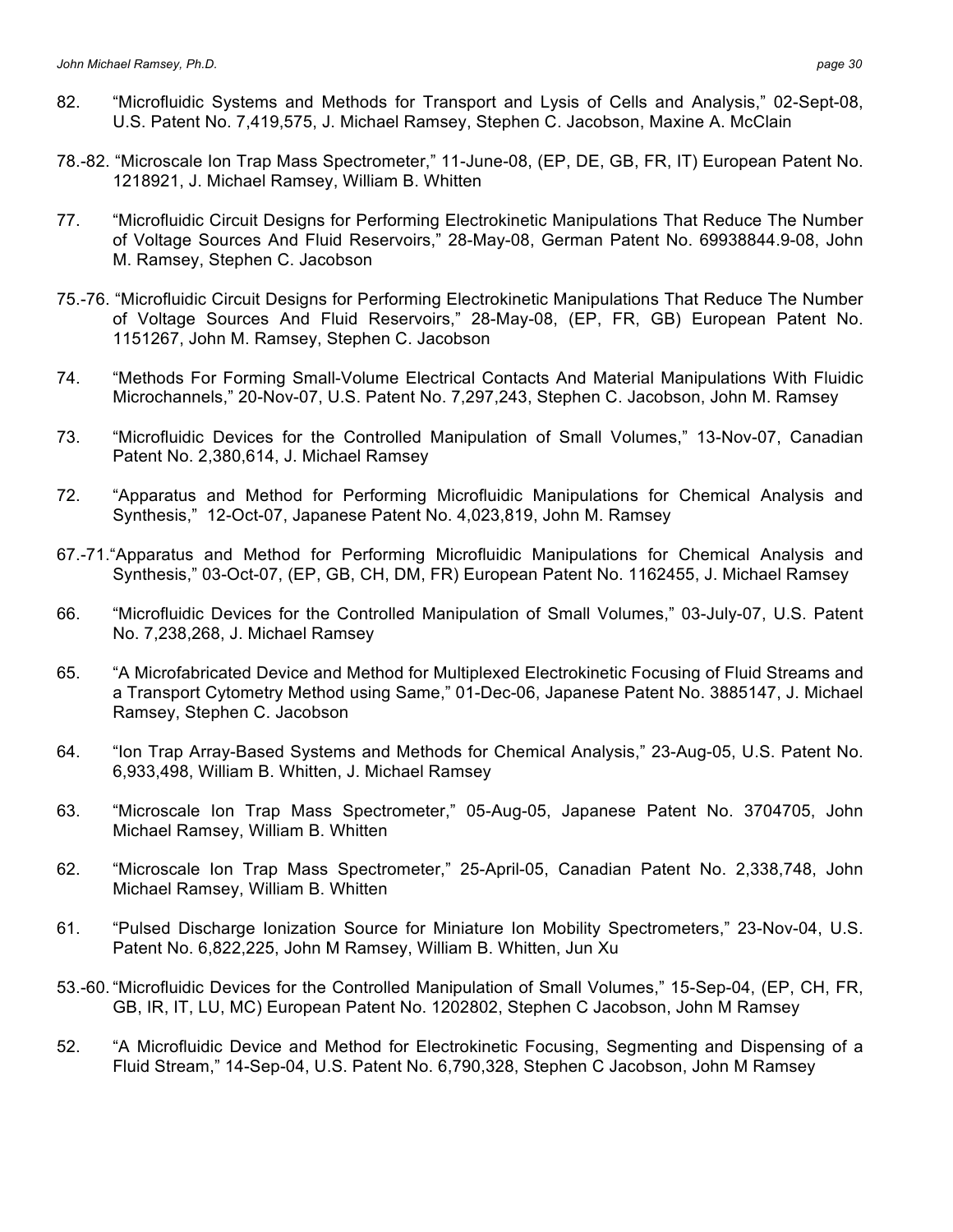- 82. "Microfluidic Systems and Methods for Transport and Lysis of Cells and Analysis," 02-Sept-08, U.S. Patent No. 7,419,575, J. Michael Ramsey, Stephen C. Jacobson, Maxine A. McClain
- 78.-82. "Microscale Ion Trap Mass Spectrometer," 11-June-08, (EP, DE, GB, FR, IT) European Patent No. 1218921, J. Michael Ramsey, William B. Whitten
- 77. "Microfluidic Circuit Designs for Performing Electrokinetic Manipulations That Reduce The Number of Voltage Sources And Fluid Reservoirs," 28-May-08, German Patent No. 69938844.9-08, John M. Ramsey, Stephen C. Jacobson
- 75.-76. "Microfluidic Circuit Designs for Performing Electrokinetic Manipulations That Reduce The Number of Voltage Sources And Fluid Reservoirs," 28-May-08, (EP, FR, GB) European Patent No. 1151267, John M. Ramsey, Stephen C. Jacobson
- 74. "Methods For Forming Small-Volume Electrical Contacts And Material Manipulations With Fluidic Microchannels," 20-Nov-07, U.S. Patent No. 7,297,243, Stephen C. Jacobson, John M. Ramsey
- 73. "Microfluidic Devices for the Controlled Manipulation of Small Volumes," 13-Nov-07, Canadian Patent No. 2,380,614, J. Michael Ramsey
- 72. "Apparatus and Method for Performing Microfluidic Manipulations for Chemical Analysis and Synthesis," 12-Oct-07, Japanese Patent No. 4,023,819, John M. Ramsey
- 67.-71."Apparatus and Method for Performing Microfluidic Manipulations for Chemical Analysis and Synthesis," 03-Oct-07, (EP, GB, CH, DM, FR) European Patent No. 1162455, J. Michael Ramsey
- 66. "Microfluidic Devices for the Controlled Manipulation of Small Volumes," 03-July-07, U.S. Patent No. 7,238,268, J. Michael Ramsey
- 65. "A Microfabricated Device and Method for Multiplexed Electrokinetic Focusing of Fluid Streams and a Transport Cytometry Method using Same," 01-Dec-06, Japanese Patent No. 3885147, J. Michael Ramsey, Stephen C. Jacobson
- 64. "Ion Trap Array-Based Systems and Methods for Chemical Analysis," 23-Aug-05, U.S. Patent No. 6,933,498, William B. Whitten, J. Michael Ramsey
- 63. "Microscale Ion Trap Mass Spectrometer," 05-Aug-05, Japanese Patent No. 3704705, John Michael Ramsey, William B. Whitten
- 62. "Microscale Ion Trap Mass Spectrometer," 25-April-05, Canadian Patent No. 2,338,748, John Michael Ramsey, William B. Whitten
- 61. "Pulsed Discharge Ionization Source for Miniature Ion Mobility Spectrometers," 23-Nov-04, U.S. Patent No. 6,822,225, John M Ramsey, William B. Whitten, Jun Xu
- 53.-60. "Microfluidic Devices for the Controlled Manipulation of Small Volumes," 15-Sep-04, (EP, CH, FR, GB, IR, IT, LU, MC) European Patent No. 1202802, Stephen C Jacobson, John M Ramsey
- 52. "A Microfluidic Device and Method for Electrokinetic Focusing, Segmenting and Dispensing of a Fluid Stream," 14-Sep-04, U.S. Patent No. 6,790,328, Stephen C Jacobson, John M Ramsey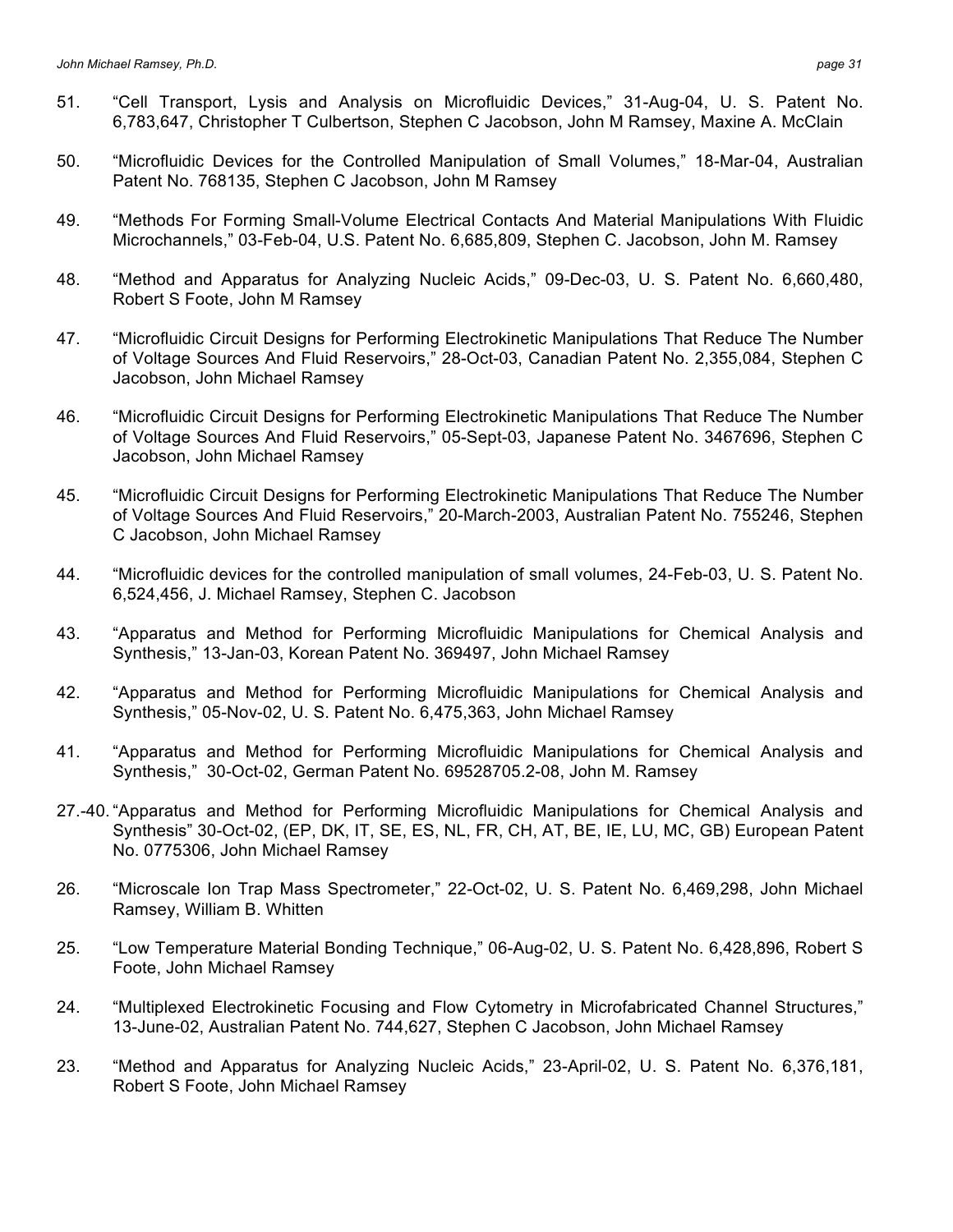- 51. "Cell Transport, Lysis and Analysis on Microfluidic Devices," 31-Aug-04, U. S. Patent No. 6,783,647, Christopher T Culbertson, Stephen C Jacobson, John M Ramsey, Maxine A. McClain
- 50. "Microfluidic Devices for the Controlled Manipulation of Small Volumes," 18-Mar-04, Australian Patent No. 768135, Stephen C Jacobson, John M Ramsey
- 49. "Methods For Forming Small-Volume Electrical Contacts And Material Manipulations With Fluidic Microchannels," 03-Feb-04, U.S. Patent No. 6,685,809, Stephen C. Jacobson, John M. Ramsey
- 48. "Method and Apparatus for Analyzing Nucleic Acids," 09-Dec-03, U. S. Patent No. 6,660,480, Robert S Foote, John M Ramsey
- 47. "Microfluidic Circuit Designs for Performing Electrokinetic Manipulations That Reduce The Number of Voltage Sources And Fluid Reservoirs," 28-Oct-03, Canadian Patent No. 2,355,084, Stephen C Jacobson, John Michael Ramsey
- 46. "Microfluidic Circuit Designs for Performing Electrokinetic Manipulations That Reduce The Number of Voltage Sources And Fluid Reservoirs," 05-Sept-03, Japanese Patent No. 3467696, Stephen C Jacobson, John Michael Ramsey
- 45. "Microfluidic Circuit Designs for Performing Electrokinetic Manipulations That Reduce The Number of Voltage Sources And Fluid Reservoirs," 20-March-2003, Australian Patent No. 755246, Stephen C Jacobson, John Michael Ramsey
- 44. "Microfluidic devices for the controlled manipulation of small volumes, 24-Feb-03, U. S. Patent No. 6,524,456, J. Michael Ramsey, Stephen C. Jacobson
- 43. "Apparatus and Method for Performing Microfluidic Manipulations for Chemical Analysis and Synthesis," 13-Jan-03, Korean Patent No. 369497, John Michael Ramsey
- 42. "Apparatus and Method for Performing Microfluidic Manipulations for Chemical Analysis and Synthesis," 05-Nov-02, U. S. Patent No. 6,475,363, John Michael Ramsey
- 41. "Apparatus and Method for Performing Microfluidic Manipulations for Chemical Analysis and Synthesis," 30-Oct-02, German Patent No. 69528705.2-08, John M. Ramsey
- 27.-40. "Apparatus and Method for Performing Microfluidic Manipulations for Chemical Analysis and Synthesis" 30-Oct-02, (EP, DK, IT, SE, ES, NL, FR, CH, AT, BE, IE, LU, MC, GB) European Patent No. 0775306, John Michael Ramsey
- 26. "Microscale Ion Trap Mass Spectrometer," 22-Oct-02, U. S. Patent No. 6,469,298, John Michael Ramsey, William B. Whitten
- 25. "Low Temperature Material Bonding Technique," 06-Aug-02, U. S. Patent No. 6,428,896, Robert S Foote, John Michael Ramsey
- 24. "Multiplexed Electrokinetic Focusing and Flow Cytometry in Microfabricated Channel Structures," 13-June-02, Australian Patent No. 744,627, Stephen C Jacobson, John Michael Ramsey
- 23. "Method and Apparatus for Analyzing Nucleic Acids," 23-April-02, U. S. Patent No. 6,376,181, Robert S Foote, John Michael Ramsey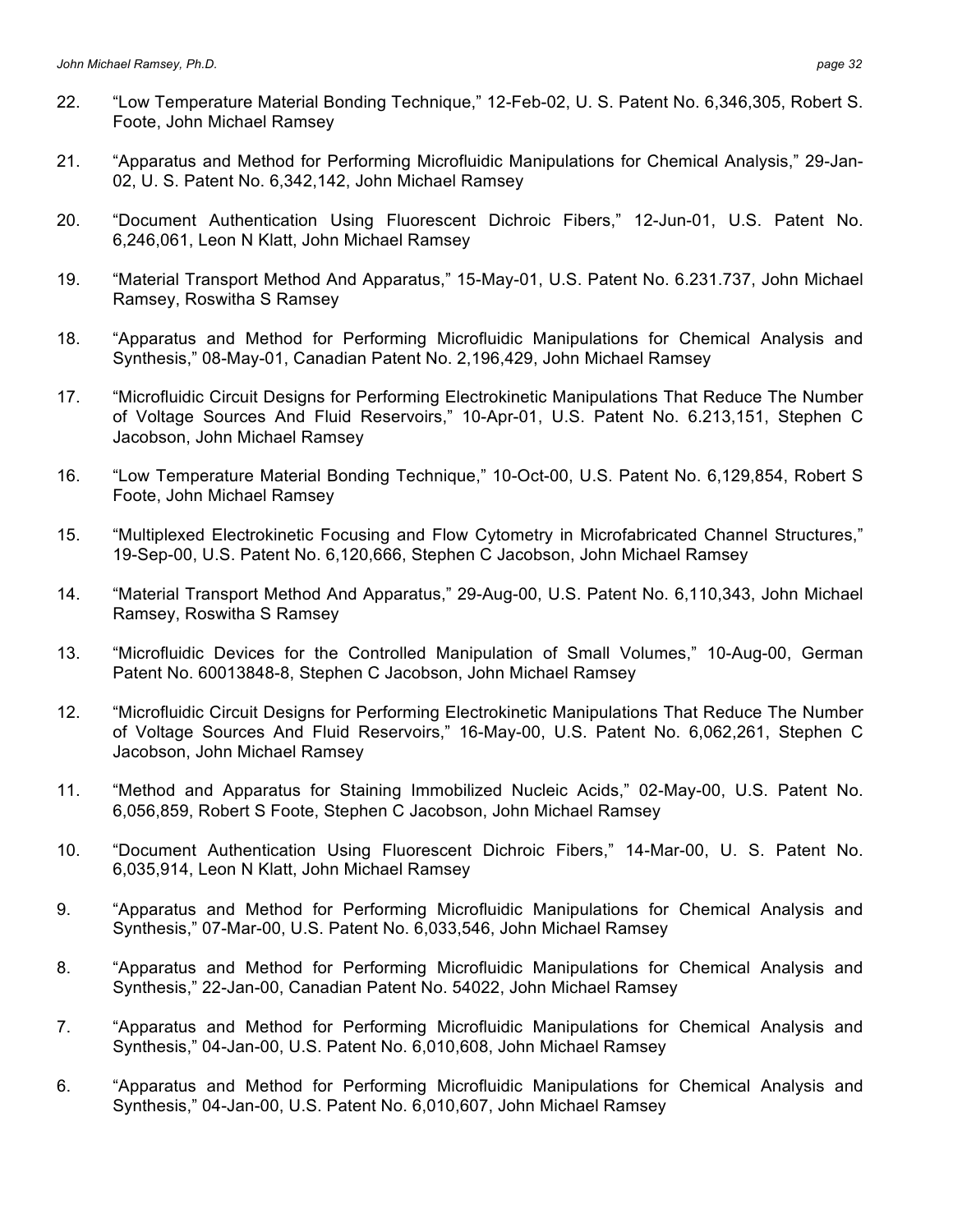- 22. "Low Temperature Material Bonding Technique," 12-Feb-02, U. S. Patent No. 6,346,305, Robert S. Foote, John Michael Ramsey
- 21. "Apparatus and Method for Performing Microfluidic Manipulations for Chemical Analysis," 29-Jan-02, U. S. Patent No. 6,342,142, John Michael Ramsey
- 20. "Document Authentication Using Fluorescent Dichroic Fibers," 12-Jun-01, U.S. Patent No. 6,246,061, Leon N Klatt, John Michael Ramsey
- 19. "Material Transport Method And Apparatus," 15-May-01, U.S. Patent No. 6.231.737, John Michael Ramsey, Roswitha S Ramsey
- 18. "Apparatus and Method for Performing Microfluidic Manipulations for Chemical Analysis and Synthesis," 08-May-01, Canadian Patent No. 2,196,429, John Michael Ramsey
- 17. "Microfluidic Circuit Designs for Performing Electrokinetic Manipulations That Reduce The Number of Voltage Sources And Fluid Reservoirs," 10-Apr-01, U.S. Patent No. 6.213,151, Stephen C Jacobson, John Michael Ramsey
- 16. "Low Temperature Material Bonding Technique," 10-Oct-00, U.S. Patent No. 6,129,854, Robert S Foote, John Michael Ramsey
- 15. "Multiplexed Electrokinetic Focusing and Flow Cytometry in Microfabricated Channel Structures," 19-Sep-00, U.S. Patent No. 6,120,666, Stephen C Jacobson, John Michael Ramsey
- 14. "Material Transport Method And Apparatus," 29-Aug-00, U.S. Patent No. 6,110,343, John Michael Ramsey, Roswitha S Ramsey
- 13. "Microfluidic Devices for the Controlled Manipulation of Small Volumes," 10-Aug-00, German Patent No. 60013848-8, Stephen C Jacobson, John Michael Ramsey
- 12. "Microfluidic Circuit Designs for Performing Electrokinetic Manipulations That Reduce The Number of Voltage Sources And Fluid Reservoirs," 16-May-00, U.S. Patent No. 6,062,261, Stephen C Jacobson, John Michael Ramsey
- 11. "Method and Apparatus for Staining Immobilized Nucleic Acids," 02-May-00, U.S. Patent No. 6,056,859, Robert S Foote, Stephen C Jacobson, John Michael Ramsey
- 10. "Document Authentication Using Fluorescent Dichroic Fibers," 14-Mar-00, U. S. Patent No. 6,035,914, Leon N Klatt, John Michael Ramsey
- 9. "Apparatus and Method for Performing Microfluidic Manipulations for Chemical Analysis and Synthesis," 07-Mar-00, U.S. Patent No. 6,033,546, John Michael Ramsey
- 8. "Apparatus and Method for Performing Microfluidic Manipulations for Chemical Analysis and Synthesis," 22-Jan-00, Canadian Patent No. 54022, John Michael Ramsey
- 7. "Apparatus and Method for Performing Microfluidic Manipulations for Chemical Analysis and Synthesis," 04-Jan-00, U.S. Patent No. 6,010,608, John Michael Ramsey
- 6. "Apparatus and Method for Performing Microfluidic Manipulations for Chemical Analysis and Synthesis," 04-Jan-00, U.S. Patent No. 6,010,607, John Michael Ramsey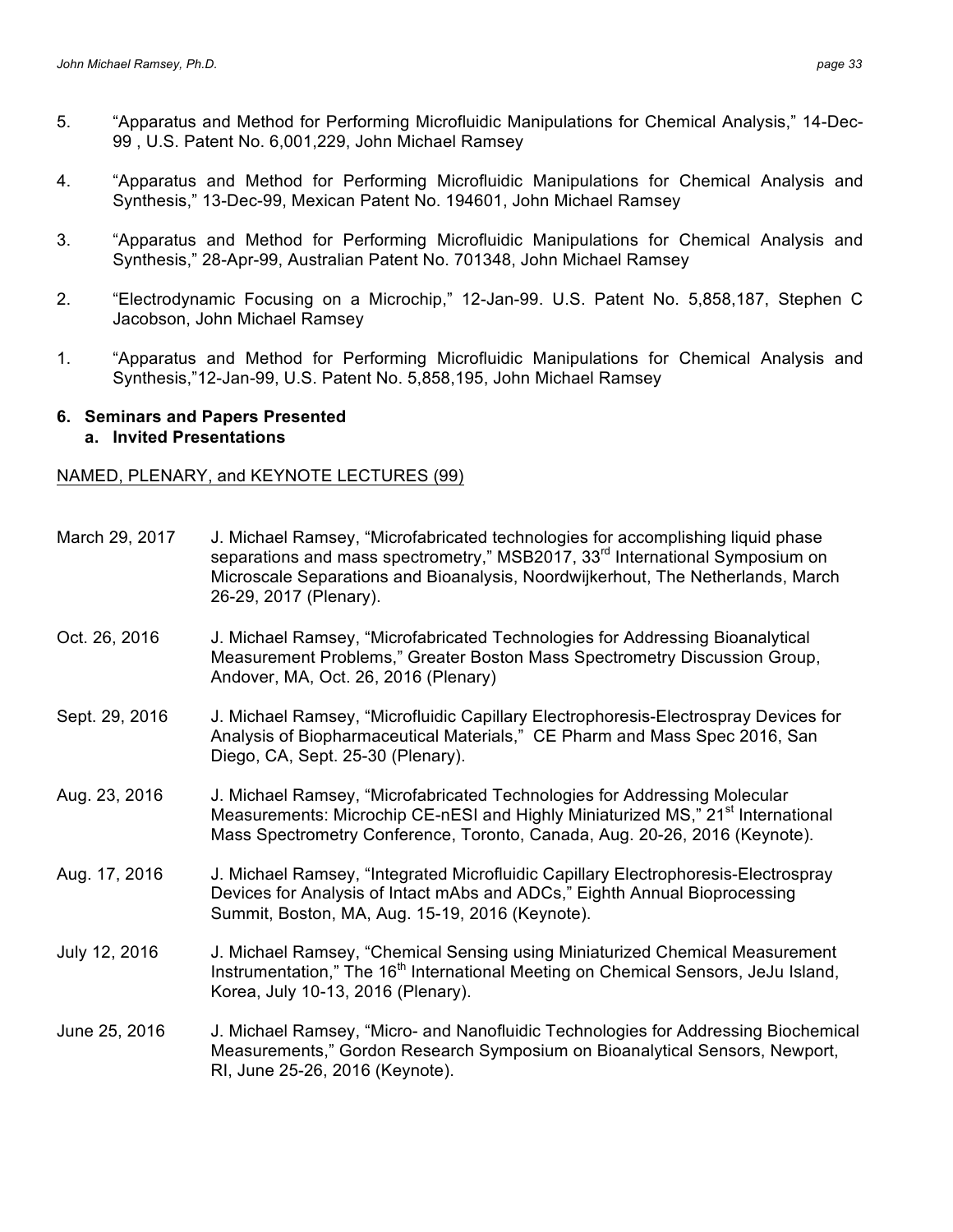- 5. "Apparatus and Method for Performing Microfluidic Manipulations for Chemical Analysis," 14-Dec-99 , U.S. Patent No. 6,001,229, John Michael Ramsey
- 4. "Apparatus and Method for Performing Microfluidic Manipulations for Chemical Analysis and Synthesis," 13-Dec-99, Mexican Patent No. 194601, John Michael Ramsey
- 3. "Apparatus and Method for Performing Microfluidic Manipulations for Chemical Analysis and Synthesis," 28-Apr-99, Australian Patent No. 701348, John Michael Ramsey
- 2. "Electrodynamic Focusing on a Microchip," 12-Jan-99. U.S. Patent No. 5,858,187, Stephen C Jacobson, John Michael Ramsey
- 1. "Apparatus and Method for Performing Microfluidic Manipulations for Chemical Analysis and Synthesis,"12-Jan-99, U.S. Patent No. 5,858,195, John Michael Ramsey

#### **6. Seminars and Papers Presented a. Invited Presentations**

### NAMED, PLENARY, and KEYNOTE LECTURES (99)

| March 29, 2017 | J. Michael Ramsey, "Microfabricated technologies for accomplishing liquid phase<br>separations and mass spectrometry," MSB2017, 33 <sup>rd</sup> International Symposium on<br>Microscale Separations and Bioanalysis, Noordwijkerhout, The Netherlands, March<br>26-29, 2017 (Plenary). |
|----------------|------------------------------------------------------------------------------------------------------------------------------------------------------------------------------------------------------------------------------------------------------------------------------------------|
| Oct. 26, 2016  | J. Michael Ramsey, "Microfabricated Technologies for Addressing Bioanalytical<br>Measurement Problems," Greater Boston Mass Spectrometry Discussion Group,<br>Andover, MA, Oct. 26, 2016 (Plenary)                                                                                       |
| Sept. 29, 2016 | J. Michael Ramsey, "Microfluidic Capillary Electrophoresis-Electrospray Devices for<br>Analysis of Biopharmaceutical Materials," CE Pharm and Mass Spec 2016, San<br>Diego, CA, Sept. 25-30 (Plenary).                                                                                   |
| Aug. 23, 2016  | J. Michael Ramsey, "Microfabricated Technologies for Addressing Molecular<br>Measurements: Microchip CE-nESI and Highly Miniaturized MS," 21 <sup>st</sup> International<br>Mass Spectrometry Conference, Toronto, Canada, Aug. 20-26, 2016 (Keynote).                                   |
| Aug. 17, 2016  | J. Michael Ramsey, "Integrated Microfluidic Capillary Electrophoresis-Electrospray<br>Devices for Analysis of Intact mAbs and ADCs," Eighth Annual Bioprocessing<br>Summit, Boston, MA, Aug. 15-19, 2016 (Keynote).                                                                      |
| July 12, 2016  | J. Michael Ramsey, "Chemical Sensing using Miniaturized Chemical Measurement<br>Instrumentation," The 16 <sup>th</sup> International Meeting on Chemical Sensors, JeJu Island,<br>Korea, July 10-13, 2016 (Plenary).                                                                     |
| June 25, 2016  | J. Michael Ramsey, "Micro- and Nanofluidic Technologies for Addressing Biochemical<br>Measurements," Gordon Research Symposium on Bioanalytical Sensors, Newport,<br>RI, June 25-26, 2016 (Keynote).                                                                                     |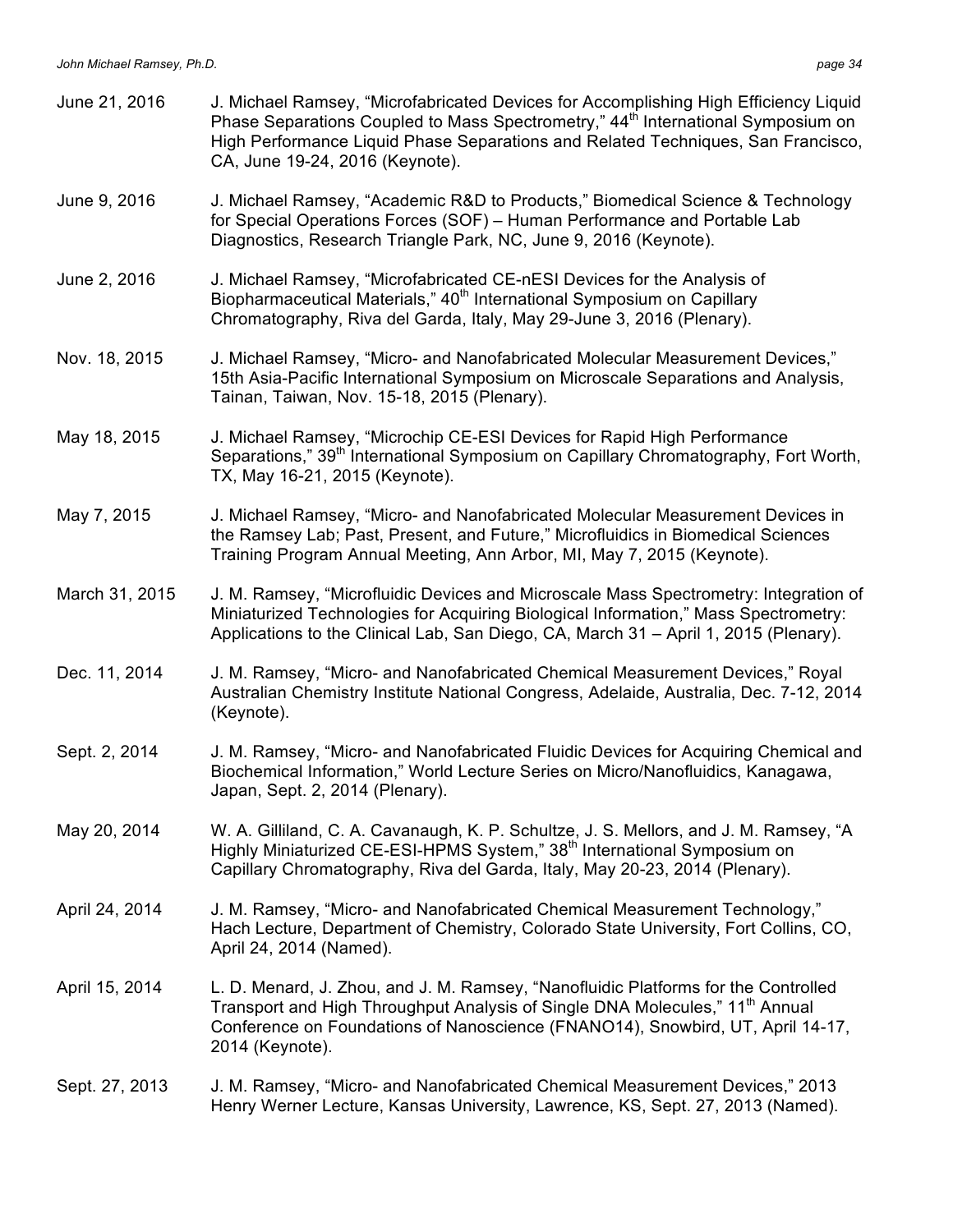| June 21, 2016  | J. Michael Ramsey, "Microfabricated Devices for Accomplishing High Efficiency Liquid<br>Phase Separations Coupled to Mass Spectrometry," 44 <sup>th</sup> International Symposium on<br>High Performance Liquid Phase Separations and Related Techniques, San Francisco,<br>CA, June 19-24, 2016 (Keynote). |
|----------------|-------------------------------------------------------------------------------------------------------------------------------------------------------------------------------------------------------------------------------------------------------------------------------------------------------------|
| June 9, 2016   | J. Michael Ramsey, "Academic R&D to Products," Biomedical Science & Technology<br>for Special Operations Forces (SOF) - Human Performance and Portable Lab<br>Diagnostics, Research Triangle Park, NC, June 9, 2016 (Keynote).                                                                              |
| June 2, 2016   | J. Michael Ramsey, "Microfabricated CE-nESI Devices for the Analysis of<br>Biopharmaceutical Materials," 40 <sup>th</sup> International Symposium on Capillary<br>Chromatography, Riva del Garda, Italy, May 29-June 3, 2016 (Plenary).                                                                     |
| Nov. 18, 2015  | J. Michael Ramsey, "Micro- and Nanofabricated Molecular Measurement Devices,"<br>15th Asia-Pacific International Symposium on Microscale Separations and Analysis,<br>Tainan, Taiwan, Nov. 15-18, 2015 (Plenary).                                                                                           |
| May 18, 2015   | J. Michael Ramsey, "Microchip CE-ESI Devices for Rapid High Performance<br>Separations," 39 <sup>th</sup> International Symposium on Capillary Chromatography, Fort Worth,<br>TX, May 16-21, 2015 (Keynote).                                                                                                |
| May 7, 2015    | J. Michael Ramsey, "Micro- and Nanofabricated Molecular Measurement Devices in<br>the Ramsey Lab; Past, Present, and Future," Microfluidics in Biomedical Sciences<br>Training Program Annual Meeting, Ann Arbor, MI, May 7, 2015 (Keynote).                                                                |
| March 31, 2015 | J. M. Ramsey, "Microfluidic Devices and Microscale Mass Spectrometry: Integration of<br>Miniaturized Technologies for Acquiring Biological Information," Mass Spectrometry:<br>Applications to the Clinical Lab, San Diego, CA, March 31 – April 1, 2015 (Plenary).                                         |
| Dec. 11, 2014  | J. M. Ramsey, "Micro- and Nanofabricated Chemical Measurement Devices," Royal<br>Australian Chemistry Institute National Congress, Adelaide, Australia, Dec. 7-12, 2014<br>(Keynote).                                                                                                                       |
| Sept. 2, 2014  | J. M. Ramsey, "Micro- and Nanofabricated Fluidic Devices for Acquiring Chemical and<br>Biochemical Information," World Lecture Series on Micro/Nanofluidics, Kanagawa,<br>Japan, Sept. 2, 2014 (Plenary).                                                                                                   |
| May 20, 2014   | W. A. Gilliland, C. A. Cavanaugh, K. P. Schultze, J. S. Mellors, and J. M. Ramsey, "A<br>Highly Miniaturized CE-ESI-HPMS System," 38 <sup>th</sup> International Symposium on<br>Capillary Chromatography, Riva del Garda, Italy, May 20-23, 2014 (Plenary).                                                |
| April 24, 2014 | J. M. Ramsey, "Micro- and Nanofabricated Chemical Measurement Technology,"<br>Hach Lecture, Department of Chemistry, Colorado State University, Fort Collins, CO,<br>April 24, 2014 (Named).                                                                                                                |
| April 15, 2014 | L. D. Menard, J. Zhou, and J. M. Ramsey, "Nanofluidic Platforms for the Controlled<br>Transport and High Throughput Analysis of Single DNA Molecules," 11 <sup>th</sup> Annual<br>Conference on Foundations of Nanoscience (FNANO14), Snowbird, UT, April 14-17,<br>2014 (Keynote).                         |
| Sept. 27, 2013 | J. M. Ramsey, "Micro- and Nanofabricated Chemical Measurement Devices," 2013<br>Henry Werner Lecture, Kansas University, Lawrence, KS, Sept. 27, 2013 (Named).                                                                                                                                              |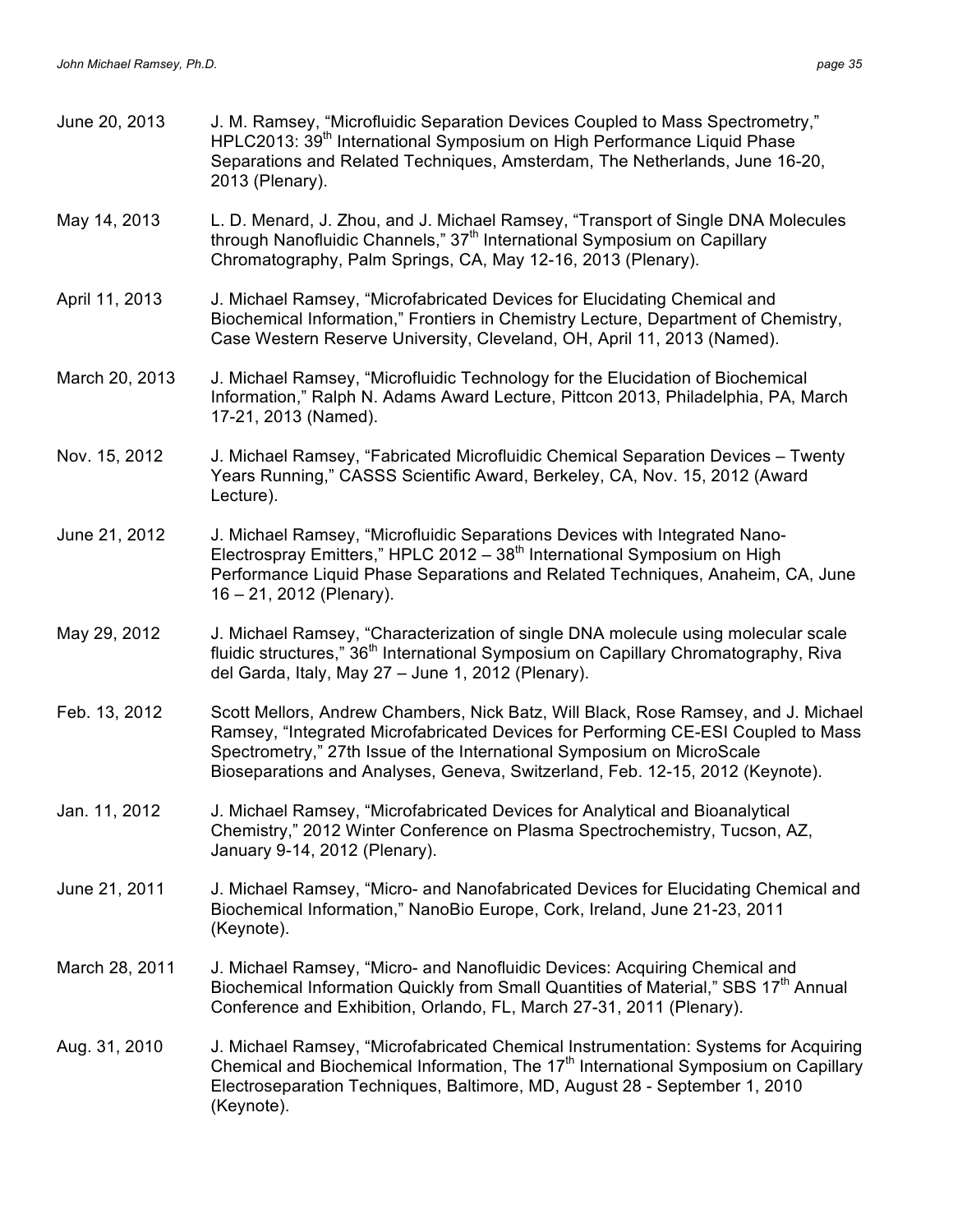| June 20, 2013  | J. M. Ramsey, "Microfluidic Separation Devices Coupled to Mass Spectrometry,"<br>HPLC2013: 39 <sup>th</sup> International Symposium on High Performance Liquid Phase<br>Separations and Related Techniques, Amsterdam, The Netherlands, June 16-20,<br>2013 (Plenary).                                                             |
|----------------|------------------------------------------------------------------------------------------------------------------------------------------------------------------------------------------------------------------------------------------------------------------------------------------------------------------------------------|
| May 14, 2013   | L. D. Menard, J. Zhou, and J. Michael Ramsey, "Transport of Single DNA Molecules<br>through Nanofluidic Channels," 37 <sup>th</sup> International Symposium on Capillary<br>Chromatography, Palm Springs, CA, May 12-16, 2013 (Plenary).                                                                                           |
| April 11, 2013 | J. Michael Ramsey, "Microfabricated Devices for Elucidating Chemical and<br>Biochemical Information," Frontiers in Chemistry Lecture, Department of Chemistry,<br>Case Western Reserve University, Cleveland, OH, April 11, 2013 (Named).                                                                                          |
| March 20, 2013 | J. Michael Ramsey, "Microfluidic Technology for the Elucidation of Biochemical<br>Information," Ralph N. Adams Award Lecture, Pittcon 2013, Philadelphia, PA, March<br>17-21, 2013 (Named).                                                                                                                                        |
| Nov. 15, 2012  | J. Michael Ramsey, "Fabricated Microfluidic Chemical Separation Devices - Twenty<br>Years Running," CASSS Scientific Award, Berkeley, CA, Nov. 15, 2012 (Award<br>Lecture).                                                                                                                                                        |
| June 21, 2012  | J. Michael Ramsey, "Microfluidic Separations Devices with Integrated Nano-<br>Electrospray Emitters," HPLC $2012 - 38th$ International Symposium on High<br>Performance Liquid Phase Separations and Related Techniques, Anaheim, CA, June<br>16 - 21, 2012 (Plenary).                                                             |
| May 29, 2012   | J. Michael Ramsey, "Characterization of single DNA molecule using molecular scale<br>fluidic structures," 36 <sup>th</sup> International Symposium on Capillary Chromatography, Riva<br>del Garda, Italy, May 27 - June 1, 2012 (Plenary).                                                                                         |
| Feb. 13, 2012  | Scott Mellors, Andrew Chambers, Nick Batz, Will Black, Rose Ramsey, and J. Michael<br>Ramsey, "Integrated Microfabricated Devices for Performing CE-ESI Coupled to Mass<br>Spectrometry," 27th Issue of the International Symposium on MicroScale<br>Bioseparations and Analyses, Geneva, Switzerland, Feb. 12-15, 2012 (Keynote). |
| Jan. 11, 2012  | J. Michael Ramsey, "Microfabricated Devices for Analytical and Bioanalytical<br>Chemistry," 2012 Winter Conference on Plasma Spectrochemistry, Tucson, AZ,<br>January 9-14, 2012 (Plenary).                                                                                                                                        |
| June 21, 2011  | J. Michael Ramsey, "Micro- and Nanofabricated Devices for Elucidating Chemical and<br>Biochemical Information," NanoBio Europe, Cork, Ireland, June 21-23, 2011<br>(Keynote).                                                                                                                                                      |
| March 28, 2011 | J. Michael Ramsey, "Micro- and Nanofluidic Devices: Acquiring Chemical and<br>Biochemical Information Quickly from Small Quantities of Material," SBS 17 <sup>th</sup> Annual<br>Conference and Exhibition, Orlando, FL, March 27-31, 2011 (Plenary).                                                                              |
| Aug. 31, 2010  | J. Michael Ramsey, "Microfabricated Chemical Instrumentation: Systems for Acquiring<br>Chemical and Biochemical Information, The 17 <sup>th</sup> International Symposium on Capillary<br>Electroseparation Techniques, Baltimore, MD, August 28 - September 1, 2010<br>(Keynote).                                                 |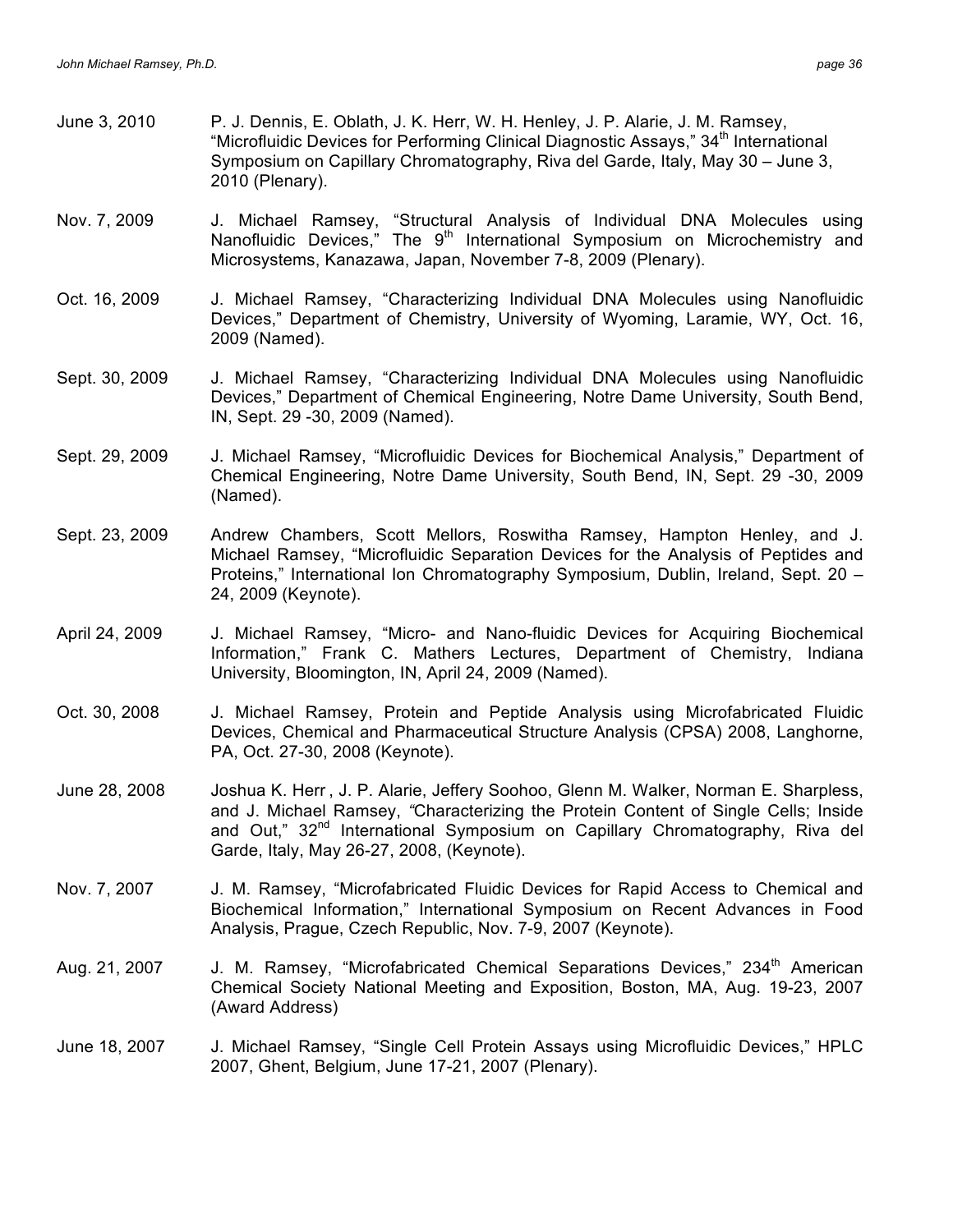- June 3, 2010 P. J. Dennis, E. Oblath, J. K. Herr, W. H. Henley, J. P. Alarie, J. M. Ramsey, "Microfluidic Devices for Performing Clinical Diagnostic Assays,"  $34<sup>th</sup>$  International Symposium on Capillary Chromatography, Riva del Garde, Italy, May 30 – June 3, 2010 (Plenary).
- Nov. 7, 2009 J. Michael Ramsey, "Structural Analysis of Individual DNA Molecules using Nanofluidic Devices," The  $9<sup>th</sup>$  International Symposium on Microchemistry and Microsystems, Kanazawa, Japan, November 7-8, 2009 (Plenary).
- Oct. 16, 2009 J. Michael Ramsey, "Characterizing Individual DNA Molecules using Nanofluidic Devices," Department of Chemistry, University of Wyoming, Laramie, WY, Oct. 16, 2009 (Named).
- Sept. 30, 2009 J. Michael Ramsey, "Characterizing Individual DNA Molecules using Nanofluidic Devices," Department of Chemical Engineering, Notre Dame University, South Bend, IN, Sept. 29 -30, 2009 (Named).
- Sept. 29, 2009 J. Michael Ramsey, "Microfluidic Devices for Biochemical Analysis," Department of Chemical Engineering, Notre Dame University, South Bend, IN, Sept. 29 -30, 2009 (Named).
- Sept. 23, 2009 Andrew Chambers, Scott Mellors, Roswitha Ramsey, Hampton Henley, and J. Michael Ramsey, "Microfluidic Separation Devices for the Analysis of Peptides and Proteins," International Ion Chromatography Symposium, Dublin, Ireland, Sept. 20 – 24, 2009 (Keynote).
- April 24, 2009 J. Michael Ramsey, "Micro- and Nano-fluidic Devices for Acquiring Biochemical Information," Frank C. Mathers Lectures, Department of Chemistry, Indiana University, Bloomington, IN, April 24, 2009 (Named).
- Oct. 30, 2008 J. Michael Ramsey, Protein and Peptide Analysis using Microfabricated Fluidic Devices, Chemical and Pharmaceutical Structure Analysis (CPSA) 2008, Langhorne, PA, Oct. 27-30, 2008 (Keynote).
- June 28, 2008 Joshua K. Herr , J. P. Alarie, Jeffery Soohoo, Glenn M. Walker, Norman E. Sharpless, and J. Michael Ramsey, *"*Characterizing the Protein Content of Single Cells; Inside and Out," 32<sup>nd</sup> International Symposium on Capillary Chromatography, Riva del Garde, Italy, May 26-27, 2008, (Keynote).
- Nov. 7, 2007 J. M. Ramsey, "Microfabricated Fluidic Devices for Rapid Access to Chemical and Biochemical Information," International Symposium on Recent Advances in Food Analysis, Prague, Czech Republic, Nov. 7-9, 2007 (Keynote).
- Aug. 21, 2007 J. M. Ramsey, "Microfabricated Chemical Separations Devices," 234<sup>th</sup> American Chemical Society National Meeting and Exposition, Boston, MA, Aug. 19-23, 2007 (Award Address)
- June 18, 2007 J. Michael Ramsey, "Single Cell Protein Assays using Microfluidic Devices," HPLC 2007, Ghent, Belgium, June 17-21, 2007 (Plenary).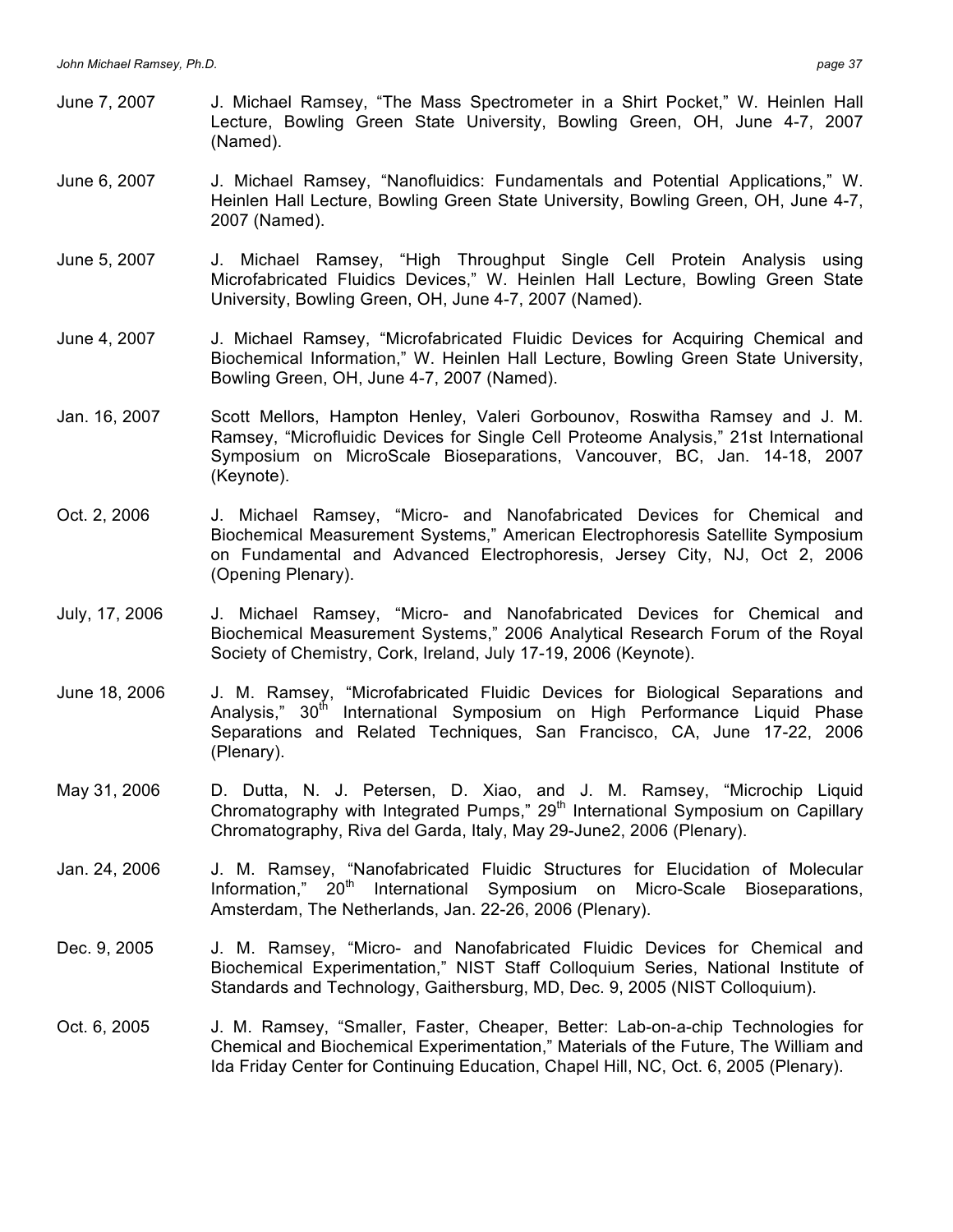- June 7, 2007 J. Michael Ramsey, "The Mass Spectrometer in a Shirt Pocket," W. Heinlen Hall Lecture, Bowling Green State University, Bowling Green, OH, June 4-7, 2007 (Named).
- June 6, 2007 J. Michael Ramsey, "Nanofluidics: Fundamentals and Potential Applications," W. Heinlen Hall Lecture, Bowling Green State University, Bowling Green, OH, June 4-7, 2007 (Named).
- June 5, 2007 J. Michael Ramsey, "High Throughput Single Cell Protein Analysis using Microfabricated Fluidics Devices," W. Heinlen Hall Lecture, Bowling Green State University, Bowling Green, OH, June 4-7, 2007 (Named).
- June 4, 2007 J. Michael Ramsey, "Microfabricated Fluidic Devices for Acquiring Chemical and Biochemical Information," W. Heinlen Hall Lecture, Bowling Green State University, Bowling Green, OH, June 4-7, 2007 (Named).
- Jan. 16, 2007 Scott Mellors, Hampton Henley, Valeri Gorbounov, Roswitha Ramsey and J. M. Ramsey, "Microfluidic Devices for Single Cell Proteome Analysis," 21st International Symposium on MicroScale Bioseparations, Vancouver, BC, Jan. 14-18, 2007 (Keynote).
- Oct. 2, 2006 J. Michael Ramsey, "Micro- and Nanofabricated Devices for Chemical and Biochemical Measurement Systems," American Electrophoresis Satellite Symposium on Fundamental and Advanced Electrophoresis, Jersey City, NJ, Oct 2, 2006 (Opening Plenary).
- July, 17, 2006 J. Michael Ramsey, "Micro- and Nanofabricated Devices for Chemical and Biochemical Measurement Systems," 2006 Analytical Research Forum of the Royal Society of Chemistry, Cork, Ireland, July 17-19, 2006 (Keynote).
- June 18, 2006 J. M. Ramsey, "Microfabricated Fluidic Devices for Biological Separations and Analysis," 30<sup>th</sup> International Symposium on High Performance Liquid Phase Separations and Related Techniques, San Francisco, CA, June 17-22, 2006 (Plenary).
- May 31, 2006 D. Dutta, N. J. Petersen, D. Xiao, and J. M. Ramsey, "Microchip Liquid Chromatography with Integrated Pumps,"  $29<sup>th</sup>$  International Symposium on Capillary Chromatography, Riva del Garda, Italy, May 29-June2, 2006 (Plenary).
- Jan. 24, 2006 J. M. Ramsey, "Nanofabricated Fluidic Structures for Elucidation of Molecular Information,"  $20<sup>th</sup>$  International Symposium on Micro-Scale Bioseparations, Amsterdam, The Netherlands, Jan. 22-26, 2006 (Plenary).
- Dec. 9, 2005 J. M. Ramsey, "Micro- and Nanofabricated Fluidic Devices for Chemical and Biochemical Experimentation," NIST Staff Colloquium Series, National Institute of Standards and Technology, Gaithersburg, MD, Dec. 9, 2005 (NIST Colloquium).
- Oct. 6, 2005 J. M. Ramsey, "Smaller, Faster, Cheaper, Better: Lab-on-a-chip Technologies for Chemical and Biochemical Experimentation," Materials of the Future, The William and Ida Friday Center for Continuing Education, Chapel Hill, NC, Oct. 6, 2005 (Plenary).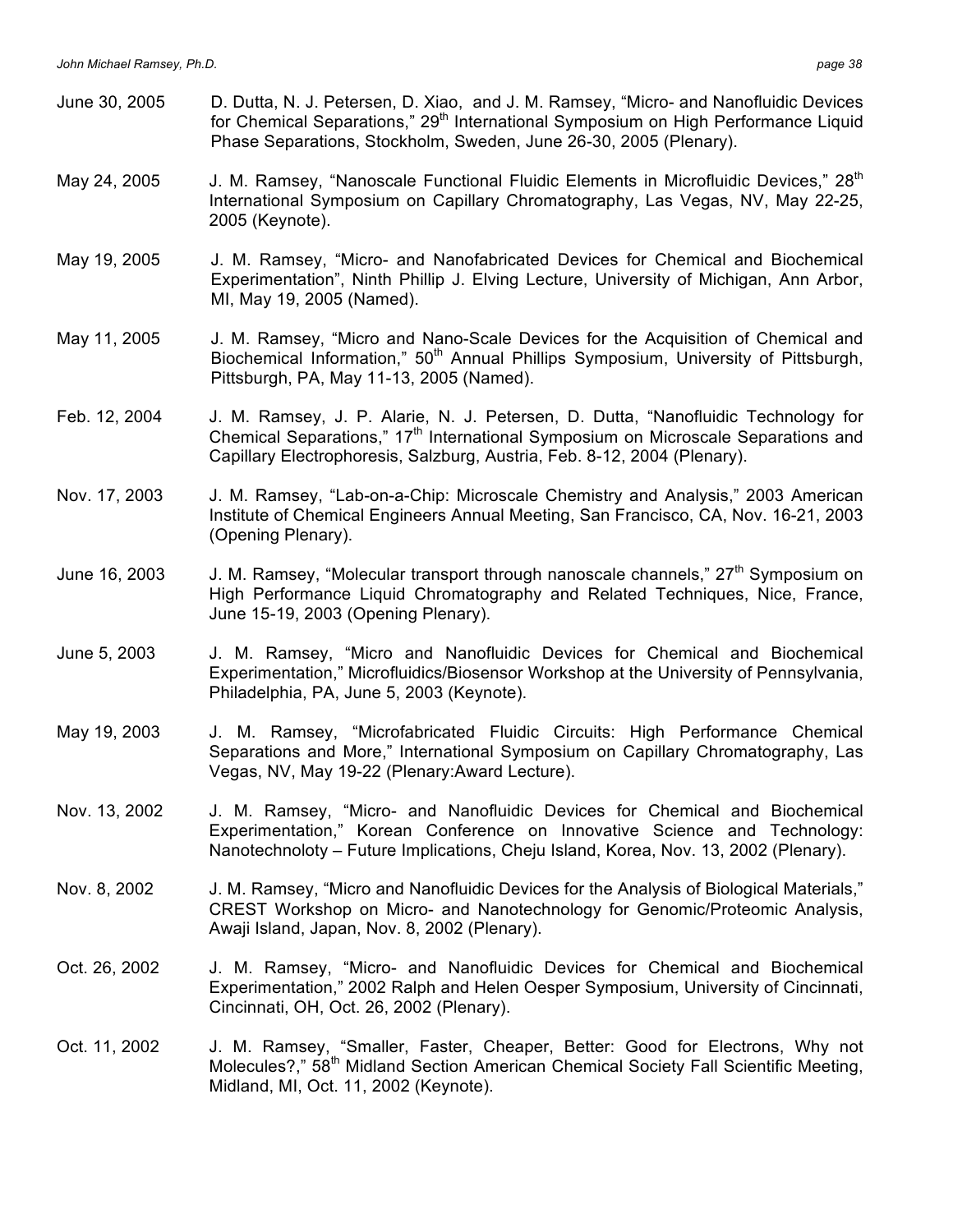June 30, 2005 D. Dutta, N. J. Petersen, D. Xiao, and J. M. Ramsey, "Micro- and Nanofluidic Devices for Chemical Separations," 29<sup>th</sup> International Symposium on High Performance Liquid Phase Separations, Stockholm, Sweden, June 26-30, 2005 (Plenary). May 24, 2005 J. M. Ramsey, "Nanoscale Functional Fluidic Elements in Microfluidic Devices," 28<sup>th</sup> International Symposium on Capillary Chromatography, Las Vegas, NV, May 22-25, 2005 (Keynote). May 19, 2005 J. M. Ramsey, "Micro- and Nanofabricated Devices for Chemical and Biochemical Experimentation", Ninth Phillip J. Elving Lecture, University of Michigan, Ann Arbor, MI, May 19, 2005 (Named). May 11, 2005 J. M. Ramsey, "Micro and Nano-Scale Devices for the Acquisition of Chemical and Biochemical Information," 50<sup>th</sup> Annual Phillips Symposium, University of Pittsburgh, Pittsburgh, PA, May 11-13, 2005 (Named). Feb. 12, 2004 J. M. Ramsey, J. P. Alarie, N. J. Petersen, D. Dutta, "Nanofluidic Technology for Chemical Separations,"  $17<sup>th</sup>$  International Symposium on Microscale Separations and Capillary Electrophoresis, Salzburg, Austria, Feb. 8-12, 2004 (Plenary). Nov. 17, 2003 J. M. Ramsey, "Lab-on-a-Chip: Microscale Chemistry and Analysis," 2003 American Institute of Chemical Engineers Annual Meeting, San Francisco, CA, Nov. 16-21, 2003 (Opening Plenary). June 16, 2003 J. M. Ramsey, "Molecular transport through nanoscale channels," 27<sup>th</sup> Symposium on High Performance Liquid Chromatography and Related Techniques, Nice, France, June 15-19, 2003 (Opening Plenary). June 5, 2003 J. M. Ramsey, "Micro and Nanofluidic Devices for Chemical and Biochemical Experimentation," Microfluidics/Biosensor Workshop at the University of Pennsylvania, Philadelphia, PA, June 5, 2003 (Keynote). May 19, 2003 J. M. Ramsey, "Microfabricated Fluidic Circuits: High Performance Chemical Separations and More," International Symposium on Capillary Chromatography, Las Vegas, NV, May 19-22 (Plenary:Award Lecture). Nov. 13, 2002 J. M. Ramsey, "Micro- and Nanofluidic Devices for Chemical and Biochemical Experimentation," Korean Conference on Innovative Science and Technology: Nanotechnoloty – Future Implications, Cheju Island, Korea, Nov. 13, 2002 (Plenary). Nov. 8, 2002 J. M. Ramsey, "Micro and Nanofluidic Devices for the Analysis of Biological Materials," CREST Workshop on Micro- and Nanotechnology for Genomic/Proteomic Analysis, Awaji Island, Japan, Nov. 8, 2002 (Plenary). Oct. 26, 2002 J. M. Ramsey, "Micro- and Nanofluidic Devices for Chemical and Biochemical Experimentation," 2002 Ralph and Helen Oesper Symposium, University of Cincinnati, Cincinnati, OH, Oct. 26, 2002 (Plenary). Oct. 11, 2002 J. M. Ramsey, "Smaller, Faster, Cheaper, Better: Good for Electrons, Why not Molecules?," 58<sup>th</sup> Midland Section American Chemical Society Fall Scientific Meeting, Midland, MI, Oct. 11, 2002 (Keynote).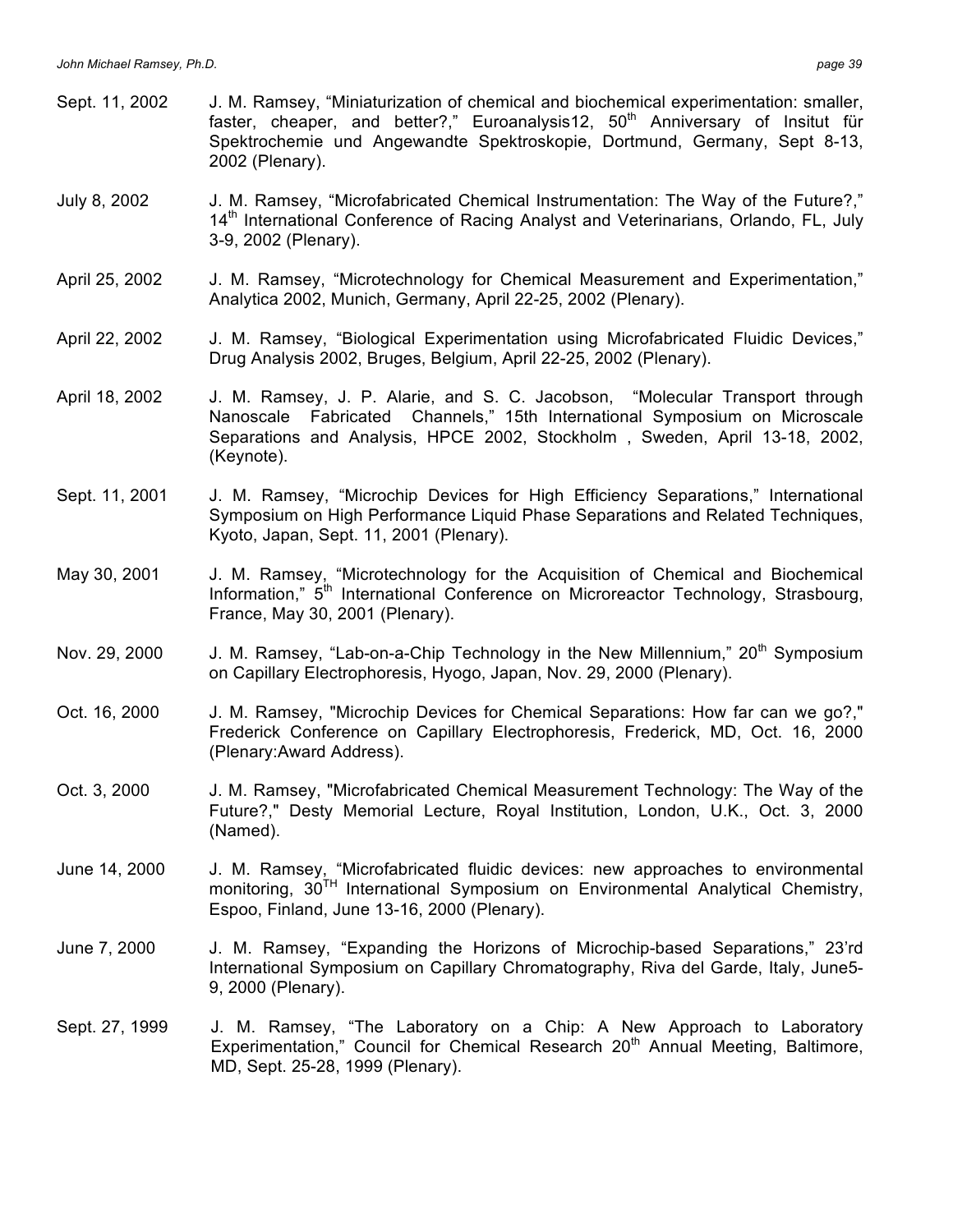- Sept. 11, 2002 J. M. Ramsey, "Miniaturization of chemical and biochemical experimentation: smaller, faster, cheaper, and better?," Euroanalysis12, 50<sup>th</sup> Anniversary of Insitut für Spektrochemie und Angewandte Spektroskopie, Dortmund, Germany, Sept 8-13, 2002 (Plenary).
- July 8, 2002 J. M. Ramsey, "Microfabricated Chemical Instrumentation: The Way of the Future?," 14<sup>th</sup> International Conference of Racing Analyst and Veterinarians, Orlando, FL, July 3-9, 2002 (Plenary).
- April 25, 2002 J. M. Ramsey, "Microtechnology for Chemical Measurement and Experimentation," Analytica 2002, Munich, Germany, April 22-25, 2002 (Plenary).
- April 22, 2002 J. M. Ramsey, "Biological Experimentation using Microfabricated Fluidic Devices," Drug Analysis 2002, Bruges, Belgium, April 22-25, 2002 (Plenary).
- April 18, 2002 J. M. Ramsey, J. P. Alarie, and S. C. Jacobson, "Molecular Transport through Nanoscale Fabricated Channels," 15th International Symposium on Microscale Separations and Analysis, HPCE 2002, Stockholm , Sweden, April 13-18, 2002, (Keynote).
- Sept. 11, 2001 J. M. Ramsey, "Microchip Devices for High Efficiency Separations," International Symposium on High Performance Liquid Phase Separations and Related Techniques, Kyoto, Japan, Sept. 11, 2001 (Plenary).
- May 30, 2001 J. M. Ramsey, "Microtechnology for the Acquisition of Chemical and Biochemical Information," 5<sup>th</sup> International Conference on Microreactor Technology, Strasbourg, France, May 30, 2001 (Plenary).
- Nov. 29, 2000 J. M. Ramsey, "Lab-on-a-Chip Technology in the New Millennium," 20<sup>th</sup> Symposium on Capillary Electrophoresis, Hyogo, Japan, Nov. 29, 2000 (Plenary).
- Oct. 16, 2000 J. M. Ramsey, "Microchip Devices for Chemical Separations: How far can we go?," Frederick Conference on Capillary Electrophoresis, Frederick, MD, Oct. 16, 2000 (Plenary:Award Address).
- Oct. 3, 2000 J. M. Ramsey, "Microfabricated Chemical Measurement Technology: The Way of the Future?," Desty Memorial Lecture, Royal Institution, London, U.K., Oct. 3, 2000 (Named).
- June 14, 2000 J. M. Ramsey, "Microfabricated fluidic devices: new approaches to environmental monitoring, 30<sup>TH</sup> International Symposium on Environmental Analytical Chemistry, Espoo, Finland, June 13-16, 2000 (Plenary).
- June 7, 2000 J. M. Ramsey, "Expanding the Horizons of Microchip-based Separations," 23'rd International Symposium on Capillary Chromatography, Riva del Garde, Italy, June5- 9, 2000 (Plenary).
- Sept. 27, 1999 J. M. Ramsey, "The Laboratory on a Chip: A New Approach to Laboratory Experimentation," Council for Chemical Research  $20<sup>th</sup>$  Annual Meeting, Baltimore, MD, Sept. 25-28, 1999 (Plenary).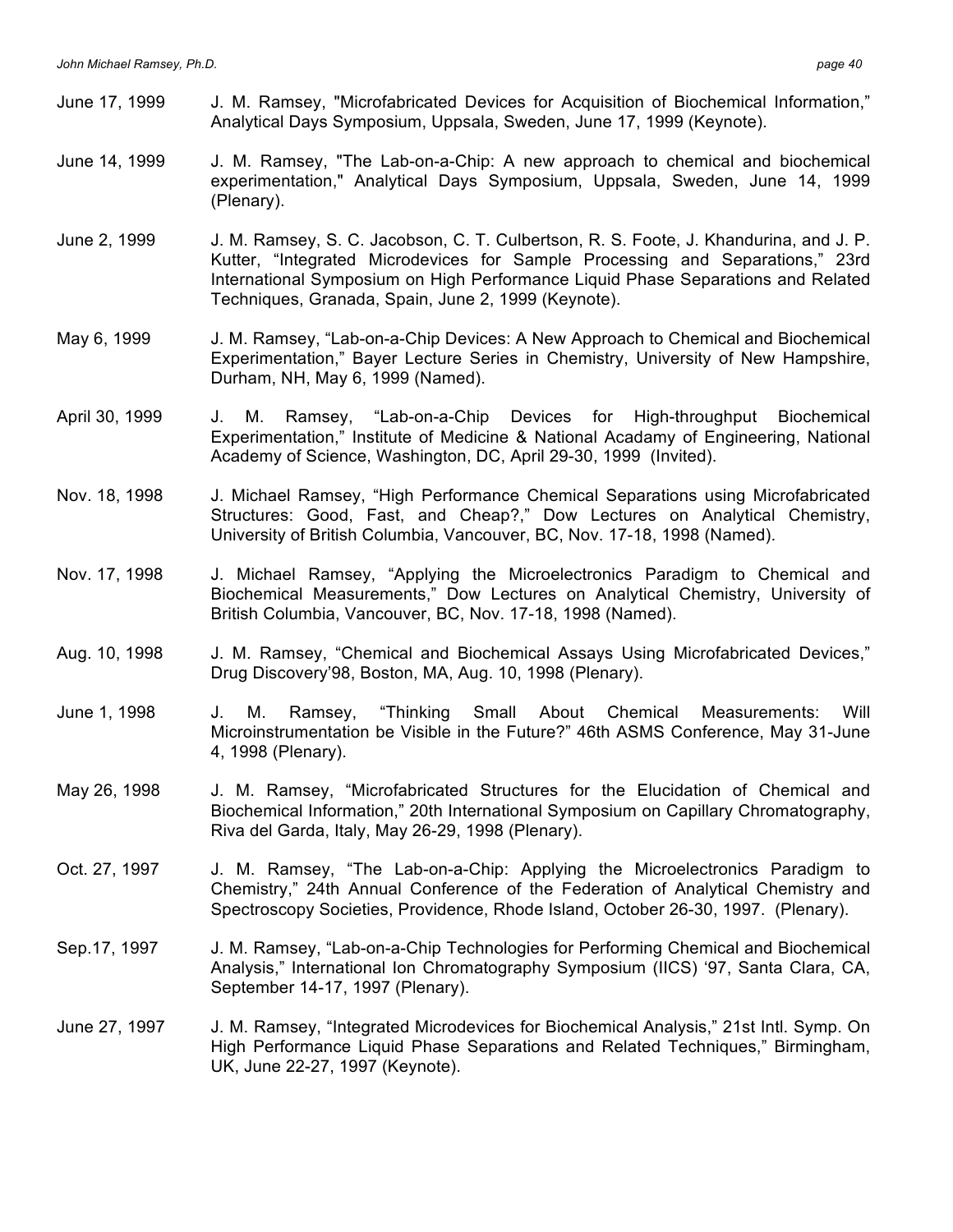- June 17, 1999 J. M. Ramsey, "Microfabricated Devices for Acquisition of Biochemical Information," Analytical Days Symposium, Uppsala, Sweden, June 17, 1999 (Keynote).
- June 14, 1999 J. M. Ramsey, "The Lab-on-a-Chip: A new approach to chemical and biochemical experimentation," Analytical Days Symposium, Uppsala, Sweden, June 14, 1999 (Plenary).
- June 2, 1999 J. M. Ramsey, S. C. Jacobson, C. T. Culbertson, R. S. Foote, J. Khandurina, and J. P. Kutter, "Integrated Microdevices for Sample Processing and Separations," 23rd International Symposium on High Performance Liquid Phase Separations and Related Techniques, Granada, Spain, June 2, 1999 (Keynote).
- May 6, 1999 J. M. Ramsey, "Lab-on-a-Chip Devices: A New Approach to Chemical and Biochemical Experimentation," Bayer Lecture Series in Chemistry, University of New Hampshire, Durham, NH, May 6, 1999 (Named).
- April 30, 1999 J. M. Ramsey, "Lab-on-a-Chip Devices for High-throughput Biochemical Experimentation," Institute of Medicine & National Acadamy of Engineering, National Academy of Science, Washington, DC, April 29-30, 1999 (Invited).
- Nov. 18, 1998 J. Michael Ramsey, "High Performance Chemical Separations using Microfabricated Structures: Good, Fast, and Cheap?," Dow Lectures on Analytical Chemistry, University of British Columbia, Vancouver, BC, Nov. 17-18, 1998 (Named).
- Nov. 17, 1998 J. Michael Ramsey, "Applying the Microelectronics Paradigm to Chemical and Biochemical Measurements," Dow Lectures on Analytical Chemistry, University of British Columbia, Vancouver, BC, Nov. 17-18, 1998 (Named).
- Aug. 10, 1998 J. M. Ramsey, "Chemical and Biochemical Assays Using Microfabricated Devices," Drug Discovery'98, Boston, MA, Aug. 10, 1998 (Plenary).
- June 1, 1998 J. M. Ramsey, "Thinking Small About Chemical Measurements: Will Microinstrumentation be Visible in the Future?" 46th ASMS Conference, May 31-June 4, 1998 (Plenary).
- May 26, 1998 J. M. Ramsey, "Microfabricated Structures for the Elucidation of Chemical and Biochemical Information," 20th International Symposium on Capillary Chromatography, Riva del Garda, Italy, May 26-29, 1998 (Plenary).
- Oct. 27, 1997 J. M. Ramsey, "The Lab-on-a-Chip: Applying the Microelectronics Paradigm to Chemistry," 24th Annual Conference of the Federation of Analytical Chemistry and Spectroscopy Societies, Providence, Rhode Island, October 26-30, 1997. (Plenary).
- Sep.17, 1997 J. M. Ramsey, "Lab-on-a-Chip Technologies for Performing Chemical and Biochemical Analysis," International Ion Chromatography Symposium (IICS) '97, Santa Clara, CA, September 14-17, 1997 (Plenary).
- June 27, 1997 J. M. Ramsey, "Integrated Microdevices for Biochemical Analysis," 21st Intl. Symp. On High Performance Liquid Phase Separations and Related Techniques," Birmingham, UK, June 22-27, 1997 (Keynote).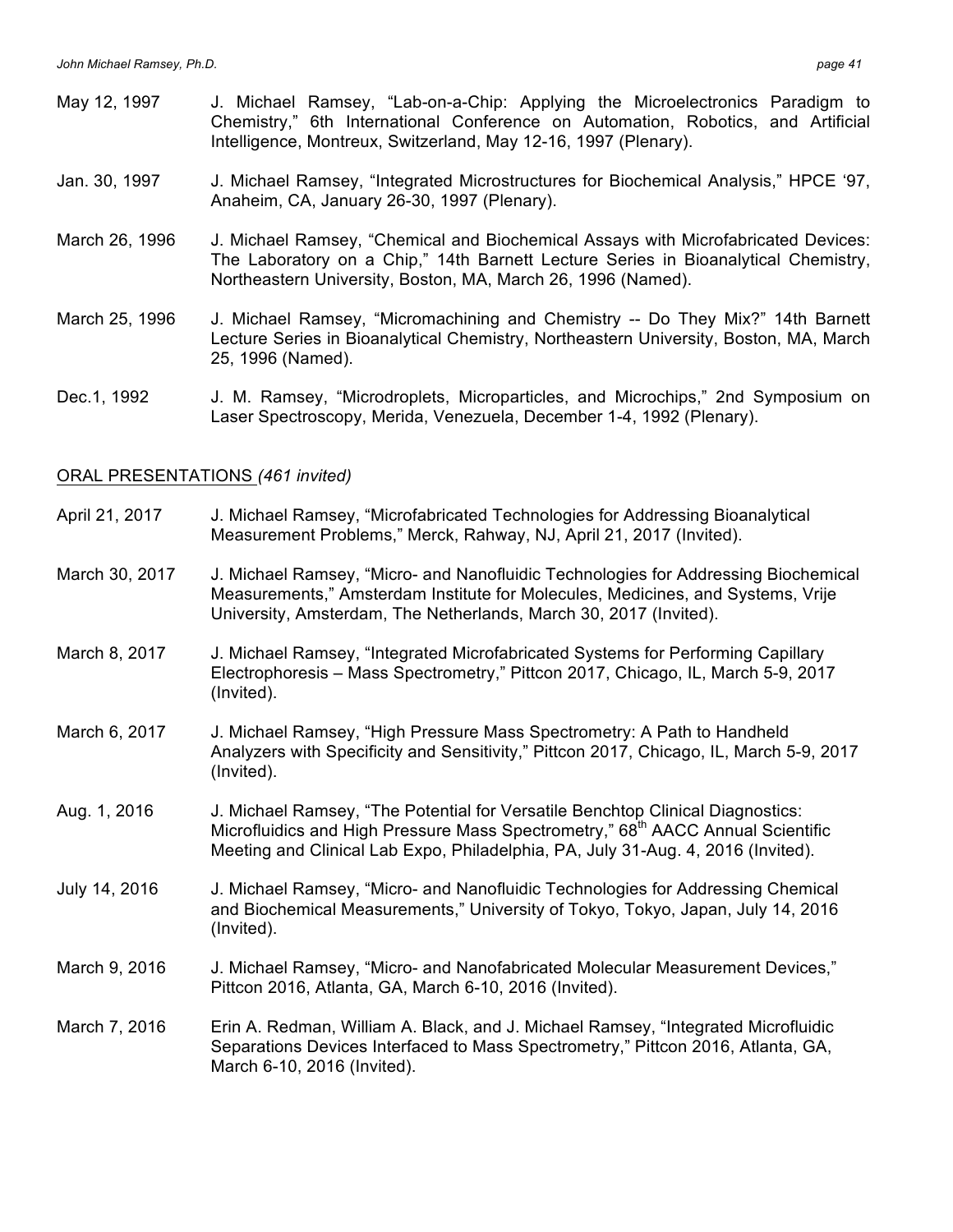- May 12, 1997 J. Michael Ramsey, "Lab-on-a-Chip: Applying the Microelectronics Paradigm to Chemistry," 6th International Conference on Automation, Robotics, and Artificial Intelligence, Montreux, Switzerland, May 12-16, 1997 (Plenary).
- Jan. 30, 1997 J. Michael Ramsey, "Integrated Microstructures for Biochemical Analysis," HPCE '97, Anaheim, CA, January 26-30, 1997 (Plenary).
- March 26, 1996 J. Michael Ramsey, "Chemical and Biochemical Assays with Microfabricated Devices: The Laboratory on a Chip," 14th Barnett Lecture Series in Bioanalytical Chemistry, Northeastern University, Boston, MA, March 26, 1996 (Named).
- March 25, 1996 J. Michael Ramsey, "Micromachining and Chemistry -- Do They Mix?" 14th Barnett Lecture Series in Bioanalytical Chemistry, Northeastern University, Boston, MA, March 25, 1996 (Named).
- Dec.1, 1992 J. M. Ramsey, "Microdroplets, Microparticles, and Microchips," 2nd Symposium on Laser Spectroscopy, Merida, Venezuela, December 1-4, 1992 (Plenary).

## ORAL PRESENTATIONS *(461 invited)*

- April 21, 2017 J. Michael Ramsey, "Microfabricated Technologies for Addressing Bioanalytical Measurement Problems," Merck, Rahway, NJ, April 21, 2017 (Invited).
- March 30, 2017 J. Michael Ramsey, "Micro- and Nanofluidic Technologies for Addressing Biochemical Measurements," Amsterdam Institute for Molecules, Medicines, and Systems, Vrije University, Amsterdam, The Netherlands, March 30, 2017 (Invited).
- March 8, 2017 J. Michael Ramsey, "Integrated Microfabricated Systems for Performing Capillary Electrophoresis – Mass Spectrometry," Pittcon 2017, Chicago, IL, March 5-9, 2017 (Invited).
- March 6, 2017 J. Michael Ramsey, "High Pressure Mass Spectrometry: A Path to Handheld Analyzers with Specificity and Sensitivity," Pittcon 2017, Chicago, IL, March 5-9, 2017 (Invited).
- Aug. 1, 2016 J. Michael Ramsey, "The Potential for Versatile Benchtop Clinical Diagnostics: Microfluidics and High Pressure Mass Spectrometry," 68<sup>th</sup> AACC Annual Scientific Meeting and Clinical Lab Expo, Philadelphia, PA, July 31-Aug. 4, 2016 (Invited).
- July 14, 2016 J. Michael Ramsey, "Micro- and Nanofluidic Technologies for Addressing Chemical and Biochemical Measurements," University of Tokyo, Tokyo, Japan, July 14, 2016 (Invited).
- March 9, 2016 J. Michael Ramsey, "Micro- and Nanofabricated Molecular Measurement Devices," Pittcon 2016, Atlanta, GA, March 6-10, 2016 (Invited).
- March 7, 2016 Erin A. Redman, William A. Black, and J. Michael Ramsey, "Integrated Microfluidic Separations Devices Interfaced to Mass Spectrometry," Pittcon 2016, Atlanta, GA, March 6-10, 2016 (Invited).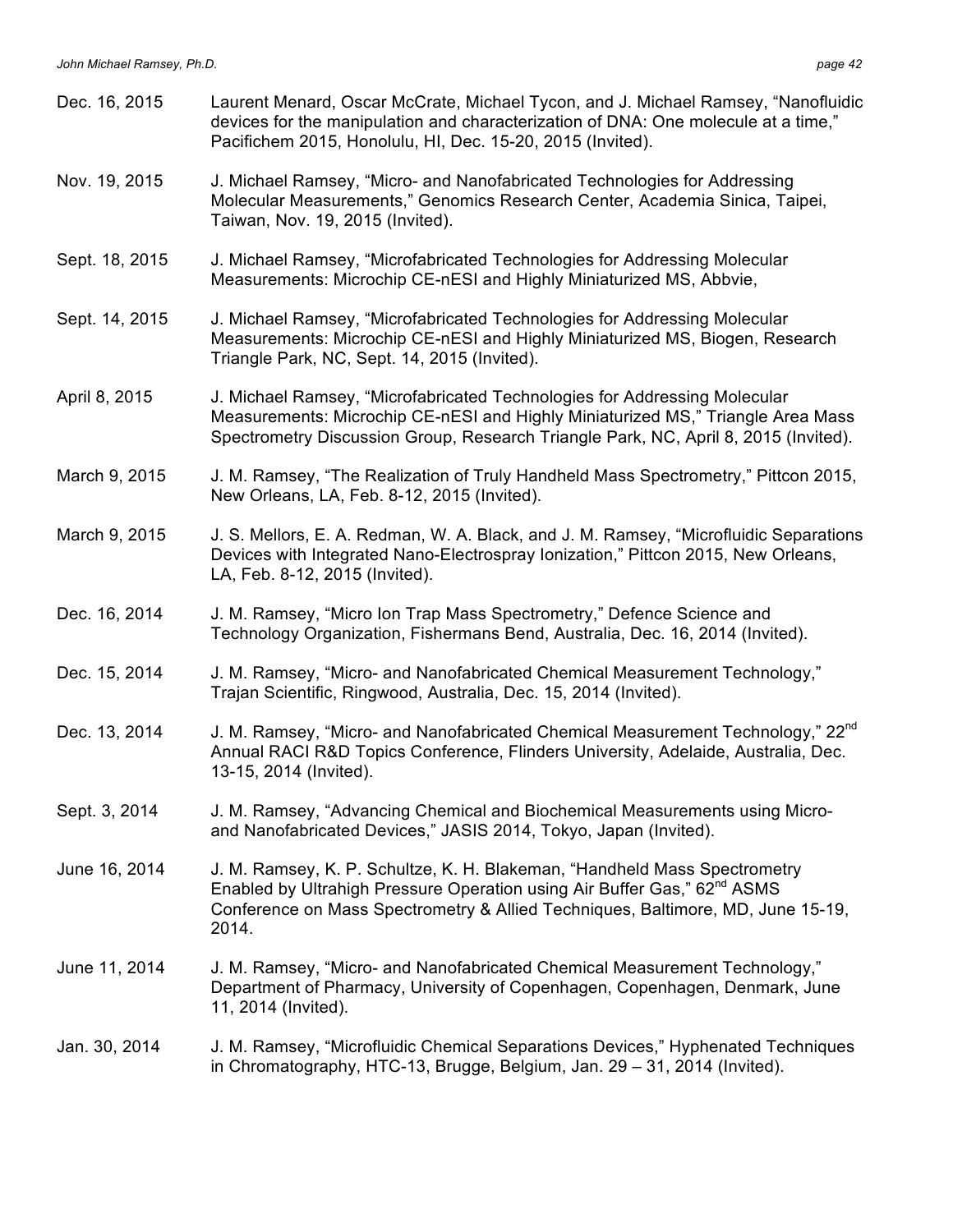| Dec. 16, 2015  | Laurent Menard, Oscar McCrate, Michael Tycon, and J. Michael Ramsey, "Nanofluidic<br>devices for the manipulation and characterization of DNA: One molecule at a time,"<br>Pacifichem 2015, Honolulu, HI, Dec. 15-20, 2015 (Invited).                         |
|----------------|---------------------------------------------------------------------------------------------------------------------------------------------------------------------------------------------------------------------------------------------------------------|
| Nov. 19, 2015  | J. Michael Ramsey, "Micro- and Nanofabricated Technologies for Addressing<br>Molecular Measurements," Genomics Research Center, Academia Sinica, Taipei,<br>Taiwan, Nov. 19, 2015 (Invited).                                                                  |
| Sept. 18, 2015 | J. Michael Ramsey, "Microfabricated Technologies for Addressing Molecular<br>Measurements: Microchip CE-nESI and Highly Miniaturized MS, Abbvie,                                                                                                              |
| Sept. 14, 2015 | J. Michael Ramsey, "Microfabricated Technologies for Addressing Molecular<br>Measurements: Microchip CE-nESI and Highly Miniaturized MS, Biogen, Research<br>Triangle Park, NC, Sept. 14, 2015 (Invited).                                                     |
| April 8, 2015  | J. Michael Ramsey, "Microfabricated Technologies for Addressing Molecular<br>Measurements: Microchip CE-nESI and Highly Miniaturized MS," Triangle Area Mass<br>Spectrometry Discussion Group, Research Triangle Park, NC, April 8, 2015 (Invited).           |
| March 9, 2015  | J. M. Ramsey, "The Realization of Truly Handheld Mass Spectrometry," Pittcon 2015,<br>New Orleans, LA, Feb. 8-12, 2015 (Invited).                                                                                                                             |
| March 9, 2015  | J. S. Mellors, E. A. Redman, W. A. Black, and J. M. Ramsey, "Microfluidic Separations<br>Devices with Integrated Nano-Electrospray Ionization," Pittcon 2015, New Orleans,<br>LA, Feb. 8-12, 2015 (Invited).                                                  |
| Dec. 16, 2014  | J. M. Ramsey, "Micro Ion Trap Mass Spectrometry," Defence Science and<br>Technology Organization, Fishermans Bend, Australia, Dec. 16, 2014 (Invited).                                                                                                        |
| Dec. 15, 2014  | J. M. Ramsey, "Micro- and Nanofabricated Chemical Measurement Technology,"<br>Trajan Scientific, Ringwood, Australia, Dec. 15, 2014 (Invited).                                                                                                                |
| Dec. 13, 2014  | J. M. Ramsey, "Micro- and Nanofabricated Chemical Measurement Technology," 22 <sup>nd</sup><br>Annual RACI R&D Topics Conference, Flinders University, Adelaide, Australia, Dec.<br>13-15, 2014 (Invited).                                                    |
| Sept. 3, 2014  | J. M. Ramsey, "Advancing Chemical and Biochemical Measurements using Micro-<br>and Nanofabricated Devices," JASIS 2014, Tokyo, Japan (Invited).                                                                                                               |
| June 16, 2014  | J. M. Ramsey, K. P. Schultze, K. H. Blakeman, "Handheld Mass Spectrometry<br>Enabled by Ultrahigh Pressure Operation using Air Buffer Gas," 62 <sup>nd</sup> ASMS<br>Conference on Mass Spectrometry & Allied Techniques, Baltimore, MD, June 15-19,<br>2014. |
| June 11, 2014  | J. M. Ramsey, "Micro- and Nanofabricated Chemical Measurement Technology,"<br>Department of Pharmacy, University of Copenhagen, Copenhagen, Denmark, June<br>11, 2014 (Invited).                                                                              |
| Jan. 30, 2014  | J. M. Ramsey, "Microfluidic Chemical Separations Devices," Hyphenated Techniques<br>in Chromatography, HTC-13, Brugge, Belgium, Jan. 29 - 31, 2014 (Invited).                                                                                                 |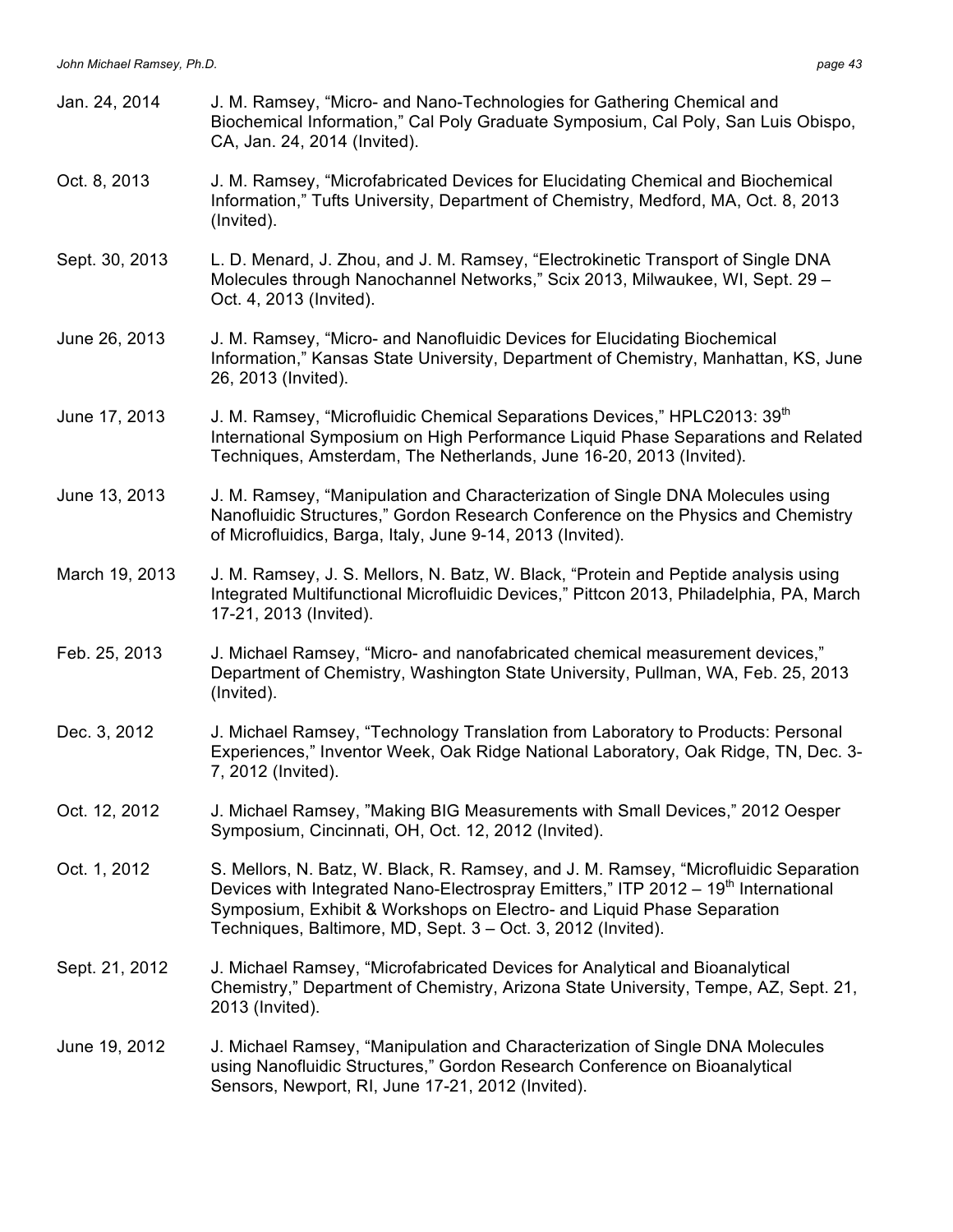| Jan. 24, 2014  | J. M. Ramsey, "Micro- and Nano-Technologies for Gathering Chemical and<br>Biochemical Information," Cal Poly Graduate Symposium, Cal Poly, San Luis Obispo,<br>CA, Jan. 24, 2014 (Invited).                                                                                                                                      |
|----------------|----------------------------------------------------------------------------------------------------------------------------------------------------------------------------------------------------------------------------------------------------------------------------------------------------------------------------------|
| Oct. 8, 2013   | J. M. Ramsey, "Microfabricated Devices for Elucidating Chemical and Biochemical<br>Information," Tufts University, Department of Chemistry, Medford, MA, Oct. 8, 2013<br>(Invited).                                                                                                                                              |
| Sept. 30, 2013 | L. D. Menard, J. Zhou, and J. M. Ramsey, "Electrokinetic Transport of Single DNA<br>Molecules through Nanochannel Networks," Scix 2013, Milwaukee, WI, Sept. 29 -<br>Oct. 4, 2013 (Invited).                                                                                                                                     |
| June 26, 2013  | J. M. Ramsey, "Micro- and Nanofluidic Devices for Elucidating Biochemical<br>Information," Kansas State University, Department of Chemistry, Manhattan, KS, June<br>26, 2013 (Invited).                                                                                                                                          |
| June 17, 2013  | J. M. Ramsey, "Microfluidic Chemical Separations Devices," HPLC2013: 39 <sup>th</sup><br>International Symposium on High Performance Liquid Phase Separations and Related<br>Techniques, Amsterdam, The Netherlands, June 16-20, 2013 (Invited).                                                                                 |
| June 13, 2013  | J. M. Ramsey, "Manipulation and Characterization of Single DNA Molecules using<br>Nanofluidic Structures," Gordon Research Conference on the Physics and Chemistry<br>of Microfluidics, Barga, Italy, June 9-14, 2013 (Invited).                                                                                                 |
| March 19, 2013 | J. M. Ramsey, J. S. Mellors, N. Batz, W. Black, "Protein and Peptide analysis using<br>Integrated Multifunctional Microfluidic Devices," Pittcon 2013, Philadelphia, PA, March<br>17-21, 2013 (Invited).                                                                                                                         |
| Feb. 25, 2013  | J. Michael Ramsey, "Micro- and nanofabricated chemical measurement devices,"<br>Department of Chemistry, Washington State University, Pullman, WA, Feb. 25, 2013<br>(Invited).                                                                                                                                                   |
| Dec. 3, 2012   | J. Michael Ramsey, "Technology Translation from Laboratory to Products: Personal<br>Experiences," Inventor Week, Oak Ridge National Laboratory, Oak Ridge, TN, Dec. 3-<br>7, 2012 (Invited).                                                                                                                                     |
| Oct. 12, 2012  | J. Michael Ramsey, "Making BIG Measurements with Small Devices," 2012 Oesper<br>Symposium, Cincinnati, OH, Oct. 12, 2012 (Invited).                                                                                                                                                                                              |
| Oct. 1, 2012   | S. Mellors, N. Batz, W. Black, R. Ramsey, and J. M. Ramsey, "Microfluidic Separation<br>Devices with Integrated Nano-Electrospray Emitters," ITP 2012 - 19 <sup>th</sup> International<br>Symposium, Exhibit & Workshops on Electro- and Liquid Phase Separation<br>Techniques, Baltimore, MD, Sept. 3 - Oct. 3, 2012 (Invited). |
| Sept. 21, 2012 | J. Michael Ramsey, "Microfabricated Devices for Analytical and Bioanalytical<br>Chemistry," Department of Chemistry, Arizona State University, Tempe, AZ, Sept. 21,<br>2013 (Invited).                                                                                                                                           |
| June 19, 2012  | J. Michael Ramsey, "Manipulation and Characterization of Single DNA Molecules<br>using Nanofluidic Structures," Gordon Research Conference on Bioanalytical<br>Sensors, Newport, RI, June 17-21, 2012 (Invited).                                                                                                                 |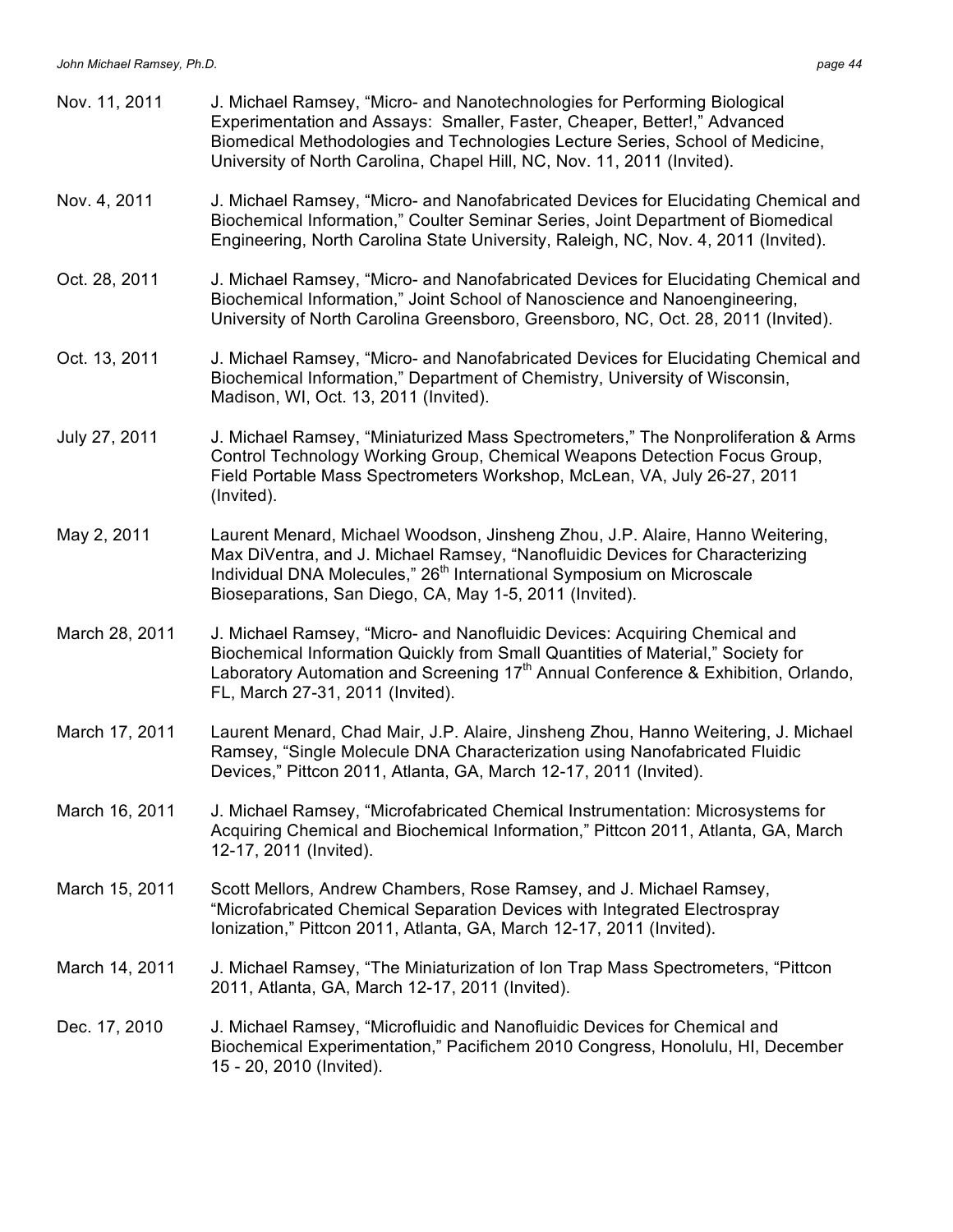| Nov. 11, 2011  | J. Michael Ramsey, "Micro- and Nanotechnologies for Performing Biological<br>Experimentation and Assays: Smaller, Faster, Cheaper, Better!," Advanced<br>Biomedical Methodologies and Technologies Lecture Series, School of Medicine,<br>University of North Carolina, Chapel Hill, NC, Nov. 11, 2011 (Invited). |
|----------------|-------------------------------------------------------------------------------------------------------------------------------------------------------------------------------------------------------------------------------------------------------------------------------------------------------------------|
| Nov. 4, 2011   | J. Michael Ramsey, "Micro- and Nanofabricated Devices for Elucidating Chemical and<br>Biochemical Information," Coulter Seminar Series, Joint Department of Biomedical<br>Engineering, North Carolina State University, Raleigh, NC, Nov. 4, 2011 (Invited).                                                      |
| Oct. 28, 2011  | J. Michael Ramsey, "Micro- and Nanofabricated Devices for Elucidating Chemical and<br>Biochemical Information," Joint School of Nanoscience and Nanoengineering,<br>University of North Carolina Greensboro, Greensboro, NC, Oct. 28, 2011 (Invited).                                                             |
| Oct. 13, 2011  | J. Michael Ramsey, "Micro- and Nanofabricated Devices for Elucidating Chemical and<br>Biochemical Information," Department of Chemistry, University of Wisconsin,<br>Madison, WI, Oct. 13, 2011 (Invited).                                                                                                        |
| July 27, 2011  | J. Michael Ramsey, "Miniaturized Mass Spectrometers," The Nonproliferation & Arms<br>Control Technology Working Group, Chemical Weapons Detection Focus Group,<br>Field Portable Mass Spectrometers Workshop, McLean, VA, July 26-27, 2011<br>(Invited).                                                          |
| May 2, 2011    | Laurent Menard, Michael Woodson, Jinsheng Zhou, J.P. Alaire, Hanno Weitering,<br>Max DiVentra, and J. Michael Ramsey, "Nanofluidic Devices for Characterizing<br>Individual DNA Molecules," 26 <sup>th</sup> International Symposium on Microscale<br>Bioseparations, San Diego, CA, May 1-5, 2011 (Invited).     |
| March 28, 2011 | J. Michael Ramsey, "Micro- and Nanofluidic Devices: Acquiring Chemical and<br>Biochemical Information Quickly from Small Quantities of Material," Society for<br>Laboratory Automation and Screening 17 <sup>th</sup> Annual Conference & Exhibition, Orlando,<br>FL, March 27-31, 2011 (Invited).                |
| March 17, 2011 | Laurent Menard, Chad Mair, J.P. Alaire, Jinsheng Zhou, Hanno Weitering, J. Michael<br>Ramsey, "Single Molecule DNA Characterization using Nanofabricated Fluidic<br>Devices," Pittcon 2011, Atlanta, GA, March 12-17, 2011 (Invited).                                                                             |
| March 16, 2011 | J. Michael Ramsey, "Microfabricated Chemical Instrumentation: Microsystems for<br>Acquiring Chemical and Biochemical Information," Pittcon 2011, Atlanta, GA, March<br>12-17, 2011 (Invited).                                                                                                                     |
| March 15, 2011 | Scott Mellors, Andrew Chambers, Rose Ramsey, and J. Michael Ramsey,<br>"Microfabricated Chemical Separation Devices with Integrated Electrospray<br>Ionization," Pittcon 2011, Atlanta, GA, March 12-17, 2011 (Invited).                                                                                          |
| March 14, 2011 | J. Michael Ramsey, "The Miniaturization of Ion Trap Mass Spectrometers, "Pittcon<br>2011, Atlanta, GA, March 12-17, 2011 (Invited).                                                                                                                                                                               |
| Dec. 17, 2010  | J. Michael Ramsey, "Microfluidic and Nanofluidic Devices for Chemical and<br>Biochemical Experimentation," Pacifichem 2010 Congress, Honolulu, HI, December<br>15 - 20, 2010 (Invited).                                                                                                                           |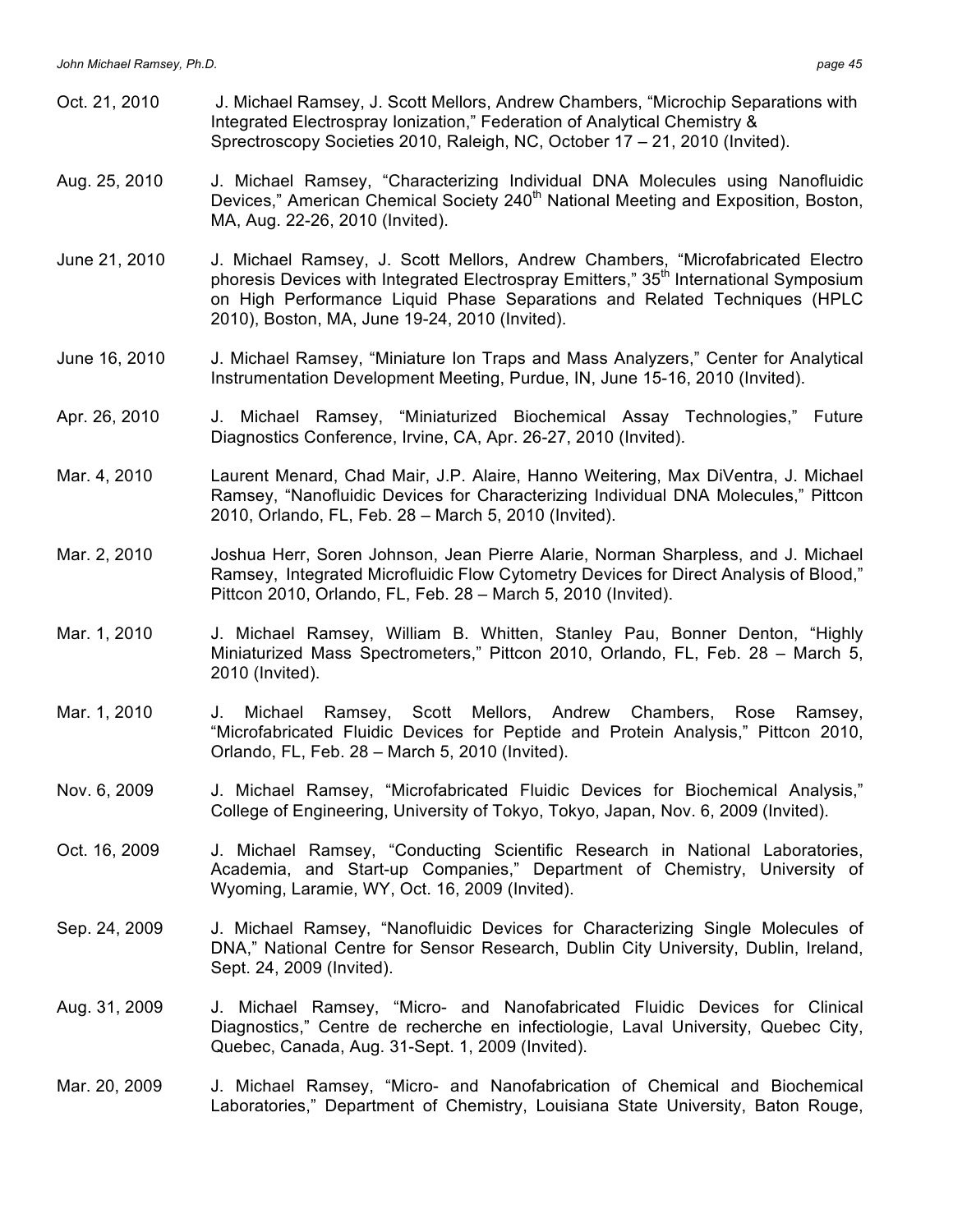- Oct. 21, 2010 J. Michael Ramsey, J. Scott Mellors, Andrew Chambers, "Microchip Separations with Integrated Electrospray Ionization," Federation of Analytical Chemistry & Sprectroscopy Societies 2010, Raleigh, NC, October 17 – 21, 2010 (Invited).
- Aug. 25, 2010 J. Michael Ramsey, "Characterizing Individual DNA Molecules using Nanofluidic Devices," American Chemical Society 240<sup>th</sup> National Meeting and Exposition, Boston, MA, Aug. 22-26, 2010 (Invited).
- June 21, 2010 J. Michael Ramsey, J. Scott Mellors, Andrew Chambers, "Microfabricated Electro phoresis Devices with Integrated Electrospray Emitters," 35<sup>th</sup> International Symposium on High Performance Liquid Phase Separations and Related Techniques (HPLC 2010), Boston, MA, June 19-24, 2010 (Invited).
- June 16, 2010 J. Michael Ramsey, "Miniature Ion Traps and Mass Analyzers," Center for Analytical Instrumentation Development Meeting, Purdue, IN, June 15-16, 2010 (Invited).
- Apr. 26, 2010 J. Michael Ramsey, "Miniaturized Biochemical Assay Technologies," Future Diagnostics Conference, Irvine, CA, Apr. 26-27, 2010 (Invited).
- Mar. 4, 2010 Laurent Menard, Chad Mair, J.P. Alaire, Hanno Weitering, Max DiVentra, J. Michael Ramsey, "Nanofluidic Devices for Characterizing Individual DNA Molecules," Pittcon 2010, Orlando, FL, Feb. 28 – March 5, 2010 (Invited).
- Mar. 2, 2010 Joshua Herr, Soren Johnson, Jean Pierre Alarie, Norman Sharpless, and J. Michael Ramsey, Integrated Microfluidic Flow Cytometry Devices for Direct Analysis of Blood," Pittcon 2010, Orlando, FL, Feb. 28 – March 5, 2010 (Invited).
- Mar. 1, 2010 J. Michael Ramsey, William B. Whitten, Stanley Pau, Bonner Denton, "Highly Miniaturized Mass Spectrometers," Pittcon 2010, Orlando, FL, Feb. 28 – March 5, 2010 (Invited).
- Mar. 1, 2010 J. Michael Ramsey, Scott Mellors, Andrew Chambers, Rose Ramsey, "Microfabricated Fluidic Devices for Peptide and Protein Analysis," Pittcon 2010, Orlando, FL, Feb. 28 – March 5, 2010 (Invited).
- Nov. 6, 2009 J. Michael Ramsey, "Microfabricated Fluidic Devices for Biochemical Analysis," College of Engineering, University of Tokyo, Tokyo, Japan, Nov. 6, 2009 (Invited).
- Oct. 16, 2009 J. Michael Ramsey, "Conducting Scientific Research in National Laboratories, Academia, and Start-up Companies," Department of Chemistry, University of Wyoming, Laramie, WY, Oct. 16, 2009 (Invited).
- Sep. 24, 2009 J. Michael Ramsey, "Nanofluidic Devices for Characterizing Single Molecules of DNA," National Centre for Sensor Research, Dublin City University, Dublin, Ireland, Sept. 24, 2009 (Invited).
- Aug. 31, 2009 J. Michael Ramsey, "Micro- and Nanofabricated Fluidic Devices for Clinical Diagnostics," Centre de recherche en infectiologie, Laval University, Quebec City, Quebec, Canada, Aug. 31-Sept. 1, 2009 (Invited).
- Mar. 20, 2009 J. Michael Ramsey, "Micro- and Nanofabrication of Chemical and Biochemical Laboratories," Department of Chemistry, Louisiana State University, Baton Rouge,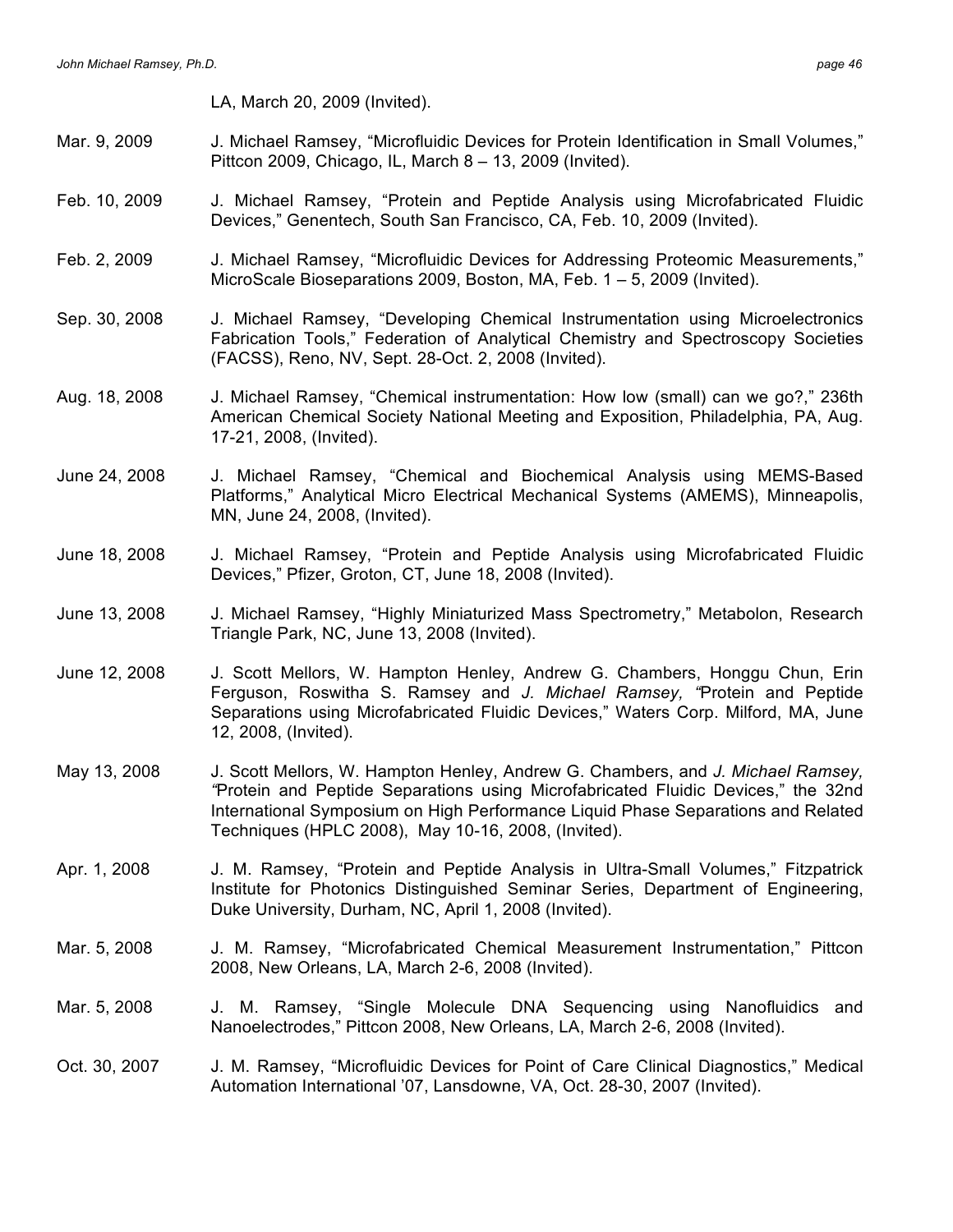LA, March 20, 2009 (Invited).

- Mar. 9, 2009 J. Michael Ramsey, "Microfluidic Devices for Protein Identification in Small Volumes," Pittcon 2009, Chicago, IL, March 8 – 13, 2009 (Invited).
- Feb. 10, 2009 J. Michael Ramsey, "Protein and Peptide Analysis using Microfabricated Fluidic Devices," Genentech, South San Francisco, CA, Feb. 10, 2009 (Invited).
- Feb. 2, 2009 J. Michael Ramsey, "Microfluidic Devices for Addressing Proteomic Measurements," MicroScale Bioseparations 2009, Boston, MA, Feb. 1 – 5, 2009 (Invited).
- Sep. 30, 2008 J. Michael Ramsey, "Developing Chemical Instrumentation using Microelectronics Fabrication Tools," Federation of Analytical Chemistry and Spectroscopy Societies (FACSS), Reno, NV, Sept. 28-Oct. 2, 2008 (Invited).
- Aug. 18, 2008 J. Michael Ramsey, "Chemical instrumentation: How low (small) can we go?," 236th American Chemical Society National Meeting and Exposition, Philadelphia, PA, Aug. 17-21, 2008, (Invited).
- June 24, 2008 J. Michael Ramsey, "Chemical and Biochemical Analysis using MEMS-Based Platforms," Analytical Micro Electrical Mechanical Systems (AMEMS), Minneapolis, MN, June 24, 2008, (Invited).
- June 18, 2008 J. Michael Ramsey, "Protein and Peptide Analysis using Microfabricated Fluidic Devices," Pfizer, Groton, CT, June 18, 2008 (Invited).
- June 13, 2008 J. Michael Ramsey, "Highly Miniaturized Mass Spectrometry," Metabolon, Research Triangle Park, NC, June 13, 2008 (Invited).
- June 12, 2008 J. Scott Mellors, W. Hampton Henley, Andrew G. Chambers, Honggu Chun, Erin Ferguson, Roswitha S. Ramsey and *J. Michael Ramsey, "*Protein and Peptide Separations using Microfabricated Fluidic Devices," Waters Corp. Milford, MA, June 12, 2008, (Invited).
- May 13, 2008 J. Scott Mellors, W. Hampton Henley, Andrew G. Chambers, and *J. Michael Ramsey, "*Protein and Peptide Separations using Microfabricated Fluidic Devices," the 32nd International Symposium on High Performance Liquid Phase Separations and Related Techniques (HPLC 2008), May 10-16, 2008, (Invited).
- Apr. 1, 2008 J. M. Ramsey, "Protein and Peptide Analysis in Ultra-Small Volumes," Fitzpatrick Institute for Photonics Distinguished Seminar Series, Department of Engineering, Duke University, Durham, NC, April 1, 2008 (Invited).
- Mar. 5, 2008 J. M. Ramsey, "Microfabricated Chemical Measurement Instrumentation," Pittcon 2008, New Orleans, LA, March 2-6, 2008 (Invited).
- Mar. 5, 2008 J. M. Ramsey, "Single Molecule DNA Sequencing using Nanofluidics and Nanoelectrodes," Pittcon 2008, New Orleans, LA, March 2-6, 2008 (Invited).
- Oct. 30, 2007 J. M. Ramsey, "Microfluidic Devices for Point of Care Clinical Diagnostics," Medical Automation International '07, Lansdowne, VA, Oct. 28-30, 2007 (Invited).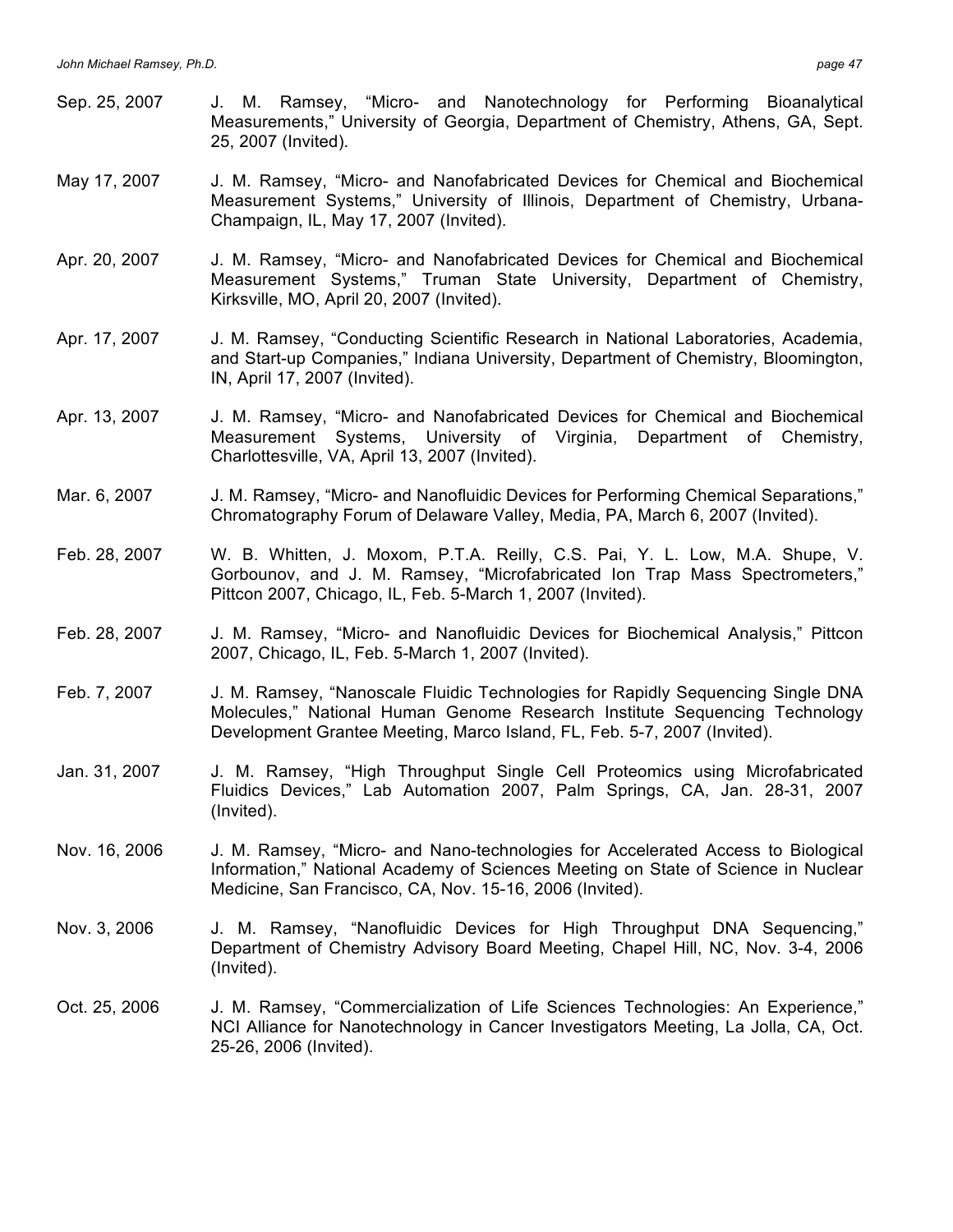- Sep. 25, 2007 J. M. Ramsey, "Micro- and Nanotechnology for Performing Bioanalytical Measurements," University of Georgia, Department of Chemistry, Athens, GA, Sept. 25, 2007 (Invited).
- May 17, 2007 J. M. Ramsey, "Micro- and Nanofabricated Devices for Chemical and Biochemical Measurement Systems," University of Illinois, Department of Chemistry, Urbana-Champaign, IL, May 17, 2007 (Invited).
- Apr. 20, 2007 J. M. Ramsey, "Micro- and Nanofabricated Devices for Chemical and Biochemical Measurement Systems," Truman State University, Department of Chemistry, Kirksville, MO, April 20, 2007 (Invited).
- Apr. 17, 2007 J. M. Ramsey, "Conducting Scientific Research in National Laboratories, Academia, and Start-up Companies," Indiana University, Department of Chemistry, Bloomington, IN, April 17, 2007 (Invited).
- Apr. 13, 2007 J. M. Ramsey, "Micro- and Nanofabricated Devices for Chemical and Biochemical Measurement Systems, University of Virginia, Department of Chemistry, Charlottesville, VA, April 13, 2007 (Invited).
- Mar. 6, 2007 J. M. Ramsey, "Micro- and Nanofluidic Devices for Performing Chemical Separations," Chromatography Forum of Delaware Valley, Media, PA, March 6, 2007 (Invited).
- Feb. 28, 2007 W. B. Whitten, J. Moxom, P.T.A. Reilly, C.S. Pai, Y. L. Low, M.A. Shupe, V. Gorbounov, and J. M. Ramsey, "Microfabricated Ion Trap Mass Spectrometers," Pittcon 2007, Chicago, IL, Feb. 5-March 1, 2007 (Invited).
- Feb. 28, 2007 J. M. Ramsey, "Micro- and Nanofluidic Devices for Biochemical Analysis," Pittcon 2007, Chicago, IL, Feb. 5-March 1, 2007 (Invited).
- Feb. 7, 2007 J. M. Ramsey, "Nanoscale Fluidic Technologies for Rapidly Sequencing Single DNA Molecules," National Human Genome Research Institute Sequencing Technology Development Grantee Meeting, Marco Island, FL, Feb. 5-7, 2007 (Invited).
- Jan. 31, 2007 J. M. Ramsey, "High Throughput Single Cell Proteomics using Microfabricated Fluidics Devices," Lab Automation 2007, Palm Springs, CA, Jan. 28-31, 2007 (Invited).
- Nov. 16, 2006 J. M. Ramsey, "Micro- and Nano-technologies for Accelerated Access to Biological Information," National Academy of Sciences Meeting on State of Science in Nuclear Medicine, San Francisco, CA, Nov. 15-16, 2006 (Invited).
- Nov. 3, 2006 J. M. Ramsey, "Nanofluidic Devices for High Throughput DNA Sequencing," Department of Chemistry Advisory Board Meeting, Chapel Hill, NC, Nov. 3-4, 2006 (Invited).
- Oct. 25, 2006 J. M. Ramsey, "Commercialization of Life Sciences Technologies: An Experience," NCI Alliance for Nanotechnology in Cancer Investigators Meeting, La Jolla, CA, Oct. 25-26, 2006 (Invited).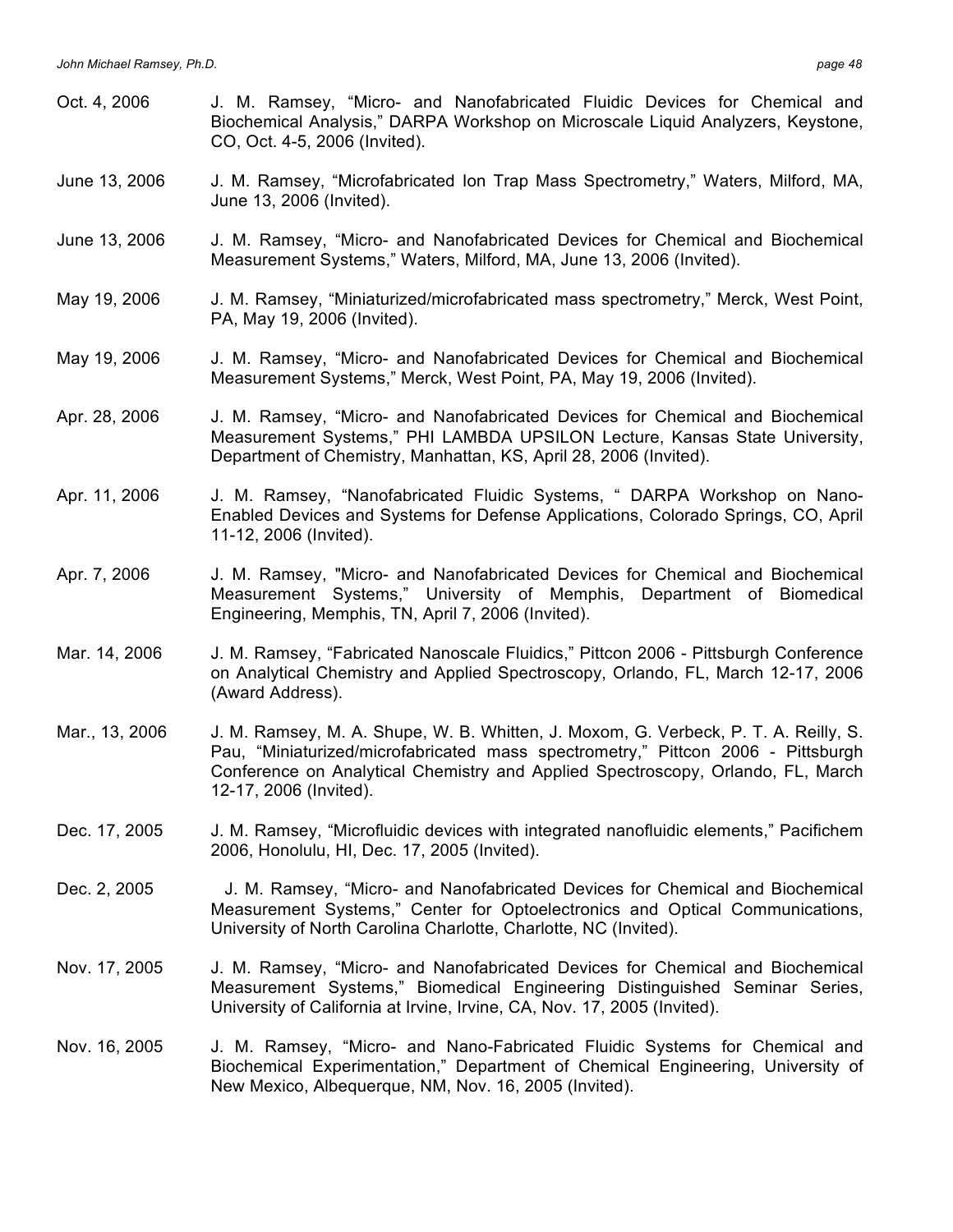Oct. 4, 2006 J. M. Ramsey, "Micro- and Nanofabricated Fluidic Devices for Chemical and Biochemical Analysis," DARPA Workshop on Microscale Liquid Analyzers, Keystone, CO, Oct. 4-5, 2006 (Invited). June 13, 2006 J. M. Ramsey, "Microfabricated Ion Trap Mass Spectrometry," Waters, Milford, MA, June 13, 2006 (Invited). June 13, 2006 J. M. Ramsey, "Micro- and Nanofabricated Devices for Chemical and Biochemical Measurement Systems," Waters, Milford, MA, June 13, 2006 (Invited). May 19, 2006 J. M. Ramsey, "Miniaturized/microfabricated mass spectrometry," Merck, West Point, PA, May 19, 2006 (Invited). May 19, 2006 J. M. Ramsey, "Micro- and Nanofabricated Devices for Chemical and Biochemical Measurement Systems," Merck, West Point, PA, May 19, 2006 (Invited). Apr. 28, 2006 J. M. Ramsey, "Micro- and Nanofabricated Devices for Chemical and Biochemical Measurement Systems," PHI LAMBDA UPSILON Lecture, Kansas State University, Department of Chemistry, Manhattan, KS, April 28, 2006 (Invited). Apr. 11, 2006 J. M. Ramsey, "Nanofabricated Fluidic Systems, " DARPA Workshop on Nano-Enabled Devices and Systems for Defense Applications, Colorado Springs, CO, April 11-12, 2006 (Invited). Apr. 7, 2006 J. M. Ramsey, "Micro- and Nanofabricated Devices for Chemical and Biochemical Measurement Systems," University of Memphis, Department of Biomedical Engineering, Memphis, TN, April 7, 2006 (Invited). Mar. 14, 2006 J. M. Ramsey, "Fabricated Nanoscale Fluidics," Pittcon 2006 - Pittsburgh Conference on Analytical Chemistry and Applied Spectroscopy, Orlando, FL, March 12-17, 2006 (Award Address). Mar., 13, 2006 J. M. Ramsey, M. A. Shupe, W. B. Whitten, J. Moxom, G. Verbeck, P. T. A. Reilly, S. Pau, "Miniaturized/microfabricated mass spectrometry," Pittcon 2006 - Pittsburgh Conference on Analytical Chemistry and Applied Spectroscopy, Orlando, FL, March 12-17, 2006 (Invited). Dec. 17, 2005 J. M. Ramsey, "Microfluidic devices with integrated nanofluidic elements," Pacifichem 2006, Honolulu, HI, Dec. 17, 2005 (Invited). Dec. 2, 2005 J. M. Ramsey, "Micro- and Nanofabricated Devices for Chemical and Biochemical Measurement Systems," Center for Optoelectronics and Optical Communications, University of North Carolina Charlotte, Charlotte, NC (Invited). Nov. 17, 2005 J. M. Ramsey, "Micro- and Nanofabricated Devices for Chemical and Biochemical Measurement Systems," Biomedical Engineering Distinguished Seminar Series, University of California at Irvine, Irvine, CA, Nov. 17, 2005 (Invited). Nov. 16, 2005 J. M. Ramsey, "Micro- and Nano-Fabricated Fluidic Systems for Chemical and Biochemical Experimentation," Department of Chemical Engineering, University of New Mexico, Albequerque, NM, Nov. 16, 2005 (Invited).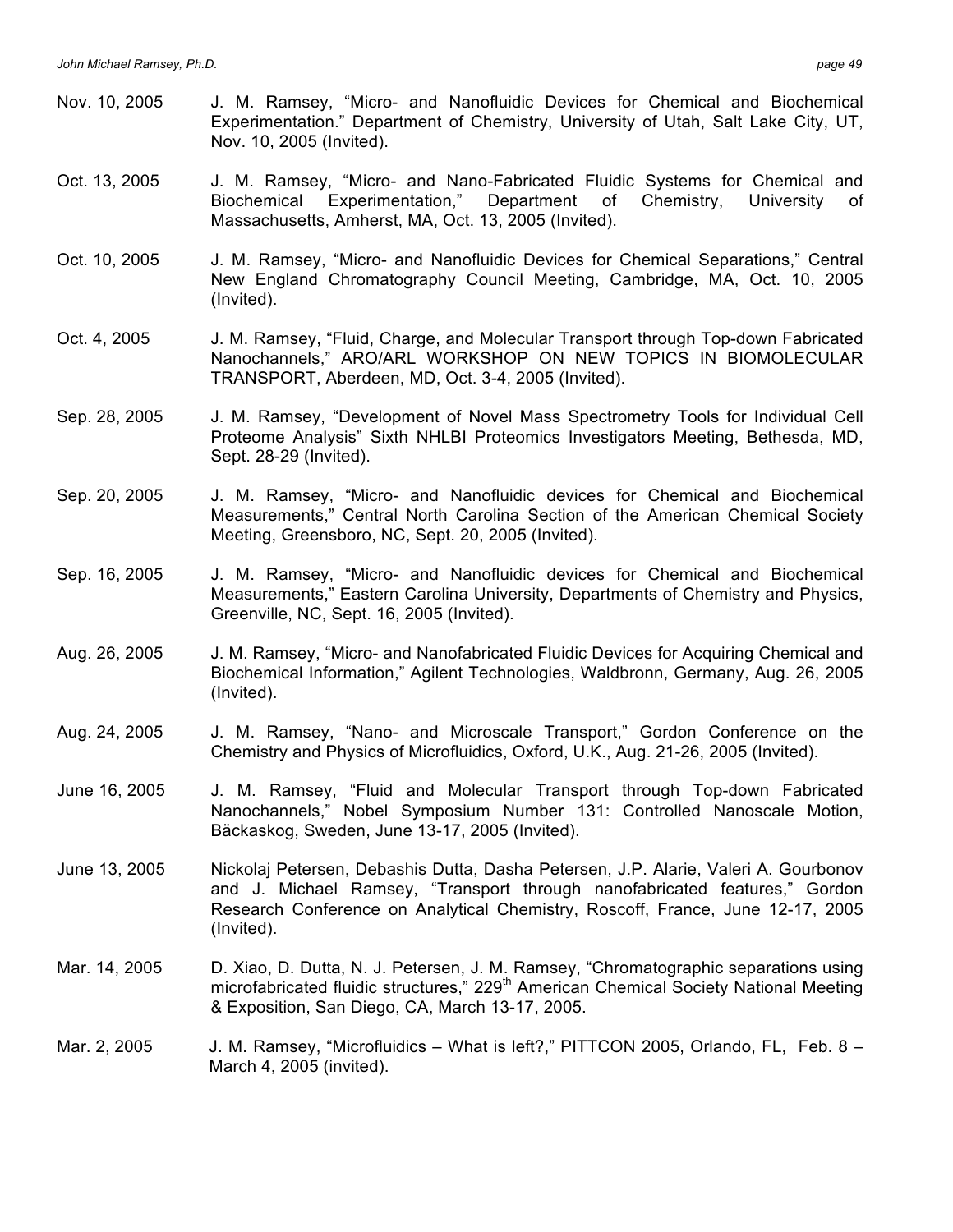- Nov. 10, 2005 J. M. Ramsey, "Micro- and Nanofluidic Devices for Chemical and Biochemical Experimentation." Department of Chemistry, University of Utah, Salt Lake City, UT, Nov. 10, 2005 (Invited).
- Oct. 13, 2005 J. M. Ramsey, "Micro- and Nano-Fabricated Fluidic Systems for Chemical and Biochemical Experimentation," Department of Chemistry, University of Massachusetts, Amherst, MA, Oct. 13, 2005 (Invited).
- Oct. 10, 2005 J. M. Ramsey, "Micro- and Nanofluidic Devices for Chemical Separations," Central New England Chromatography Council Meeting, Cambridge, MA, Oct. 10, 2005 (Invited).
- Oct. 4, 2005 J. M. Ramsey, "Fluid, Charge, and Molecular Transport through Top-down Fabricated Nanochannels," ARO/ARL WORKSHOP ON NEW TOPICS IN BIOMOLECULAR TRANSPORT, Aberdeen, MD, Oct. 3-4, 2005 (Invited).
- Sep. 28, 2005 J. M. Ramsey, "Development of Novel Mass Spectrometry Tools for Individual Cell Proteome Analysis" Sixth NHLBI Proteomics Investigators Meeting, Bethesda, MD, Sept. 28-29 (Invited).
- Sep. 20, 2005 J. M. Ramsey, "Micro- and Nanofluidic devices for Chemical and Biochemical Measurements," Central North Carolina Section of the American Chemical Society Meeting, Greensboro, NC, Sept. 20, 2005 (Invited).
- Sep. 16, 2005 J. M. Ramsey, "Micro- and Nanofluidic devices for Chemical and Biochemical Measurements," Eastern Carolina University, Departments of Chemistry and Physics, Greenville, NC, Sept. 16, 2005 (Invited).
- Aug. 26, 2005 J. M. Ramsey, "Micro- and Nanofabricated Fluidic Devices for Acquiring Chemical and Biochemical Information," Agilent Technologies, Waldbronn, Germany, Aug. 26, 2005 (Invited).
- Aug. 24, 2005 J. M. Ramsey, "Nano- and Microscale Transport," Gordon Conference on the Chemistry and Physics of Microfluidics, Oxford, U.K., Aug. 21-26, 2005 (Invited).
- June 16, 2005 J. M. Ramsey, "Fluid and Molecular Transport through Top-down Fabricated Nanochannels," Nobel Symposium Number 131: Controlled Nanoscale Motion, Bäckaskog, Sweden, June 13-17, 2005 (Invited).
- June 13, 2005 Nickolaj Petersen, Debashis Dutta, Dasha Petersen, J.P. Alarie, Valeri A. Gourbonov and J. Michael Ramsey, "Transport through nanofabricated features," Gordon Research Conference on Analytical Chemistry, Roscoff, France, June 12-17, 2005 (Invited).
- Mar. 14, 2005 D. Xiao, D. Dutta, N. J. Petersen, J. M. Ramsey, "Chromatographic separations using microfabricated fluidic structures," 229<sup>th</sup> American Chemical Society National Meeting & Exposition, San Diego, CA, March 13-17, 2005.
- Mar. 2, 2005 J. M. Ramsey, "Microfluidics What is left?," PITTCON 2005, Orlando, FL, Feb. 8 March 4, 2005 (invited).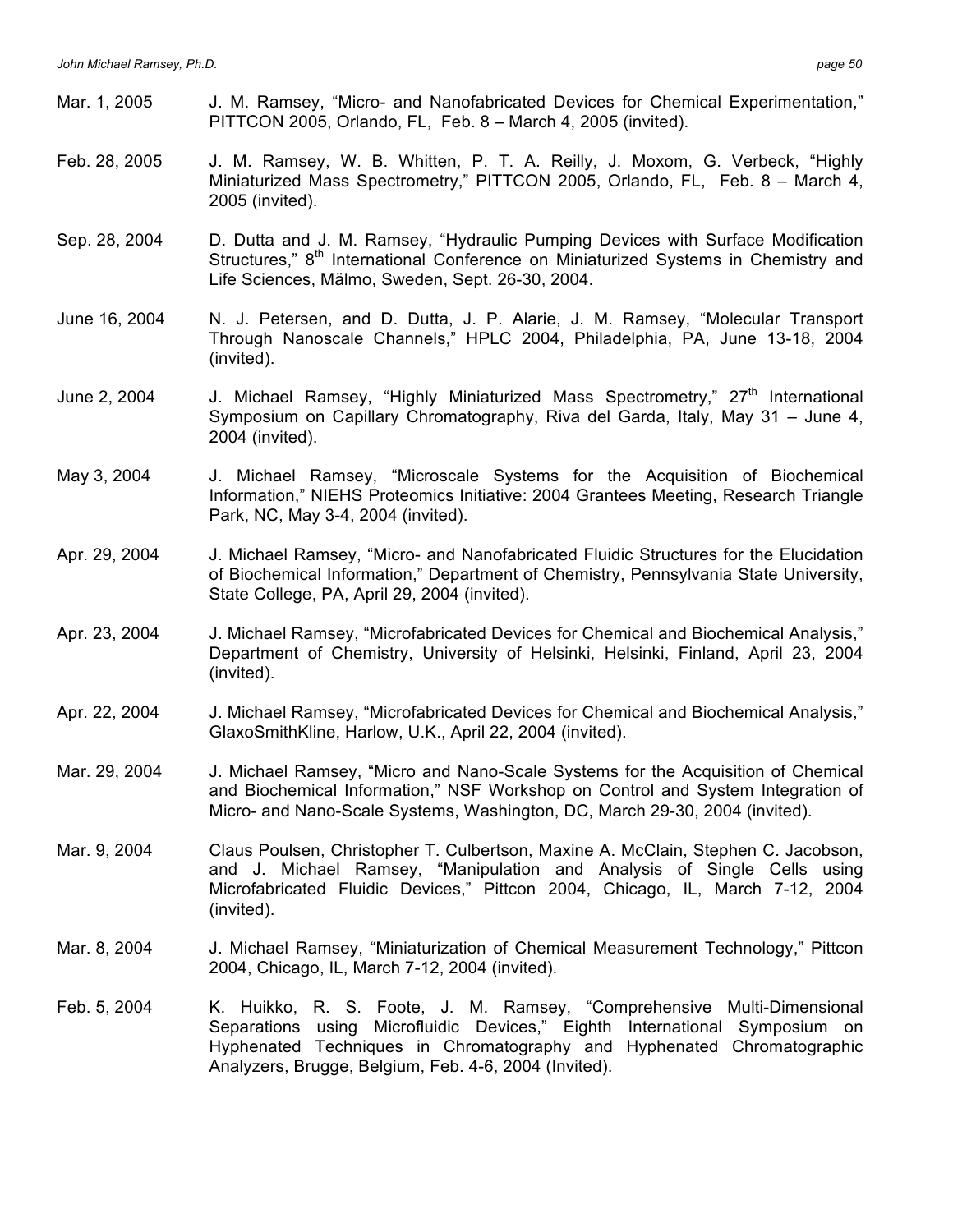- Mar. 1, 2005 J. M. Ramsey, "Micro- and Nanofabricated Devices for Chemical Experimentation," PITTCON 2005, Orlando, FL, Feb. 8 – March 4, 2005 (invited).
- Feb. 28, 2005 J. M. Ramsey, W. B. Whitten, P. T. A. Reilly, J. Moxom, G. Verbeck, "Highly Miniaturized Mass Spectrometry," PITTCON 2005, Orlando, FL, Feb. 8 – March 4, 2005 (invited).
- Sep. 28, 2004 D. Dutta and J. M. Ramsey, "Hydraulic Pumping Devices with Surface Modification Structures,"  $8<sup>th</sup>$  International Conference on Miniaturized Systems in Chemistry and Life Sciences, Mälmo, Sweden, Sept. 26-30, 2004.
- June 16, 2004 N. J. Petersen, and D. Dutta, J. P. Alarie, J. M. Ramsey, "Molecular Transport Through Nanoscale Channels," HPLC 2004, Philadelphia, PA, June 13-18, 2004 (invited).
- June 2, 2004 J. Michael Ramsey, "Highly Miniaturized Mass Spectrometry," 27<sup>th</sup> International Symposium on Capillary Chromatography, Riva del Garda, Italy, May 31 – June 4, 2004 (invited).
- May 3, 2004 J. Michael Ramsey, "Microscale Systems for the Acquisition of Biochemical Information," NIEHS Proteomics Initiative: 2004 Grantees Meeting, Research Triangle Park, NC, May 3-4, 2004 (invited).
- Apr. 29, 2004 J. Michael Ramsey, "Micro- and Nanofabricated Fluidic Structures for the Elucidation of Biochemical Information," Department of Chemistry, Pennsylvania State University, State College, PA, April 29, 2004 (invited).
- Apr. 23, 2004 J. Michael Ramsey, "Microfabricated Devices for Chemical and Biochemical Analysis," Department of Chemistry, University of Helsinki, Helsinki, Finland, April 23, 2004 (invited).
- Apr. 22, 2004 J. Michael Ramsey, "Microfabricated Devices for Chemical and Biochemical Analysis," GlaxoSmithKline, Harlow, U.K., April 22, 2004 (invited).
- Mar. 29, 2004 J. Michael Ramsey, "Micro and Nano-Scale Systems for the Acquisition of Chemical and Biochemical Information," NSF Workshop on Control and System Integration of Micro- and Nano-Scale Systems, Washington, DC, March 29-30, 2004 (invited).
- Mar. 9, 2004 Claus Poulsen, Christopher T. Culbertson, Maxine A. McClain, Stephen C. Jacobson, and J. Michael Ramsey, "Manipulation and Analysis of Single Cells using Microfabricated Fluidic Devices," Pittcon 2004, Chicago, IL, March 7-12, 2004 (invited).
- Mar. 8, 2004 J. Michael Ramsey, "Miniaturization of Chemical Measurement Technology," Pittcon 2004, Chicago, IL, March 7-12, 2004 (invited).
- Feb. 5, 2004 K. Huikko, R. S. Foote, J. M. Ramsey, "Comprehensive Multi-Dimensional Separations using Microfluidic Devices," Eighth International Symposium on Hyphenated Techniques in Chromatography and Hyphenated Chromatographic Analyzers, Brugge, Belgium, Feb. 4-6, 2004 (Invited).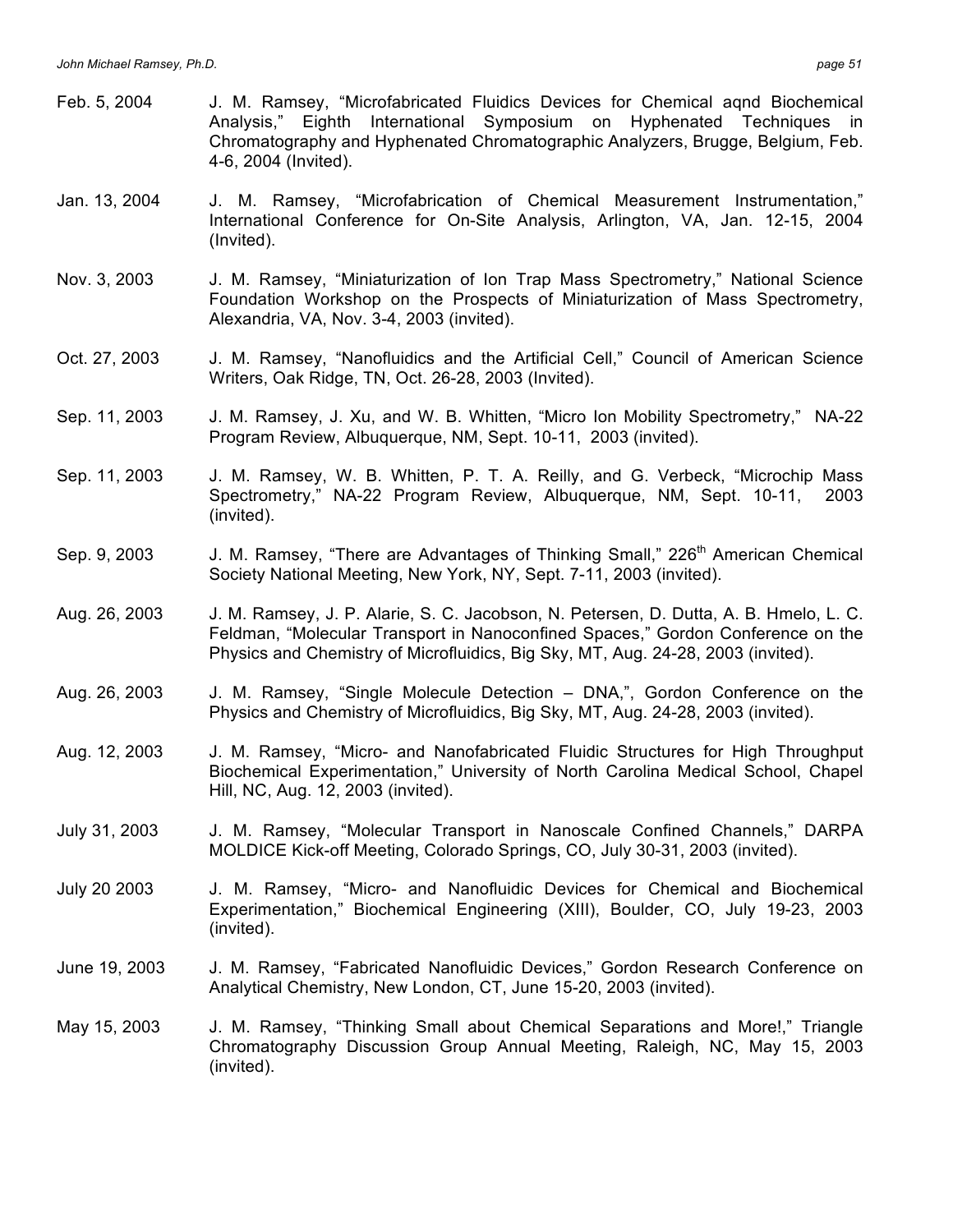(invited).

Feb. 5, 2004 J. M. Ramsey, "Microfabricated Fluidics Devices for Chemical aqnd Biochemical Analysis," Eighth International Symposium on Hyphenated Techniques in Chromatography and Hyphenated Chromatographic Analyzers, Brugge, Belgium, Feb. 4-6, 2004 (Invited). Jan. 13, 2004 J. M. Ramsey, "Microfabrication of Chemical Measurement Instrumentation," International Conference for On-Site Analysis, Arlington, VA, Jan. 12-15, 2004 (Invited). Nov. 3, 2003 J. M. Ramsey, "Miniaturization of Ion Trap Mass Spectrometry," National Science Foundation Workshop on the Prospects of Miniaturization of Mass Spectrometry, Alexandria, VA, Nov. 3-4, 2003 (invited). Oct. 27, 2003 J. M. Ramsey, "Nanofluidics and the Artificial Cell," Council of American Science Writers, Oak Ridge, TN, Oct. 26-28, 2003 (Invited). Sep. 11, 2003 J. M. Ramsey, J. Xu, and W. B. Whitten, "Micro Ion Mobility Spectrometry," NA-22 Program Review, Albuquerque, NM, Sept. 10-11, 2003 (invited). Sep. 11, 2003 J. M. Ramsey, W. B. Whitten, P. T. A. Reilly, and G. Verbeck, "Microchip Mass Spectrometry," NA-22 Program Review, Albuquerque, NM, Sept. 10-11, 2003 (invited). Sep. 9, 2003 J. M. Ramsey, "There are Advantages of Thinking Small," 226<sup>th</sup> American Chemical Society National Meeting, New York, NY, Sept. 7-11, 2003 (invited). Aug. 26, 2003 J. M. Ramsey, J. P. Alarie, S. C. Jacobson, N. Petersen, D. Dutta, A. B. Hmelo, L. C. Feldman, "Molecular Transport in Nanoconfined Spaces," Gordon Conference on the Physics and Chemistry of Microfluidics, Big Sky, MT, Aug. 24-28, 2003 (invited). Aug. 26, 2003 J. M. Ramsey, "Single Molecule Detection – DNA,", Gordon Conference on the Physics and Chemistry of Microfluidics, Big Sky, MT, Aug. 24-28, 2003 (invited). Aug. 12, 2003 J. M. Ramsey, "Micro- and Nanofabricated Fluidic Structures for High Throughput Biochemical Experimentation," University of North Carolina Medical School, Chapel Hill, NC, Aug. 12, 2003 (invited). July 31, 2003 J. M. Ramsey, "Molecular Transport in Nanoscale Confined Channels," DARPA MOLDICE Kick-off Meeting, Colorado Springs, CO, July 30-31, 2003 (invited). July 20 2003 J. M. Ramsey, "Micro- and Nanofluidic Devices for Chemical and Biochemical Experimentation," Biochemical Engineering (XIII), Boulder, CO, July 19-23, 2003 (invited). June 19, 2003 J. M. Ramsey, "Fabricated Nanofluidic Devices," Gordon Research Conference on Analytical Chemistry, New London, CT, June 15-20, 2003 (invited). May 15, 2003 J. M. Ramsey, "Thinking Small about Chemical Separations and More!," Triangle Chromatography Discussion Group Annual Meeting, Raleigh, NC, May 15, 2003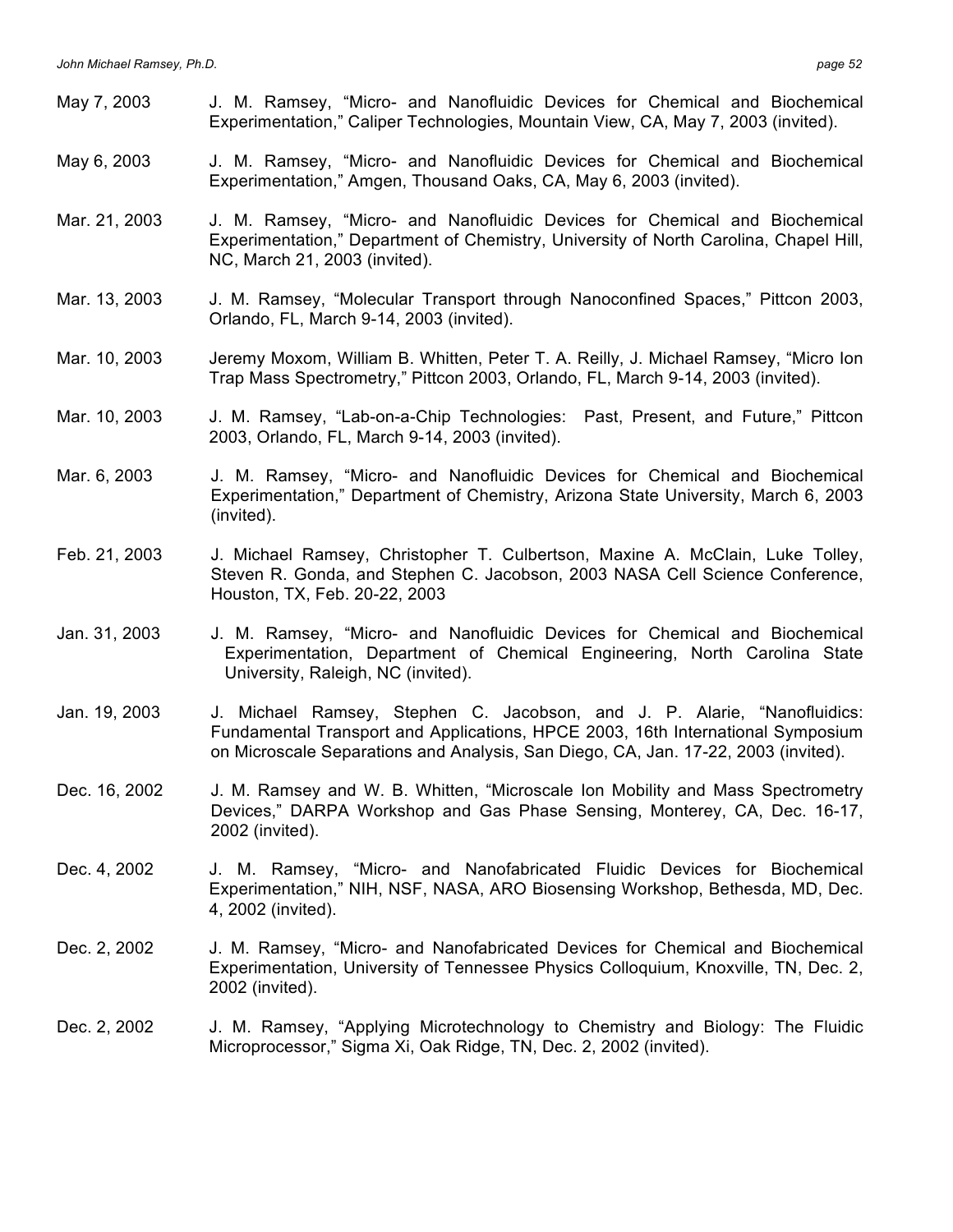| May 7, 2003   | J. M. Ramsey, "Micro- and Nanofluidic Devices for Chemical and Biochemical<br>Experimentation," Caliper Technologies, Mountain View, CA, May 7, 2003 (invited).                                                                                   |
|---------------|---------------------------------------------------------------------------------------------------------------------------------------------------------------------------------------------------------------------------------------------------|
| May 6, 2003   | J. M. Ramsey, "Micro- and Nanofluidic Devices for Chemical and Biochemical<br>Experimentation," Amgen, Thousand Oaks, CA, May 6, 2003 (invited).                                                                                                  |
| Mar. 21, 2003 | J. M. Ramsey, "Micro- and Nanofluidic Devices for Chemical and Biochemical<br>Experimentation," Department of Chemistry, University of North Carolina, Chapel Hill,<br>NC, March 21, 2003 (invited).                                              |
| Mar. 13, 2003 | J. M. Ramsey, "Molecular Transport through Nanoconfined Spaces," Pittcon 2003,<br>Orlando, FL, March 9-14, 2003 (invited).                                                                                                                        |
| Mar. 10, 2003 | Jeremy Moxom, William B. Whitten, Peter T. A. Reilly, J. Michael Ramsey, "Micro Ion<br>Trap Mass Spectrometry," Pittcon 2003, Orlando, FL, March 9-14, 2003 (invited).                                                                            |
| Mar. 10, 2003 | J. M. Ramsey, "Lab-on-a-Chip Technologies: Past, Present, and Future," Pittcon<br>2003, Orlando, FL, March 9-14, 2003 (invited).                                                                                                                  |
| Mar. 6, 2003  | J. M. Ramsey, "Micro- and Nanofluidic Devices for Chemical and Biochemical<br>Experimentation," Department of Chemistry, Arizona State University, March 6, 2003<br>(invited).                                                                    |
| Feb. 21, 2003 | J. Michael Ramsey, Christopher T. Culbertson, Maxine A. McClain, Luke Tolley,<br>Steven R. Gonda, and Stephen C. Jacobson, 2003 NASA Cell Science Conference,<br>Houston, TX, Feb. 20-22, 2003                                                    |
| Jan. 31, 2003 | J. M. Ramsey, "Micro- and Nanofluidic Devices for Chemical and Biochemical<br>Experimentation, Department of Chemical Engineering, North Carolina State<br>University, Raleigh, NC (invited).                                                     |
| Jan. 19, 2003 | J. Michael Ramsey, Stephen C. Jacobson, and J. P. Alarie, "Nanofluidics:<br>Fundamental Transport and Applications, HPCE 2003, 16th International Symposium<br>on Microscale Separations and Analysis, San Diego, CA, Jan. 17-22, 2003 (invited). |
| Dec. 16, 2002 | J. M. Ramsey and W. B. Whitten, "Microscale Ion Mobility and Mass Spectrometry<br>Devices," DARPA Workshop and Gas Phase Sensing, Monterey, CA, Dec. 16-17,<br>2002 (invited).                                                                    |
| Dec. 4, 2002  | J. M. Ramsey, "Micro- and Nanofabricated Fluidic Devices for Biochemical<br>Experimentation," NIH, NSF, NASA, ARO Biosensing Workshop, Bethesda, MD, Dec.<br>4, 2002 (invited).                                                                   |
| Dec. 2, 2002  | J. M. Ramsey, "Micro- and Nanofabricated Devices for Chemical and Biochemical<br>Experimentation, University of Tennessee Physics Colloquium, Knoxville, TN, Dec. 2,<br>2002 (invited).                                                           |
| Dec. 2, 2002  | J. M. Ramsey, "Applying Microtechnology to Chemistry and Biology: The Fluidic<br>Microprocessor," Sigma Xi, Oak Ridge, TN, Dec. 2, 2002 (invited).                                                                                                |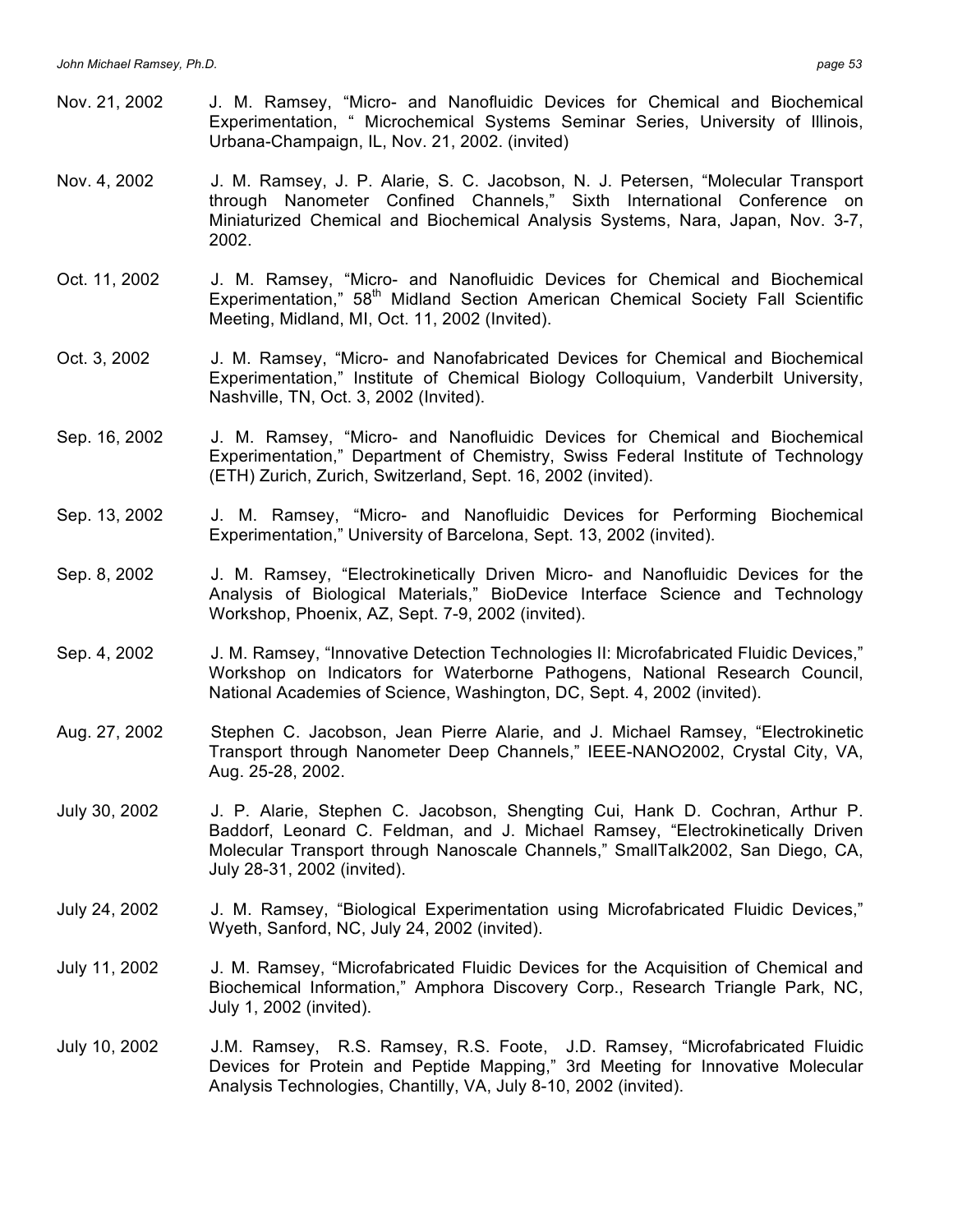- Nov. 21, 2002 J. M. Ramsey, "Micro- and Nanofluidic Devices for Chemical and Biochemical Experimentation, " Microchemical Systems Seminar Series, University of Illinois, Urbana-Champaign, IL, Nov. 21, 2002. (invited)
- Nov. 4, 2002 J. M. Ramsey, J. P. Alarie, S. C. Jacobson, N. J. Petersen, "Molecular Transport through Nanometer Confined Channels," Sixth International Conference on Miniaturized Chemical and Biochemical Analysis Systems, Nara, Japan, Nov. 3-7, 2002.
- Oct. 11, 2002 J. M. Ramsey, "Micro- and Nanofluidic Devices for Chemical and Biochemical Experimentation," 58<sup>th</sup> Midland Section American Chemical Society Fall Scientific Meeting, Midland, MI, Oct. 11, 2002 (Invited).
- Oct. 3, 2002 J. M. Ramsey, "Micro- and Nanofabricated Devices for Chemical and Biochemical Experimentation," Institute of Chemical Biology Colloquium, Vanderbilt University, Nashville, TN, Oct. 3, 2002 (Invited).
- Sep. 16, 2002 J. M. Ramsey, "Micro- and Nanofluidic Devices for Chemical and Biochemical Experimentation," Department of Chemistry, Swiss Federal Institute of Technology (ETH) Zurich, Zurich, Switzerland, Sept. 16, 2002 (invited).
- Sep. 13, 2002 J. M. Ramsey, "Micro- and Nanofluidic Devices for Performing Biochemical Experimentation," University of Barcelona, Sept. 13, 2002 (invited).
- Sep. 8, 2002 J. M. Ramsey, "Electrokinetically Driven Micro- and Nanofluidic Devices for the Analysis of Biological Materials," BioDevice Interface Science and Technology Workshop, Phoenix, AZ, Sept. 7-9, 2002 (invited).
- Sep. 4, 2002 J. M. Ramsey, "Innovative Detection Technologies II: Microfabricated Fluidic Devices," Workshop on Indicators for Waterborne Pathogens, National Research Council, National Academies of Science, Washington, DC, Sept. 4, 2002 (invited).
- Aug. 27, 2002 Stephen C. Jacobson, Jean Pierre Alarie, and J. Michael Ramsey, "Electrokinetic Transport through Nanometer Deep Channels," IEEE-NANO2002, Crystal City, VA, Aug. 25-28, 2002.
- July 30, 2002 J. P. Alarie, Stephen C. Jacobson, Shengting Cui, Hank D. Cochran, Arthur P. Baddorf, Leonard C. Feldman, and J. Michael Ramsey, "Electrokinetically Driven Molecular Transport through Nanoscale Channels," SmallTalk2002, San Diego, CA, July 28-31, 2002 (invited).
- July 24, 2002 J. M. Ramsey, "Biological Experimentation using Microfabricated Fluidic Devices," Wyeth, Sanford, NC, July 24, 2002 (invited).
- July 11, 2002 J. M. Ramsey, "Microfabricated Fluidic Devices for the Acquisition of Chemical and Biochemical Information," Amphora Discovery Corp., Research Triangle Park, NC, July 1, 2002 (invited).
- July 10, 2002 J.M. Ramsey, R.S. Ramsey, R.S. Foote, J.D. Ramsey, "Microfabricated Fluidic Devices for Protein and Peptide Mapping," 3rd Meeting for Innovative Molecular Analysis Technologies, Chantilly, VA, July 8-10, 2002 (invited).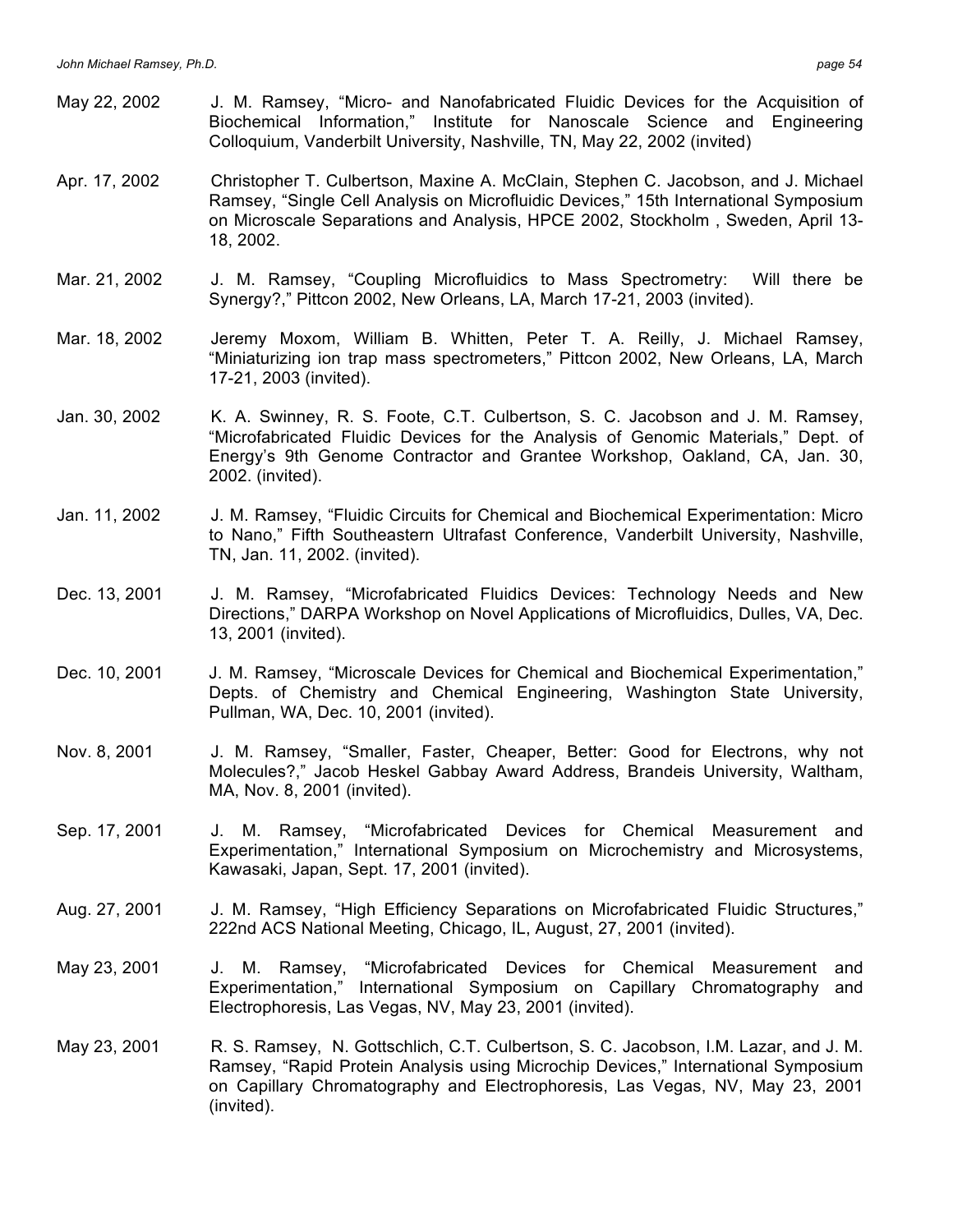- May 22, 2002 J. M. Ramsey, "Micro- and Nanofabricated Fluidic Devices for the Acquisition of Biochemical Information," Institute for Nanoscale Science and Engineering Colloquium, Vanderbilt University, Nashville, TN, May 22, 2002 (invited)
- Apr. 17, 2002 Christopher T. Culbertson, Maxine A. McClain, Stephen C. Jacobson, and J. Michael Ramsey, "Single Cell Analysis on Microfluidic Devices," 15th International Symposium on Microscale Separations and Analysis, HPCE 2002, Stockholm , Sweden, April 13- 18, 2002.
- Mar. 21, 2002 J. M. Ramsey, "Coupling Microfluidics to Mass Spectrometry: Will there be Synergy?," Pittcon 2002, New Orleans, LA, March 17-21, 2003 (invited).
- Mar. 18, 2002 Jeremy Moxom, William B. Whitten, Peter T. A. Reilly, J. Michael Ramsey, "Miniaturizing ion trap mass spectrometers," Pittcon 2002, New Orleans, LA, March 17-21, 2003 (invited).
- Jan. 30, 2002 K. A. Swinney, R. S. Foote, C.T. Culbertson, S. C. Jacobson and J. M. Ramsey, "Microfabricated Fluidic Devices for the Analysis of Genomic Materials," Dept. of Energy's 9th Genome Contractor and Grantee Workshop, Oakland, CA, Jan. 30, 2002. (invited).
- Jan. 11, 2002 J. M. Ramsey, "Fluidic Circuits for Chemical and Biochemical Experimentation: Micro to Nano," Fifth Southeastern Ultrafast Conference, Vanderbilt University, Nashville, TN, Jan. 11, 2002. (invited).
- Dec. 13, 2001 J. M. Ramsey, "Microfabricated Fluidics Devices: Technology Needs and New Directions," DARPA Workshop on Novel Applications of Microfluidics, Dulles, VA, Dec. 13, 2001 (invited).
- Dec. 10, 2001 J. M. Ramsey, "Microscale Devices for Chemical and Biochemical Experimentation," Depts. of Chemistry and Chemical Engineering, Washington State University, Pullman, WA, Dec. 10, 2001 (invited).
- Nov. 8, 2001 J. M. Ramsey, "Smaller, Faster, Cheaper, Better: Good for Electrons, why not Molecules?," Jacob Heskel Gabbay Award Address, Brandeis University, Waltham, MA, Nov. 8, 2001 (invited).
- Sep. 17, 2001 J. M. Ramsey, "Microfabricated Devices for Chemical Measurement and Experimentation," International Symposium on Microchemistry and Microsystems, Kawasaki, Japan, Sept. 17, 2001 (invited).
- Aug. 27, 2001 J. M. Ramsey, "High Efficiency Separations on Microfabricated Fluidic Structures," 222nd ACS National Meeting, Chicago, IL, August, 27, 2001 (invited).
- May 23, 2001 J. M. Ramsey, "Microfabricated Devices for Chemical Measurement and Experimentation," International Symposium on Capillary Chromatography and Electrophoresis, Las Vegas, NV, May 23, 2001 (invited).
- May 23, 2001 R. S. Ramsey, N. Gottschlich, C.T. Culbertson, S. C. Jacobson, I.M. Lazar, and J. M. Ramsey, "Rapid Protein Analysis using Microchip Devices," International Symposium on Capillary Chromatography and Electrophoresis, Las Vegas, NV, May 23, 2001 (invited).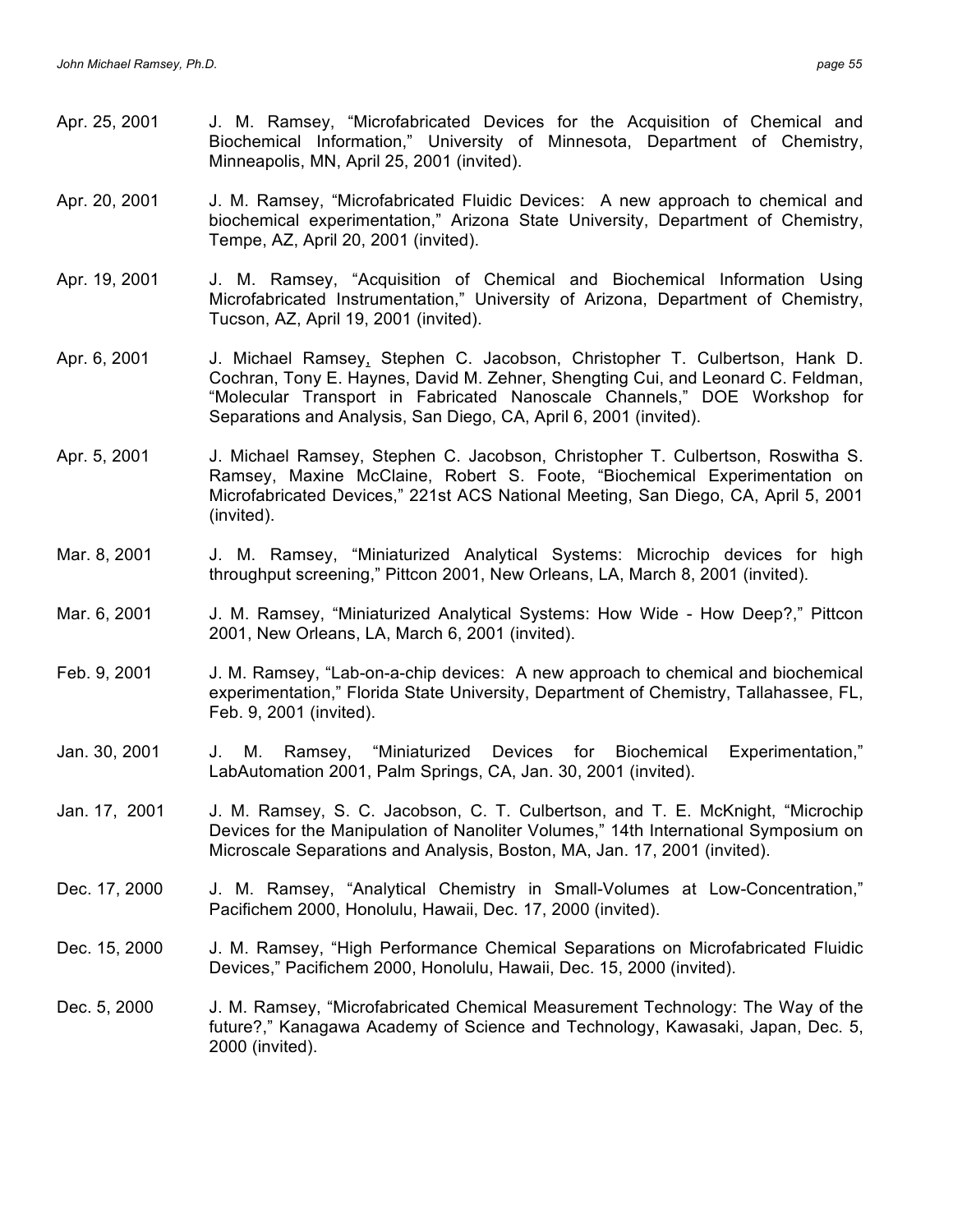- Apr. 25, 2001 J. M. Ramsey, "Microfabricated Devices for the Acquisition of Chemical and Biochemical Information," University of Minnesota, Department of Chemistry, Minneapolis, MN, April 25, 2001 (invited).
- Apr. 20, 2001 J. M. Ramsey, "Microfabricated Fluidic Devices: A new approach to chemical and biochemical experimentation," Arizona State University, Department of Chemistry, Tempe, AZ, April 20, 2001 (invited).
- Apr. 19, 2001 J. M. Ramsey, "Acquisition of Chemical and Biochemical Information Using Microfabricated Instrumentation," University of Arizona, Department of Chemistry, Tucson, AZ, April 19, 2001 (invited).
- Apr. 6, 2001 J. Michael Ramsey, Stephen C. Jacobson, Christopher T. Culbertson, Hank D. Cochran, Tony E. Haynes, David M. Zehner, Shengting Cui, and Leonard C. Feldman, "Molecular Transport in Fabricated Nanoscale Channels," DOE Workshop for Separations and Analysis, San Diego, CA, April 6, 2001 (invited).
- Apr. 5, 2001 J. Michael Ramsey, Stephen C. Jacobson, Christopher T. Culbertson, Roswitha S. Ramsey, Maxine McClaine, Robert S. Foote, "Biochemical Experimentation on Microfabricated Devices," 221st ACS National Meeting, San Diego, CA, April 5, 2001 (invited).
- Mar. 8, 2001 J. M. Ramsey, "Miniaturized Analytical Systems: Microchip devices for high throughput screening," Pittcon 2001, New Orleans, LA, March 8, 2001 (invited).
- Mar. 6, 2001 J. M. Ramsey, "Miniaturized Analytical Systems: How Wide How Deep?," Pittcon 2001, New Orleans, LA, March 6, 2001 (invited).
- Feb. 9, 2001 J. M. Ramsey, "Lab-on-a-chip devices: A new approach to chemical and biochemical experimentation," Florida State University, Department of Chemistry, Tallahassee, FL, Feb. 9, 2001 (invited).
- Jan. 30, 2001 J. M. Ramsey, "Miniaturized Devices for Biochemical Experimentation," LabAutomation 2001, Palm Springs, CA, Jan. 30, 2001 (invited).
- Jan. 17, 2001 J. M. Ramsey, S. C. Jacobson, C. T. Culbertson, and T. E. McKnight, "Microchip Devices for the Manipulation of Nanoliter Volumes," 14th International Symposium on Microscale Separations and Analysis, Boston, MA, Jan. 17, 2001 (invited).
- Dec. 17, 2000 J. M. Ramsey, "Analytical Chemistry in Small-Volumes at Low-Concentration," Pacifichem 2000, Honolulu, Hawaii, Dec. 17, 2000 (invited).
- Dec. 15, 2000 J. M. Ramsey, "High Performance Chemical Separations on Microfabricated Fluidic Devices," Pacifichem 2000, Honolulu, Hawaii, Dec. 15, 2000 (invited).
- Dec. 5, 2000 J. M. Ramsey, "Microfabricated Chemical Measurement Technology: The Way of the future?," Kanagawa Academy of Science and Technology, Kawasaki, Japan, Dec. 5, 2000 (invited).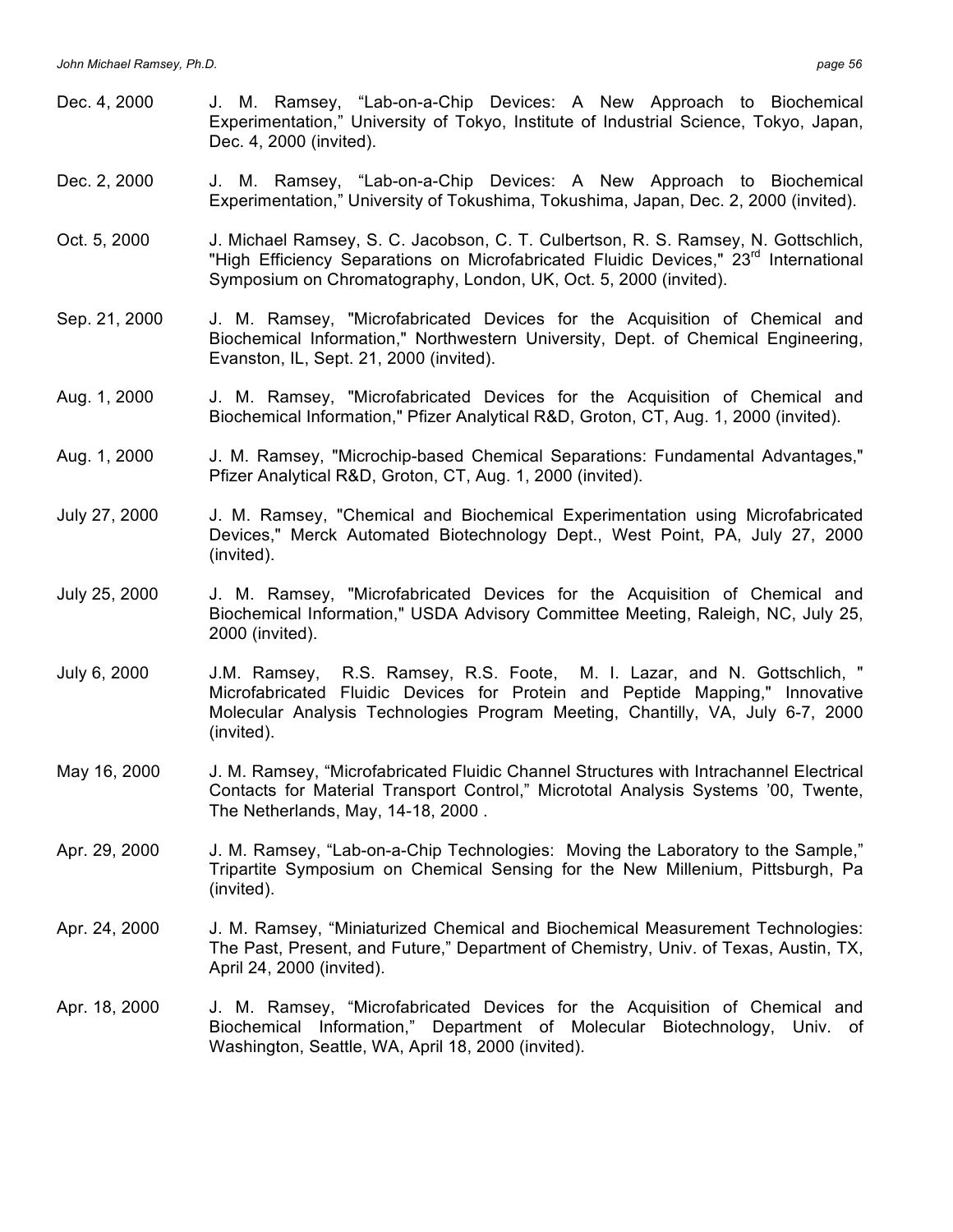- Dec. 4, 2000 J. M. Ramsey, "Lab-on-a-Chip Devices: A New Approach to Biochemical Experimentation," University of Tokyo, Institute of Industrial Science, Tokyo, Japan, Dec. 4, 2000 (invited).
- Dec. 2, 2000 J. M. Ramsey, "Lab-on-a-Chip Devices: A New Approach to Biochemical Experimentation," University of Tokushima, Tokushima, Japan, Dec. 2, 2000 (invited).
- Oct. 5, 2000 J. Michael Ramsey, S. C. Jacobson, C. T. Culbertson, R. S. Ramsey, N. Gottschlich, "High Efficiency Separations on Microfabricated Fluidic Devices," 23<sup>rd</sup> International Symposium on Chromatography, London, UK, Oct. 5, 2000 (invited).
- Sep. 21, 2000 J. M. Ramsey, "Microfabricated Devices for the Acquisition of Chemical and Biochemical Information," Northwestern University, Dept. of Chemical Engineering, Evanston, IL, Sept. 21, 2000 (invited).
- Aug. 1, 2000 J. M. Ramsey, "Microfabricated Devices for the Acquisition of Chemical and Biochemical Information," Pfizer Analytical R&D, Groton, CT, Aug. 1, 2000 (invited).
- Aug. 1, 2000 J. M. Ramsey, "Microchip-based Chemical Separations: Fundamental Advantages," Pfizer Analytical R&D, Groton, CT, Aug. 1, 2000 (invited).
- July 27, 2000 J. M. Ramsey, "Chemical and Biochemical Experimentation using Microfabricated Devices," Merck Automated Biotechnology Dept., West Point, PA, July 27, 2000 (invited).
- July 25, 2000 J. M. Ramsey, "Microfabricated Devices for the Acquisition of Chemical and Biochemical Information," USDA Advisory Committee Meeting, Raleigh, NC, July 25, 2000 (invited).
- July 6, 2000 J.M. Ramsey, R.S. Ramsey, R.S. Foote, M. I. Lazar, and N. Gottschlich, " Microfabricated Fluidic Devices for Protein and Peptide Mapping," Innovative Molecular Analysis Technologies Program Meeting, Chantilly, VA, July 6-7, 2000 (invited).
- May 16, 2000 J. M. Ramsey, "Microfabricated Fluidic Channel Structures with Intrachannel Electrical Contacts for Material Transport Control," Micrototal Analysis Systems '00, Twente, The Netherlands, May, 14-18, 2000 .
- Apr. 29, 2000 J. M. Ramsey, "Lab-on-a-Chip Technologies: Moving the Laboratory to the Sample," Tripartite Symposium on Chemical Sensing for the New Millenium, Pittsburgh, Pa (invited).
- Apr. 24, 2000 J. M. Ramsey, "Miniaturized Chemical and Biochemical Measurement Technologies: The Past, Present, and Future," Department of Chemistry, Univ. of Texas, Austin, TX, April 24, 2000 (invited).
- Apr. 18, 2000 J. M. Ramsey, "Microfabricated Devices for the Acquisition of Chemical and Biochemical Information," Department of Molecular Biotechnology, Univ. of Washington, Seattle, WA, April 18, 2000 (invited).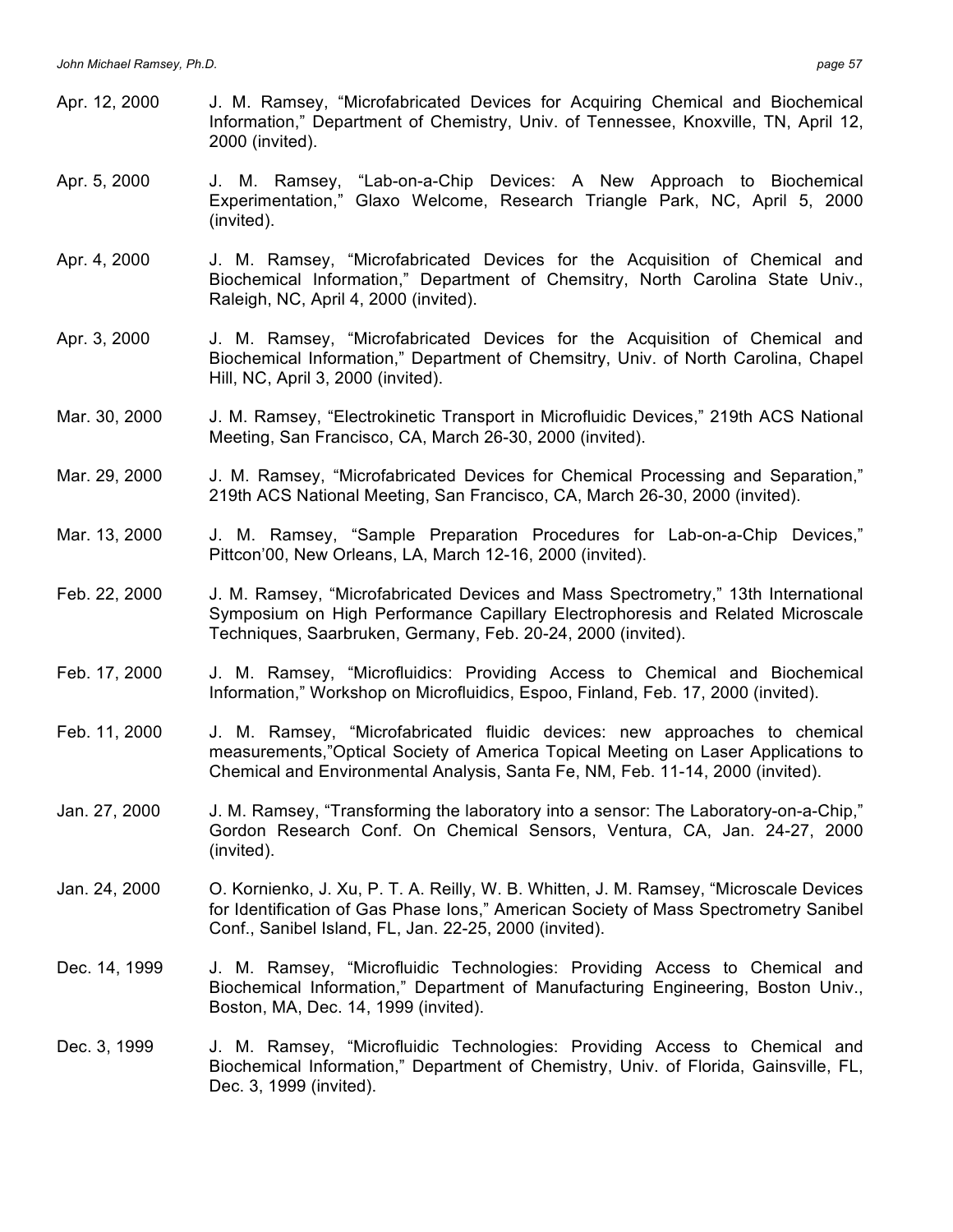- Apr. 12, 2000 J. M. Ramsey, "Microfabricated Devices for Acquiring Chemical and Biochemical Information," Department of Chemistry, Univ. of Tennessee, Knoxville, TN, April 12, 2000 (invited).
- Apr. 5, 2000 J. M. Ramsey, "Lab-on-a-Chip Devices: A New Approach to Biochemical Experimentation," Glaxo Welcome, Research Triangle Park, NC, April 5, 2000 (invited).
- Apr. 4, 2000 J. M. Ramsey, "Microfabricated Devices for the Acquisition of Chemical and Biochemical Information," Department of Chemsitry, North Carolina State Univ., Raleigh, NC, April 4, 2000 (invited).
- Apr. 3, 2000 J. M. Ramsey, "Microfabricated Devices for the Acquisition of Chemical and Biochemical Information," Department of Chemsitry, Univ. of North Carolina, Chapel Hill, NC, April 3, 2000 (invited).
- Mar. 30, 2000 J. M. Ramsey, "Electrokinetic Transport in Microfluidic Devices," 219th ACS National Meeting, San Francisco, CA, March 26-30, 2000 (invited).
- Mar. 29, 2000 J. M. Ramsey, "Microfabricated Devices for Chemical Processing and Separation," 219th ACS National Meeting, San Francisco, CA, March 26-30, 2000 (invited).
- Mar. 13, 2000 J. M. Ramsey, "Sample Preparation Procedures for Lab-on-a-Chip Devices," Pittcon'00, New Orleans, LA, March 12-16, 2000 (invited).
- Feb. 22, 2000 J. M. Ramsey, "Microfabricated Devices and Mass Spectrometry," 13th International Symposium on High Performance Capillary Electrophoresis and Related Microscale Techniques, Saarbruken, Germany, Feb. 20-24, 2000 (invited).
- Feb. 17, 2000 J. M. Ramsey, "Microfluidics: Providing Access to Chemical and Biochemical Information," Workshop on Microfluidics, Espoo, Finland, Feb. 17, 2000 (invited).
- Feb. 11, 2000 J. M. Ramsey, "Microfabricated fluidic devices: new approaches to chemical measurements,"Optical Society of America Topical Meeting on Laser Applications to Chemical and Environmental Analysis, Santa Fe, NM, Feb. 11-14, 2000 (invited).
- Jan. 27, 2000 J. M. Ramsey, "Transforming the laboratory into a sensor: The Laboratory-on-a-Chip," Gordon Research Conf. On Chemical Sensors, Ventura, CA, Jan. 24-27, 2000 (invited).
- Jan. 24, 2000 O. Kornienko, J. Xu, P. T. A. Reilly, W. B. Whitten, J. M. Ramsey, "Microscale Devices for Identification of Gas Phase Ions," American Society of Mass Spectrometry Sanibel Conf., Sanibel Island, FL, Jan. 22-25, 2000 (invited).
- Dec. 14, 1999 J. M. Ramsey, "Microfluidic Technologies: Providing Access to Chemical and Biochemical Information," Department of Manufacturing Engineering, Boston Univ., Boston, MA, Dec. 14, 1999 (invited).
- Dec. 3, 1999 J. M. Ramsey, "Microfluidic Technologies: Providing Access to Chemical and Biochemical Information," Department of Chemistry, Univ. of Florida, Gainsville, FL, Dec. 3, 1999 (invited).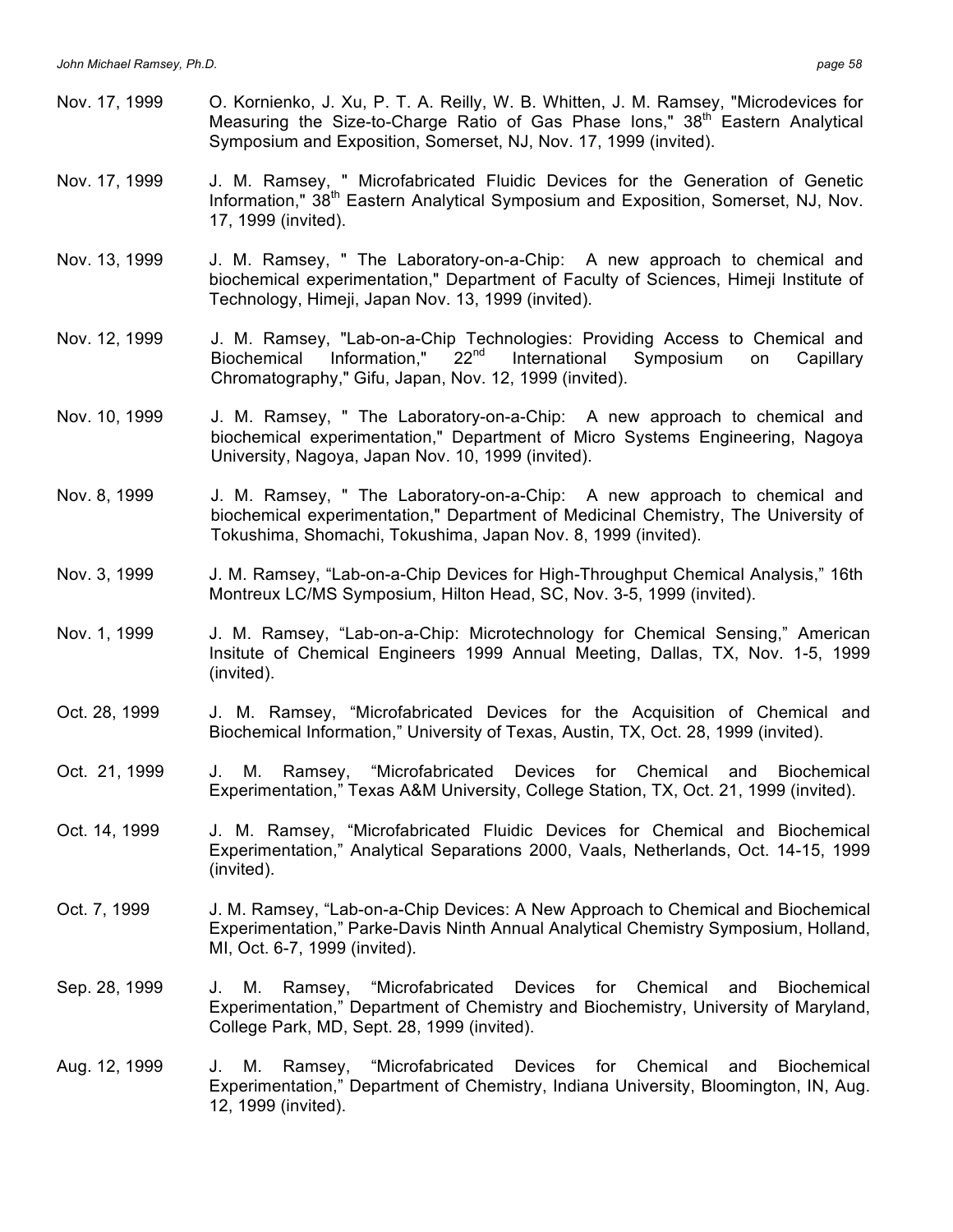Nov. 17, 1999 O. Kornienko, J. Xu, P. T. A. Reilly, W. B. Whitten, J. M. Ramsey, "Microdevices for Measuring the Size-to-Charge Ratio of Gas Phase Ions,"  $38<sup>th</sup>$  Eastern Analytical Symposium and Exposition, Somerset, NJ, Nov. 17, 1999 (invited). Nov. 17, 1999 J. M. Ramsey, " Microfabricated Fluidic Devices for the Generation of Genetic Information," 38<sup>th</sup> Eastern Analytical Symposium and Exposition, Somerset, NJ, Nov. 17, 1999 (invited). Nov. 13, 1999 J. M. Ramsey, " The Laboratory-on-a-Chip: A new approach to chemical and biochemical experimentation," Department of Faculty of Sciences, Himeji Institute of Technology, Himeji, Japan Nov. 13, 1999 (invited). Nov. 12, 1999 J. M. Ramsey, "Lab-on-a-Chip Technologies: Providing Access to Chemical and<br>Biochemical Information." 22<sup>nd</sup> International Symposium on Capillarv Biochemical Information," 22<sup>nd</sup> International Symposium on Capillary Chromatography," Gifu, Japan, Nov. 12, 1999 (invited). Nov. 10, 1999 J. M. Ramsey, " The Laboratory-on-a-Chip: A new approach to chemical and biochemical experimentation," Department of Micro Systems Engineering, Nagoya University, Nagoya, Japan Nov. 10, 1999 (invited). Nov. 8, 1999 J. M. Ramsey, " The Laboratory-on-a-Chip: A new approach to chemical and biochemical experimentation," Department of Medicinal Chemistry, The University of Tokushima, Shomachi, Tokushima, Japan Nov. 8, 1999 (invited). Nov. 3, 1999 J. M. Ramsey, "Lab-on-a-Chip Devices for High-Throughput Chemical Analysis," 16th Montreux LC/MS Symposium, Hilton Head, SC, Nov. 3-5, 1999 (invited). Nov. 1, 1999 J. M. Ramsey, "Lab-on-a-Chip: Microtechnology for Chemical Sensing," American Insitute of Chemical Engineers 1999 Annual Meeting, Dallas, TX, Nov. 1-5, 1999 (invited). Oct. 28, 1999 J. M. Ramsey, "Microfabricated Devices for the Acquisition of Chemical and Biochemical Information," University of Texas, Austin, TX, Oct. 28, 1999 (invited). Oct. 21, 1999 J. M. Ramsey, "Microfabricated Devices for Chemical and Biochemical Experimentation," Texas A&M University, College Station, TX, Oct. 21, 1999 (invited). Oct. 14, 1999 J. M. Ramsey, "Microfabricated Fluidic Devices for Chemical and Biochemical Experimentation," Analytical Separations 2000, Vaals, Netherlands, Oct. 14-15, 1999 (invited). Oct. 7, 1999 J. M. Ramsey, "Lab-on-a-Chip Devices: A New Approach to Chemical and Biochemical Experimentation," Parke-Davis Ninth Annual Analytical Chemistry Symposium, Holland, MI, Oct. 6-7, 1999 (invited). Sep. 28, 1999 J. M. Ramsey, "Microfabricated Devices for Chemical and Biochemical Experimentation," Department of Chemistry and Biochemistry, University of Maryland, College Park, MD, Sept. 28, 1999 (invited). Aug. 12, 1999 J. M. Ramsey, "Microfabricated Devices for Chemical and Biochemical Experimentation," Department of Chemistry, Indiana University, Bloomington, IN, Aug. 12, 1999 (invited).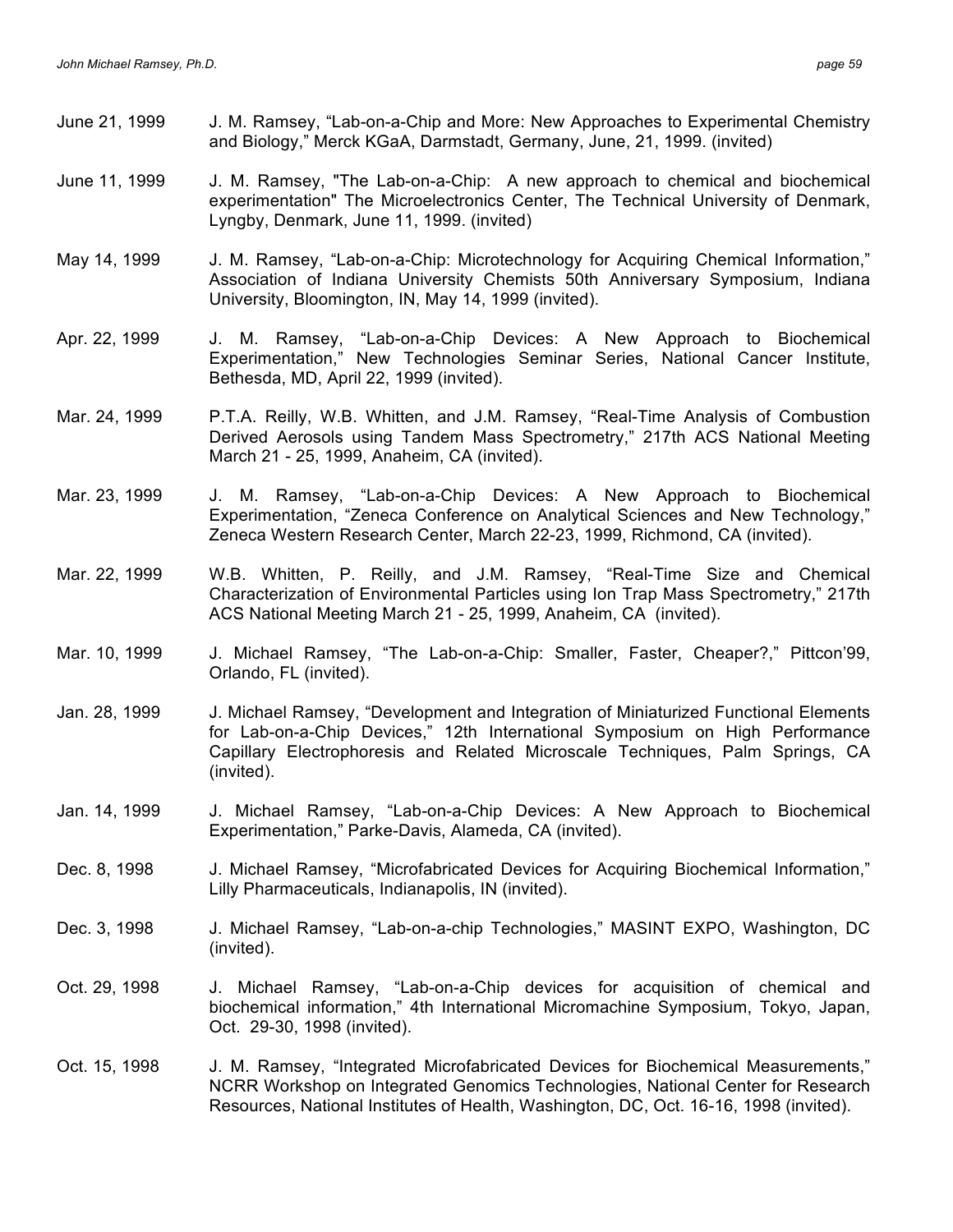- June 21, 1999 J. M. Ramsey, "Lab-on-a-Chip and More: New Approaches to Experimental Chemistry and Biology," Merck KGaA, Darmstadt, Germany, June, 21, 1999. (invited)
- June 11, 1999 J. M. Ramsey, "The Lab-on-a-Chip: A new approach to chemical and biochemical experimentation" The Microelectronics Center, The Technical University of Denmark, Lyngby, Denmark, June 11, 1999. (invited)
- May 14, 1999 J. M. Ramsey, "Lab-on-a-Chip: Microtechnology for Acquiring Chemical Information," Association of Indiana University Chemists 50th Anniversary Symposium, Indiana University, Bloomington, IN, May 14, 1999 (invited).
- Apr. 22, 1999 J. M. Ramsey, "Lab-on-a-Chip Devices: A New Approach to Biochemical Experimentation," New Technologies Seminar Series, National Cancer Institute, Bethesda, MD, April 22, 1999 (invited).
- Mar. 24, 1999 P.T.A. Reilly, W.B. Whitten, and J.M. Ramsey, "Real-Time Analysis of Combustion Derived Aerosols using Tandem Mass Spectrometry," 217th ACS National Meeting March 21 - 25, 1999, Anaheim, CA (invited).
- Mar. 23, 1999 J. M. Ramsey, "Lab-on-a-Chip Devices: A New Approach to Biochemical Experimentation, "Zeneca Conference on Analytical Sciences and New Technology," Zeneca Western Research Center, March 22-23, 1999, Richmond, CA (invited).
- Mar. 22, 1999 W.B. Whitten, P. Reilly, and J.M. Ramsey, "Real-Time Size and Chemical Characterization of Environmental Particles using Ion Trap Mass Spectrometry," 217th ACS National Meeting March 21 - 25, 1999, Anaheim, CA (invited).
- Mar. 10, 1999 J. Michael Ramsey, "The Lab-on-a-Chip: Smaller, Faster, Cheaper?," Pittcon'99, Orlando, FL (invited).
- Jan. 28, 1999 J. Michael Ramsey, "Development and Integration of Miniaturized Functional Elements for Lab-on-a-Chip Devices," 12th International Symposium on High Performance Capillary Electrophoresis and Related Microscale Techniques, Palm Springs, CA (invited).
- Jan. 14, 1999 J. Michael Ramsey, "Lab-on-a-Chip Devices: A New Approach to Biochemical Experimentation," Parke-Davis, Alameda, CA (invited).
- Dec. 8, 1998 J. Michael Ramsey, "Microfabricated Devices for Acquiring Biochemical Information," Lilly Pharmaceuticals, Indianapolis, IN (invited).
- Dec. 3, 1998 J. Michael Ramsey, "Lab-on-a-chip Technologies," MASINT EXPO, Washington, DC (invited).
- Oct. 29, 1998 J. Michael Ramsey, "Lab-on-a-Chip devices for acquisition of chemical and biochemical information," 4th International Micromachine Symposium, Tokyo, Japan, Oct. 29-30, 1998 (invited).
- Oct. 15, 1998 J. M. Ramsey, "Integrated Microfabricated Devices for Biochemical Measurements," NCRR Workshop on Integrated Genomics Technologies, National Center for Research Resources, National Institutes of Health, Washington, DC, Oct. 16-16, 1998 (invited).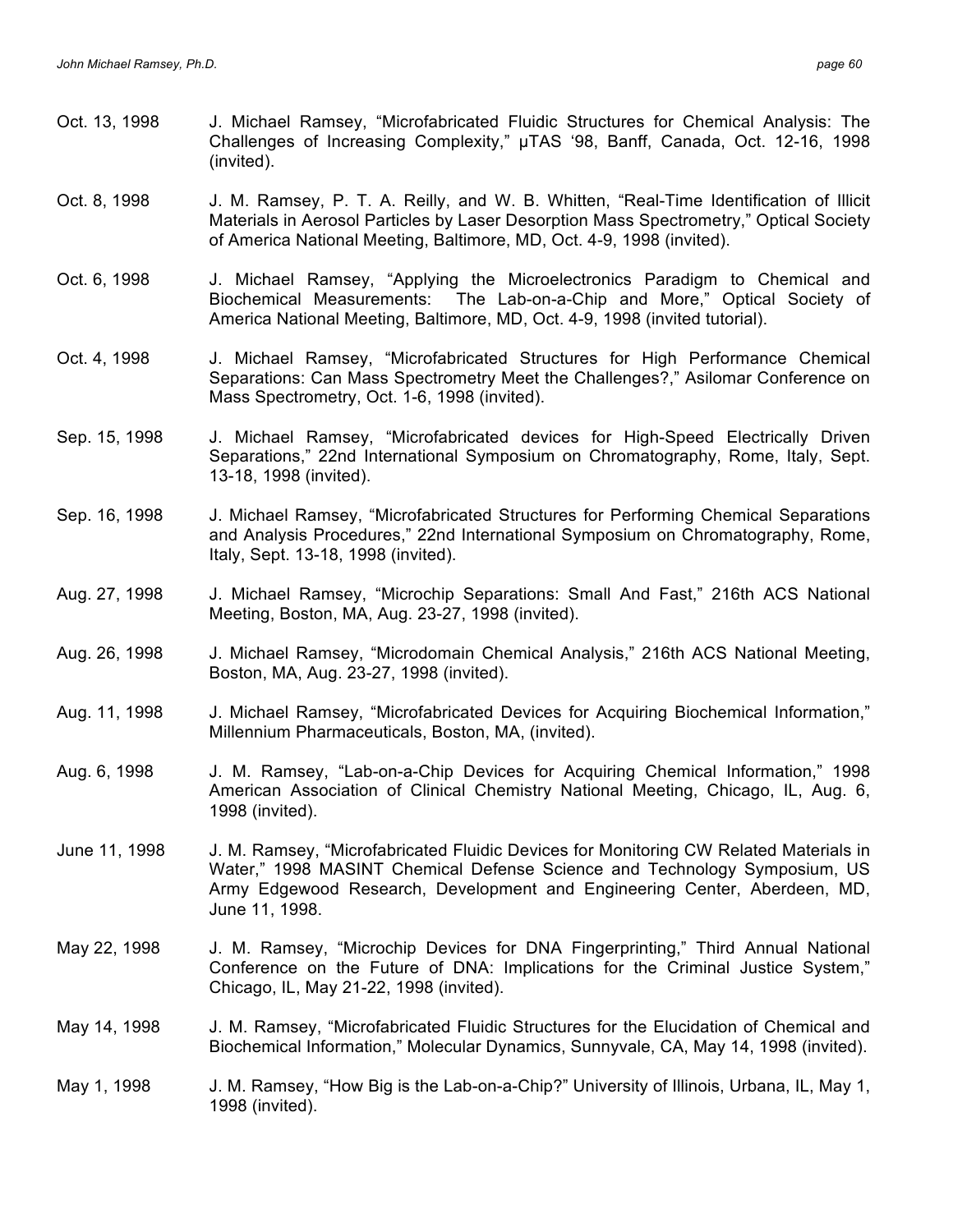- Oct. 13, 1998 J. Michael Ramsey, "Microfabricated Fluidic Structures for Chemical Analysis: The Challenges of Increasing Complexity," µTAS '98, Banff, Canada, Oct. 12-16, 1998 (invited).
- Oct. 8, 1998 J. M. Ramsey, P. T. A. Reilly, and W. B. Whitten, "Real-Time Identification of Illicit Materials in Aerosol Particles by Laser Desorption Mass Spectrometry," Optical Society of America National Meeting, Baltimore, MD, Oct. 4-9, 1998 (invited).
- Oct. 6, 1998 J. Michael Ramsey, "Applying the Microelectronics Paradigm to Chemical and Biochemical Measurements: The Lab-on-a-Chip and More," Optical Society of America National Meeting, Baltimore, MD, Oct. 4-9, 1998 (invited tutorial).
- Oct. 4, 1998 J. Michael Ramsey, "Microfabricated Structures for High Performance Chemical Separations: Can Mass Spectrometry Meet the Challenges?," Asilomar Conference on Mass Spectrometry, Oct. 1-6, 1998 (invited).
- Sep. 15, 1998 J. Michael Ramsey, "Microfabricated devices for High-Speed Electrically Driven Separations," 22nd International Symposium on Chromatography, Rome, Italy, Sept. 13-18, 1998 (invited).
- Sep. 16, 1998 J. Michael Ramsey, "Microfabricated Structures for Performing Chemical Separations and Analysis Procedures," 22nd International Symposium on Chromatography, Rome, Italy, Sept. 13-18, 1998 (invited).
- Aug. 27, 1998 J. Michael Ramsey, "Microchip Separations: Small And Fast," 216th ACS National Meeting, Boston, MA, Aug. 23-27, 1998 (invited).
- Aug. 26, 1998 J. Michael Ramsey, "Microdomain Chemical Analysis," 216th ACS National Meeting, Boston, MA, Aug. 23-27, 1998 (invited).
- Aug. 11, 1998 J. Michael Ramsey, "Microfabricated Devices for Acquiring Biochemical Information," Millennium Pharmaceuticals, Boston, MA, (invited).
- Aug. 6, 1998 J. M. Ramsey, "Lab-on-a-Chip Devices for Acquiring Chemical Information," 1998 American Association of Clinical Chemistry National Meeting, Chicago, IL, Aug. 6, 1998 (invited).
- June 11, 1998 J. M. Ramsey, "Microfabricated Fluidic Devices for Monitoring CW Related Materials in Water," 1998 MASINT Chemical Defense Science and Technology Symposium, US Army Edgewood Research, Development and Engineering Center, Aberdeen, MD, June 11, 1998.
- May 22, 1998 J. M. Ramsey, "Microchip Devices for DNA Fingerprinting," Third Annual National Conference on the Future of DNA: Implications for the Criminal Justice System," Chicago, IL, May 21-22, 1998 (invited).
- May 14, 1998 J. M. Ramsey, "Microfabricated Fluidic Structures for the Elucidation of Chemical and Biochemical Information," Molecular Dynamics, Sunnyvale, CA, May 14, 1998 (invited).
- May 1, 1998 J. M. Ramsey, "How Big is the Lab-on-a-Chip?" University of Illinois, Urbana, IL, May 1, 1998 (invited).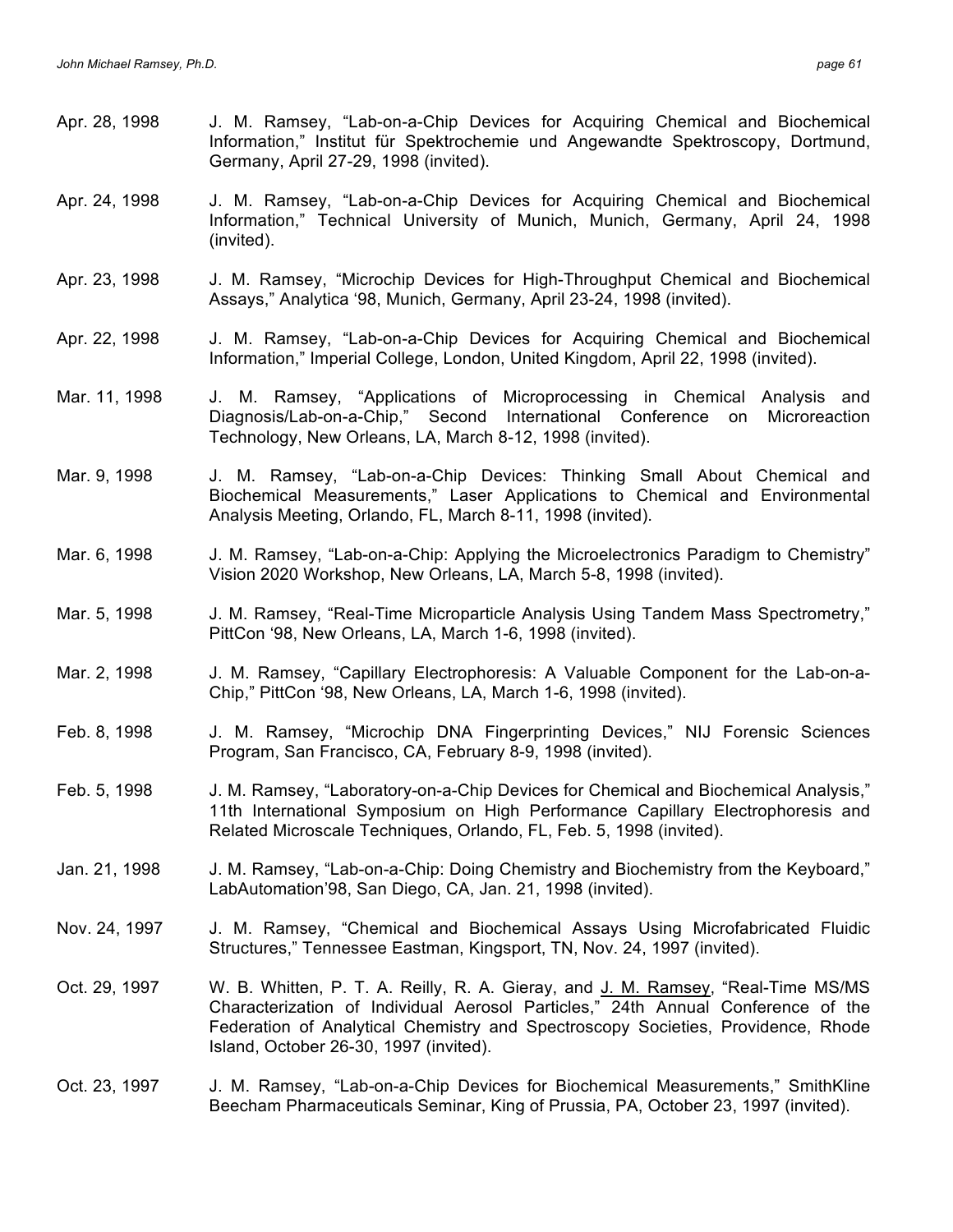- Apr. 28, 1998 J. M. Ramsey, "Lab-on-a-Chip Devices for Acquiring Chemical and Biochemical Information," Institut für Spektrochemie und Angewandte Spektroscopy, Dortmund, Germany, April 27-29, 1998 (invited). Apr. 24, 1998 J. M. Ramsey, "Lab-on-a-Chip Devices for Acquiring Chemical and Biochemical Information," Technical University of Munich, Munich, Germany, April 24, 1998 (invited). Apr. 23, 1998 J. M. Ramsey, "Microchip Devices for High-Throughput Chemical and Biochemical Assays," Analytica '98, Munich, Germany, April 23-24, 1998 (invited). Apr. 22, 1998 J. M. Ramsey, "Lab-on-a-Chip Devices for Acquiring Chemical and Biochemical Information," Imperial College, London, United Kingdom, April 22, 1998 (invited). Mar. 11, 1998 J. M. Ramsey, "Applications of Microprocessing in Chemical Analysis and Diagnosis/Lab-on-a-Chip," Second International Conference on Microreaction Technology, New Orleans, LA, March 8-12, 1998 (invited). Mar. 9, 1998 J. M. Ramsey, "Lab-on-a-Chip Devices: Thinking Small About Chemical and Biochemical Measurements," Laser Applications to Chemical and Environmental Analysis Meeting, Orlando, FL, March 8-11, 1998 (invited). Mar. 6, 1998 J. M. Ramsey, "Lab-on-a-Chip: Applying the Microelectronics Paradigm to Chemistry" Vision 2020 Workshop, New Orleans, LA, March 5-8, 1998 (invited). Mar. 5, 1998 J. M. Ramsey, "Real-Time Microparticle Analysis Using Tandem Mass Spectrometry," PittCon '98, New Orleans, LA, March 1-6, 1998 (invited). Mar. 2, 1998 J. M. Ramsey, "Capillary Electrophoresis: A Valuable Component for the Lab-on-a-Chip," PittCon '98, New Orleans, LA, March 1-6, 1998 (invited). Feb. 8, 1998 J. M. Ramsey, "Microchip DNA Fingerprinting Devices," NIJ Forensic Sciences Program, San Francisco, CA, February 8-9, 1998 (invited). Feb. 5, 1998 J. M. Ramsey, "Laboratory-on-a-Chip Devices for Chemical and Biochemical Analysis," 11th International Symposium on High Performance Capillary Electrophoresis and Related Microscale Techniques, Orlando, FL, Feb. 5, 1998 (invited).
- Jan. 21, 1998 J. M. Ramsey, "Lab-on-a-Chip: Doing Chemistry and Biochemistry from the Keyboard," LabAutomation'98, San Diego, CA, Jan. 21, 1998 (invited).
- Nov. 24, 1997 J. M. Ramsey, "Chemical and Biochemical Assays Using Microfabricated Fluidic Structures," Tennessee Eastman, Kingsport, TN, Nov. 24, 1997 (invited).
- Oct. 29, 1997 W. B. Whitten, P. T. A. Reilly, R. A. Gieray, and J. M. Ramsey, "Real-Time MS/MS Characterization of Individual Aerosol Particles," 24th Annual Conference of the Federation of Analytical Chemistry and Spectroscopy Societies, Providence, Rhode Island, October 26-30, 1997 (invited).
- Oct. 23, 1997 J. M. Ramsey, "Lab-on-a-Chip Devices for Biochemical Measurements," SmithKline Beecham Pharmaceuticals Seminar, King of Prussia, PA, October 23, 1997 (invited).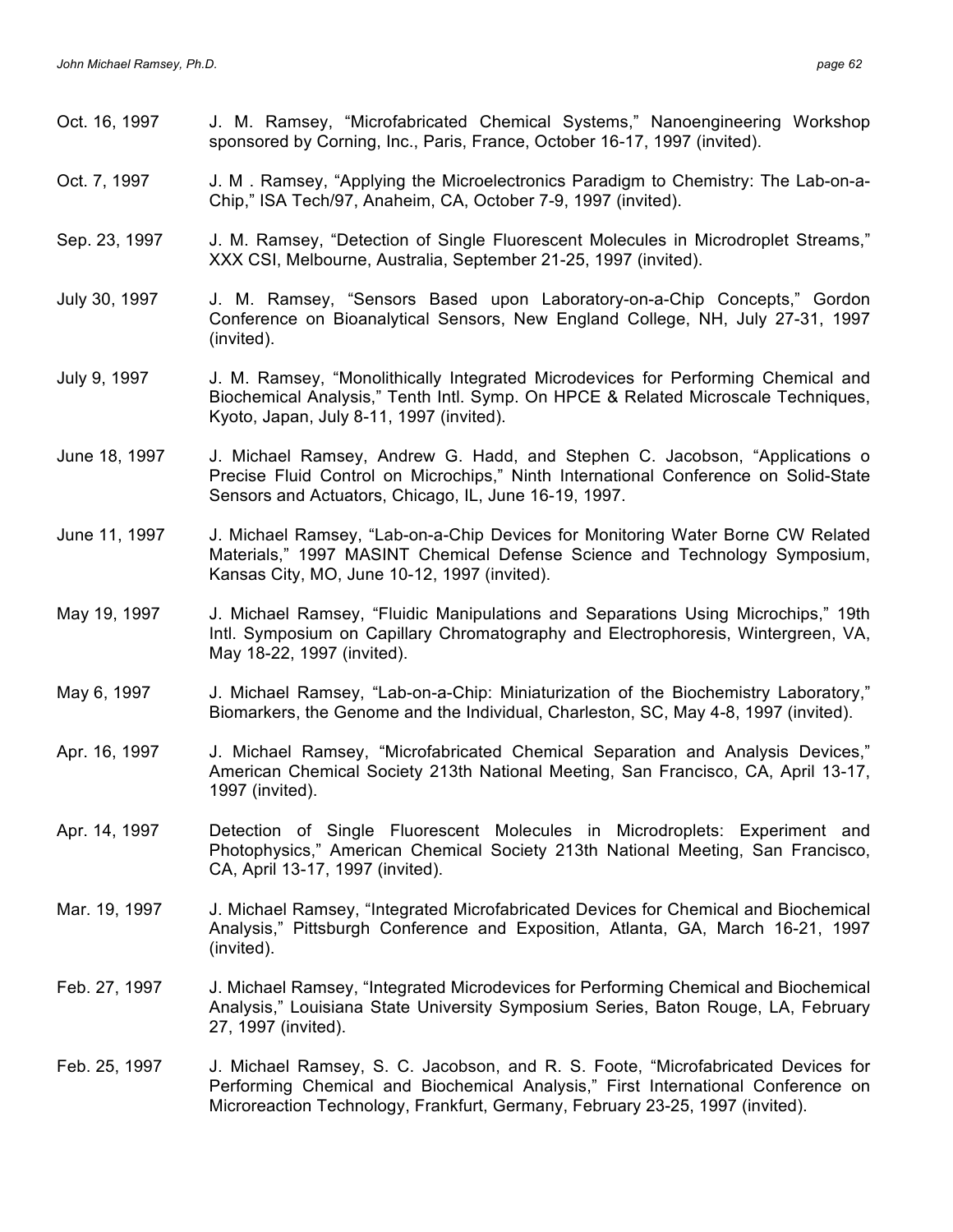| Oct. 16, 1997 | J. M. Ramsey, "Microfabricated Chemical Systems," Nanoengineering Workshop<br>sponsored by Corning, Inc., Paris, France, October 16-17, 1997 (invited).                                                                                               |
|---------------|-------------------------------------------------------------------------------------------------------------------------------------------------------------------------------------------------------------------------------------------------------|
| Oct. 7, 1997  | J. M. Ramsey, "Applying the Microelectronics Paradigm to Chemistry: The Lab-on-a-<br>Chip," ISA Tech/97, Anaheim, CA, October 7-9, 1997 (invited).                                                                                                    |
| Sep. 23, 1997 | J. M. Ramsey, "Detection of Single Fluorescent Molecules in Microdroplet Streams,"<br>XXX CSI, Melbourne, Australia, September 21-25, 1997 (invited).                                                                                                 |
| July 30, 1997 | J. M. Ramsey, "Sensors Based upon Laboratory-on-a-Chip Concepts," Gordon<br>Conference on Bioanalytical Sensors, New England College, NH, July 27-31, 1997<br>(invited).                                                                              |
| July 9, 1997  | J. M. Ramsey, "Monolithically Integrated Microdevices for Performing Chemical and<br>Biochemical Analysis," Tenth Intl. Symp. On HPCE & Related Microscale Techniques,<br>Kyoto, Japan, July 8-11, 1997 (invited).                                    |
| June 18, 1997 | J. Michael Ramsey, Andrew G. Hadd, and Stephen C. Jacobson, "Applications o<br>Precise Fluid Control on Microchips," Ninth International Conference on Solid-State<br>Sensors and Actuators, Chicago, IL, June 16-19, 1997.                           |
| June 11, 1997 | J. Michael Ramsey, "Lab-on-a-Chip Devices for Monitoring Water Borne CW Related<br>Materials," 1997 MASINT Chemical Defense Science and Technology Symposium,<br>Kansas City, MO, June 10-12, 1997 (invited).                                         |
| May 19, 1997  | J. Michael Ramsey, "Fluidic Manipulations and Separations Using Microchips," 19th<br>Intl. Symposium on Capillary Chromatography and Electrophoresis, Wintergreen, VA,<br>May 18-22, 1997 (invited).                                                  |
| May 6, 1997   | J. Michael Ramsey, "Lab-on-a-Chip: Miniaturization of the Biochemistry Laboratory,"<br>Biomarkers, the Genome and the Individual, Charleston, SC, May 4-8, 1997 (invited).                                                                            |
| Apr. 16, 1997 | J. Michael Ramsey, "Microfabricated Chemical Separation and Analysis Devices,"<br>American Chemical Society 213th National Meeting, San Francisco, CA, April 13-17,<br>1997 (invited).                                                                |
| Apr. 14, 1997 | Detection of Single Fluorescent Molecules in Microdroplets: Experiment and<br>Photophysics," American Chemical Society 213th National Meeting, San Francisco,<br>CA, April 13-17, 1997 (invited).                                                     |
| Mar. 19, 1997 | J. Michael Ramsey, "Integrated Microfabricated Devices for Chemical and Biochemical<br>Analysis," Pittsburgh Conference and Exposition, Atlanta, GA, March 16-21, 1997<br>(invited).                                                                  |
| Feb. 27, 1997 | J. Michael Ramsey, "Integrated Microdevices for Performing Chemical and Biochemical<br>Analysis," Louisiana State University Symposium Series, Baton Rouge, LA, February<br>27, 1997 (invited).                                                       |
| Feb. 25, 1997 | J. Michael Ramsey, S. C. Jacobson, and R. S. Foote, "Microfabricated Devices for<br>Performing Chemical and Biochemical Analysis," First International Conference on<br>Microreaction Technology, Frankfurt, Germany, February 23-25, 1997 (invited). |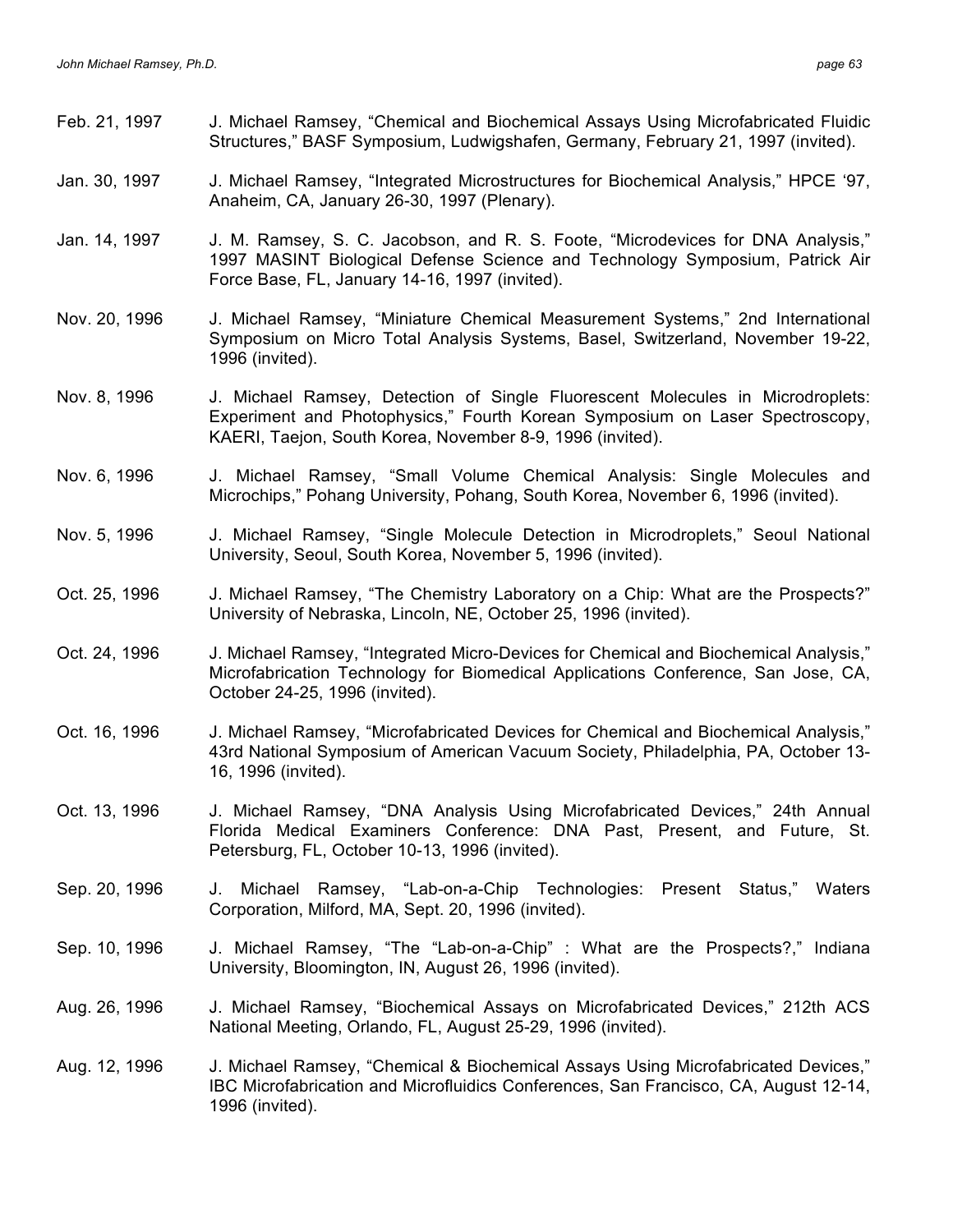- Feb. 21, 1997 J. Michael Ramsey, "Chemical and Biochemical Assays Using Microfabricated Fluidic Structures," BASF Symposium, Ludwigshafen, Germany, February 21, 1997 (invited).
- Jan. 30, 1997 J. Michael Ramsey, "Integrated Microstructures for Biochemical Analysis," HPCE '97, Anaheim, CA, January 26-30, 1997 (Plenary).
- Jan. 14, 1997 J. M. Ramsey, S. C. Jacobson, and R. S. Foote, "Microdevices for DNA Analysis," 1997 MASINT Biological Defense Science and Technology Symposium, Patrick Air Force Base, FL, January 14-16, 1997 (invited).
- Nov. 20, 1996 J. Michael Ramsey, "Miniature Chemical Measurement Systems," 2nd International Symposium on Micro Total Analysis Systems, Basel, Switzerland, November 19-22, 1996 (invited).
- Nov. 8, 1996 J. Michael Ramsey, Detection of Single Fluorescent Molecules in Microdroplets: Experiment and Photophysics," Fourth Korean Symposium on Laser Spectroscopy, KAERI, Taejon, South Korea, November 8-9, 1996 (invited).
- Nov. 6, 1996 J. Michael Ramsey, "Small Volume Chemical Analysis: Single Molecules and Microchips," Pohang University, Pohang, South Korea, November 6, 1996 (invited).
- Nov. 5, 1996 J. Michael Ramsey, "Single Molecule Detection in Microdroplets," Seoul National University, Seoul, South Korea, November 5, 1996 (invited).
- Oct. 25, 1996 J. Michael Ramsey, "The Chemistry Laboratory on a Chip: What are the Prospects?" University of Nebraska, Lincoln, NE, October 25, 1996 (invited).
- Oct. 24, 1996 J. Michael Ramsey, "Integrated Micro-Devices for Chemical and Biochemical Analysis," Microfabrication Technology for Biomedical Applications Conference, San Jose, CA, October 24-25, 1996 (invited).
- Oct. 16, 1996 J. Michael Ramsey, "Microfabricated Devices for Chemical and Biochemical Analysis," 43rd National Symposium of American Vacuum Society, Philadelphia, PA, October 13- 16, 1996 (invited).
- Oct. 13, 1996 J. Michael Ramsey, "DNA Analysis Using Microfabricated Devices," 24th Annual Florida Medical Examiners Conference: DNA Past, Present, and Future, St. Petersburg, FL, October 10-13, 1996 (invited).
- Sep. 20, 1996 J. Michael Ramsey, "Lab-on-a-Chip Technologies: Present Status," Waters Corporation, Milford, MA, Sept. 20, 1996 (invited).
- Sep. 10, 1996 J. Michael Ramsey, "The "Lab-on-a-Chip" : What are the Prospects?," Indiana University, Bloomington, IN, August 26, 1996 (invited).
- Aug. 26, 1996 J. Michael Ramsey, "Biochemical Assays on Microfabricated Devices," 212th ACS National Meeting, Orlando, FL, August 25-29, 1996 (invited).
- Aug. 12, 1996 J. Michael Ramsey, "Chemical & Biochemical Assays Using Microfabricated Devices," IBC Microfabrication and Microfluidics Conferences, San Francisco, CA, August 12-14, 1996 (invited).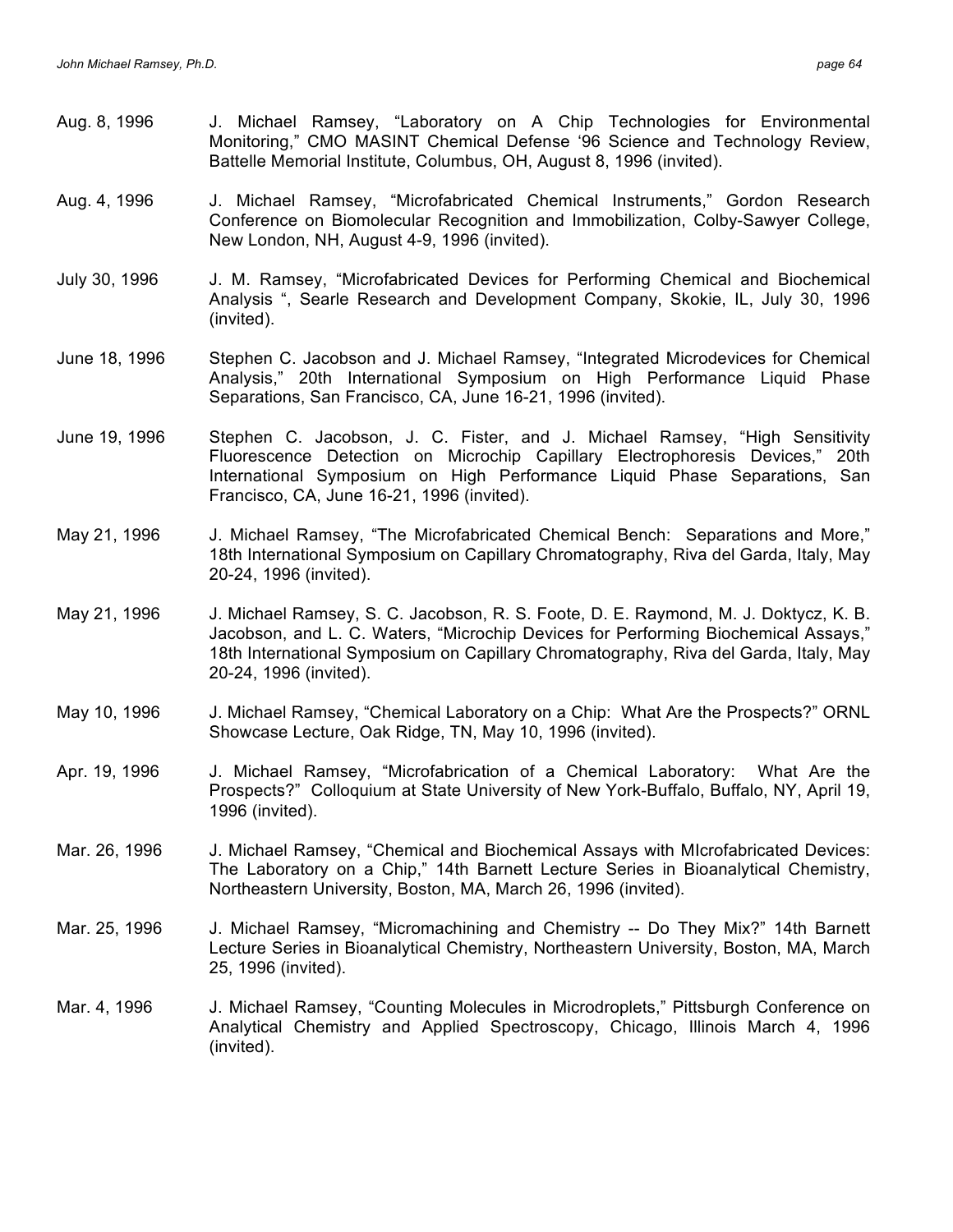- Aug. 8, 1996 J. Michael Ramsey, "Laboratory on A Chip Technologies for Environmental Monitoring," CMO MASINT Chemical Defense '96 Science and Technology Review, Battelle Memorial Institute, Columbus, OH, August 8, 1996 (invited).
- Aug. 4, 1996 J. Michael Ramsey, "Microfabricated Chemical Instruments," Gordon Research Conference on Biomolecular Recognition and Immobilization, Colby-Sawyer College, New London, NH, August 4-9, 1996 (invited).
- July 30, 1996 J. M. Ramsey, "Microfabricated Devices for Performing Chemical and Biochemical Analysis ", Searle Research and Development Company, Skokie, IL, July 30, 1996 (invited).
- June 18, 1996 Stephen C. Jacobson and J. Michael Ramsey, "Integrated Microdevices for Chemical Analysis," 20th International Symposium on High Performance Liquid Phase Separations, San Francisco, CA, June 16-21, 1996 (invited).
- June 19, 1996 Stephen C. Jacobson, J. C. Fister, and J. Michael Ramsey, "High Sensitivity Fluorescence Detection on Microchip Capillary Electrophoresis Devices," 20th International Symposium on High Performance Liquid Phase Separations, San Francisco, CA, June 16-21, 1996 (invited).
- May 21, 1996 J. Michael Ramsey, "The Microfabricated Chemical Bench: Separations and More," 18th International Symposium on Capillary Chromatography, Riva del Garda, Italy, May 20-24, 1996 (invited).
- May 21, 1996 J. Michael Ramsey, S. C. Jacobson, R. S. Foote, D. E. Raymond, M. J. Doktycz, K. B. Jacobson, and L. C. Waters, "Microchip Devices for Performing Biochemical Assays," 18th International Symposium on Capillary Chromatography, Riva del Garda, Italy, May 20-24, 1996 (invited).
- May 10, 1996 J. Michael Ramsey, "Chemical Laboratory on a Chip: What Are the Prospects?" ORNL Showcase Lecture, Oak Ridge, TN, May 10, 1996 (invited).
- Apr. 19, 1996 J. Michael Ramsey, "Microfabrication of a Chemical Laboratory: What Are the Prospects?" Colloquium at State University of New York-Buffalo, Buffalo, NY, April 19, 1996 (invited).
- Mar. 26, 1996 J. Michael Ramsey, "Chemical and Biochemical Assays with MIcrofabricated Devices: The Laboratory on a Chip," 14th Barnett Lecture Series in Bioanalytical Chemistry, Northeastern University, Boston, MA, March 26, 1996 (invited).
- Mar. 25, 1996 J. Michael Ramsey, "Micromachining and Chemistry -- Do They Mix?" 14th Barnett Lecture Series in Bioanalytical Chemistry, Northeastern University, Boston, MA, March 25, 1996 (invited).
- Mar. 4, 1996 J. Michael Ramsey, "Counting Molecules in Microdroplets," Pittsburgh Conference on Analytical Chemistry and Applied Spectroscopy, Chicago, Illinois March 4, 1996 (invited).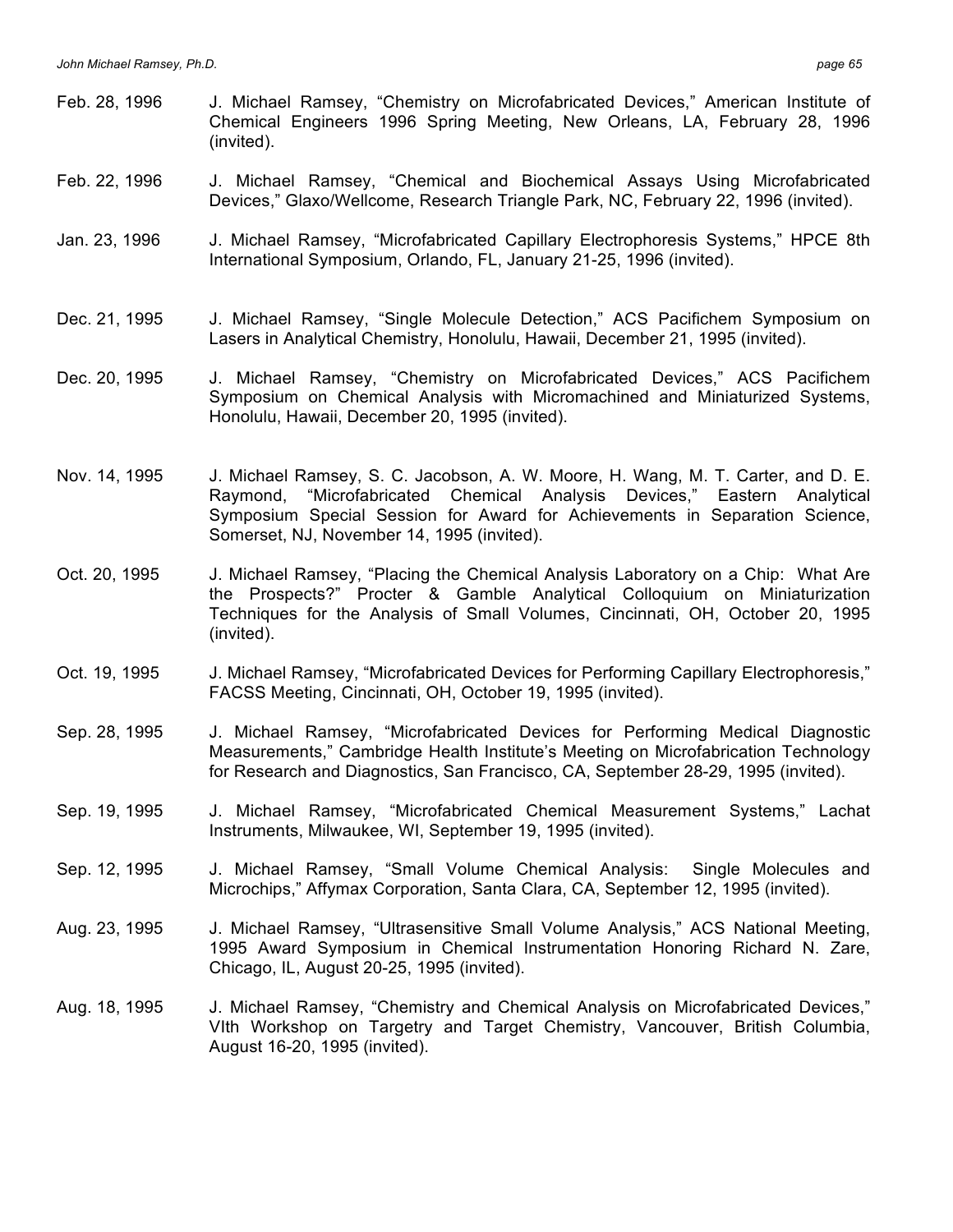- Feb. 28, 1996 J. Michael Ramsey, "Chemistry on Microfabricated Devices," American Institute of Chemical Engineers 1996 Spring Meeting, New Orleans, LA, February 28, 1996 (invited).
- Feb. 22, 1996 J. Michael Ramsey, "Chemical and Biochemical Assays Using Microfabricated Devices," Glaxo/Wellcome, Research Triangle Park, NC, February 22, 1996 (invited).
- Jan. 23, 1996 J. Michael Ramsey, "Microfabricated Capillary Electrophoresis Systems," HPCE 8th International Symposium, Orlando, FL, January 21-25, 1996 (invited).
- Dec. 21, 1995 J. Michael Ramsey, "Single Molecule Detection," ACS Pacifichem Symposium on Lasers in Analytical Chemistry, Honolulu, Hawaii, December 21, 1995 (invited).
- Dec. 20, 1995 J. Michael Ramsey, "Chemistry on Microfabricated Devices," ACS Pacifichem Symposium on Chemical Analysis with Micromachined and Miniaturized Systems, Honolulu, Hawaii, December 20, 1995 (invited).
- Nov. 14, 1995 J. Michael Ramsey, S. C. Jacobson, A. W. Moore, H. Wang, M. T. Carter, and D. E. Raymond, "Microfabricated Chemical Analysis Devices," Eastern Analytical Symposium Special Session for Award for Achievements in Separation Science, Somerset, NJ, November 14, 1995 (invited).
- Oct. 20, 1995 J. Michael Ramsey, "Placing the Chemical Analysis Laboratory on a Chip: What Are the Prospects?" Procter & Gamble Analytical Colloquium on Miniaturization Techniques for the Analysis of Small Volumes, Cincinnati, OH, October 20, 1995 (invited).
- Oct. 19, 1995 J. Michael Ramsey, "Microfabricated Devices for Performing Capillary Electrophoresis," FACSS Meeting, Cincinnati, OH, October 19, 1995 (invited).
- Sep. 28, 1995 J. Michael Ramsey, "Microfabricated Devices for Performing Medical Diagnostic Measurements," Cambridge Health Institute's Meeting on Microfabrication Technology for Research and Diagnostics, San Francisco, CA, September 28-29, 1995 (invited).
- Sep. 19, 1995 J. Michael Ramsey, "Microfabricated Chemical Measurement Systems," Lachat Instruments, Milwaukee, WI, September 19, 1995 (invited).
- Sep. 12, 1995 J. Michael Ramsey, "Small Volume Chemical Analysis: Single Molecules and Microchips," Affymax Corporation, Santa Clara, CA, September 12, 1995 (invited).
- Aug. 23, 1995 J. Michael Ramsey, "Ultrasensitive Small Volume Analysis," ACS National Meeting, 1995 Award Symposium in Chemical Instrumentation Honoring Richard N. Zare, Chicago, IL, August 20-25, 1995 (invited).
- Aug. 18, 1995 J. Michael Ramsey, "Chemistry and Chemical Analysis on Microfabricated Devices," VIth Workshop on Targetry and Target Chemistry, Vancouver, British Columbia, August 16-20, 1995 (invited).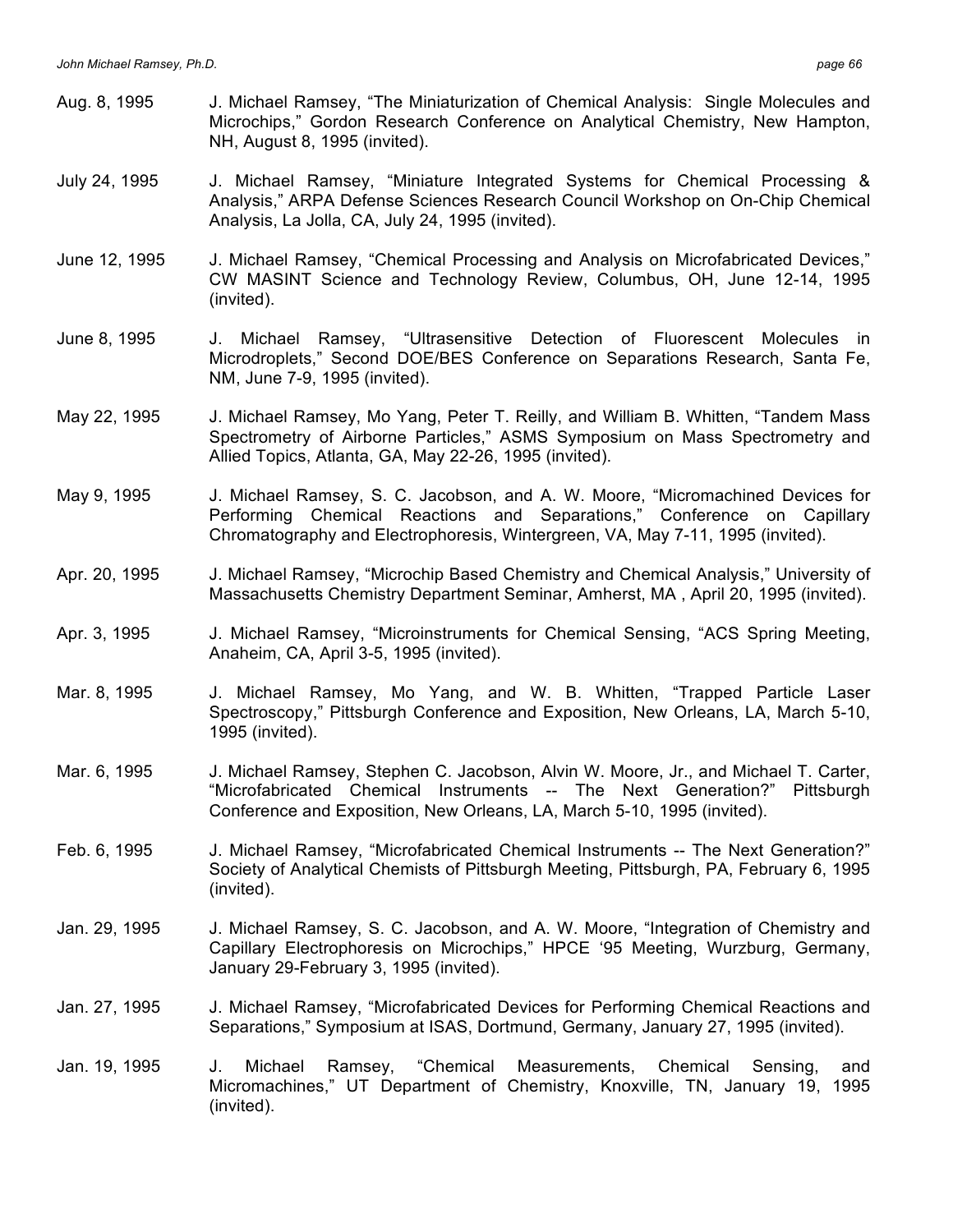- Aug. 8, 1995 J. Michael Ramsey, "The Miniaturization of Chemical Analysis: Single Molecules and Microchips," Gordon Research Conference on Analytical Chemistry, New Hampton, NH, August 8, 1995 (invited).
- July 24, 1995 J. Michael Ramsey, "Miniature Integrated Systems for Chemical Processing & Analysis," ARPA Defense Sciences Research Council Workshop on On-Chip Chemical Analysis, La Jolla, CA, July 24, 1995 (invited).
- June 12, 1995 J. Michael Ramsey, "Chemical Processing and Analysis on Microfabricated Devices," CW MASINT Science and Technology Review, Columbus, OH, June 12-14, 1995 (invited).
- June 8, 1995 J. Michael Ramsey, "Ultrasensitive Detection of Fluorescent Molecules in Microdroplets," Second DOE/BES Conference on Separations Research, Santa Fe, NM, June 7-9, 1995 (invited).
- May 22, 1995 J. Michael Ramsey, Mo Yang, Peter T. Reilly, and William B. Whitten, "Tandem Mass Spectrometry of Airborne Particles," ASMS Symposium on Mass Spectrometry and Allied Topics, Atlanta, GA, May 22-26, 1995 (invited).
- May 9, 1995 J. Michael Ramsey, S. C. Jacobson, and A. W. Moore, "Micromachined Devices for Performing Chemical Reactions and Separations," Conference on Capillary Chromatography and Electrophoresis, Wintergreen, VA, May 7-11, 1995 (invited).
- Apr. 20, 1995 J. Michael Ramsey, "Microchip Based Chemistry and Chemical Analysis," University of Massachusetts Chemistry Department Seminar, Amherst, MA , April 20, 1995 (invited).
- Apr. 3, 1995 J. Michael Ramsey, "Microinstruments for Chemical Sensing, "ACS Spring Meeting, Anaheim, CA, April 3-5, 1995 (invited).
- Mar. 8, 1995 J. Michael Ramsey, Mo Yang, and W. B. Whitten, "Trapped Particle Laser Spectroscopy," Pittsburgh Conference and Exposition, New Orleans, LA, March 5-10, 1995 (invited).
- Mar. 6, 1995 J. Michael Ramsey, Stephen C. Jacobson, Alvin W. Moore, Jr., and Michael T. Carter, "Microfabricated Chemical Instruments -- The Next Generation?" Pittsburgh Conference and Exposition, New Orleans, LA, March 5-10, 1995 (invited).
- Feb. 6, 1995 J. Michael Ramsey, "Microfabricated Chemical Instruments -- The Next Generation?" Society of Analytical Chemists of Pittsburgh Meeting, Pittsburgh, PA, February 6, 1995 (invited).
- Jan. 29, 1995 J. Michael Ramsey, S. C. Jacobson, and A. W. Moore, "Integration of Chemistry and Capillary Electrophoresis on Microchips," HPCE '95 Meeting, Wurzburg, Germany, January 29-February 3, 1995 (invited).
- Jan. 27, 1995 J. Michael Ramsey, "Microfabricated Devices for Performing Chemical Reactions and Separations," Symposium at ISAS, Dortmund, Germany, January 27, 1995 (invited).
- Jan. 19, 1995 J. Michael Ramsey, "Chemical Measurements, Chemical Sensing, and Micromachines," UT Department of Chemistry, Knoxville, TN, January 19, 1995 (invited).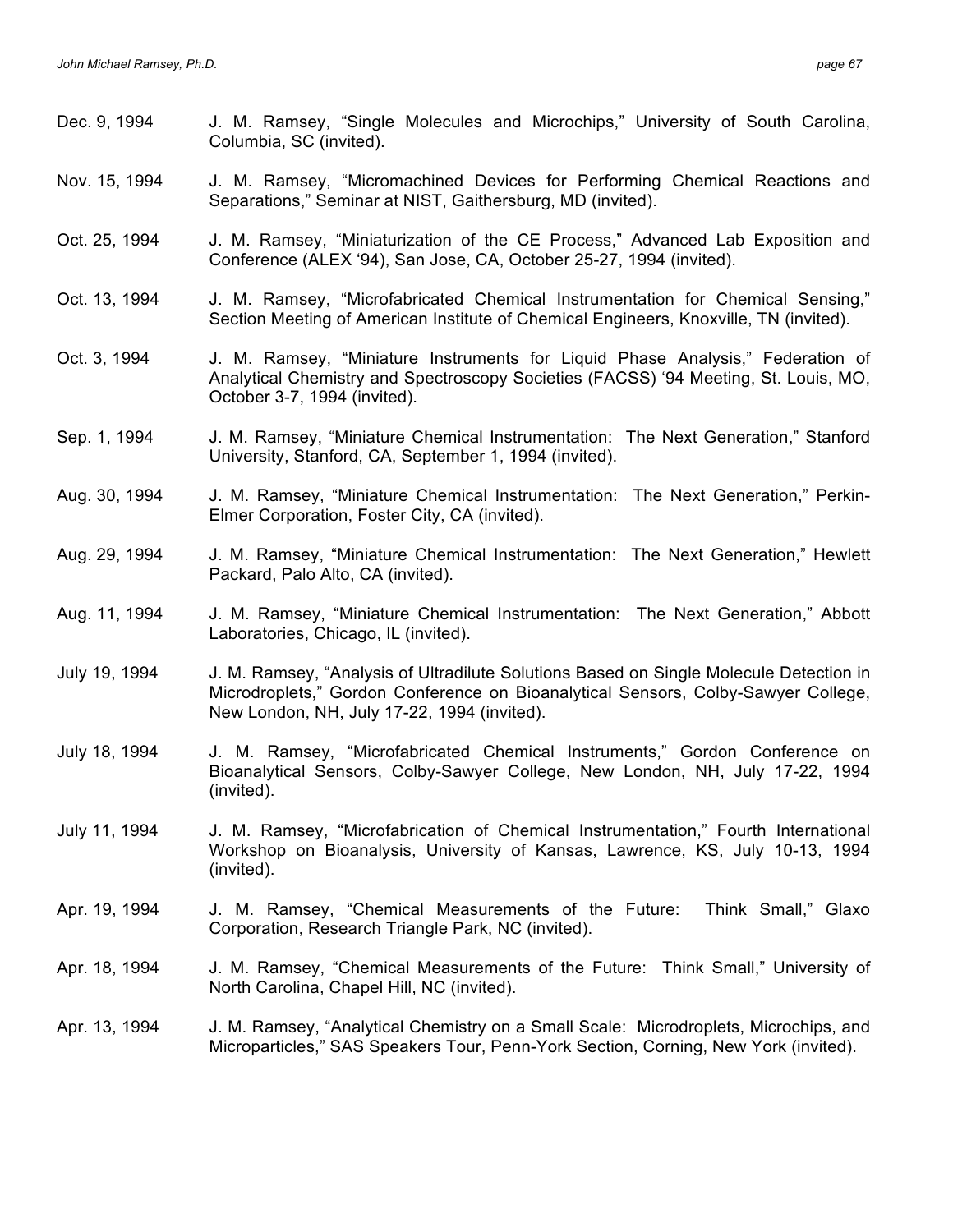Dec. 9, 1994 J. M. Ramsey, "Single Molecules and Microchips," University of South Carolina, Columbia, SC (invited). Nov. 15, 1994 J. M. Ramsey, "Micromachined Devices for Performing Chemical Reactions and Separations," Seminar at NIST, Gaithersburg, MD (invited). Oct. 25, 1994 J. M. Ramsey, "Miniaturization of the CE Process," Advanced Lab Exposition and Conference (ALEX '94), San Jose, CA, October 25-27, 1994 (invited). Oct. 13, 1994 J. M. Ramsey, "Microfabricated Chemical Instrumentation for Chemical Sensing," Section Meeting of American Institute of Chemical Engineers, Knoxville, TN (invited). Oct. 3, 1994 J. M. Ramsey, "Miniature Instruments for Liquid Phase Analysis," Federation of Analytical Chemistry and Spectroscopy Societies (FACSS) '94 Meeting, St. Louis, MO, October 3-7, 1994 (invited). Sep. 1, 1994 J. M. Ramsey, "Miniature Chemical Instrumentation: The Next Generation," Stanford University, Stanford, CA, September 1, 1994 (invited). Aug. 30, 1994 J. M. Ramsey, "Miniature Chemical Instrumentation: The Next Generation," Perkin-Elmer Corporation, Foster City, CA (invited). Aug. 29, 1994 J. M. Ramsey, "Miniature Chemical Instrumentation: The Next Generation," Hewlett Packard, Palo Alto, CA (invited). Aug. 11, 1994 J. M. Ramsey, "Miniature Chemical Instrumentation: The Next Generation," Abbott Laboratories, Chicago, IL (invited). July 19, 1994 J. M. Ramsey, "Analysis of Ultradilute Solutions Based on Single Molecule Detection in Microdroplets," Gordon Conference on Bioanalytical Sensors, Colby-Sawyer College, New London, NH, July 17-22, 1994 (invited). July 18, 1994 J. M. Ramsey, "Microfabricated Chemical Instruments," Gordon Conference on Bioanalytical Sensors, Colby-Sawyer College, New London, NH, July 17-22, 1994 (invited). July 11, 1994 J. M. Ramsey, "Microfabrication of Chemical Instrumentation," Fourth International Workshop on Bioanalysis, University of Kansas, Lawrence, KS, July 10-13, 1994 (invited). Apr. 19, 1994 J. M. Ramsey, "Chemical Measurements of the Future: Think Small," Glaxo Corporation, Research Triangle Park, NC (invited). Apr. 18, 1994 J. M. Ramsey, "Chemical Measurements of the Future: Think Small," University of North Carolina, Chapel Hill, NC (invited). Apr. 13, 1994 J. M. Ramsey, "Analytical Chemistry on a Small Scale: Microdroplets, Microchips, and Microparticles," SAS Speakers Tour, Penn-York Section, Corning, New York (invited).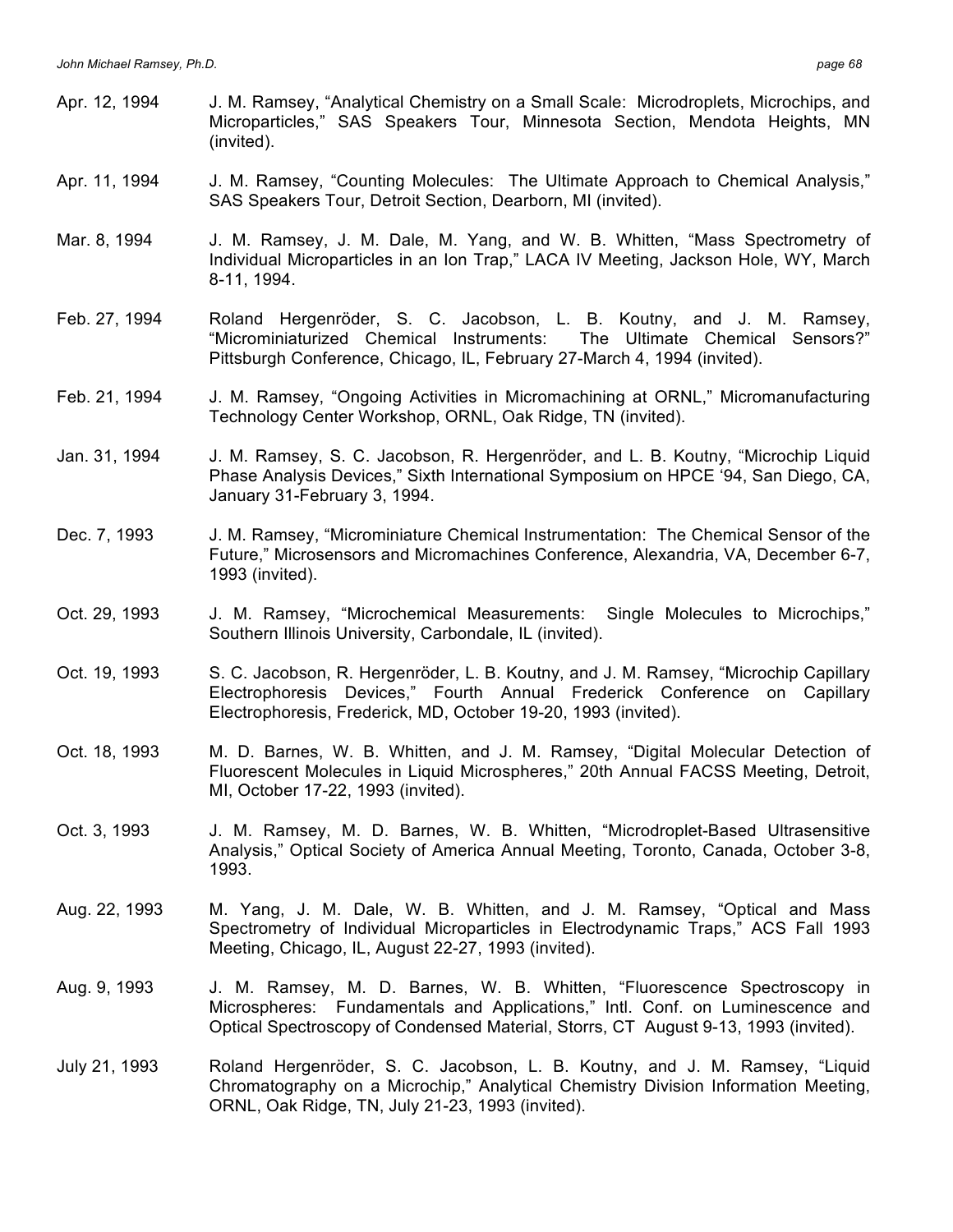| Apr. 12, 1994 | J. M. Ramsey, "Analytical Chemistry on a Small Scale: Microdroplets, Microchips, and<br>Microparticles," SAS Speakers Tour, Minnesota Section, Mendota Heights, MN<br>(invited).                                                                 |
|---------------|--------------------------------------------------------------------------------------------------------------------------------------------------------------------------------------------------------------------------------------------------|
| Apr. 11, 1994 | J. M. Ramsey, "Counting Molecules: The Ultimate Approach to Chemical Analysis,"<br>SAS Speakers Tour, Detroit Section, Dearborn, MI (invited).                                                                                                   |
| Mar. 8, 1994  | J. M. Ramsey, J. M. Dale, M. Yang, and W. B. Whitten, "Mass Spectrometry of<br>Individual Microparticles in an Ion Trap," LACA IV Meeting, Jackson Hole, WY, March<br>8-11, 1994.                                                                |
| Feb. 27, 1994 | Roland Hergenröder, S. C. Jacobson, L. B. Koutny, and J. M. Ramsey,<br>"Microminiaturized Chemical Instruments:<br>The Ultimate Chemical Sensors?"<br>Pittsburgh Conference, Chicago, IL, February 27-March 4, 1994 (invited).                   |
| Feb. 21, 1994 | J. M. Ramsey, "Ongoing Activities in Micromachining at ORNL," Micromanufacturing<br>Technology Center Workshop, ORNL, Oak Ridge, TN (invited).                                                                                                   |
| Jan. 31, 1994 | J. M. Ramsey, S. C. Jacobson, R. Hergenröder, and L. B. Koutny, "Microchip Liquid<br>Phase Analysis Devices," Sixth International Symposium on HPCE '94, San Diego, CA,<br>January 31-February 3, 1994.                                          |
| Dec. 7, 1993  | J. M. Ramsey, "Microminiature Chemical Instrumentation: The Chemical Sensor of the<br>Future," Microsensors and Micromachines Conference, Alexandria, VA, December 6-7,<br>1993 (invited).                                                       |
| Oct. 29, 1993 | J. M. Ramsey, "Microchemical Measurements: Single Molecules to Microchips,"<br>Southern Illinois University, Carbondale, IL (invited).                                                                                                           |
| Oct. 19, 1993 | S. C. Jacobson, R. Hergenröder, L. B. Koutny, and J. M. Ramsey, "Microchip Capillary<br>Electrophoresis Devices," Fourth Annual Frederick Conference on Capillary<br>Electrophoresis, Frederick, MD, October 19-20, 1993 (invited).              |
| Oct. 18, 1993 | M. D. Barnes, W. B. Whitten, and J. M. Ramsey, "Digital Molecular Detection of<br>Fluorescent Molecules in Liquid Microspheres," 20th Annual FACSS Meeting, Detroit,<br>MI, October 17-22, 1993 (invited).                                       |
| Oct. 3, 1993  | J. M. Ramsey, M. D. Barnes, W. B. Whitten, "Microdroplet-Based Ultrasensitive<br>Analysis," Optical Society of America Annual Meeting, Toronto, Canada, October 3-8,<br>1993.                                                                    |
| Aug. 22, 1993 | M. Yang, J. M. Dale, W. B. Whitten, and J. M. Ramsey, "Optical and Mass<br>Spectrometry of Individual Microparticles in Electrodynamic Traps," ACS Fall 1993<br>Meeting, Chicago, IL, August 22-27, 1993 (invited).                              |
| Aug. 9, 1993  | J. M. Ramsey, M. D. Barnes, W. B. Whitten, "Fluorescence Spectroscopy in<br>Microspheres: Fundamentals and Applications," Intl. Conf. on Luminescence and<br>Optical Spectroscopy of Condensed Material, Storrs, CT August 9-13, 1993 (invited). |
| July 21, 1993 | Roland Hergenröder, S. C. Jacobson, L. B. Koutny, and J. M. Ramsey, "Liquid<br>Chromatography on a Microchip," Analytical Chemistry Division Information Meeting,<br>ORNL, Oak Ridge, TN, July 21-23, 1993 (invited).                            |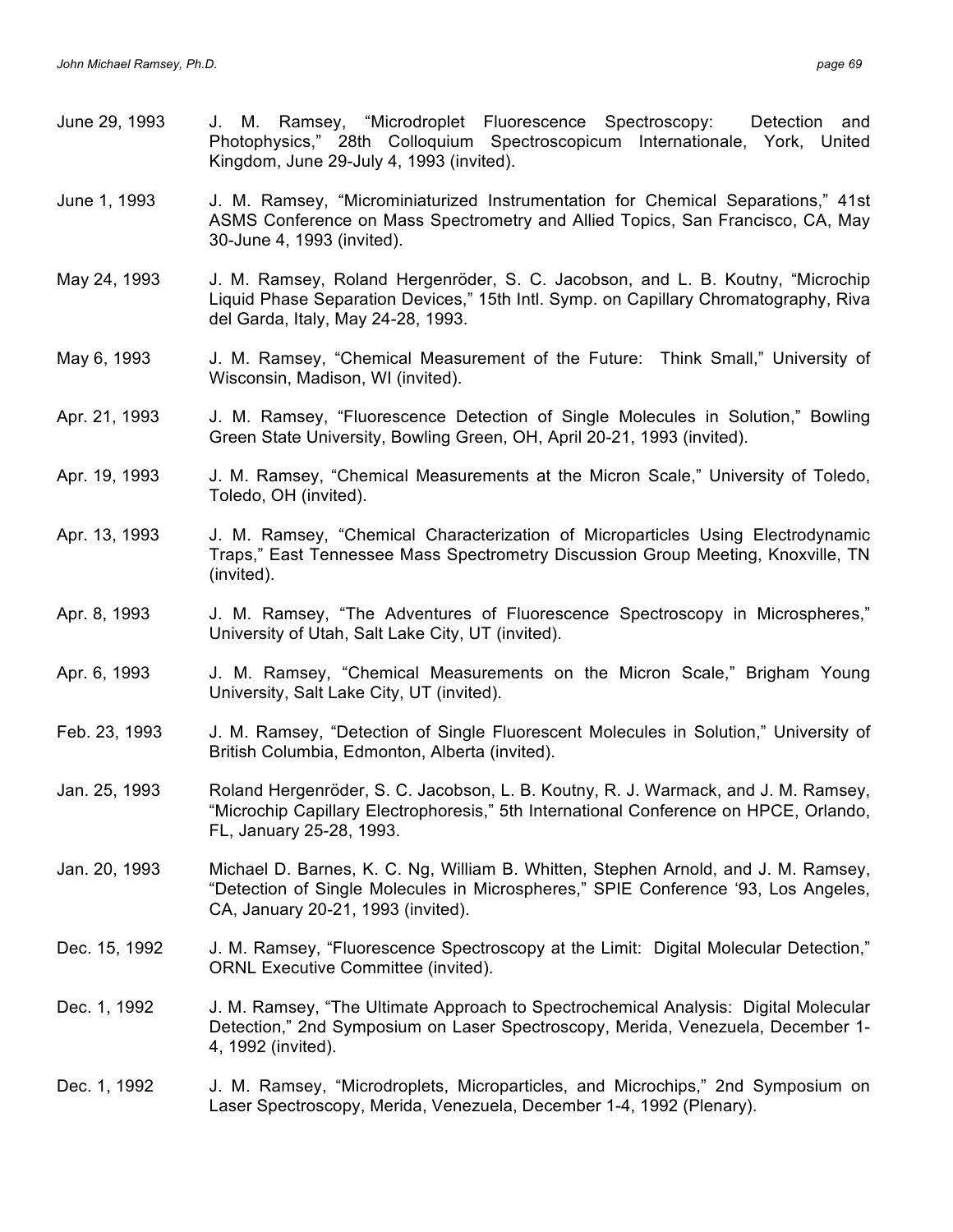| June 29, 1993 | J. M. Ramsey, "Microdroplet Fluorescence Spectroscopy:<br>Detection and<br>Photophysics," 28th Colloquium Spectroscopicum Internationale, York, United<br>Kingdom, June 29-July 4, 1993 (invited).             |
|---------------|----------------------------------------------------------------------------------------------------------------------------------------------------------------------------------------------------------------|
| June 1, 1993  | J. M. Ramsey, "Microminiaturized Instrumentation for Chemical Separations," 41st<br>ASMS Conference on Mass Spectrometry and Allied Topics, San Francisco, CA, May<br>30-June 4, 1993 (invited).               |
| May 24, 1993  | J. M. Ramsey, Roland Hergenröder, S. C. Jacobson, and L. B. Koutny, "Microchip<br>Liquid Phase Separation Devices," 15th Intl. Symp. on Capillary Chromatography, Riva<br>del Garda, Italy, May 24-28, 1993.   |
| May 6, 1993   | J. M. Ramsey, "Chemical Measurement of the Future: Think Small," University of<br>Wisconsin, Madison, WI (invited).                                                                                            |
| Apr. 21, 1993 | J. M. Ramsey, "Fluorescence Detection of Single Molecules in Solution," Bowling<br>Green State University, Bowling Green, OH, April 20-21, 1993 (invited).                                                     |
| Apr. 19, 1993 | J. M. Ramsey, "Chemical Measurements at the Micron Scale," University of Toledo,<br>Toledo, OH (invited).                                                                                                      |
| Apr. 13, 1993 | J. M. Ramsey, "Chemical Characterization of Microparticles Using Electrodynamic<br>Traps," East Tennessee Mass Spectrometry Discussion Group Meeting, Knoxville, TN<br>(invited).                              |
| Apr. 8, 1993  | J. M. Ramsey, "The Adventures of Fluorescence Spectroscopy in Microspheres,"<br>University of Utah, Salt Lake City, UT (invited).                                                                              |
| Apr. 6, 1993  | J. M. Ramsey, "Chemical Measurements on the Micron Scale," Brigham Young<br>University, Salt Lake City, UT (invited).                                                                                          |
| Feb. 23, 1993 | J. M. Ramsey, "Detection of Single Fluorescent Molecules in Solution," University of<br>British Columbia, Edmonton, Alberta (invited).                                                                         |
| Jan. 25, 1993 | Roland Hergenröder, S. C. Jacobson, L. B. Koutny, R. J. Warmack, and J. M. Ramsey,<br>"Microchip Capillary Electrophoresis," 5th International Conference on HPCE, Orlando,<br>FL, January 25-28, 1993.        |
| Jan. 20, 1993 | Michael D. Barnes, K. C. Ng, William B. Whitten, Stephen Arnold, and J. M. Ramsey,<br>"Detection of Single Molecules in Microspheres," SPIE Conference '93, Los Angeles,<br>CA, January 20-21, 1993 (invited). |
| Dec. 15, 1992 | J. M. Ramsey, "Fluorescence Spectroscopy at the Limit: Digital Molecular Detection,"<br><b>ORNL Executive Committee (invited).</b>                                                                             |
| Dec. 1, 1992  | J. M. Ramsey, "The Ultimate Approach to Spectrochemical Analysis: Digital Molecular<br>Detection," 2nd Symposium on Laser Spectroscopy, Merida, Venezuela, December 1-<br>4, 1992 (invited).                   |
| Dec. 1, 1992  | J. M. Ramsey, "Microdroplets, Microparticles, and Microchips," 2nd Symposium on<br>Laser Spectroscopy, Merida, Venezuela, December 1-4, 1992 (Plenary).                                                        |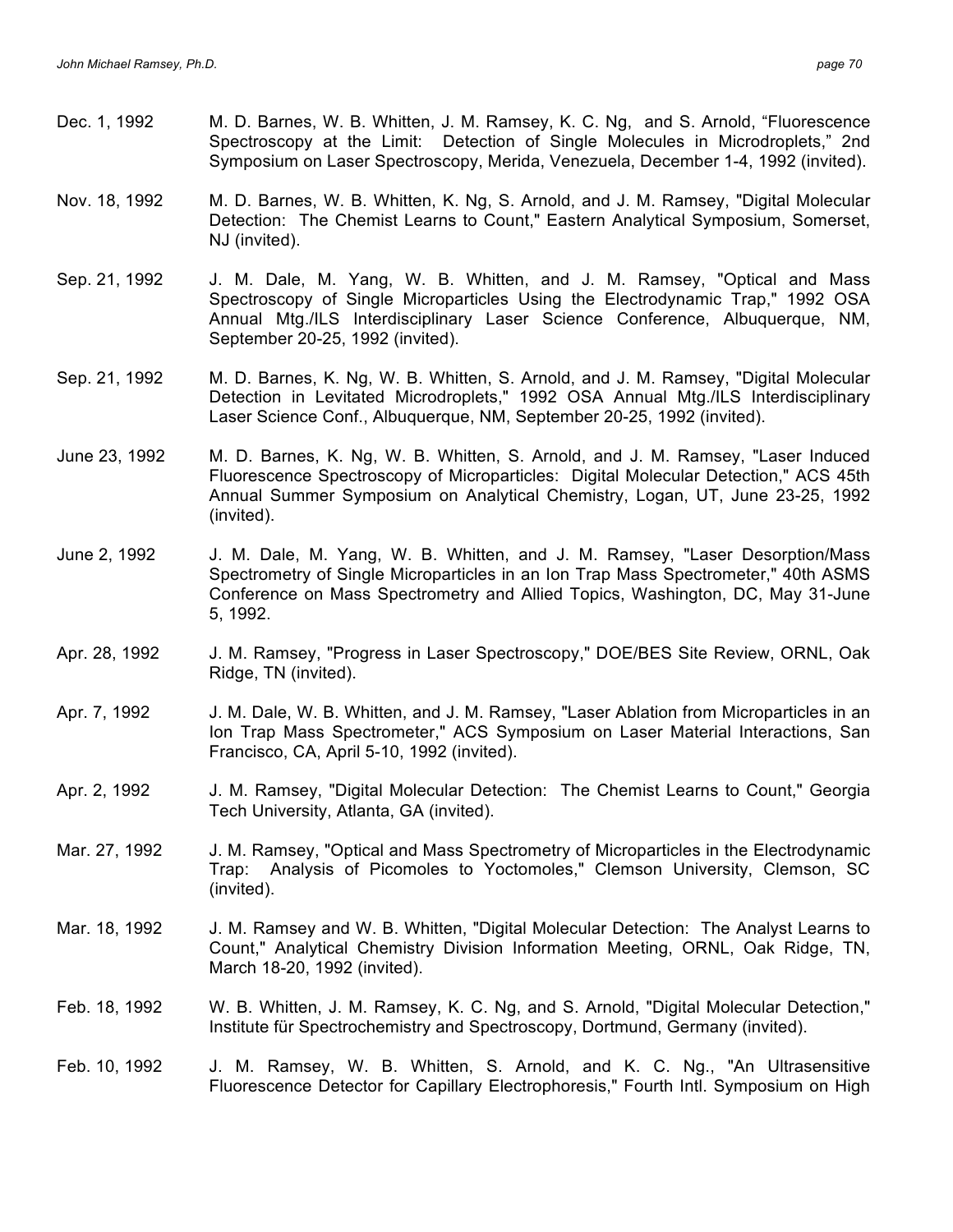- Dec. 1, 1992 M. D. Barnes, W. B. Whitten, J. M. Ramsey, K. C. Ng, and S. Arnold, "Fluorescence Spectroscopy at the Limit: Detection of Single Molecules in Microdroplets," 2nd Symposium on Laser Spectroscopy, Merida, Venezuela, December 1-4, 1992 (invited).
- Nov. 18, 1992 M. D. Barnes, W. B. Whitten, K. Ng, S. Arnold, and J. M. Ramsey, "Digital Molecular Detection: The Chemist Learns to Count," Eastern Analytical Symposium, Somerset, NJ (invited).
- Sep. 21, 1992 J. M. Dale, M. Yang, W. B. Whitten, and J. M. Ramsey, "Optical and Mass Spectroscopy of Single Microparticles Using the Electrodynamic Trap," 1992 OSA Annual Mtg./ILS Interdisciplinary Laser Science Conference, Albuquerque, NM, September 20-25, 1992 (invited).
- Sep. 21, 1992 M. D. Barnes, K. Ng, W. B. Whitten, S. Arnold, and J. M. Ramsey, "Digital Molecular Detection in Levitated Microdroplets," 1992 OSA Annual Mtg./ILS Interdisciplinary Laser Science Conf., Albuquerque, NM, September 20-25, 1992 (invited).
- June 23, 1992 M. D. Barnes, K. Ng, W. B. Whitten, S. Arnold, and J. M. Ramsey, "Laser Induced Fluorescence Spectroscopy of Microparticles: Digital Molecular Detection," ACS 45th Annual Summer Symposium on Analytical Chemistry, Logan, UT, June 23-25, 1992 (invited).
- June 2, 1992 J. M. Dale, M. Yang, W. B. Whitten, and J. M. Ramsey, "Laser Desorption/Mass Spectrometry of Single Microparticles in an Ion Trap Mass Spectrometer," 40th ASMS Conference on Mass Spectrometry and Allied Topics, Washington, DC, May 31-June 5, 1992.
- Apr. 28, 1992 J. M. Ramsey, "Progress in Laser Spectroscopy," DOE/BES Site Review, ORNL, Oak Ridge, TN (invited).
- Apr. 7, 1992 J. M. Dale, W. B. Whitten, and J. M. Ramsey, "Laser Ablation from Microparticles in an Ion Trap Mass Spectrometer," ACS Symposium on Laser Material Interactions, San Francisco, CA, April 5-10, 1992 (invited).
- Apr. 2, 1992 J. M. Ramsey, "Digital Molecular Detection: The Chemist Learns to Count," Georgia Tech University, Atlanta, GA (invited).
- Mar. 27, 1992 J. M. Ramsey, "Optical and Mass Spectrometry of Microparticles in the Electrodynamic Trap: Analysis of Picomoles to Yoctomoles," Clemson University, Clemson, SC (invited).
- Mar. 18, 1992 J. M. Ramsey and W. B. Whitten, "Digital Molecular Detection: The Analyst Learns to Count," Analytical Chemistry Division Information Meeting, ORNL, Oak Ridge, TN, March 18-20, 1992 (invited).
- Feb. 18, 1992 W. B. Whitten, J. M. Ramsey, K. C. Ng, and S. Arnold, "Digital Molecular Detection," Institute für Spectrochemistry and Spectroscopy, Dortmund, Germany (invited).
- Feb. 10, 1992 J. M. Ramsey, W. B. Whitten, S. Arnold, and K. C. Ng., "An Ultrasensitive Fluorescence Detector for Capillary Electrophoresis," Fourth Intl. Symposium on High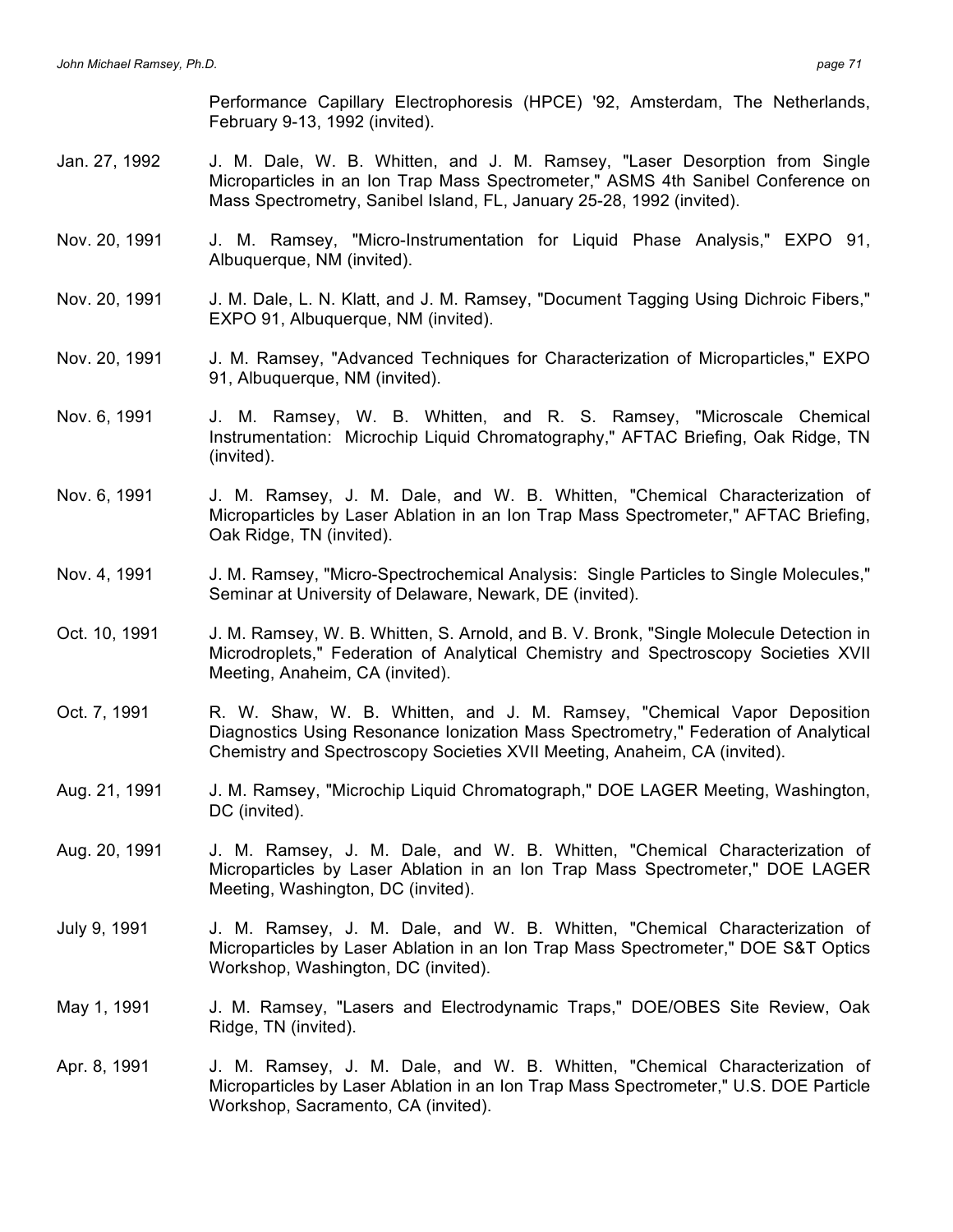Performance Capillary Electrophoresis (HPCE) '92, Amsterdam, The Netherlands, February 9-13, 1992 (invited).

- Jan. 27, 1992 J. M. Dale, W. B. Whitten, and J. M. Ramsey, "Laser Desorption from Single Microparticles in an Ion Trap Mass Spectrometer," ASMS 4th Sanibel Conference on Mass Spectrometry, Sanibel Island, FL, January 25-28, 1992 (invited).
- Nov. 20, 1991 J. M. Ramsey, "Micro-Instrumentation for Liquid Phase Analysis," EXPO 91, Albuquerque, NM (invited).
- Nov. 20, 1991 J. M. Dale, L. N. Klatt, and J. M. Ramsey, "Document Tagging Using Dichroic Fibers," EXPO 91, Albuquerque, NM (invited).
- Nov. 20, 1991 J. M. Ramsey, "Advanced Techniques for Characterization of Microparticles," EXPO 91, Albuquerque, NM (invited).
- Nov. 6, 1991 J. M. Ramsey, W. B. Whitten, and R. S. Ramsey, "Microscale Chemical Instrumentation: Microchip Liquid Chromatography," AFTAC Briefing, Oak Ridge, TN (invited).
- Nov. 6, 1991 J. M. Ramsey, J. M. Dale, and W. B. Whitten, "Chemical Characterization of Microparticles by Laser Ablation in an Ion Trap Mass Spectrometer," AFTAC Briefing, Oak Ridge, TN (invited).
- Nov. 4, 1991 J. M. Ramsey, "Micro-Spectrochemical Analysis: Single Particles to Single Molecules," Seminar at University of Delaware, Newark, DE (invited).
- Oct. 10, 1991 J. M. Ramsey, W. B. Whitten, S. Arnold, and B. V. Bronk, "Single Molecule Detection in Microdroplets," Federation of Analytical Chemistry and Spectroscopy Societies XVII Meeting, Anaheim, CA (invited).
- Oct. 7, 1991 R. W. Shaw, W. B. Whitten, and J. M. Ramsey, "Chemical Vapor Deposition Diagnostics Using Resonance Ionization Mass Spectrometry," Federation of Analytical Chemistry and Spectroscopy Societies XVII Meeting, Anaheim, CA (invited).
- Aug. 21, 1991 J. M. Ramsey, "Microchip Liquid Chromatograph," DOE LAGER Meeting, Washington, DC (invited).
- Aug. 20, 1991 J. M. Ramsey, J. M. Dale, and W. B. Whitten, "Chemical Characterization of Microparticles by Laser Ablation in an Ion Trap Mass Spectrometer," DOE LAGER Meeting, Washington, DC (invited).
- July 9, 1991 J. M. Ramsey, J. M. Dale, and W. B. Whitten, "Chemical Characterization of Microparticles by Laser Ablation in an Ion Trap Mass Spectrometer," DOE S&T Optics Workshop, Washington, DC (invited).
- May 1, 1991 J. M. Ramsey, "Lasers and Electrodynamic Traps," DOE/OBES Site Review, Oak Ridge, TN (invited).
- Apr. 8, 1991 J. M. Ramsey, J. M. Dale, and W. B. Whitten, "Chemical Characterization of Microparticles by Laser Ablation in an Ion Trap Mass Spectrometer," U.S. DOE Particle Workshop, Sacramento, CA (invited).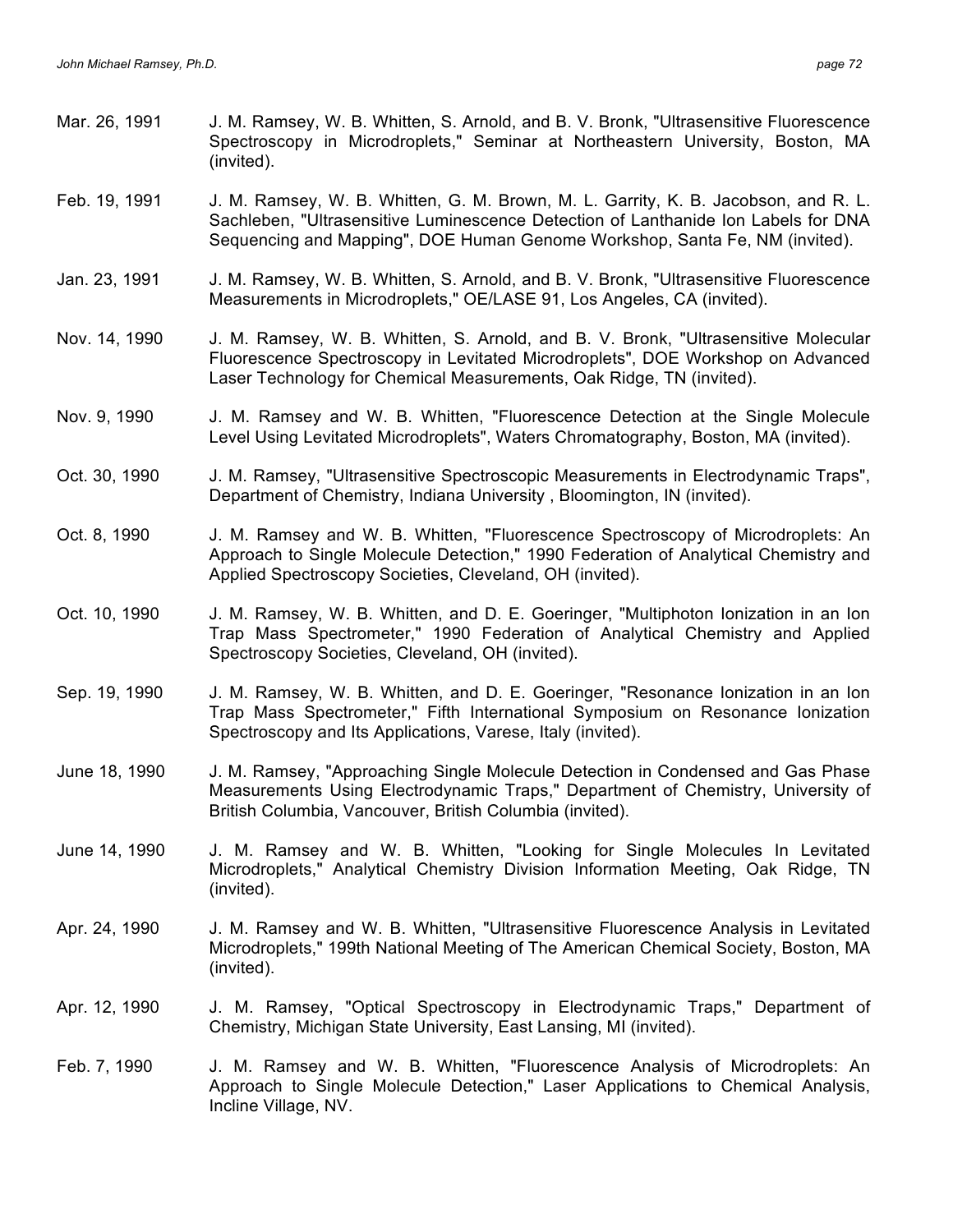- Mar. 26, 1991 J. M. Ramsey, W. B. Whitten, S. Arnold, and B. V. Bronk, "Ultrasensitive Fluorescence Spectroscopy in Microdroplets," Seminar at Northeastern University, Boston, MA (invited).
- Feb. 19, 1991 J. M. Ramsey, W. B. Whitten, G. M. Brown, M. L. Garrity, K. B. Jacobson, and R. L. Sachleben, "Ultrasensitive Luminescence Detection of Lanthanide Ion Labels for DNA Sequencing and Mapping", DOE Human Genome Workshop, Santa Fe, NM (invited).
- Jan. 23, 1991 J. M. Ramsey, W. B. Whitten, S. Arnold, and B. V. Bronk, "Ultrasensitive Fluorescence Measurements in Microdroplets," OE/LASE 91, Los Angeles, CA (invited).
- Nov. 14, 1990 J. M. Ramsey, W. B. Whitten, S. Arnold, and B. V. Bronk, "Ultrasensitive Molecular Fluorescence Spectroscopy in Levitated Microdroplets", DOE Workshop on Advanced Laser Technology for Chemical Measurements, Oak Ridge, TN (invited).
- Nov. 9, 1990 J. M. Ramsey and W. B. Whitten, "Fluorescence Detection at the Single Molecule Level Using Levitated Microdroplets", Waters Chromatography, Boston, MA (invited).
- Oct. 30, 1990 J. M. Ramsey, "Ultrasensitive Spectroscopic Measurements in Electrodynamic Traps", Department of Chemistry, Indiana University , Bloomington, IN (invited).
- Oct. 8, 1990 J. M. Ramsey and W. B. Whitten, "Fluorescence Spectroscopy of Microdroplets: An Approach to Single Molecule Detection," 1990 Federation of Analytical Chemistry and Applied Spectroscopy Societies, Cleveland, OH (invited).
- Oct. 10, 1990 J. M. Ramsey, W. B. Whitten, and D. E. Goeringer, "Multiphoton Ionization in an Ion Trap Mass Spectrometer," 1990 Federation of Analytical Chemistry and Applied Spectroscopy Societies, Cleveland, OH (invited).
- Sep. 19, 1990 J. M. Ramsey, W. B. Whitten, and D. E. Goeringer, "Resonance Ionization in an Ion Trap Mass Spectrometer," Fifth International Symposium on Resonance Ionization Spectroscopy and Its Applications, Varese, Italy (invited).
- June 18, 1990 J. M. Ramsey, "Approaching Single Molecule Detection in Condensed and Gas Phase Measurements Using Electrodynamic Traps," Department of Chemistry, University of British Columbia, Vancouver, British Columbia (invited).
- June 14, 1990 J. M. Ramsey and W. B. Whitten, "Looking for Single Molecules In Levitated Microdroplets," Analytical Chemistry Division Information Meeting, Oak Ridge, TN (invited).
- Apr. 24, 1990 J. M. Ramsey and W. B. Whitten, "Ultrasensitive Fluorescence Analysis in Levitated Microdroplets," 199th National Meeting of The American Chemical Society, Boston, MA (invited).
- Apr. 12, 1990 J. M. Ramsey, "Optical Spectroscopy in Electrodynamic Traps," Department of Chemistry, Michigan State University, East Lansing, MI (invited).
- Feb. 7, 1990 J. M. Ramsey and W. B. Whitten, "Fluorescence Analysis of Microdroplets: An Approach to Single Molecule Detection," Laser Applications to Chemical Analysis, Incline Village, NV.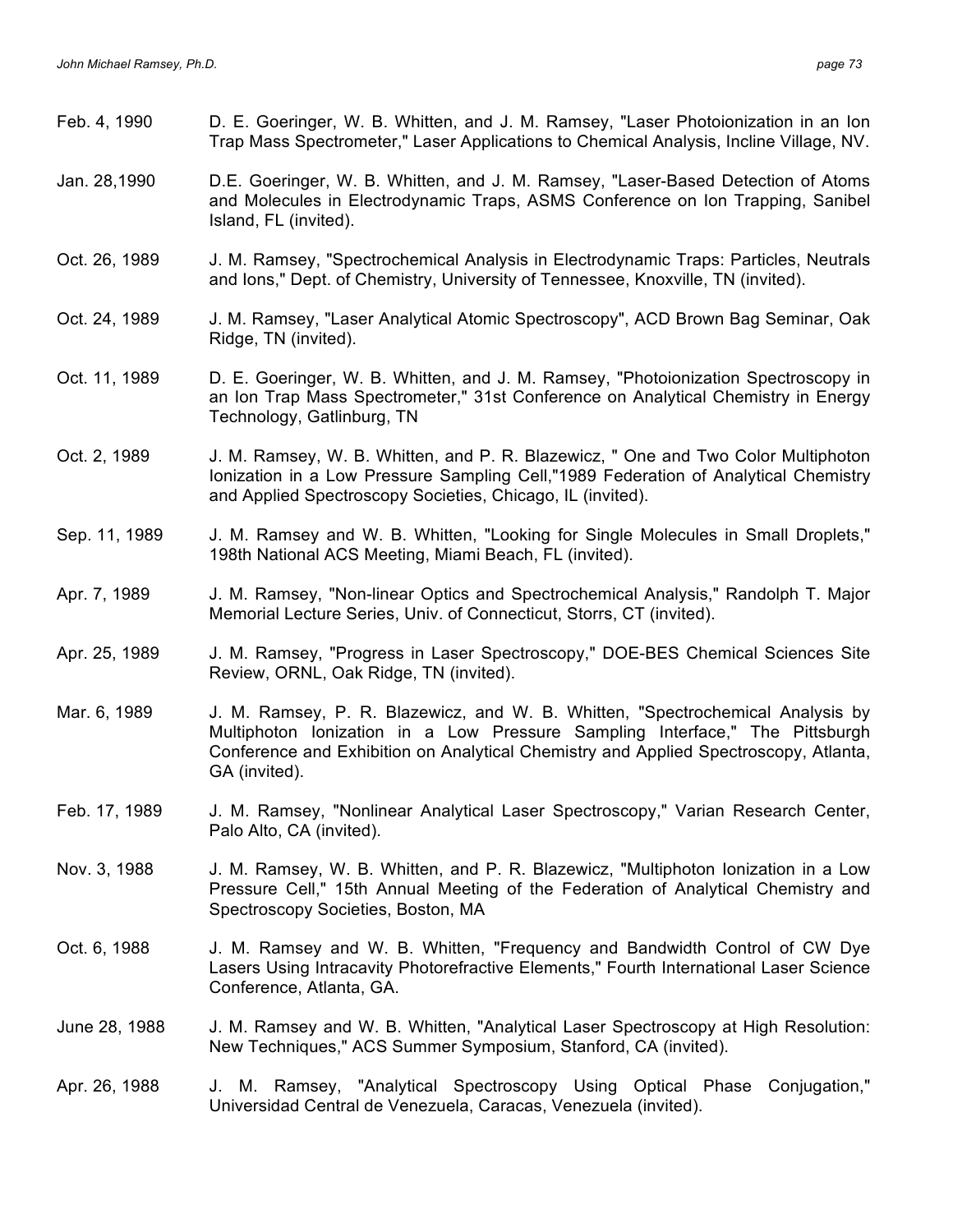| Feb. 4, 1990  | D. E. Goeringer, W. B. Whitten, and J. M. Ramsey, "Laser Photoionization in an lon<br>Trap Mass Spectrometer," Laser Applications to Chemical Analysis, Incline Village, NV.                                                                                            |
|---------------|-------------------------------------------------------------------------------------------------------------------------------------------------------------------------------------------------------------------------------------------------------------------------|
| Jan. 28,1990  | D.E. Goeringer, W. B. Whitten, and J. M. Ramsey, "Laser-Based Detection of Atoms<br>and Molecules in Electrodynamic Traps, ASMS Conference on Ion Trapping, Sanibel<br>Island, FL (invited).                                                                            |
| Oct. 26, 1989 | J. M. Ramsey, "Spectrochemical Analysis in Electrodynamic Traps: Particles, Neutrals<br>and lons," Dept. of Chemistry, University of Tennessee, Knoxville, TN (invited).                                                                                                |
| Oct. 24, 1989 | J. M. Ramsey, "Laser Analytical Atomic Spectroscopy", ACD Brown Bag Seminar, Oak<br>Ridge, TN (invited).                                                                                                                                                                |
| Oct. 11, 1989 | D. E. Goeringer, W. B. Whitten, and J. M. Ramsey, "Photoionization Spectroscopy in<br>an Ion Trap Mass Spectrometer," 31st Conference on Analytical Chemistry in Energy<br>Technology, Gatlinburg, TN                                                                   |
| Oct. 2, 1989  | J. M. Ramsey, W. B. Whitten, and P. R. Blazewicz, " One and Two Color Multiphoton<br>Ionization in a Low Pressure Sampling Cell,"1989 Federation of Analytical Chemistry<br>and Applied Spectroscopy Societies, Chicago, IL (invited).                                  |
| Sep. 11, 1989 | J. M. Ramsey and W. B. Whitten, "Looking for Single Molecules in Small Droplets,"<br>198th National ACS Meeting, Miami Beach, FL (invited).                                                                                                                             |
| Apr. 7, 1989  | J. M. Ramsey, "Non-linear Optics and Spectrochemical Analysis," Randolph T. Major<br>Memorial Lecture Series, Univ. of Connecticut, Storrs, CT (invited).                                                                                                               |
| Apr. 25, 1989 | J. M. Ramsey, "Progress in Laser Spectroscopy," DOE-BES Chemical Sciences Site<br>Review, ORNL, Oak Ridge, TN (invited).                                                                                                                                                |
| Mar. 6, 1989  | J. M. Ramsey, P. R. Blazewicz, and W. B. Whitten, "Spectrochemical Analysis by<br>Multiphoton lonization in a Low Pressure Sampling Interface," The Pittsburgh<br>Conference and Exhibition on Analytical Chemistry and Applied Spectroscopy, Atlanta,<br>GA (invited). |
| Feb. 17, 1989 | J. M. Ramsey, "Nonlinear Analytical Laser Spectroscopy," Varian Research Center,<br>Palo Alto, CA (invited).                                                                                                                                                            |
| Nov. 3, 1988  | J. M. Ramsey, W. B. Whitten, and P. R. Blazewicz, "Multiphoton lonization in a Low<br>Pressure Cell," 15th Annual Meeting of the Federation of Analytical Chemistry and<br>Spectroscopy Societies, Boston, MA                                                           |
| Oct. 6, 1988  | J. M. Ramsey and W. B. Whitten, "Frequency and Bandwidth Control of CW Dye<br>Lasers Using Intracavity Photorefractive Elements," Fourth International Laser Science<br>Conference, Atlanta, GA.                                                                        |
| June 28, 1988 | J. M. Ramsey and W. B. Whitten, "Analytical Laser Spectroscopy at High Resolution:<br>New Techniques," ACS Summer Symposium, Stanford, CA (invited).                                                                                                                    |
| Apr. 26, 1988 | J. M. Ramsey, "Analytical Spectroscopy Using Optical Phase Conjugation,"<br>Universidad Central de Venezuela, Caracas, Venezuela (invited).                                                                                                                             |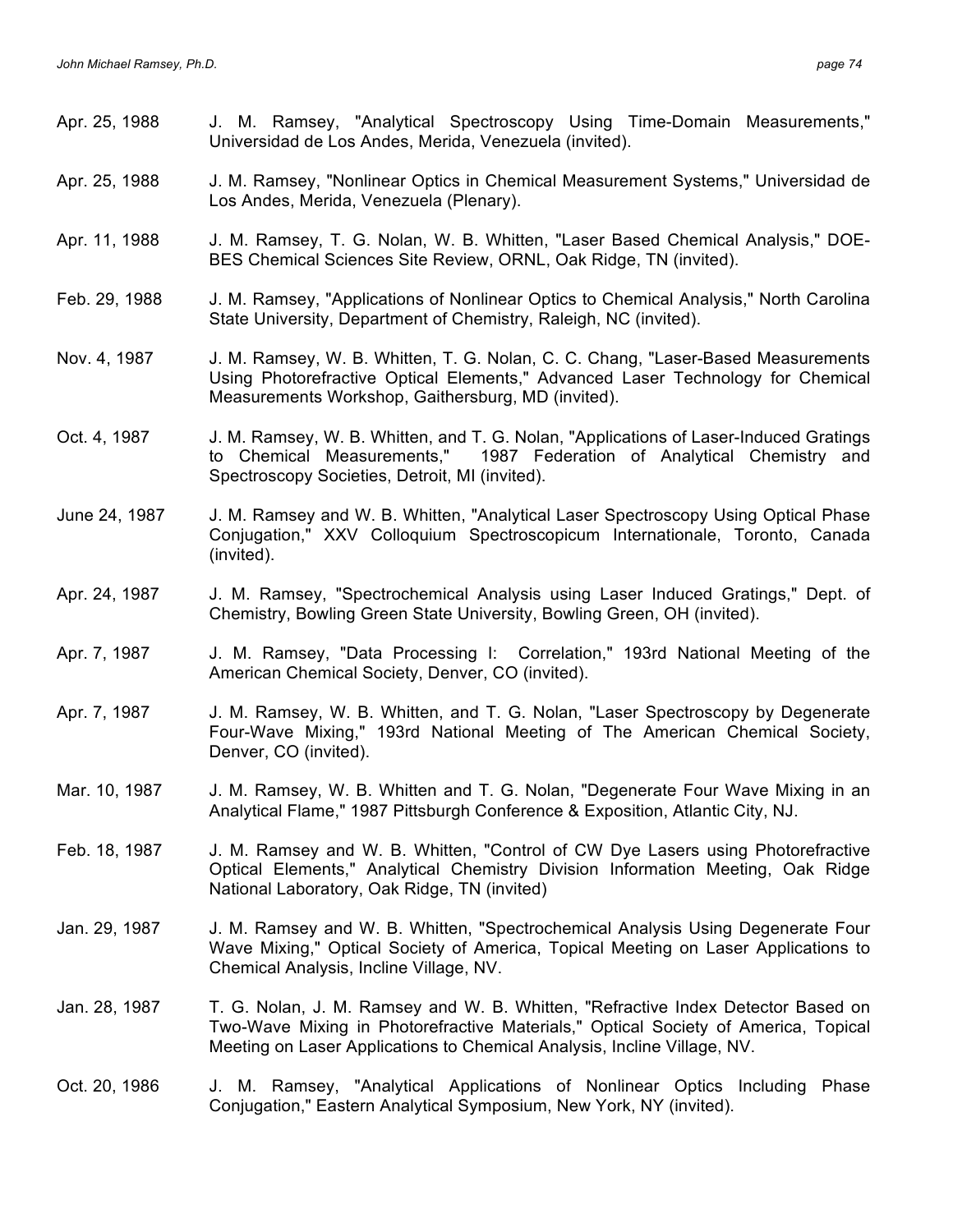| Apr. 25, 1988 | J. M. Ramsey, "Analytical Spectroscopy Using Time-Domain Measurements,"<br>Universidad de Los Andes, Merida, Venezuela (invited).                                                                                                                  |
|---------------|----------------------------------------------------------------------------------------------------------------------------------------------------------------------------------------------------------------------------------------------------|
| Apr. 25, 1988 | J. M. Ramsey, "Nonlinear Optics in Chemical Measurement Systems," Universidad de<br>Los Andes, Merida, Venezuela (Plenary).                                                                                                                        |
| Apr. 11, 1988 | J. M. Ramsey, T. G. Nolan, W. B. Whitten, "Laser Based Chemical Analysis," DOE-<br>BES Chemical Sciences Site Review, ORNL, Oak Ridge, TN (invited).                                                                                               |
| Feb. 29, 1988 | J. M. Ramsey, "Applications of Nonlinear Optics to Chemical Analysis," North Carolina<br>State University, Department of Chemistry, Raleigh, NC (invited).                                                                                         |
| Nov. 4, 1987  | J. M. Ramsey, W. B. Whitten, T. G. Nolan, C. C. Chang, "Laser-Based Measurements"<br>Using Photorefractive Optical Elements," Advanced Laser Technology for Chemical<br>Measurements Workshop, Gaithersburg, MD (invited).                         |
| Oct. 4, 1987  | J. M. Ramsey, W. B. Whitten, and T. G. Nolan, "Applications of Laser-Induced Gratings<br>to Chemical Measurements," 1987 Federation of Analytical Chemistry and<br>Spectroscopy Societies, Detroit, MI (invited).                                  |
| June 24, 1987 | J. M. Ramsey and W. B. Whitten, "Analytical Laser Spectroscopy Using Optical Phase<br>Conjugation," XXV Colloquium Spectroscopicum Internationale, Toronto, Canada<br>(invited).                                                                   |
| Apr. 24, 1987 | J. M. Ramsey, "Spectrochemical Analysis using Laser Induced Gratings," Dept. of<br>Chemistry, Bowling Green State University, Bowling Green, OH (invited).                                                                                         |
| Apr. 7, 1987  | J. M. Ramsey, "Data Processing I: Correlation," 193rd National Meeting of the<br>American Chemical Society, Denver, CO (invited).                                                                                                                  |
| Apr. 7, 1987  | J. M. Ramsey, W. B. Whitten, and T. G. Nolan, "Laser Spectroscopy by Degenerate<br>Four-Wave Mixing," 193rd National Meeting of The American Chemical Society,<br>Denver, CO (invited).                                                            |
| Mar. 10, 1987 | J. M. Ramsey, W. B. Whitten and T. G. Nolan, "Degenerate Four Wave Mixing in an<br>Analytical Flame," 1987 Pittsburgh Conference & Exposition, Atlantic City, NJ.                                                                                  |
| Feb. 18, 1987 | J. M. Ramsey and W. B. Whitten, "Control of CW Dye Lasers using Photorefractive<br>Optical Elements," Analytical Chemistry Division Information Meeting, Oak Ridge<br>National Laboratory, Oak Ridge, TN (invited)                                 |
| Jan. 29, 1987 | J. M. Ramsey and W. B. Whitten, "Spectrochemical Analysis Using Degenerate Four<br>Wave Mixing," Optical Society of America, Topical Meeting on Laser Applications to<br>Chemical Analysis, Incline Village, NV.                                   |
| Jan. 28, 1987 | T. G. Nolan, J. M. Ramsey and W. B. Whitten, "Refractive Index Detector Based on<br>Two-Wave Mixing in Photorefractive Materials," Optical Society of America, Topical<br>Meeting on Laser Applications to Chemical Analysis, Incline Village, NV. |
| Oct. 20, 1986 | J. M. Ramsey, "Analytical Applications of Nonlinear Optics Including<br>Phase<br>Conjugation," Eastern Analytical Symposium, New York, NY (invited).                                                                                               |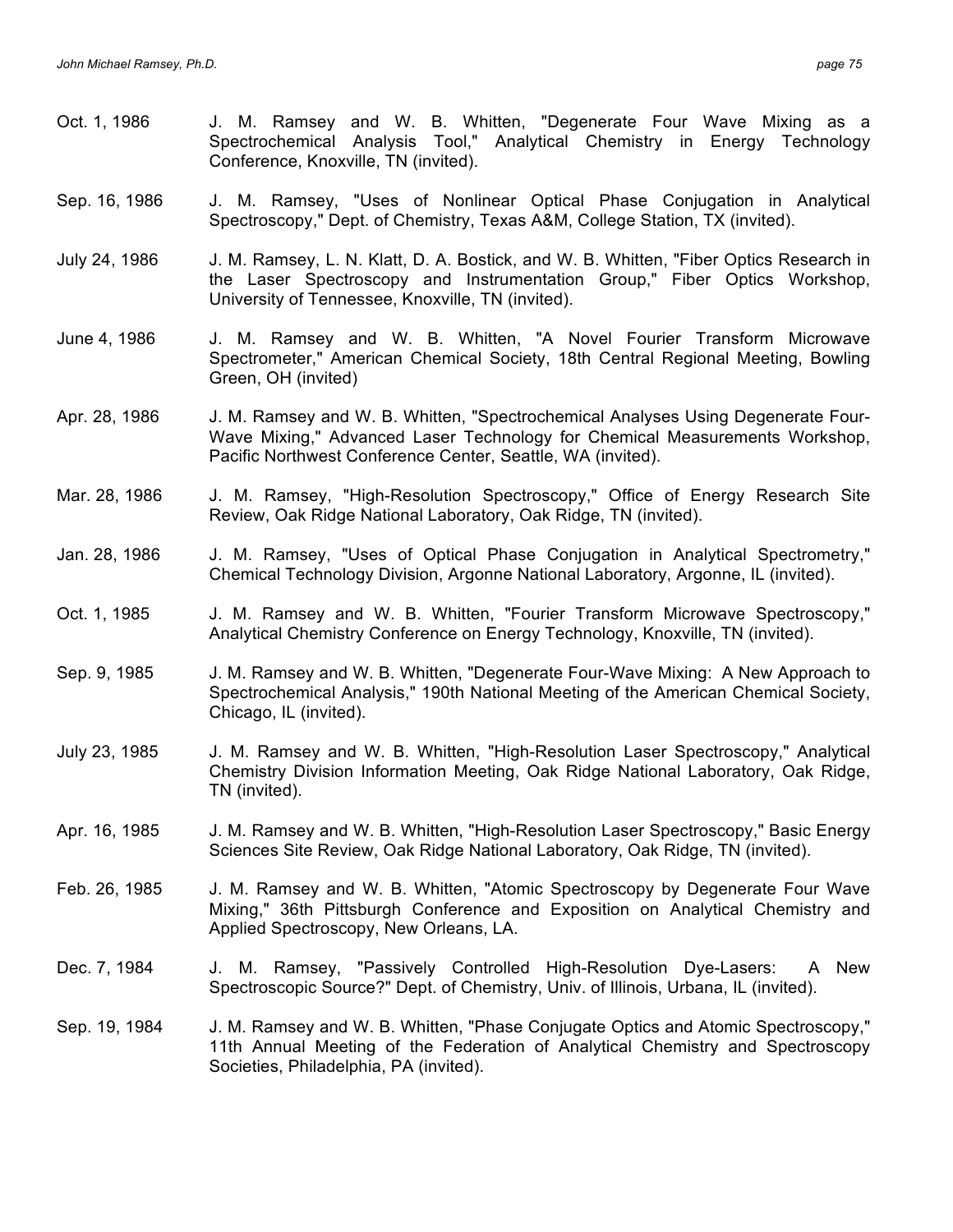- Oct. 1, 1986 J. M. Ramsey and W. B. Whitten, "Degenerate Four Wave Mixing as a Spectrochemical Analysis Tool," Analytical Chemistry in Energy Technology Conference, Knoxville, TN (invited).
- Sep. 16, 1986 J. M. Ramsey, "Uses of Nonlinear Optical Phase Conjugation in Analytical Spectroscopy," Dept. of Chemistry, Texas A&M, College Station, TX (invited).
- July 24, 1986 J. M. Ramsey, L. N. Klatt, D. A. Bostick, and W. B. Whitten, "Fiber Optics Research in the Laser Spectroscopy and Instrumentation Group," Fiber Optics Workshop, University of Tennessee, Knoxville, TN (invited).
- June 4, 1986 J. M. Ramsey and W. B. Whitten, "A Novel Fourier Transform Microwave Spectrometer," American Chemical Society, 18th Central Regional Meeting, Bowling Green, OH (invited)
- Apr. 28, 1986 J. M. Ramsey and W. B. Whitten, "Spectrochemical Analyses Using Degenerate Four-Wave Mixing," Advanced Laser Technology for Chemical Measurements Workshop, Pacific Northwest Conference Center, Seattle, WA (invited).
- Mar. 28, 1986 J. M. Ramsey, "High-Resolution Spectroscopy," Office of Energy Research Site Review, Oak Ridge National Laboratory, Oak Ridge, TN (invited).
- Jan. 28, 1986 J. M. Ramsey, "Uses of Optical Phase Conjugation in Analytical Spectrometry," Chemical Technology Division, Argonne National Laboratory, Argonne, IL (invited).
- Oct. 1, 1985 J. M. Ramsey and W. B. Whitten, "Fourier Transform Microwave Spectroscopy," Analytical Chemistry Conference on Energy Technology, Knoxville, TN (invited).
- Sep. 9, 1985 J. M. Ramsey and W. B. Whitten, "Degenerate Four-Wave Mixing: A New Approach to Spectrochemical Analysis," 190th National Meeting of the American Chemical Society, Chicago, IL (invited).
- July 23, 1985 J. M. Ramsey and W. B. Whitten, "High-Resolution Laser Spectroscopy," Analytical Chemistry Division Information Meeting, Oak Ridge National Laboratory, Oak Ridge, TN (invited).
- Apr. 16, 1985 J. M. Ramsey and W. B. Whitten, "High-Resolution Laser Spectroscopy," Basic Energy Sciences Site Review, Oak Ridge National Laboratory, Oak Ridge, TN (invited).
- Feb. 26, 1985 J. M. Ramsey and W. B. Whitten, "Atomic Spectroscopy by Degenerate Four Wave Mixing," 36th Pittsburgh Conference and Exposition on Analytical Chemistry and Applied Spectroscopy, New Orleans, LA.
- Dec. 7, 1984 J. M. Ramsey, "Passively Controlled High-Resolution Dye-Lasers: A New Spectroscopic Source?" Dept. of Chemistry, Univ. of Illinois, Urbana, IL (invited).
- Sep. 19, 1984 J. M. Ramsey and W. B. Whitten, "Phase Conjugate Optics and Atomic Spectroscopy," 11th Annual Meeting of the Federation of Analytical Chemistry and Spectroscopy Societies, Philadelphia, PA (invited).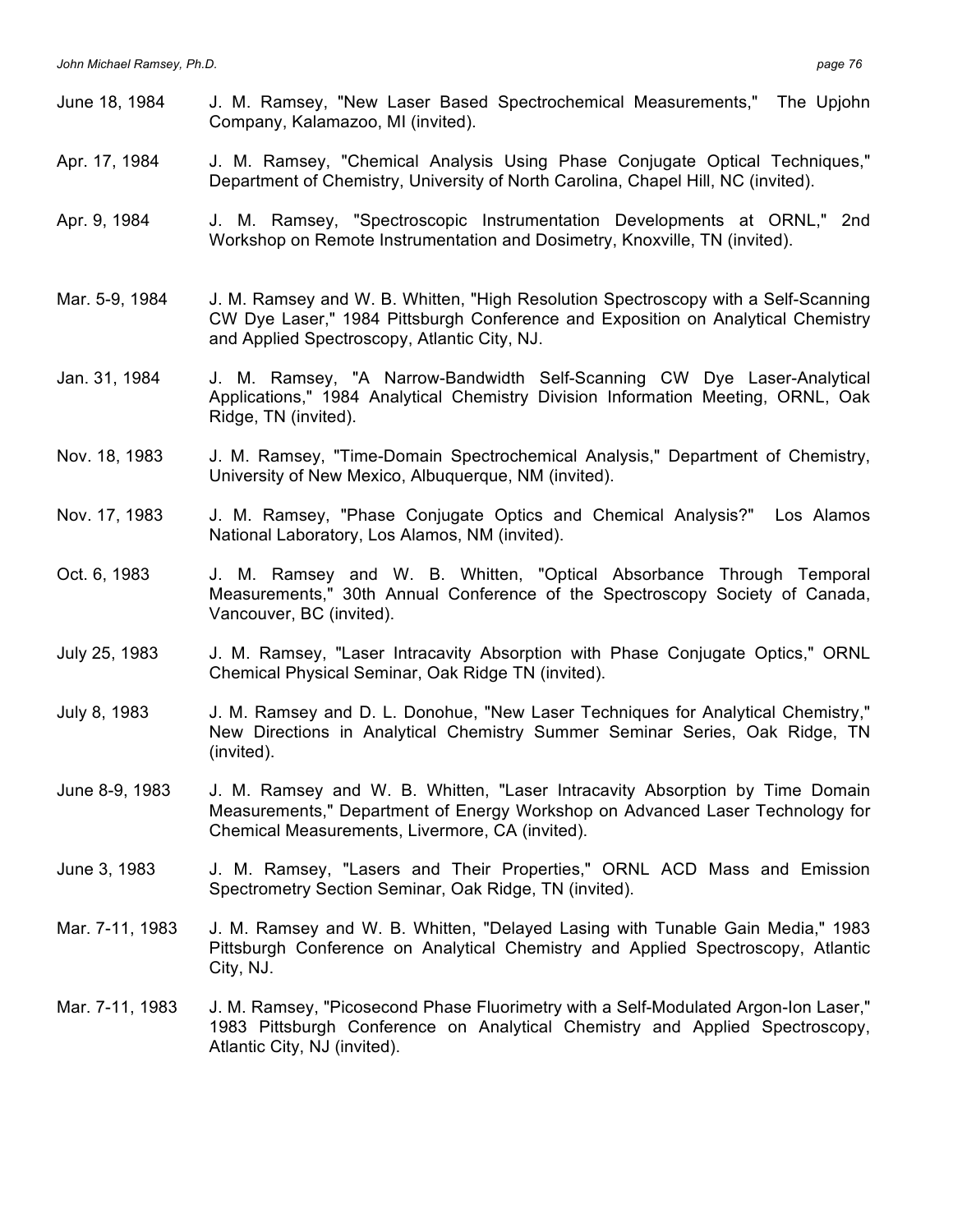- June 18, 1984 J. M. Ramsey, "New Laser Based Spectrochemical Measurements," The Upjohn Company, Kalamazoo, MI (invited).
- Apr. 17, 1984 J. M. Ramsey, "Chemical Analysis Using Phase Conjugate Optical Techniques," Department of Chemistry, University of North Carolina, Chapel Hill, NC (invited).
- Apr. 9, 1984 J. M. Ramsey, "Spectroscopic Instrumentation Developments at ORNL," 2nd Workshop on Remote Instrumentation and Dosimetry, Knoxville, TN (invited).
- Mar. 5-9, 1984 J. M. Ramsey and W. B. Whitten, "High Resolution Spectroscopy with a Self-Scanning CW Dye Laser," 1984 Pittsburgh Conference and Exposition on Analytical Chemistry and Applied Spectroscopy, Atlantic City, NJ.
- Jan. 31, 1984 J. M. Ramsey, "A Narrow-Bandwidth Self-Scanning CW Dye Laser-Analytical Applications," 1984 Analytical Chemistry Division Information Meeting, ORNL, Oak Ridge, TN (invited).
- Nov. 18, 1983 J. M. Ramsey, "Time-Domain Spectrochemical Analysis," Department of Chemistry, University of New Mexico, Albuquerque, NM (invited).
- Nov. 17, 1983 J. M. Ramsey, "Phase Conjugate Optics and Chemical Analysis?" Los Alamos National Laboratory, Los Alamos, NM (invited).
- Oct. 6, 1983 J. M. Ramsey and W. B. Whitten, "Optical Absorbance Through Temporal Measurements," 30th Annual Conference of the Spectroscopy Society of Canada, Vancouver, BC (invited).
- July 25, 1983 J. M. Ramsey, "Laser Intracavity Absorption with Phase Conjugate Optics," ORNL Chemical Physical Seminar, Oak Ridge TN (invited).
- July 8, 1983 J. M. Ramsey and D. L. Donohue, "New Laser Techniques for Analytical Chemistry," New Directions in Analytical Chemistry Summer Seminar Series, Oak Ridge, TN (invited).
- June 8-9, 1983 J. M. Ramsey and W. B. Whitten, "Laser Intracavity Absorption by Time Domain Measurements," Department of Energy Workshop on Advanced Laser Technology for Chemical Measurements, Livermore, CA (invited).
- June 3, 1983 J. M. Ramsey, "Lasers and Their Properties," ORNL ACD Mass and Emission Spectrometry Section Seminar, Oak Ridge, TN (invited).
- Mar. 7-11, 1983 J. M. Ramsey and W. B. Whitten, "Delayed Lasing with Tunable Gain Media," 1983 Pittsburgh Conference on Analytical Chemistry and Applied Spectroscopy, Atlantic City, NJ.
- Mar. 7-11, 1983 J. M. Ramsey, "Picosecond Phase Fluorimetry with a Self-Modulated Argon-Ion Laser," 1983 Pittsburgh Conference on Analytical Chemistry and Applied Spectroscopy, Atlantic City, NJ (invited).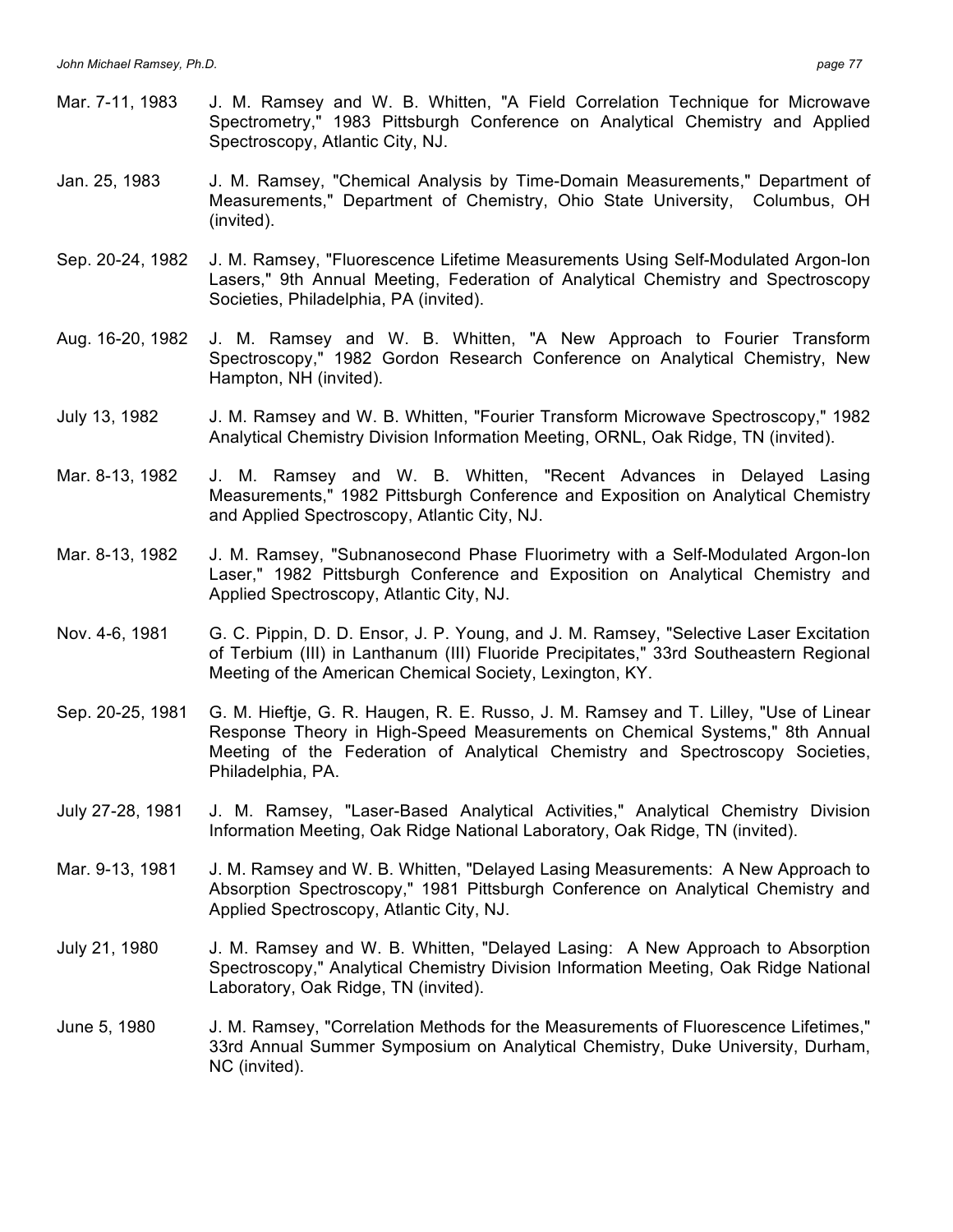- Mar. 7-11, 1983 J. M. Ramsey and W. B. Whitten, "A Field Correlation Technique for Microwave Spectrometry," 1983 Pittsburgh Conference on Analytical Chemistry and Applied Spectroscopy, Atlantic City, NJ.
- Jan. 25, 1983 J. M. Ramsey, "Chemical Analysis by Time-Domain Measurements," Department of Measurements," Department of Chemistry, Ohio State University, Columbus, OH (invited).
- Sep. 20-24, 1982 J. M. Ramsey, "Fluorescence Lifetime Measurements Using Self-Modulated Argon-Ion Lasers," 9th Annual Meeting, Federation of Analytical Chemistry and Spectroscopy Societies, Philadelphia, PA (invited).
- Aug. 16-20, 1982 J. M. Ramsey and W. B. Whitten, "A New Approach to Fourier Transform Spectroscopy," 1982 Gordon Research Conference on Analytical Chemistry, New Hampton, NH (invited).
- July 13, 1982 J. M. Ramsey and W. B. Whitten, "Fourier Transform Microwave Spectroscopy," 1982 Analytical Chemistry Division Information Meeting, ORNL, Oak Ridge, TN (invited).
- Mar. 8-13, 1982 J. M. Ramsey and W. B. Whitten, "Recent Advances in Delayed Lasing Measurements," 1982 Pittsburgh Conference and Exposition on Analytical Chemistry and Applied Spectroscopy, Atlantic City, NJ.
- Mar. 8-13, 1982 J. M. Ramsey, "Subnanosecond Phase Fluorimetry with a Self-Modulated Argon-Ion Laser," 1982 Pittsburgh Conference and Exposition on Analytical Chemistry and Applied Spectroscopy, Atlantic City, NJ.
- Nov. 4-6, 1981 G. C. Pippin, D. D. Ensor, J. P. Young, and J. M. Ramsey, "Selective Laser Excitation of Terbium (III) in Lanthanum (III) Fluoride Precipitates," 33rd Southeastern Regional Meeting of the American Chemical Society, Lexington, KY.
- Sep. 20-25, 1981 G. M. Hieftje, G. R. Haugen, R. E. Russo, J. M. Ramsey and T. Lilley, "Use of Linear Response Theory in High-Speed Measurements on Chemical Systems," 8th Annual Meeting of the Federation of Analytical Chemistry and Spectroscopy Societies, Philadelphia, PA.
- July 27-28, 1981 J. M. Ramsey, "Laser-Based Analytical Activities," Analytical Chemistry Division Information Meeting, Oak Ridge National Laboratory, Oak Ridge, TN (invited).
- Mar. 9-13, 1981 J. M. Ramsey and W. B. Whitten, "Delayed Lasing Measurements: A New Approach to Absorption Spectroscopy," 1981 Pittsburgh Conference on Analytical Chemistry and Applied Spectroscopy, Atlantic City, NJ.
- July 21, 1980 J. M. Ramsey and W. B. Whitten, "Delayed Lasing: A New Approach to Absorption Spectroscopy," Analytical Chemistry Division Information Meeting, Oak Ridge National Laboratory, Oak Ridge, TN (invited).
- June 5, 1980 J. M. Ramsey, "Correlation Methods for the Measurements of Fluorescence Lifetimes," 33rd Annual Summer Symposium on Analytical Chemistry, Duke University, Durham, NC (invited).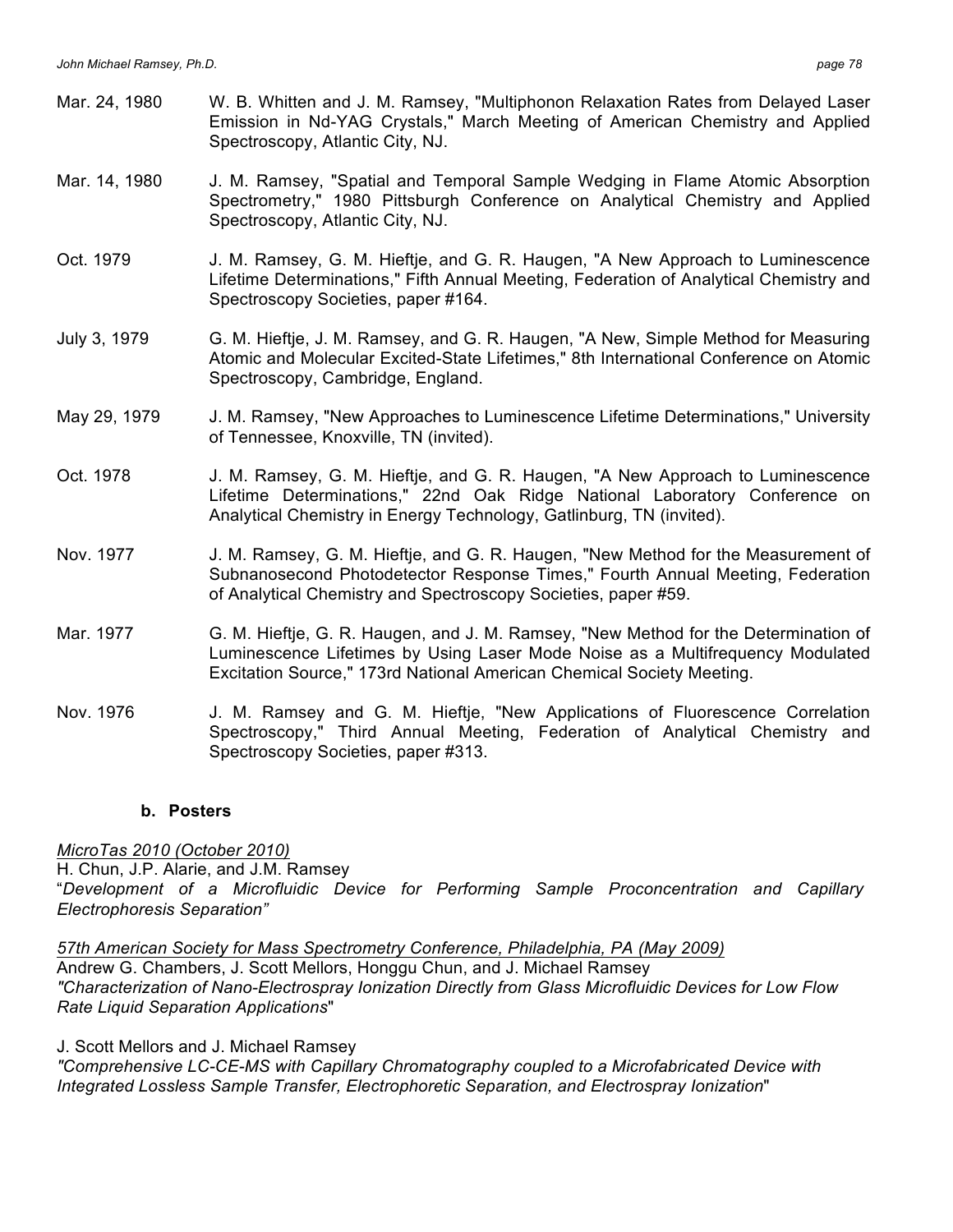- Mar. 24, 1980 W. B. Whitten and J. M. Ramsey, "Multiphonon Relaxation Rates from Delayed Laser Emission in Nd-YAG Crystals," March Meeting of American Chemistry and Applied Spectroscopy, Atlantic City, NJ.
- Mar. 14, 1980 J. M. Ramsey, "Spatial and Temporal Sample Wedging in Flame Atomic Absorption Spectrometry," 1980 Pittsburgh Conference on Analytical Chemistry and Applied Spectroscopy, Atlantic City, NJ.
- Oct. 1979 J. M. Ramsey, G. M. Hieftje, and G. R. Haugen, "A New Approach to Luminescence Lifetime Determinations," Fifth Annual Meeting, Federation of Analytical Chemistry and Spectroscopy Societies, paper #164.
- July 3, 1979 G. M. Hieftje, J. M. Ramsey, and G. R. Haugen, "A New, Simple Method for Measuring Atomic and Molecular Excited-State Lifetimes," 8th International Conference on Atomic Spectroscopy, Cambridge, England.
- May 29, 1979 J. M. Ramsey, "New Approaches to Luminescence Lifetime Determinations," University of Tennessee, Knoxville, TN (invited).
- Oct. 1978 J. M. Ramsey, G. M. Hieftje, and G. R. Haugen, "A New Approach to Luminescence Lifetime Determinations," 22nd Oak Ridge National Laboratory Conference on Analytical Chemistry in Energy Technology, Gatlinburg, TN (invited).
- Nov. 1977 J. M. Ramsey, G. M. Hieftje, and G. R. Haugen, "New Method for the Measurement of Subnanosecond Photodetector Response Times," Fourth Annual Meeting, Federation of Analytical Chemistry and Spectroscopy Societies, paper #59.
- Mar. 1977 G. M. Hieftje, G. R. Haugen, and J. M. Ramsey, "New Method for the Determination of Luminescence Lifetimes by Using Laser Mode Noise as a Multifrequency Modulated Excitation Source," 173rd National American Chemical Society Meeting.
- Nov. 1976 J. M. Ramsey and G. M. Hieftje, "New Applications of Fluorescence Correlation Spectroscopy," Third Annual Meeting, Federation of Analytical Chemistry and Spectroscopy Societies, paper #313.

### **b. Posters**

*MicroTas 2010 (October 2010)* H. Chun, J.P. Alarie, and J.M. Ramsey "*Development of a Microfluidic Device for Performing Sample Proconcentration and Capillary Electrophoresis Separation"*

*57th American Society for Mass Spectrometry Conference, Philadelphia, PA (May 2009)* Andrew G. Chambers, J. Scott Mellors, Honggu Chun, and J. Michael Ramsey *"Characterization of Nano-Electrospray Ionization Directly from Glass Microfluidic Devices for Low Flow Rate Liquid Separation Applications*"

J. Scott Mellors and J. Michael Ramsey

*"Comprehensive LC-CE-MS with Capillary Chromatography coupled to a Microfabricated Device with Integrated Lossless Sample Transfer, Electrophoretic Separation, and Electrospray Ionization*"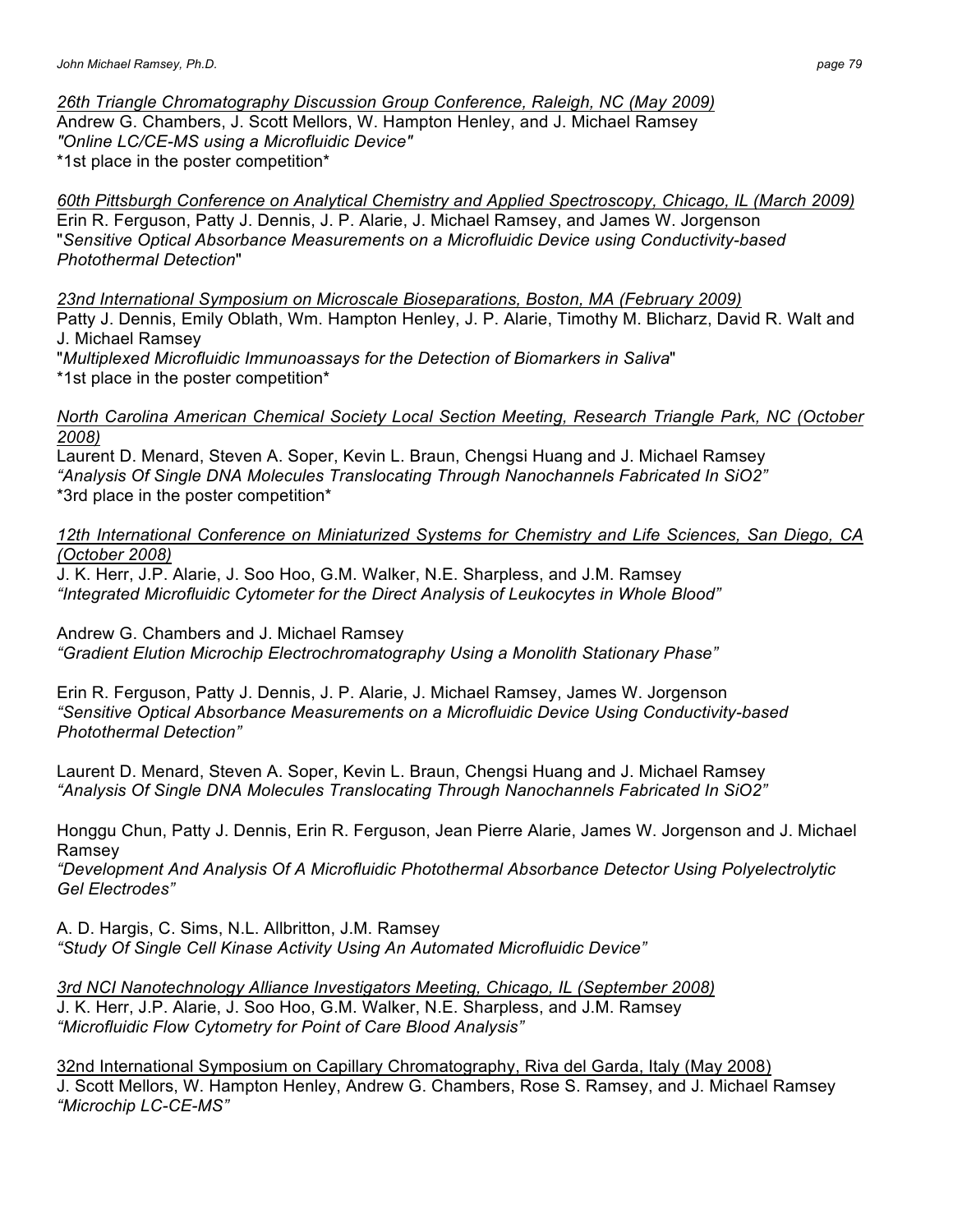*26th Triangle Chromatography Discussion Group Conference, Raleigh, NC (May 2009)*

Andrew G. Chambers, J. Scott Mellors, W. Hampton Henley, and J. Michael Ramsey *"Online LC/CE-MS using a Microfluidic Device"* \*1st place in the poster competition\*

*60th Pittsburgh Conference on Analytical Chemistry and Applied Spectroscopy, Chicago, IL (March 2009)* Erin R. Ferguson, Patty J. Dennis, J. P. Alarie, J. Michael Ramsey, and James W. Jorgenson "*Sensitive Optical Absorbance Measurements on a Microfluidic Device using Conductivity-based Photothermal Detection*"

*23nd International Symposium on Microscale Bioseparations, Boston, MA (February 2009)*  Patty J. Dennis, Emily Oblath, Wm. Hampton Henley, J. P. Alarie, Timothy M. Blicharz, David R. Walt and J. Michael Ramsey

"*Multiplexed Microfluidic Immunoassays for the Detection of Biomarkers in Saliva*" \*1st place in the poster competition\*

*North Carolina American Chemical Society Local Section Meeting, Research Triangle Park, NC (October 2008)*

Laurent D. Menard, Steven A. Soper, Kevin L. Braun, Chengsi Huang and J. Michael Ramsey *"Analysis Of Single DNA Molecules Translocating Through Nanochannels Fabricated In SiO2"*  \*3rd place in the poster competition\*

*12th International Conference on Miniaturized Systems for Chemistry and Life Sciences, San Diego, CA (October 2008)* 

J. K. Herr, J.P. Alarie, J. Soo Hoo, G.M. Walker, N.E. Sharpless, and J.M. Ramsey *"Integrated Microfluidic Cytometer for the Direct Analysis of Leukocytes in Whole Blood"*

Andrew G. Chambers and J. Michael Ramsey *"Gradient Elution Microchip Electrochromatography Using a Monolith Stationary Phase"*

Erin R. Ferguson, Patty J. Dennis, J. P. Alarie, J. Michael Ramsey, James W. Jorgenson *"Sensitive Optical Absorbance Measurements on a Microfluidic Device Using Conductivity-based Photothermal Detection"*

Laurent D. Menard, Steven A. Soper, Kevin L. Braun, Chengsi Huang and J. Michael Ramsey *"Analysis Of Single DNA Molecules Translocating Through Nanochannels Fabricated In SiO2"* 

Honggu Chun, Patty J. Dennis, Erin R. Ferguson, Jean Pierre Alarie, James W. Jorgenson and J. Michael Ramsey

*"Development And Analysis Of A Microfluidic Photothermal Absorbance Detector Using Polyelectrolytic Gel Electrodes"*

A. D. Hargis, C. Sims, N.L. Allbritton, J.M. Ramsey *"Study Of Single Cell Kinase Activity Using An Automated Microfluidic Device"*

*3rd NCI Nanotechnology Alliance Investigators Meeting, Chicago, IL (September 2008)* J. K. Herr, J.P. Alarie, J. Soo Hoo, G.M. Walker, N.E. Sharpless, and J.M. Ramsey *"Microfluidic Flow Cytometry for Point of Care Blood Analysis"*

32nd International Symposium on Capillary Chromatography, Riva del Garda, Italy (May 2008) J. Scott Mellors, W. Hampton Henley, Andrew G. Chambers, Rose S. Ramsey, and J. Michael Ramsey *"Microchip LC-CE-MS"*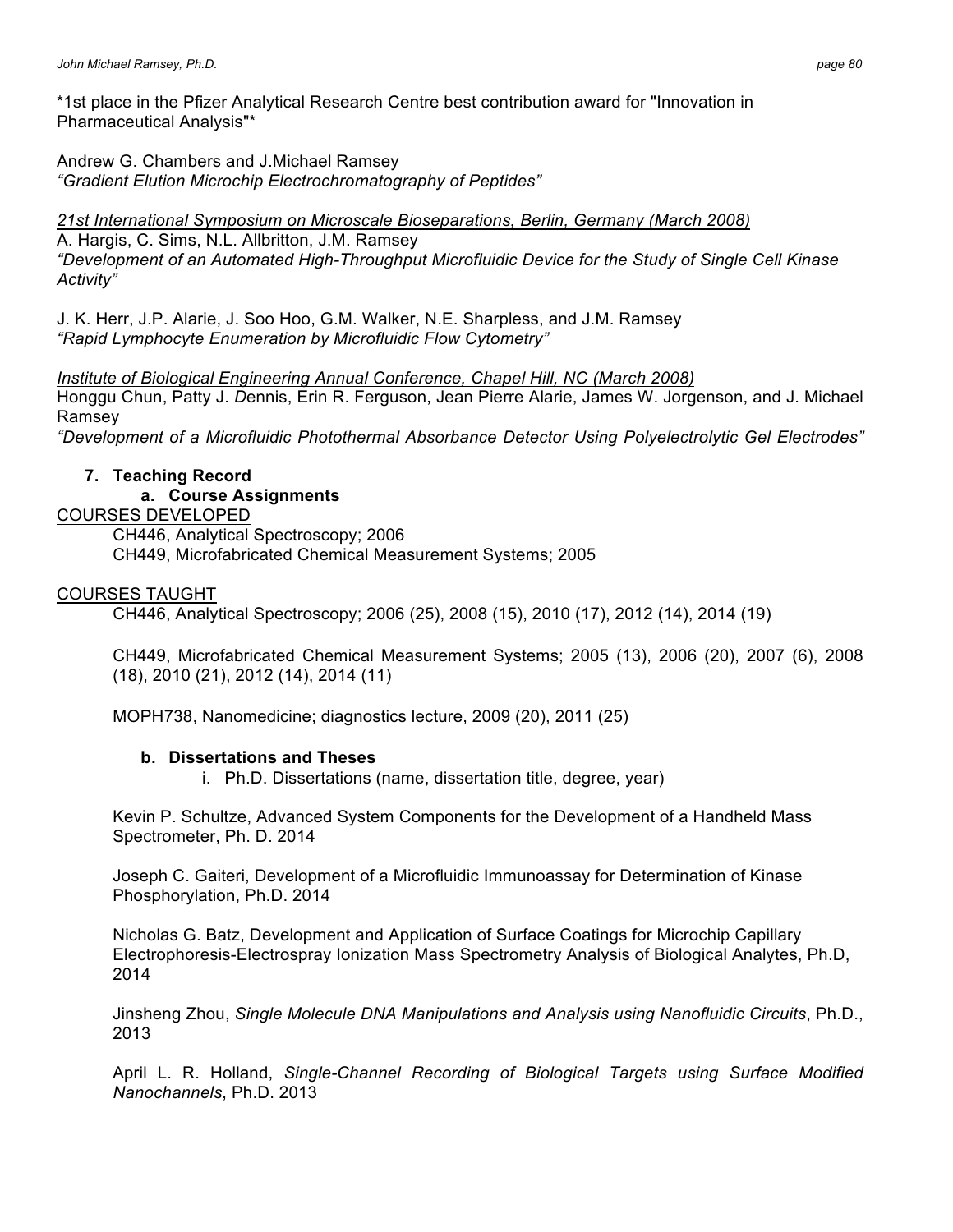\*1st place in the Pfizer Analytical Research Centre best contribution award for "Innovation in Pharmaceutical Analysis"\*

Andrew G. Chambers and J.Michael Ramsey *"Gradient Elution Microchip Electrochromatography of Peptides"*

*21st International Symposium on Microscale Bioseparations, Berlin, Germany (March 2008)*  A. Hargis, C. Sims, N.L. Allbritton, J.M. Ramsey *"Development of an Automated High-Throughput Microfluidic Device for the Study of Single Cell Kinase Activity"*

J. K. Herr, J.P. Alarie, J. Soo Hoo, G.M. Walker, N.E. Sharpless, and J.M. Ramsey *"Rapid Lymphocyte Enumeration by Microfluidic Flow Cytometry"*

*Institute of Biological Engineering Annual Conference, Chapel Hill, NC (March 2008)* Honggu Chun, Patty J. *D*ennis, Erin R. Ferguson, Jean Pierre Alarie, James W. Jorgenson, and J. Michael Ramsey

*"Development of a Microfluidic Photothermal Absorbance Detector Using Polyelectrolytic Gel Electrodes"*

# **7. Teaching Record**

# **a. Course Assignments**

# COURSES DEVELOPED

CH446, Analytical Spectroscopy; 2006 CH449, Microfabricated Chemical Measurement Systems; 2005

# COURSES TAUGHT

CH446, Analytical Spectroscopy; 2006 (25), 2008 (15), 2010 (17), 2012 (14), 2014 (19)

CH449, Microfabricated Chemical Measurement Systems; 2005 (13), 2006 (20), 2007 (6), 2008 (18), 2010 (21), 2012 (14), 2014 (11)

MOPH738, Nanomedicine; diagnostics lecture, 2009 (20), 2011 (25)

# **b. Dissertations and Theses**

i. Ph.D. Dissertations (name, dissertation title, degree, year)

Kevin P. Schultze, Advanced System Components for the Development of a Handheld Mass Spectrometer, Ph. D. 2014

Joseph C. Gaiteri, Development of a Microfluidic Immunoassay for Determination of Kinase Phosphorylation, Ph.D. 2014

Nicholas G. Batz, Development and Application of Surface Coatings for Microchip Capillary Electrophoresis-Electrospray Ionization Mass Spectrometry Analysis of Biological Analytes, Ph.D, 2014

Jinsheng Zhou, *Single Molecule DNA Manipulations and Analysis using Nanofluidic Circuits*, Ph.D., 2013

April L. R. Holland, *Single-Channel Recording of Biological Targets using Surface Modified Nanochannels*, Ph.D. 2013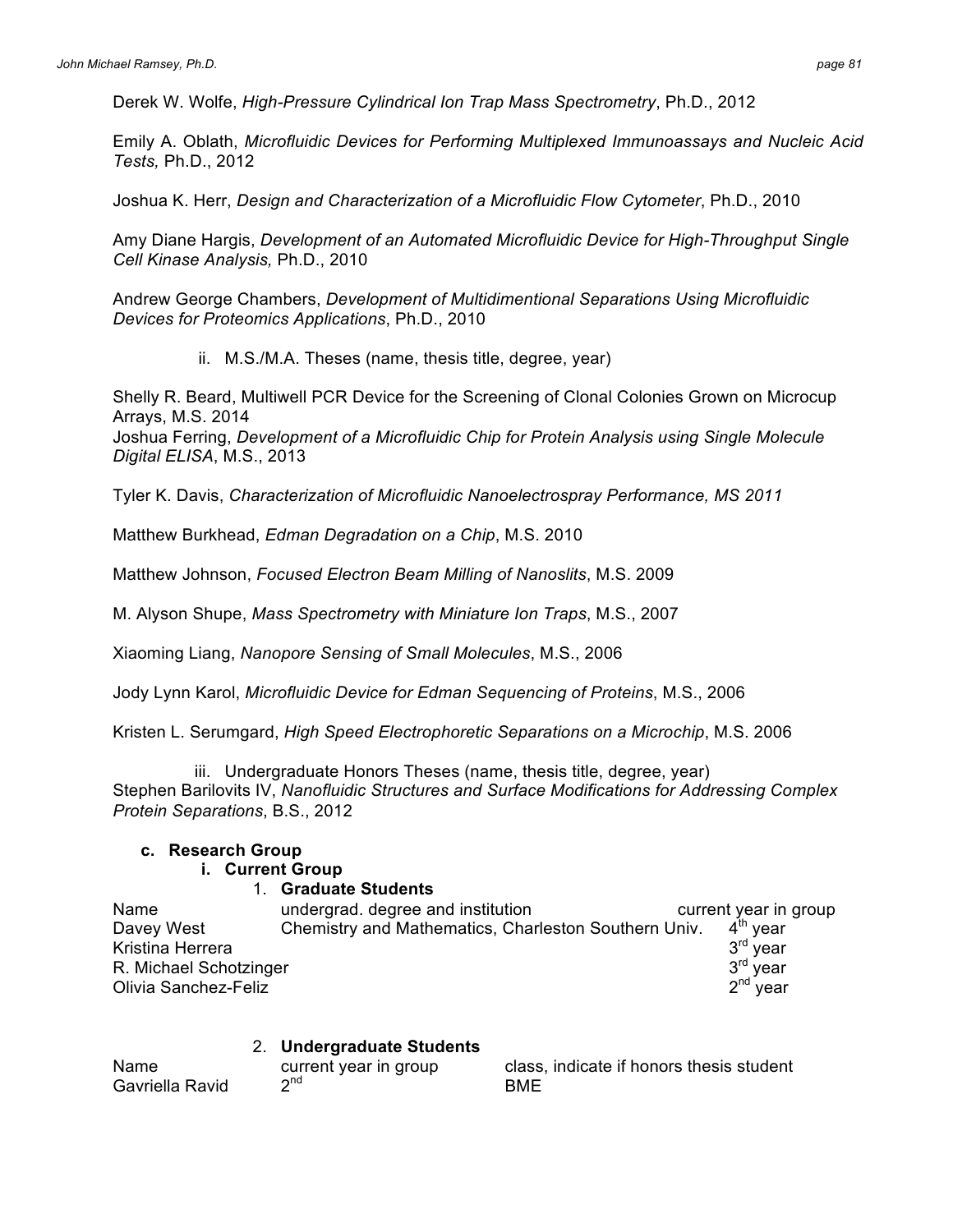Derek W. Wolfe, *High-Pressure Cylindrical Ion Trap Mass Spectrometry*, Ph.D., 2012

Emily A. Oblath, *Microfluidic Devices for Performing Multiplexed Immunoassays and Nucleic Acid Tests,* Ph.D., 2012

Joshua K. Herr, *Design and Characterization of a Microfluidic Flow Cytometer*, Ph.D., 2010

Amy Diane Hargis, *Development of an Automated Microfluidic Device for High-Throughput Single Cell Kinase Analysis,* Ph.D., 2010

Andrew George Chambers, *Development of Multidimentional Separations Using Microfluidic Devices for Proteomics Applications*, Ph.D., 2010

ii. M.S./M.A. Theses (name, thesis title, degree, year)

Shelly R. Beard, Multiwell PCR Device for the Screening of Clonal Colonies Grown on Microcup Arrays, M.S. 2014

Joshua Ferring, *Development of a Microfluidic Chip for Protein Analysis using Single Molecule Digital ELISA*, M.S., 2013

Tyler K. Davis, *Characterization of Microfluidic Nanoelectrospray Performance, MS 2011*

Matthew Burkhead, *Edman Degradation on a Chip*, M.S. 2010

Matthew Johnson, *Focused Electron Beam Milling of Nanoslits*, M.S. 2009

M. Alyson Shupe, *Mass Spectrometry with Miniature Ion Traps*, M.S., 2007

Xiaoming Liang, *Nanopore Sensing of Small Molecules*, M.S., 2006

Jody Lynn Karol, *Microfluidic Device for Edman Sequencing of Proteins*, M.S., 2006

Kristen L. Serumgard, *High Speed Electrophoretic Separations on a Microchip*, M.S. 2006

iii. Undergraduate Honors Theses (name, thesis title, degree, year) Stephen Barilovits IV, *Nanofluidic Structures and Surface Modifications for Addressing Complex Protein Separations*, B.S., 2012

# **c. Research Group**

# **i. Current Group**

#### 1. **Graduate Students**

| Name                   | undergrad. degree and institution                    | current year in group |
|------------------------|------------------------------------------------------|-----------------------|
| Davey West             | Chemistry and Mathematics, Charleston Southern Univ. | $4th$ vear            |
| Kristina Herrera       |                                                      | $3rd$ vear            |
| R. Michael Schotzinger |                                                      | 3 <sup>rd</sup> year  |
| Olivia Sanchez-Feliz   |                                                      | $2nd$ year            |

# 2. **Undergraduate Students**

| Name            | current year in group | class, indicate if honors thesis student |
|-----------------|-----------------------|------------------------------------------|
| Gavriella Ravid | ∩nd                   | BME                                      |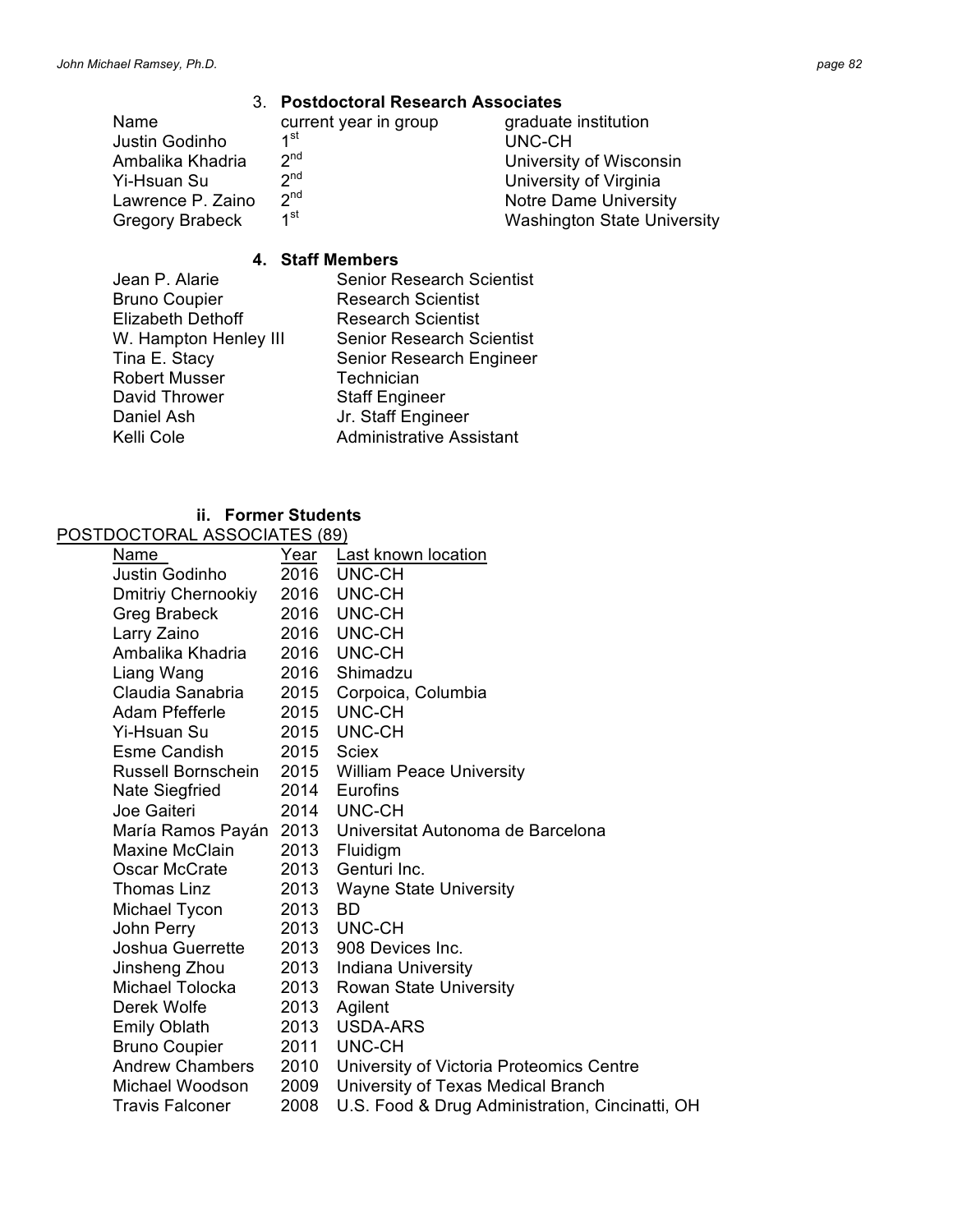#### 3. **Postdoctoral Research Associates**

| Name                   | current year in group | graduate institution               |
|------------------------|-----------------------|------------------------------------|
| Justin Godinho         | ⊿st                   | UNC-CH                             |
| Ambalika Khadria       | 2 <sup>nd</sup>       | University of Wisconsin            |
| Yi-Hsuan Su            | 2 <sub>nd</sub>       | University of Virginia             |
| Lawrence P. Zaino      | 2 <sup>nd</sup>       | <b>Notre Dame University</b>       |
| <b>Gregory Brabeck</b> | 1 <sup>st</sup>       | <b>Washington State University</b> |

#### **4. Staff Members**

- Bruno Coupier **Research Scientist**<br>Elizabeth Dethoff **Research Scientist** Elizabeth Dethoff Robert Musser **Technician** David Thrower Staff Engineer Daniel Ash Jr. Staff Engineer Kelli Cole **Administrative Assistant**
- Jean P. Alarie Senior Research Scientist W. Hampton Henley III Senior Research Scientist Tina E. Stacy Senior Research Engineer

# **ii. Former Students**

| POSTDOCTORAL ASSOCIATES (89) |      |                                                 |  |
|------------------------------|------|-------------------------------------------------|--|
| Name                         | Year | Last known location                             |  |
| Justin Godinho               | 2016 | UNC-CH                                          |  |
| <b>Dmitriy Chernookiy</b>    | 2016 | UNC-CH                                          |  |
| <b>Greg Brabeck</b>          | 2016 | UNC-CH                                          |  |
| Larry Zaino                  | 2016 | UNC-CH                                          |  |
| Ambalika Khadria             | 2016 | UNC-CH                                          |  |
| Liang Wang                   | 2016 | Shimadzu                                        |  |
| Claudia Sanabria             | 2015 | Corpoica, Columbia                              |  |
| Adam Pfefferle               | 2015 | UNC-CH                                          |  |
| Yi-Hsuan Su                  | 2015 | UNC-CH                                          |  |
| <b>Esme Candish</b>          | 2015 | Sciex                                           |  |
| Russell Bornschein           | 2015 | <b>William Peace University</b>                 |  |
| Nate Siegfried               | 2014 | Eurofins                                        |  |
| Joe Gaiteri                  | 2014 | UNC-CH                                          |  |
| María Ramos Payán            | 2013 | Universitat Autonoma de Barcelona               |  |
| <b>Maxine McClain</b>        | 2013 | Fluidigm                                        |  |
| Oscar McCrate                | 2013 | Genturi Inc.                                    |  |
| Thomas Linz                  | 2013 | <b>Wayne State University</b>                   |  |
| Michael Tycon                | 2013 | <b>BD</b>                                       |  |
| John Perry                   | 2013 | UNC-CH                                          |  |
| Joshua Guerrette             | 2013 | 908 Devices Inc.                                |  |
| Jinsheng Zhou                | 2013 | Indiana University                              |  |
| Michael Tolocka              | 2013 | <b>Rowan State University</b>                   |  |
| Derek Wolfe                  | 2013 | Agilent                                         |  |
| <b>Emily Oblath</b>          | 2013 | <b>USDA-ARS</b>                                 |  |
| <b>Bruno Coupier</b>         | 2011 | UNC-CH                                          |  |
| <b>Andrew Chambers</b>       | 2010 | University of Victoria Proteomics Centre        |  |
| Michael Woodson              | 2009 | University of Texas Medical Branch              |  |
| <b>Travis Falconer</b>       | 2008 | U.S. Food & Drug Administration, Cincinatti, OH |  |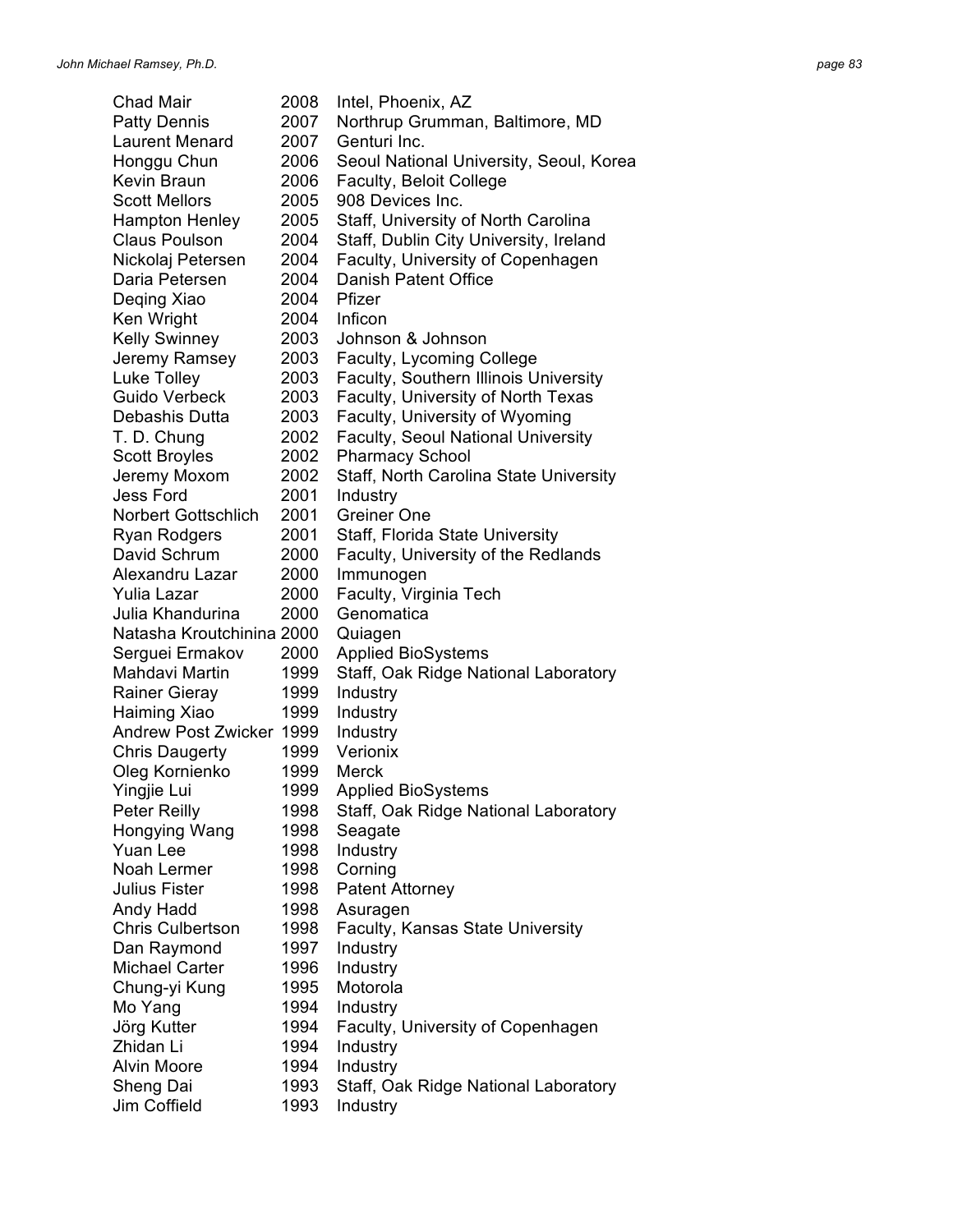Chad Mair 2008 Intel, Phoenix, AZ Patty Dennis 2007 Northrup Grumman, Baltimore, MD Laurent Menard 2007 Genturi Inc. Honggu Chun 2006 Seoul National University, Seoul, Korea Kevin Braun 2006 Faculty, Beloit College Scott Mellors 2005 908 Devices Inc. Hampton Henley 2005 Staff, University of North Carolina Claus Poulson 2004 Staff, Dublin City University, Ireland Nickolaj Petersen 2004 Faculty, University of Copenhagen Daria Petersen 2004 Danish Patent Office Deging Xiao 2004 Pfizer Ken Wright 2004 Inficon Kelly Swinney 2003 Johnson & Johnson Jeremy Ramsey 2003 Faculty, Lycoming College Luke Tolley 2003 Faculty, Southern Illinois University Guido Verbeck 2003 Faculty, University of North Texas Debashis Dutta 2003 Faculty, University of Wyoming T. D. Chung 2002 Faculty, Seoul National University Scott Broyles 2002 Pharmacy School Jeremy Moxom 2002 Staff, North Carolina State University Jess Ford 2001 Industry Norbert Gottschlich 2001 Greiner One Ryan Rodgers 2001 Staff, Florida State University David Schrum 2000 Faculty, University of the Redlands Alexandru Lazar 2000 Immunogen Yulia Lazar 2000 Faculty, Virginia Tech Julia Khandurina 2000 Genomatica Natasha Kroutchinina 2000 Quiagen Serguei Ermakov 2000 Applied BioSystems Mahdavi Martin 1999 Staff, Oak Ridge National Laboratory Rainer Gieray 1999 Industry Haiming Xiao 1999 Industry Andrew Post Zwicker 1999 Industry Chris Daugerty 1999 Verionix Oleg Kornienko 1999 Merck Yingjie Lui 1999 Applied BioSystems Peter Reilly 1998 Staff, Oak Ridge National Laboratory Hongying Wang 1998 Seagate Yuan Lee 1998 Industry Noah Lermer 1998 Corning Julius Fister **1998** Patent Attorney Andy Hadd 1998 Asuragen Chris Culbertson 1998 Faculty, Kansas State University Dan Raymond 1997 Industry Michael Carter 1996 Industry Chung-yi Kung 1995 Motorola Mo Yang 1994 Industry Jörg Kutter 1994 Faculty, University of Copenhagen Zhidan Li 1994 Industry Alvin Moore 1994 Industry Sheng Dai 1993 Staff, Oak Ridge National Laboratory Jim Coffield 1993 Industry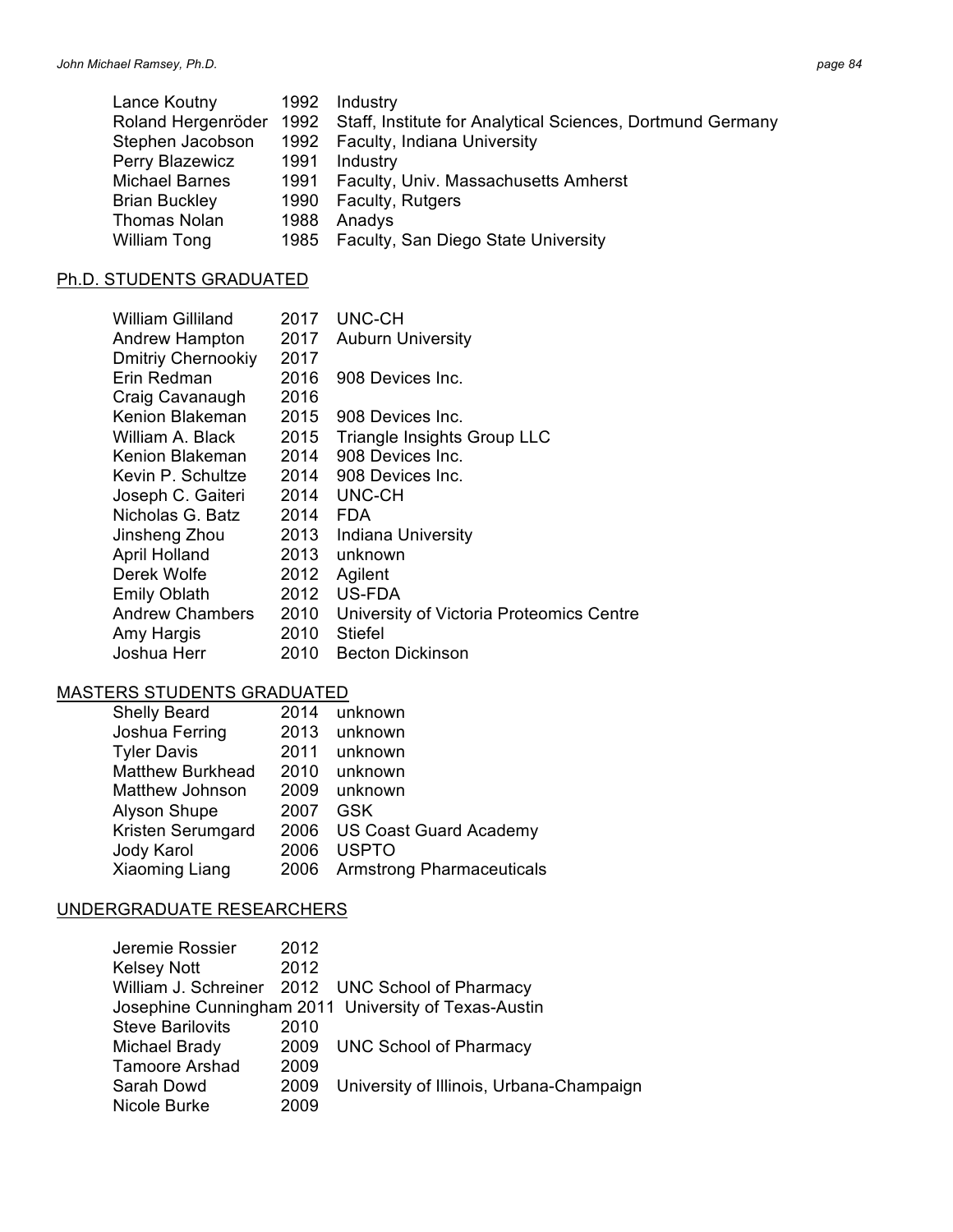| лаае |  |
|------|--|
|------|--|

|      | 1992 Industry                                                                      |
|------|------------------------------------------------------------------------------------|
|      | Roland Hergenröder 1992 Staff, Institute for Analytical Sciences, Dortmund Germany |
|      | 1992 Faculty, Indiana University                                                   |
| 1991 | Industry                                                                           |
|      | 1991 Faculty, Univ. Massachusetts Amherst                                          |
| 1990 | Faculty, Rutgers                                                                   |
| 1988 | Anadys                                                                             |
| 1985 | <b>Faculty, San Diego State University</b>                                         |
|      |                                                                                    |

# Ph.D. STUDENTS GRADUATED

| William Gilliland         | 2017 | UNC-CH                                   |
|---------------------------|------|------------------------------------------|
| Andrew Hampton            | 2017 | <b>Auburn University</b>                 |
| <b>Dmitriy Chernookiy</b> | 2017 |                                          |
| Erin Redman               | 2016 | 908 Devices Inc.                         |
| Craig Cavanaugh           | 2016 |                                          |
| Kenion Blakeman           | 2015 | 908 Devices Inc.                         |
| William A. Black          | 2015 | Triangle Insights Group LLC              |
| Kenion Blakeman           | 2014 | 908 Devices Inc.                         |
| Kevin P. Schultze         | 2014 | 908 Devices Inc.                         |
| Joseph C. Gaiteri         | 2014 | UNC-CH                                   |
| Nicholas G. Batz          | 2014 | <b>FDA</b>                               |
| Jinsheng Zhou             | 2013 | <b>Indiana University</b>                |
| <b>April Holland</b>      | 2013 | unknown                                  |
| Derek Wolfe               | 2012 | Agilent                                  |
| <b>Emily Oblath</b>       | 2012 | US-FDA                                   |
| <b>Andrew Chambers</b>    | 2010 | University of Victoria Proteomics Centre |
| Amy Hargis                | 2010 | <b>Stiefel</b>                           |
| Joshua Herr               | 2010 | <b>Becton Dickinson</b>                  |

# MASTERS STUDENTS GRADUATED

| <b>Shelly Beard</b>     | 2014 | unknown                          |
|-------------------------|------|----------------------------------|
| Joshua Ferring          | 2013 | unknown                          |
| <b>Tyler Davis</b>      | 2011 | unknown                          |
| <b>Matthew Burkhead</b> | 2010 | unknown                          |
| Matthew Johnson         | 2009 | unknown                          |
| <b>Alyson Shupe</b>     | 2007 | GSK                              |
| Kristen Serumgard       | 2006 | <b>US Coast Guard Academy</b>    |
| Jody Karol              | 2006 | <b>USPTO</b>                     |
| Xiaoming Liang          | 2006 | <b>Armstrong Pharmaceuticals</b> |

# UNDERGRADUATE RESEARCHERS

| Jeremie Rossier         | 2012 |                                                      |
|-------------------------|------|------------------------------------------------------|
| <b>Kelsey Nott</b>      | 2012 |                                                      |
|                         |      | William J. Schreiner 2012 UNC School of Pharmacy     |
|                         |      | Josephine Cunningham 2011 University of Texas-Austin |
| <b>Steve Barilovits</b> | 2010 |                                                      |
| Michael Brady           |      | 2009 UNC School of Pharmacy                          |
| <b>Tamoore Arshad</b>   | 2009 |                                                      |
| Sarah Dowd              | 2009 | University of Illinois, Urbana-Champaign             |
| Nicole Burke            | 2009 |                                                      |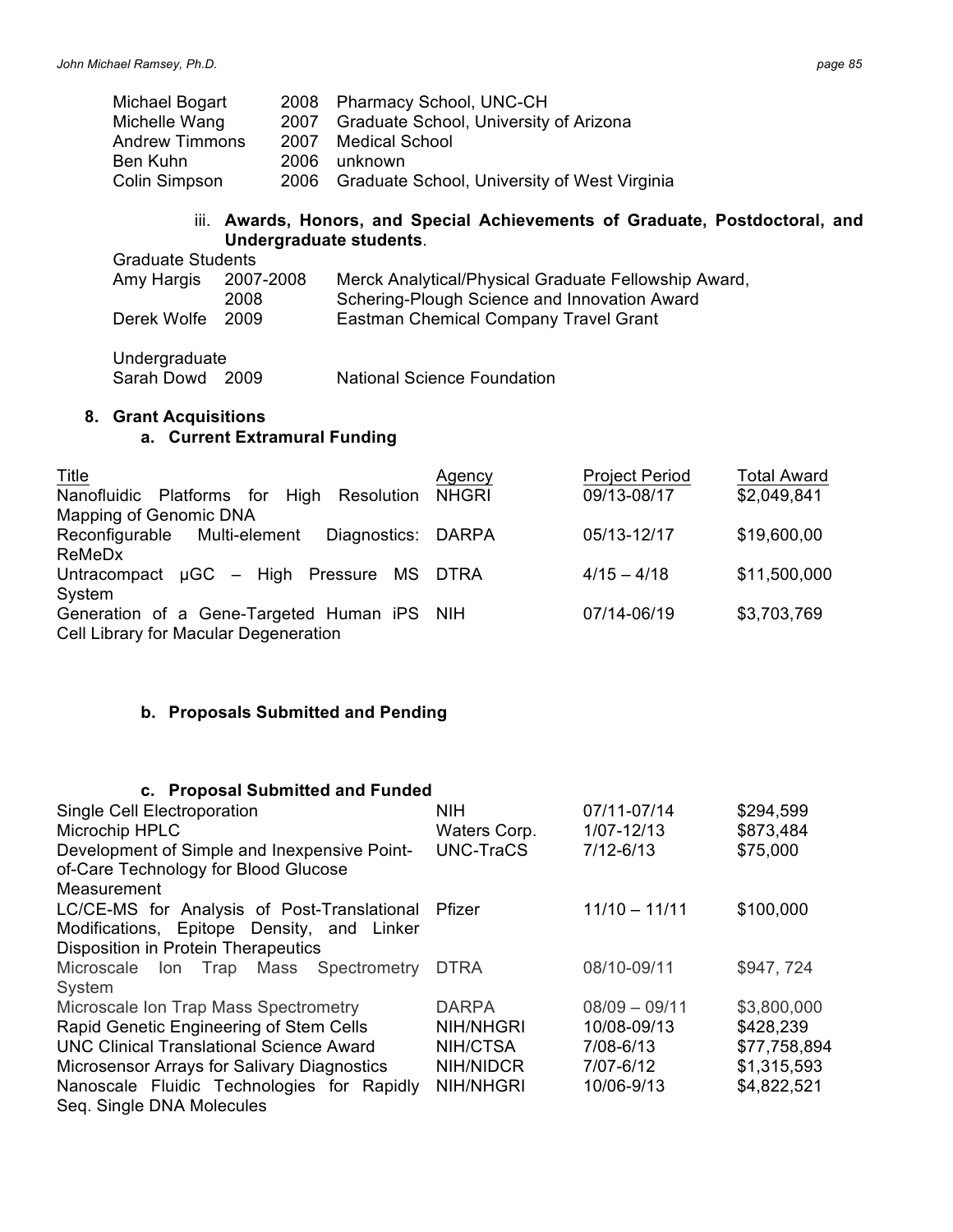| Michael Bogart        |      | 2008 Pharmacy School, UNC-CH                      |
|-----------------------|------|---------------------------------------------------|
| Michelle Wang         | 2007 | <b>Graduate School, University of Arizona</b>     |
| <b>Andrew Timmons</b> |      | 2007 Medical School                               |
| Ben Kuhn              |      | 2006 unknown                                      |
| Colin Simpson         |      | 2006 Graduate School, University of West Virginia |

### iii. **Awards, Honors, and Special Achievements of Graduate, Postdoctoral, and Undergraduate students**.

| <b>Graduate Students</b> |           |                                                      |  |
|--------------------------|-----------|------------------------------------------------------|--|
| Amy Hargis               | 2007-2008 | Merck Analytical/Physical Graduate Fellowship Award, |  |
|                          | 2008      | Schering-Plough Science and Innovation Award         |  |
| Derek Wolfe              | -2009     | Eastman Chemical Company Travel Grant                |  |

Undergraduate

Sarah Dowd 2009 National Science Foundation

#### **8. Grant Acquisitions**

# **a. Current Extramural Funding**

| Title                                              | Agency       | <b>Project Period</b> | <b>Total Award</b> |
|----------------------------------------------------|--------------|-----------------------|--------------------|
| Nanofluidic Platforms for<br>High<br>Resolution    | <b>NHGRI</b> | 09/13-08/17           | \$2,049,841        |
| Mapping of Genomic DNA                             |              |                       |                    |
| Reconfigurable Multi-element<br>Diagnostics: DARPA |              | 05/13-12/17           | \$19,600,00        |
| ReMeDx                                             |              |                       |                    |
| Untracompact µGC - High Pressure MS DTRA           |              | $4/15 - 4/18$         | \$11,500,000       |
| System                                             |              |                       |                    |
| Generation of a Gene-Targeted Human iPS NIH        |              | 07/14-06/19           | \$3,703,769        |
| Cell Library for Macular Degeneration              |              |                       |                    |

### **b. Proposals Submitted and Pending**

### **c. Proposal Submitted and Funded**

| Single Cell Electroporation                     | <b>NIH</b>       | 07/11-07/14     | \$294,599    |
|-------------------------------------------------|------------------|-----------------|--------------|
| Microchip HPLC                                  | Waters Corp.     | 1/07-12/13      | \$873,484    |
| Development of Simple and Inexpensive Point-    | <b>UNC-TraCS</b> | $7/12 - 6/13$   | \$75,000     |
| of-Care Technology for Blood Glucose            |                  |                 |              |
| Measurement                                     |                  |                 |              |
| LC/CE-MS for Analysis of Post-Translational     | Pfizer           | $11/10 - 11/11$ | \$100,000    |
| Modifications, Epitope Density, and Linker      |                  |                 |              |
| <b>Disposition in Protein Therapeutics</b>      |                  |                 |              |
| Microscale Ion Trap Mass Spectrometry           | <b>DTRA</b>      | 08/10-09/11     | \$947, 724   |
| System                                          |                  |                 |              |
| Microscale Ion Trap Mass Spectrometry           | <b>DARPA</b>     | $08/09 - 09/11$ | \$3,800,000  |
| Rapid Genetic Engineering of Stem Cells         | NIH/NHGRI        | 10/08-09/13     | \$428,239    |
| <b>UNC Clinical Translational Science Award</b> | NIH/CTSA         | 7/08-6/13       | \$77,758,894 |
| Microsensor Arrays for Salivary Diagnostics     | NIH/NIDCR        | 7/07-6/12       | \$1,315,593  |
| Nanoscale Fluidic Technologies for Rapidly      | <b>NIH/NHGRI</b> | 10/06-9/13      | \$4,822,521  |
| Seq. Single DNA Molecules                       |                  |                 |              |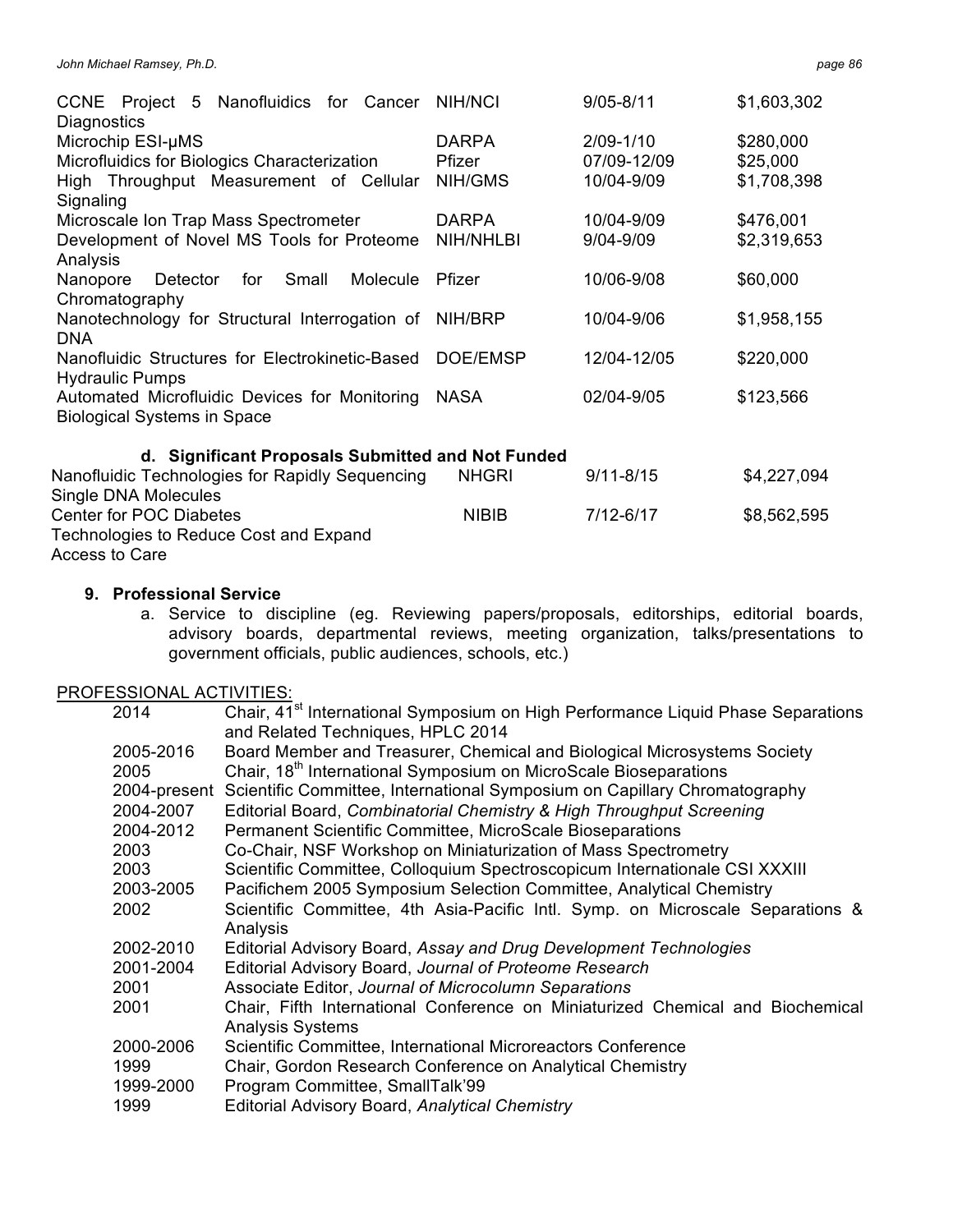| Project 5 Nanofluidics for<br><b>CCNE</b><br>Cancer<br>Diagnostics                  | <b>NIH/NCI</b>         | $9/05 - 8/11$            | \$1,603,302           |
|-------------------------------------------------------------------------------------|------------------------|--------------------------|-----------------------|
| Microchip ESI-µMS<br>Microfluidics for Biologics Characterization                   | <b>DARPA</b><br>Pfizer | 2/09-1/10<br>07/09-12/09 | \$280,000<br>\$25,000 |
| High Throughput Measurement of Cellular<br>Signaling                                | NIH/GMS                | 10/04-9/09               | \$1,708,398           |
| Microscale Ion Trap Mass Spectrometer                                               | <b>DARPA</b>           | 10/04-9/09               | \$476,001             |
| Development of Novel MS Tools for Proteome<br>Analysis                              | <b>NIH/NHLBI</b>       | 9/04-9/09                | \$2,319,653           |
| Nanopore<br>Small<br>Molecule<br>Detector<br>for<br>Chromatography                  | Pfizer                 | 10/06-9/08               | \$60,000              |
| Nanotechnology for Structural Interrogation of<br><b>DNA</b>                        | NIH/BRP                | 10/04-9/06               | \$1,958,155           |
| Nanofluidic Structures for Electrokinetic-Based<br><b>Hydraulic Pumps</b>           | DOE/EMSP               | 12/04-12/05              | \$220,000             |
| Automated Microfluidic Devices for Monitoring<br><b>Biological Systems in Space</b> | <b>NASA</b>            | 02/04-9/05               | \$123,566             |
|                                                                                     |                        |                          |                       |
| d. Significant Proposals Submitted and Not Funded                                   |                        |                          |                       |
| Nanofluidic Technologies for Rapidly Sequencing                                     | <b>NHGRI</b>           | $9/11 - 8/15$            | \$4,227,094           |
| Single DNA Molecules                                                                |                        |                          |                       |
| <b>Center for POC Diabetes</b>                                                      | <b>NIBIB</b>           | 7/12-6/17                | \$8,562,595           |
| Technologies to Reduce Cost and Expand                                              |                        |                          |                       |
| Access to Care                                                                      |                        |                          |                       |

### **9. Professional Service**

a. Service to discipline (eg. Reviewing papers/proposals, editorships, editorial boards, advisory boards, departmental reviews, meeting organization, talks/presentations to government officials, public audiences, schools, etc.)

### PROFESSIONAL ACTIVITIES:

| 2014                           | Chair, 41 <sup>st</sup> International Symposium on High Performance Liquid Phase Separations<br>and Related Techniques, HPLC 2014                            |
|--------------------------------|--------------------------------------------------------------------------------------------------------------------------------------------------------------|
| 2005-2016<br>2005              | Board Member and Treasurer, Chemical and Biological Microsystems Society<br>Chair, 18 <sup>th</sup> International Symposium on MicroScale Bioseparations     |
|                                | 2004-present Scientific Committee, International Symposium on Capillary Chromatography                                                                       |
| 2004-2007                      | Editorial Board, Combinatorial Chemistry & High Throughput Screening                                                                                         |
| 2004-2012                      | Permanent Scientific Committee, MicroScale Bioseparations                                                                                                    |
| 2003                           | Co-Chair, NSF Workshop on Miniaturization of Mass Spectrometry                                                                                               |
| 2003                           | Scientific Committee, Colloquium Spectroscopicum Internationale CSI XXXIII                                                                                   |
| 2003-2005                      | Pacifichem 2005 Symposium Selection Committee, Analytical Chemistry                                                                                          |
| 2002                           | Scientific Committee, 4th Asia-Pacific Intl. Symp. on Microscale Separations &<br>Analysis                                                                   |
| 2002-2010                      | Editorial Advisory Board, Assay and Drug Development Technologies                                                                                            |
| 2001-2004                      | Editorial Advisory Board, Journal of Proteome Research                                                                                                       |
| 2001                           | Associate Editor, Journal of Microcolumn Separations                                                                                                         |
| 2001                           | Chair, Fifth International Conference on Miniaturized Chemical and Biochemical<br><b>Analysis Systems</b>                                                    |
| 2000-2006<br>1999<br>1999-2000 | Scientific Committee, International Microreactors Conference<br>Chair, Gordon Research Conference on Analytical Chemistry<br>Program Committee, SmallTalk'99 |
| 1999                           | Editorial Advisory Board, Analytical Chemistry                                                                                                               |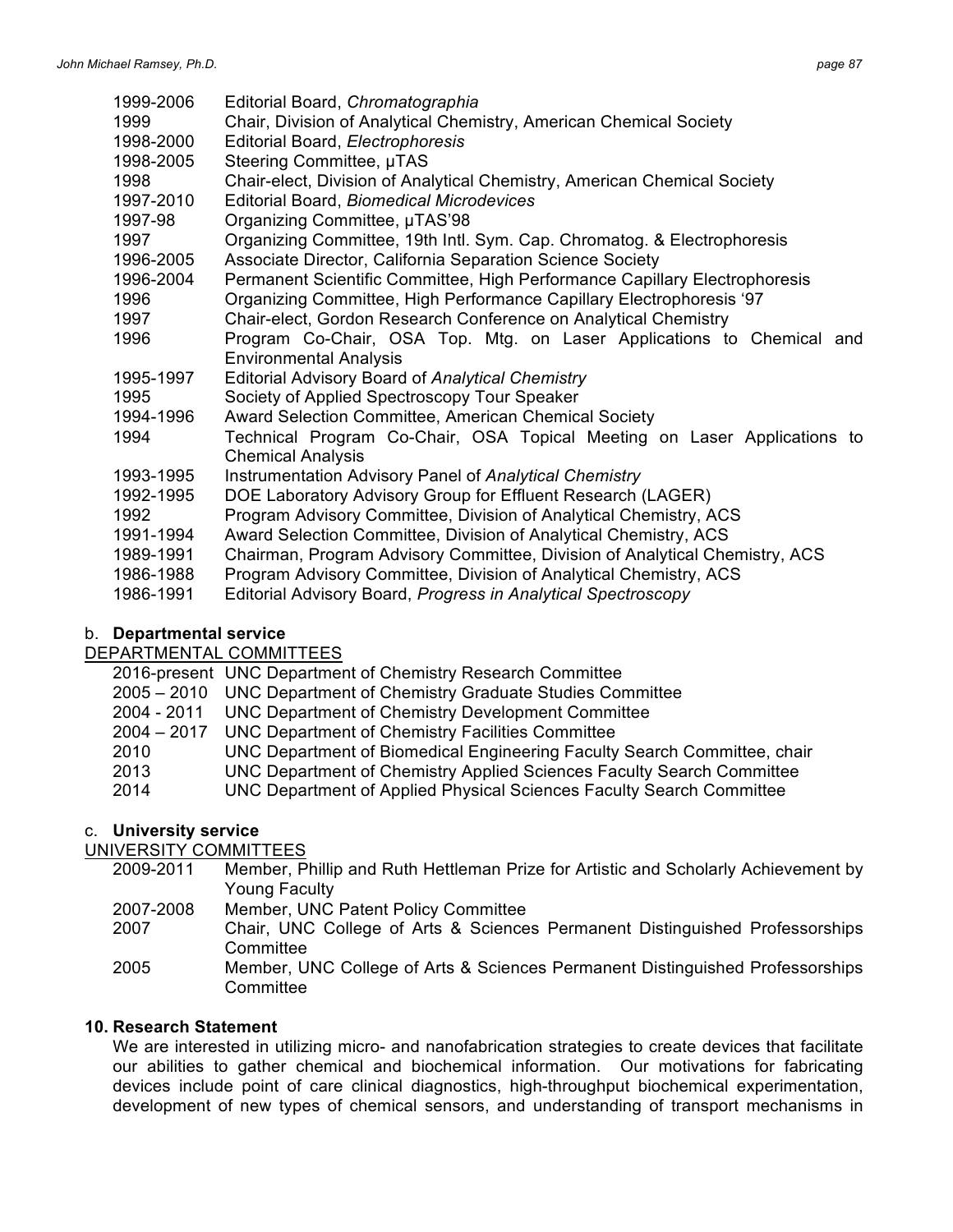| 1999-2006                                                                                                                    | Editorial Board, Chromatographia                                                                                                                                                                                                                                                                                                                                                                                                                                                                                                                                                                                                                                                                                                                                                         |
|------------------------------------------------------------------------------------------------------------------------------|------------------------------------------------------------------------------------------------------------------------------------------------------------------------------------------------------------------------------------------------------------------------------------------------------------------------------------------------------------------------------------------------------------------------------------------------------------------------------------------------------------------------------------------------------------------------------------------------------------------------------------------------------------------------------------------------------------------------------------------------------------------------------------------|
| 1999                                                                                                                         | Chair, Division of Analytical Chemistry, American Chemical Society                                                                                                                                                                                                                                                                                                                                                                                                                                                                                                                                                                                                                                                                                                                       |
| 1998-2000                                                                                                                    | Editorial Board, Electrophoresis                                                                                                                                                                                                                                                                                                                                                                                                                                                                                                                                                                                                                                                                                                                                                         |
| 1998-2005                                                                                                                    | Steering Committee, µTAS                                                                                                                                                                                                                                                                                                                                                                                                                                                                                                                                                                                                                                                                                                                                                                 |
| 1998                                                                                                                         | Chair-elect, Division of Analytical Chemistry, American Chemical Society                                                                                                                                                                                                                                                                                                                                                                                                                                                                                                                                                                                                                                                                                                                 |
| 1997-2010                                                                                                                    | <b>Editorial Board, Biomedical Microdevices</b>                                                                                                                                                                                                                                                                                                                                                                                                                                                                                                                                                                                                                                                                                                                                          |
| 1997-98                                                                                                                      | Organizing Committee, µTAS'98                                                                                                                                                                                                                                                                                                                                                                                                                                                                                                                                                                                                                                                                                                                                                            |
| 1997                                                                                                                         | Organizing Committee, 19th Intl. Sym. Cap. Chromatog. & Electrophoresis                                                                                                                                                                                                                                                                                                                                                                                                                                                                                                                                                                                                                                                                                                                  |
| 1996-2005                                                                                                                    | Associate Director, California Separation Science Society                                                                                                                                                                                                                                                                                                                                                                                                                                                                                                                                                                                                                                                                                                                                |
| 1996-2004                                                                                                                    | Permanent Scientific Committee, High Performance Capillary Electrophoresis                                                                                                                                                                                                                                                                                                                                                                                                                                                                                                                                                                                                                                                                                                               |
| 1996                                                                                                                         | Organizing Committee, High Performance Capillary Electrophoresis '97                                                                                                                                                                                                                                                                                                                                                                                                                                                                                                                                                                                                                                                                                                                     |
| 1997                                                                                                                         | Chair-elect, Gordon Research Conference on Analytical Chemistry                                                                                                                                                                                                                                                                                                                                                                                                                                                                                                                                                                                                                                                                                                                          |
| 1996                                                                                                                         | Program Co-Chair, OSA Top. Mtg. on Laser Applications to Chemical and                                                                                                                                                                                                                                                                                                                                                                                                                                                                                                                                                                                                                                                                                                                    |
| 1995-1997<br>1995<br>1994-1996<br>1994<br>1993-1995<br>1992-1995<br>1992<br>1991-1994<br>1989-1991<br>1986-1988<br>1986-1991 | <b>Environmental Analysis</b><br>Editorial Advisory Board of Analytical Chemistry<br>Society of Applied Spectroscopy Tour Speaker<br>Award Selection Committee, American Chemical Society<br>Technical Program Co-Chair, OSA Topical Meeting on Laser Applications to<br><b>Chemical Analysis</b><br>Instrumentation Advisory Panel of Analytical Chemistry<br>DOE Laboratory Advisory Group for Effluent Research (LAGER)<br>Program Advisory Committee, Division of Analytical Chemistry, ACS<br>Award Selection Committee, Division of Analytical Chemistry, ACS<br>Chairman, Program Advisory Committee, Division of Analytical Chemistry, ACS<br>Program Advisory Committee, Division of Analytical Chemistry, ACS<br>Editorial Advisory Board, Progress in Analytical Spectroscopy |

# b. **Departmental service**

# DEPARTMENTAL COMMITTEES

2016-present UNC Department of Chemistry Research Committee

- 2005 2010 UNC Department of Chemistry Graduate Studies Committee
- 2004 2011 UNC Department of Chemistry Development Committee
- 2004 2017 UNC Department of Chemistry Facilities Committee
- 2010 UNC Department of Biomedical Engineering Faculty Search Committee, chair
- 2013 UNC Department of Chemistry Applied Sciences Faculty Search Committee
- 2014 UNC Department of Applied Physical Sciences Faculty Search Committee

# c. **University service**

UNIVERSITY COMMITTEES

- 2009-2011 Member, Phillip and Ruth Hettleman Prize for Artistic and Scholarly Achievement by Young Faculty
- 2007-2008 Member, UNC Patent Policy Committee
- 2007 Chair, UNC College of Arts & Sciences Permanent Distinguished Professorships **Committee**
- 2005 Member, UNC College of Arts & Sciences Permanent Distinguished Professorships **Committee**

# **10. Research Statement**

We are interested in utilizing micro- and nanofabrication strategies to create devices that facilitate our abilities to gather chemical and biochemical information. Our motivations for fabricating devices include point of care clinical diagnostics, high-throughput biochemical experimentation, development of new types of chemical sensors, and understanding of transport mechanisms in